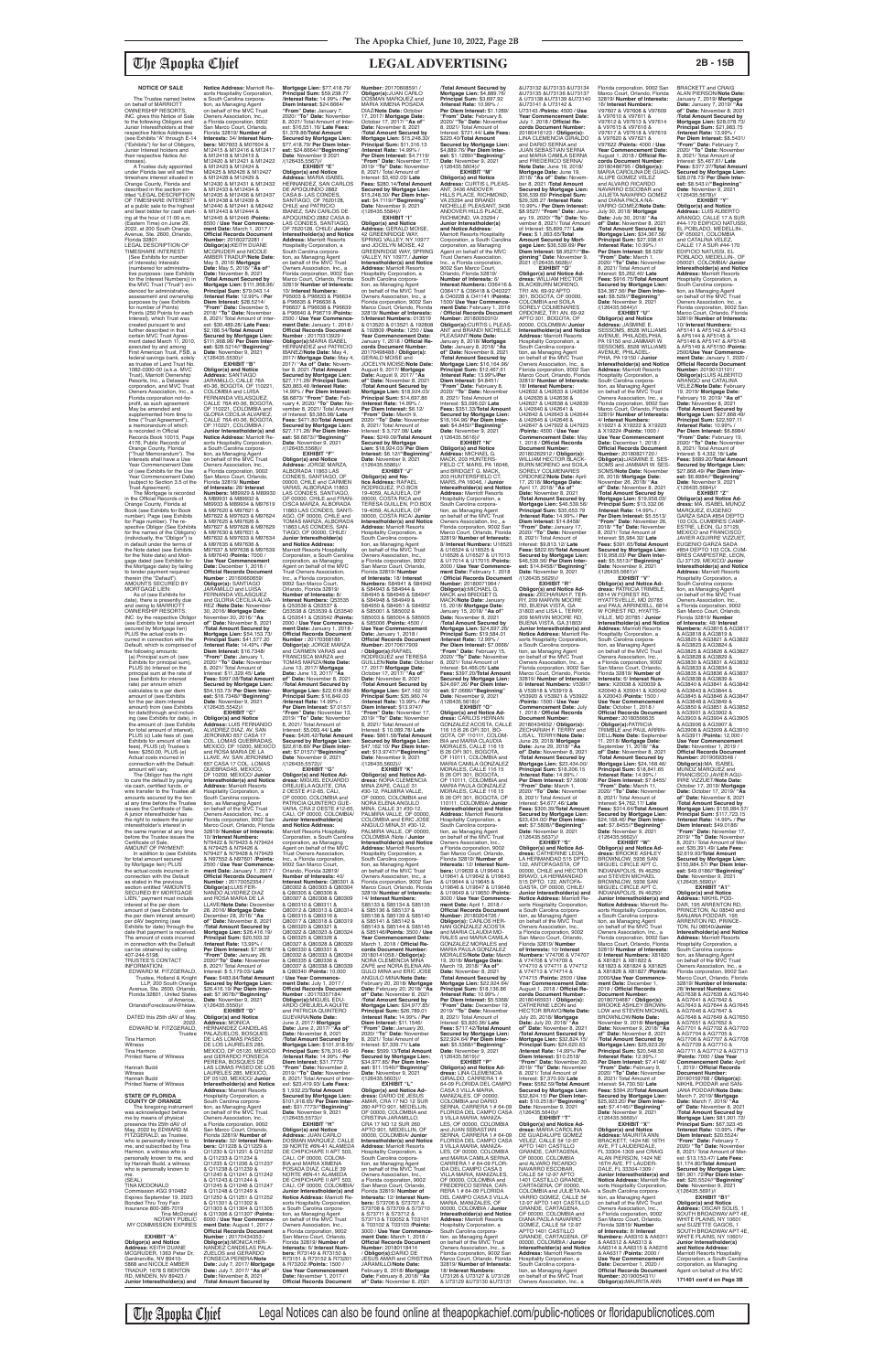### **NOTICE OF SALE**

The Trustee named below on behalf of MARRIOTT OWNERSHIP RESORTS, INC. gives this Notice of Sale to the following Obligors and Junior Interestholders at their respective Notice Addresses (see Exhibits "A" through E-14 ("Exhibits") for list of Obligors, Junior Interest holders and their respective Notice Ad-

dresses). A Trustee duly appointed under Florida law will sell the timeshare interest situated in Orange County, Florida and described in the section en-titled "LEGAL DESCRIPTION OF TIMESHARE INTEREST" at a public sale to the highest and best bidder for cash starting at the hour of 11:00 a.m. (Eastern Time) on June 29, 2022, at 200 South Orange Avenue, Ste. 2600, Orlando, Florida 32801. LEGAL DESCRIPTION OF TIMESHARE INTEREST: (See Exhibits for number of Interests) Interests (numbered for administrative purposes: (see Exhibits for the Interest Numbers)) in the MVC Trust ("Trust") evidenced for administrative, assessment and ownership purposes by (see Exhibits for number of Points) Points (250 Points for each Interest), which Trust was created pursuant to and further described in that certain MVC Trust Agree ment dated March 11, 2010,<br>executed by and among executed by and among First American Trust, FSB, a federal savings bank, solely as trustee of Land Trust No. 1082-0300-00 (a.k.a. MVC Trust), Marriott Ownership Resorts, Inc., a Delaware corporation, and MVC Trust Owners Association, Inc., a Florida corporation not-forprofit, as such agreement May be amended and supplemented from time to time ("Trust Agreement"), a memorandum of which is recorded in Official Records Book 10015, Page 4176, Public Records of Orange County, Florida ("Trust Memorandum"). The Interests shall have a Use Year Commencement Date of (see Exhibits for the Use Year Commencement Date) (subject to Section 3.5 of the Trust Agreement). The Mortgage is recorded in the Official Records of Orange County, Florida at

Book (see Exhibits for Book number). Page (see Exhibits for Page number). The re-spective Obligor (See Exhibits for the names of the Obligors) (individually, the "Obligor") is in default under the terms of the Note dated (see Exhibits for the Note date) and Mortgage dated (see Exhibits for the Mortgage date) by failing to tender payment required therein (the "Default"). AMOUNTS SECURED BY

MORTGAGE LIEN: As of (see Exhibits for date), there is presently due and owing to MARRIOTT OWNERSHIP RESORTS, INC. by the respective Obligo where Exhibits for total amour secured by Mortgage lien) PLUS the actual costs incurred in connection with the Default, which is comprised of<br>the following amounts: the following amounts: (a) Principal sum of: (see Exhibits for principal sum), PLUS (b) Interest on the principal sum at the rate of (see Exhibits for interest rate) per annum which calculates to a per diem amount of (see Exhibits for the per diem interest amount) from (see Exhibits for date)through and includ-ing (see Exhibits for date), in the amount of: (see Exhibits for total amount of interest), PLUS (c) Late fees of: (see Exhibits for amount of late fees), PLUS (d) Trustee's fees: \$250.00, PLUS (e)

Actual costs incurred in connection with the Default: amount will vary. The Obligor has the right to cure the default by paying via cash, certified funds, or wire transfer to the Trustee all amounts secured by the lien at any time before the Trustee issues the Certificate of Sale. A junior interestholder has the right to redeem the junior interestholder's interest in the same manner at any time before the Trustee issues the Certificate of Sale. AMOUNT OF PAYMENT: In addition to (see Exhibits for total amount secure by Mortgage lien) PLUS<br>the actual costs incurred in connection with the Default as stated in the previous section entitled "AMOUNTS SECURED BY MORTGAGE LIEN," payment must include interest at the per diem amount of (see Exhibits for the per diem interest amount) per dAV beginning (see Exhibits for date) through the date that payment is received. The amount of costs incurred in connection with the Default can be obtained by calling 407-244-5198. TRUSTEE'S CONTACT INFORMATION: EDWARD M. FITZGERALD, Trustee, Holland & Knight LLP, 200 South Orange Avenue, Ste. 2600, Orlando, Florida 32801, United States of America., OrlandoForeclosure@hklaw. com. DATED this 25th dAV of May, 2022. EDWARD M. FITZGERALD, **Trustee** Tina Harmon Witness Tina Harmon Printed Name of Witness Hannah Budd Witness Hannah Budd Printed Name of Witness **STATE OF FLORIDA COUNTY OF ORANGE** The foregoing instrument was acknowledged before me by means of physical presence this 25th dAV of May, 2022 by EDWARD M. FITZGERALD, as Trustee, who is personally known to me, and subscribed by Tina Harmon, a witness who is personally known to me, and by Hannah Budd, a witness who is personally known to me. (SEAL) TINA MCDONALD Commission #GG 910482 Expires September 19, 2023 Bonded Thru Troy Fain Insurance 800-385-7019 Tina McDonald NOTARY PUBLIC MY COMMISSION EXPIRES **EXHIBIT "A" Obligor(s) and Notice Address:** KEITH DUANE MCGRUDER, 1363 Petar Dr Gardnerville, NV 89410- 5868 and NICOLE AMBER TRADUP, 1678 S BENTON RD, MINDEN, NV 89423 / **Junior Interestholder(s) and** 

**Notice Address:** Marriott Resorts Hospitality Corporation, a South Carolina corporation, as Managing Agent<br>on behalf of the MVC Trust Owners Association, Inc. a Florida corporation, 9002 San Marco Court, Orlando, Florida 32819/ **Number of Interests:** 34/ **Interest Num-bers:** M07603 & M07604 & M12415 & M12416 & M12417 & M12418 & M12419 & M12420 & M12421 & M12422 & M12423 & M12424 & Ml2425 & Ml2426 & M12427 & M12428 & M12429 &<br>M12430 & M12431 & M12432 M12430 & M12431 & M12432<br>& M12433 & M12436 & M12437<br>& M12435 & M12436 & M12437<br>& M12440 & M12441 & M12442<br>& M12443 & M12444 & M12445 & M12446 /**Points:** 8500 / **Use Year Commence-ment Date:** March 1, 2017 / **Official Records Document Number:** 20160272281 / **ObIigor(s):**KEITH DUANE MCGRUDER and NICOLE AMBER TRADUP/**Note Date:** May 5, 2016/ **Mortgage Date:** May 5, 2016/ **"As of" Date:** November 8, 2021 /**Total Amount Secured by Mortgage Lien:** \$111,968.96/ **Principal Sum:** \$79,043.14 /**Interest Rate:** 12.99% / **Per Diem Interest:** \$28.5214/ **"From" Date:** December 5, 2018/ **"To" Date:** November 8, 2021/ Total Amount of Inter-est: \$30,489.28/ **Late Fees:** \$2,186.54/**Total Amount Secured by Mortgage Lien:**  \$111,968.96/ **Per Diem Interest:** \$28.5214//**"Beginning" Date**: November 9, 2021 /(126435.5530)// **EXHIBIT "B" Obligor(s) and Notice Address:** SANTIAGO<br>JARAMiLLO, CALLE 76A #0-36, BOGOTA, OF 110221, COLOMBIA and LUISA FERNANDA VELASQUEZ, CALLE 76A #0-36, BOGOTA, OF 110221, COLOMBIA and GLORIA CECILIA ALVAREZ, CALLE 76A #0-36, BOGOTA OF 110221, COLOMBIA / **Junior Interestholder(s) and Notice Address:** Marriott Resorts Hospitality Corporation, a South Carolina corpora-**Mortgage Lien:** \$77,418.79/ **Principal Sum:** \$59,238.77 /**Interest Rate:** 14.99% / **Per Diem Interest:** \$24.6664/ **"From" Date:** January 7, 2020/ **"To" Date:** November 8, 2021/ Total Amount of Inter-est: \$16,551.16/ **Late Fees:** \$1,378.86/**Total Amount Secured by Mortgage Lien:**  \$77,418.79/ **Per Diem Interest:** \$24.6664//**"Beginning"<br>Date**: November 9 2021<br>/(126435.5567)//<br>**EXHIBIT** "E" **Obligor(s) and Notice Address:** MARIA ISABEL HERNANDEZ, SAN CARLOS DE APOQUINDO 2882 CASA 8- LAS CONDES, SANTIAGO, OF 7620128, CHILE and PATRICIO IBANEZ, SAN CARLOS DE APOQUINDO 2882 CASA 8-<br>LAS CONDES, SANTIAGO,<br>OF 7620128, CHILE/ **Junior Interestholder(s) and Notice Address:** Marriott Resorts Hospitality Corporation, a South Carolina corporation, as Managing Agent<br>on behalf of the MVC Trust Owners Association, Inc., a Florida corporation, 9002 San Marco Court, Orlando, Florida 32819/ **Number of Interests:** 10/ **Interest Numbers:** P95003 & P96633 & P96634 & P96635 & P96636 & P96637 & P96638 & P96639 & P96640 & P96719 /**Points:** 2500 / **Use Year Commence-ment Date:** January 1, 2018 / **Official Records Document Number :** 20170313929 / **Obligor(s):**MARIA ISABEL<br>HERNANDEZ and PATRICIO IBANEZ/**Note Date:** May 4, 2017/ **Mortgage Date:** May 4, 2017/ **"As of" Date:** Novem-ber 8, 2021 /**Total Amount Secured by Mortgage Lien:**  \$27,171.26/ **Principal Sum:** \$20,863.48 /**Interest Rate:** 14.99% / **Per Diem Interest:** \$8.6873/ **"From" Date:** Feb-ruary 4, 2020/ **"To" Date:** November 8, 2021/ Total Amount of Interest: \$5,585.98/ **Late Fees:** \$471.80/**Total Amount Secured by Mortgage Lien:**  \$27,171.26/ **Per Diem Inter-est:** \$8.6873//**"Beginning" Date**: November 9, 2021<br>/(126435.5568)// **EXHIBIT "F"**

**Number:** 20170608591 /<br>**Obligor(s):**JUAN CARLO<br>DOSMAN MARQUEZ and MARIA XIMENA POSADA DIAZ/**Note Date:** October 17, 2017/ **Mortgage Date:** October 17, 2017/ **"As of" Date:** November 8, 2021 /**Total Amount Secured by Mortgage Lien:** \$15,248.30/ **Principal Sum:** \$11,316.13 /**Interest Rate:** 14.99% / **Per Diem Interest:** \$4.7119/ **"From" Date:** November 17, 2019/ **"To" Date:** November 8, 2021/ Total Amount of Interest: \$3,402.03/ **Late Fees:** \$280.14/**Total Amount Secured by Mortgage Lien:**  \$15,248.30/ **Per Diem Interest:** \$4.7119//**"Beginning" Date**: November 9, 2021<br>/(126435.5584)// **EXHIBIT "I" Obligor(s) and Notice Address:** GERALD MOISE, 42 GREENRIDGE WAY, SPRING VALLEY, NY 10977 and JOCELYN MOISE, 42 GREENRIDGE WAY, SPRING VALLEY, NY 10977,/ **Junior Interestholder(s) and Notice Address:** Marriott Resorts Hospitality Corporation, a South Carolina corporation, as Managing Agent on behalf of the MVC Trust Owners Association, Inc., a Florida corporation, 9002 San Marco Court, Orlando, Florida 32819/ **Number of Interests:** 5/**Interest Numbers:** 013519 & 013520 & 013521 & 192808 & 192809 /**Points:** 1250 / **Use Year Commencement Date:** January 1, 2018 / **Official Records Document Number:** 20170498488 / **Obligor(s):** GERALD MOISE and JOCELYN MOISE/**Note Date:** August 9, 2017/ **Mortgage Date:** August 9, 2017/ **"As of" Date:** November 8, 2021 /**Total Amount Secured by Mortgage Lien:** \$18,924.03/ **Principal Sum:** \$14,697.86 /**Interest Rate:** 14.99% / **Per Diem Interest:** \$6.12/ **"From" Date:** March 9, 2020/ **"To" Date:** November 8, 2021/ Total Amount of Interest: \$ 3,727.08/ **Late Fees:** \$249.09/**Total Amount Secured by Mortgage Lien:** \$18,924.03/ **Per Diem EXHIBIT "J" EXHIBIT "L"**

& Q53536 & Q53537 & **Number :** 20170368188 / 8, 2021/ Total Amount of

The Apopka Chief Legal Notices can also be found online at theapopkachief.com/public-notices or floridapublicnotices.com & M97630 & M97631 &<br>M97632 & M97633 & M97634 & M97635 & M97636 & M97637 & M97638 & M97639 & M97640 /**Points:** 7000 / **Use Year Commencement Date:** December 1, 2016 / **Official Records Document Number :** 20160660659/ **Obligor(s):** SANTIAGO JARAMILLO and LUISA FERNANDA VELASQUEZ and GLORIA CECILIA ALVA-REZ /**Note Date:** November 30, 2016/ **Mortgage Date:** November 30, 2016/ **"As of" Date:** November 8, 2021 /**Total Amount Secured by Mortgage Lien:** \$54,153.73/ **Principal Sum:** \$41,577.20 /**Interest Rate:** 14.49% / **Per Diem Interest:** \$16.7348/ **"From" Date:** January 1, 2020/ **"To" Date:** November 8, 2021/ Total Amount of Interest: \$11,329.45/ **Late Fees: \$997.08/Total Amount<br><b>Secured by Mortgage Lien:**<br>\$54,153.73/ **Per Diem Inter-**<br>**est:** \$16.7348//**"Beginning"<br>Date**: November 9, 2021<br>/(126435.5542)// **EXHIBIT "C"<br><b>Address:** LUIS FERNANDO<br>**ALVIDREZ DIAZ, AV. SAN<br>JERONIMO 657 CASA 17<br>JERONIMO 657 CASA 17<br>COL. LOMAS QUEBRADAS,** MEXICO, DF 10200, MEXICO and ROSA MARIA DE LA<br>LLAVE, AV, SAN JERONIMO LLAVE, AV. SAN JERONIMO 657 CASA 17 COL. LOMAS QUEBRADAS, MEXICO, DF 10200, MEXICO/ **Junior Interestholder(s) and Notice Address:** Marriott Resorts Hospitality Corporation, a South Carolina corpora-tion, as Managing Agent on behalf of the MVC Trust Owners Association, Inc., a Florida corporation, 9002 San Marco Court, Orlando, Florida 32819/ **Number of Interests:** 10/ **Interest Numbers:** N79422 & N79423 & N79424 & N79425 & N79426 & N79427 & N79428 & N79429 & N97552 & N97601 /**Points:** 2500 / **Use Year Commence-ment Date:** January 1, 2017 / **Official Records Document Number :** 20170052354 / **Obligor(s):**LUIS FER-NANDO ALVIDREZ DIAZ and ROSA MARIA DE LA LLAVE/**Note Date:** December 28, 2016/ **Mortgage Date:** December 28, 2016/ **"As of" Date:** November 8, 2021 /**Total Amount Secured by Mortgage Lien:** \$26,416.19/ **Principal Sum:** \$20,503.32 /**Interest Rate:** 13.99% / **Per Diem Interest:** \$7.9678/ **"From" Date:** January 28, 2020/**"To" Date:** November 8, 2021/ Total Amount of Interest: \$ 5,179:03/ **Late Fees:** \$483.84/**Total Amount Secured by Mortgage Lien:**  \$26,416.19/ **Per Diem Interest:** \$7.9678//"**Beginning"**<br>**Date**: November 9, 2021<br>/(126435.5550)// **EXHIBIT "D" Obligor(s) and Notice Address:** MONICA HERNANDEZ CANDELAS PALAZUELOS, BOSQUES DE LAS LOMAS PASEO DE LOS LAURELES 285 MEXICO, DF 05120, MEXICO and GERARDO FONSECA PERERA, BOSQUES DE LAS LOMAS PASEO DE LOS LAURELES 285, MEXICO, DF 05120, MEXICO/ **Junior Interestholder(s) and Notice Address:** Marriott Resorts Hospitality Corporation, a South Carolina corpora-tion, as Managing Agent on behalf of the MVC Trust Owners Association, Inc., a Florida corporation, 9002 San Marco Court, Orlando, Florida 32819/ **Number of Interests:** 32/ **Interest Numbers:** Q11228 & Q11229 & Q11230 & Q11231 & Q11232 & Q11233 & Q11234 & Q11235 & Q11236 & Q11237 & Q11238 & Q11239 & Q11240 & Q11241 & Q11242 & Q11243 & Q11244 & Q11245 & Q11246 & Q11247 & Q11248 & Q11249 & Q11250 & Q11251 & Q11252 & Q11301 & Q11302 & Q11303 & Q11304 & Q11305 & Q11306 & Q11307 /**Points:** 8000 / **Use Year Commencement Date:** August 1, 2017 / **Official Records Document<br><b>Number :** 20170434353 /<br>**Obligor(s):**MONICA HER-<br>NANDEZ CANDELAS PALA-ZUELOS and GERARDO FONSECA PERERA/**Note Date:** July 7, 2017/ **Mortgage Date:** July 7, 2017/ **"As of" Date:** November 8, 2021 /**Total Amount Secured by Junior Interestholder(s) and Notice Address:** Marriott Resorts Hospitality Corporation, a South Carolina corporation, as Managing Agent on behalf of the MVC Trust Owners Association, Inc., a Florida corporation, 9002 San Marco Court, Orlando, Florida 32819/<br>**Number of Interests:** 8/<br>**Interest Numbers:** Q53535 Q53538 & Q53539 & Q53540 & Q53541 & Q53542 /**Points:** 2000 / **Use Year Commence-ment Date:** January 1, 2018 / **Official Records Document Obligor(s):** JORGE MARZA and CARMEN VARAS and FRANCISCA MARZA and TOMAS MARZA/**Note Date:** June 13, 2017/ **Mortgage Date:** June 13, 2017/ **"As of" Date:** November 8, 2021 /**Total Amount Secured by Mortgage Lien:** \$22,618.89/ **Principal Sum:** \$16,849.03 /**Interest Rate:** 14.99% / **Per Diem Interest:** \$7.0157/ **"From" Date:** November 13, 2019/ **"To" Date:** November Interest: \$5,093.44/ **Late Fees:** \$426.42/**Total Amount Secured by Mortgage Lien:**  \$22,618.89/ **Per Diem Interest:** \$7.0157//**"Beginning" Date**: November 9, 2021 /(126435.5572)// **EXHIBIT "G" Obligor(s) and Notice Address: MIGUEL EDUARDO**<br>OBE ILIELA AOLIITE, CBA OREJUELA AQUITE, CRA 2 OESTE #12-65, CALI, OF 00000, COLOMBIA and PATRICIA QUINTERO GUE-VARA, CRA 2 OESTE #12-65, CALI, OF 00000, COLOMBIA/ **Junior Interestholder(s) and Notice Address:** Marriott Resorts Hospitality Corporation, a South Carolina corporation, as Managing Agent on behalf of the MVC Trust Owners Association, Inc., a Florida corporation, 9002 San Marco Court, Orlando, Florida 32819/ **Number of Interests:** 40/ **Interest Numbers:** Q80301 & Q80302 & Q80303 & Q80304 & Q80305 & Q80306 & Q80307 & Q80308 & Q80309 & Q80310 & Q80311 & Q80312 & Q80313 & Q80314 & Q80315 & Q80316 & Q80317 & Q80318 & Q80319 & Q80320 & Q80321 & Q80322 & Q80323 & Q80324 & Q80325 & Q80326 & Q80327 & Q80328 & Q80329 & Q80330 & Q80331 & Q80332 & Q80333 & Q80334 & Q80335 & Q80336 & Q80337 & Q80338 & Q80339 & Q80340 /**Points:** 10,000 / **Use Year Commencement Date:** July 1, 2017 / **Official Records Document Number :** 20170357184/ **Obligor(s):**MIGUEL EDU-ARDO OREJUELA AQUITE and PATRICIA QUINTERO GUEVARA/**Note Date:** June 2, 2017/ **Mortgage Date:** June 2, 2017/ **"As of" Date:** November 8, 2021 /**Total Amount Secured by Mortgage Lien:** \$101,918.65/ **Principal Sum:** \$76,316.49 /**Interest Rate:** 14.99% / **Per Diem Interest:** \$31.7773/ **"From" Date:** November 2, 2019/ **"To" Date:** November 8, 2021/ Total Amount of Interest: \$23,419.93/ **Late Fees:** \$ 1,932.23/**Total Amount Secured by Mortgage Lien:**  \$101,918.65/ **Per Diem Inter-est:** \$31.7773//**"Beginning" Date**: November 9, 2021 /(126435.5573)// **EXHIBIT "H" Obligor(s) and Notice<br><b>Address:** JUAN CARLO<br>DOSMAN MARQUEZ, CALLE 39 NORTE #6N-41 ALAMEDA DE CHIPICHAPE II APT 503, CALI, OF 00000, COLOM-<br>BIA and MARIA XIMENA BIA and MARIA XIMENA<br>POSADA DIAZ, CALLE 39<br>NORTE #6N-41 ALAMEDA<br>DE CHIPICHAPE II APT 503, CALI, OF 00000, COLOMBIA/ **Junior Interestholder(s) and Notice Address:** Marriott Resorts Hospitality Corporation, a South Carolina corporation, as Managing Agent<br>on behalf of the MVC Trust<br>Owners Association, Inc., a Florida corporation, 9002 San Marco Court, Orlando, Florida 32819/ **Number of Interests:** 6/ **Interest Numbers:** R73149 & R73150 & R73151 & R73152 & R73201 & R73202 /**Points:** 1500 / **Use Year Commencement Date:** November 1, 2017 / **Official Records Document**  South Carolina corporation, as Managing Agent<br>on behalf of the MVC Trust Owners Association, Inc., a Florida corporation, 9002 San Marco Court, Orlando, Florida 32819/ **Number of Interests:** 18/ **Interest Numbers:** S84941 & S84942<br>& S84943 & S84944 & & S84943 & S84944 & S84945 & S84946 & S84947 & S84948 & S84949 & S84950 & S84951 & S84952 & S85001 & S85002 & S85003 & S85004 & S85005 & S85006 /**Points:** 4500 / **Use Year Commencement Date:** January 1, 2018 / **Official Records Document Number:** 20170617909 / **Obligor(s):**RAFAEL RODRIGUEZ and TERESA GUILLEN/**Note Date:** October 17, 2017/ **Mortgage Date:** October 17, 2017/ **"As of" Date:** November 8, 2021 /**Total Amount Secured by Mortgage Lien:** \$47,162.10/ **Principal Sum:** \$35,960.74 /**Interest Rate:** 13.99% / **Per Diem Interest:** \$13.9747/ **"From" Date:** November 17, 2019/ **"To" Date:** November 8, 2021/ Total Amount of Interest: \$ 10,089.78/ **Late Fees:** \$861.58/**Total Amount Secured by Mortgage Lien:**  \$47,162.10/ **Per Diem Interest:** \$13.9747//**"Beginning" Date**: November 9, 2021 /(126435.5602)// **EXHIBIT "K" Obligor(s) and Notice Address:** NORA CLEMENCIA MINA ZAPE, CALLE 31 #30-12, PALMIRA VALLE, OF 00000, COLOMBIA and NORA ELENA ANGULO MINA, CALLE 31 #30-12, PALMIRA VALLE, OF 00000 COLOMBIA and ERIC JOSE<br>ANGULO MINA 31 #30-12 ANGULO MINA,31 #30-12,<br>PALMIRA VALLE, OF 00000,<br>COLOMBIA /Note / **Junior**<br>**Interestholder(s) and Notice Address:** Marriott Resorts Hospitality Corporation, a South Carolina corpora tion, as Managing Agent<br>on behalf of the MVC Trust Owners Association, Inc., a Florida corporation, 9002 San Marco Court, Orlando, Florida 32819/ **Number of Interests:** 14/ **Interest Numbers:** S85133 & S85134 & S85135 & S85136 & S85137 & S85138 & S85139 & S85140 & S85141 & S85142 &<br>S85143 & S85144 & S85145 S85143 & S85144 & S85145 & S85146/**Points:** 3500 / **Use Year Commencement Date:** March 1, 2018 / **Official Records Document Number:** 20180141058 / **Obligor(s):** NORA CLEMENCIA MINA ZAPE and NORA ELENA AN-GULO MINA and ERIC JOSE ANGULO MINA/**Note Date:** February 20, 2018/ **Mortgage Date:** February 20, 2018/ **"As of" Date:** November 8, 2021 /**Total Amount Secured by Mortgage Lien:** \$34,977.85/ **Principal Sum:** \$26,789.01 /**Interest Rate:** 14.99% / **Per Diem Interest:** \$11.1546/ **"From" Date:** January 20, 2020/ **"To" Date:** November 8, 2021/ Total Amount of Interest: \$7,339.71/ **Late Fees:** \$599.13/**Total Amount Secured by Mortgage Lien:**  \$34,977.85/ **Per Diem Interest:** \$11.1546//**"Beginning"<br><b>Date**: November 9, 2021<br>/(126435.5603)// **Obligor(s) and Notice Ad-<br>dress: DARIO DE JESUS<br>AMAR, CRA 17 NO 12 SUR<br>260 APTO 901, MEDELLIN,<br>OF 00000, COLOMBIA and** CRISTINA JARAMILLO, CRA 17 NO 12 SUR 260 APTO 901, MEDELLIN, OF 00000, COLOMBIA/ **Junior Interestholder(s) and Notice Address:** Marriott Resorts Hospitality Corporation, a South Carolina corporation, as Managing Agent<br>on behalf of the MVC Trust<br>Owners Association, Inc., a Florida corporation, 9002 San Marco Court, Orlando, Florida 32819/ **Number of Interests:** 12/ **Interest Num-bers:** S73706 & S73707 & S73708 & S73709 & S73710 & S73711 & S73712 & S73713 & T03052 & T03101 & T03102 & T03103 /**Points:** 3000 / **Use Year Commence-ment Date:** March 1, 2018 / **Official Records Document Number:** 20180118414 / **Obligor(s):**DARIO DE JESUS AMAR and CRISTINA JARAMILLO/**Note Date:** February 8, 2018/ **Mortgage Date:** February 8, 2018/ **"As of" Date:** November 8, 2021 32819/ **Number of Interests:** 18/ **Interest Numbers:** U73126 & U73127 & U73128 & U73129 &U73130 &U73131 8, 2021/ Total Amount of Interest: \$9,813.12/ **Late Fees:** \$822.65/**Total Amount Secured by Mortgage Lien:**  \$46,539.56/ **Per Diem Inter-est:** \$14.8458//**"Beginning" Date**: November 9, 2021 **EXHIBIT "R" Obligor(s) and Notice Ad-<br><b>dress:** ZECHARIAH F. TER-<br>RY, 209 MARVIN MOORE<br>RD, BUENA VISTA, GA 31803 and LISA L. TERRY, 209 MARVIN MOORE RD, BUENA VISTA, GA 31803/ **Junior Interestholder(s) and Notice Address:** Marriott Resorts Hospitality Corporation, a South Carolina corporation, as Managing Agent<br>on behalf of the MVC Trust Owners Association, Inc., a Florida corporation, 9002 San Marco Court, Orlando, Florida 32819/ **Number of Interests:** 6/ **Interest Numbers:** V53917 & V53918 & V53919 & V53920 & V53921 & V53922 /**Points:** 1500 / **Use Year Commencement Date:** July 1, 2018 / **Official Records**  Document Number 20180434932 / **Obligor(s):** ZECHARIAH F. TERRY and LISA L. TERRY/**Note Date:** June 29, 2018/ **Mortgage Date:** June 29, 2018/ **"As of" Date:** November 8, 2021<br>/**Total Amount Secured by<br><b>Mortgage Lien:** \$23,434.00/<br>**Principal Sum:** \$18,206.15 /**Interest Rate:** 14.99% / **Per Diem Interest:** \$7.5808/ **"From" Date:** March 1, 2020/ **"To" Date:** November 8, 2021/ Total Amount of Interest: \$4,677.46/ **Late Fees:** \$300.39/**Total Amount Secured by Mortgage Lien:**  \$23,434.00/ **Per Diem Interest:** \$7.5808//**"Beginning" Date**: November 9, 2021 /(126435.5637)// **EXHIBIT "S" Obligor(s) and Notice Ad-dress:** CATHERINE LEON, LA HERMANDAD 515 DPTO.<br>122, ANTOFAGASTA, OF<br>00000, CHILE and HECTOR BRAVO, LA HERMANDAD 515 DPTO. 122, ANTOFA-GASTA, OF 00000, CHILE/ **Junior Interestholder(s) and Notice Address:** Marriott Re-sorts Hospitality Corporation, a South Carolina corporation, as Managing Agent<br>on behalf of the MVC Trust Owners Association, Inc., a Florida corporation, 9002 San Marco Court, Orlando, Florida 32819/ **Number of Interests:** 10/ **Interest Numbers:** V74706 & V74707 & V74708 & V74709 & V74710 & V74711 & V74712 & V74713 & V74714 & V74715 /**Points:** 2500 / **Use Year Commencement Date:** August 1, 2018 / **Official Records Document Number:** 20180465931 / **Obligor(s):** CATHERINE LEON and HECTOR BRAVO/**Note Date:** July 20, 2018/ **Mortgage Date:** July 20, 2018/ **"As of" Date:** November 8, 2021 /**Total Amount Secured by Mortgage Lien:** \$32,824.15/ **Principal Sum:** \$24,620.63 /**Interest Rate:** 14.99%/ **Per Diem Interest:** \$10.2518/ **"From" Date:** November 20, 2019/ **"To" Date:** November 8, 2021/ Total Amount of Interest: \$7,370.93/ **Late Fees: \$582.59/Total Amount<br><b>Secured by Mortgage Lien:**<br>\$32,824.15/ **Per Diem Inter-<br>est: \$10.2518//"Beginning"<br><b>Date**: November 9, 2021<br>/(126435.5640)// **EXHIBIT "T" Obligor(s) and Notice Ad-dress:** MARIA CAROLINA DE GUADALUPE GOMEZ VELEZ, CALLE 5# 12-97 APTO 1401 CASTILLO GRANDE, CARTAGENA, OF 00000, COLOMBIA<br>and ALVARO BICARDO and ALVARO RICARDO<br>NAVARRO ESCOBAR,<br>CALLE 5# 12-97 APTO 1401 CASTILLO GRANDE, CARTAGENA, OF 00000, COLOMBIA and JULIETA NA-VARRO GOMEZ, CALLE 5# 12-97 APTO 1401 CASTILLO GRANDE, CARTAGENA, OF 00000, COLOMBIA and DIANA PAOLA NAVARRO GOMEZ, CALLE 5# 12-97 APTO 1401 CASTILLO GRANDE, CARTAGENA, OF 00000, COLOMBIA / **Junior Interestholder(s) and Notice Address:** Marriott Resorts Hospitality Corporation, a South Carolina corpora tion, as Managing Agent<br>on behalf of the MVC Trust<br>Owners Association, Inc., a Interest: \$5,984.32/ **Late Fees:** \$391.65/**Total Amount<br><b>Secured by Mortgage Lien:**<br>\$19,958.03/ **Per Diem Inter-**<br>**est:** \$5.5513//**"Beginning"<br>Date**: November 9, 2021<br>/(126435.5661)// **EXHIBIT "V"<br>
<b>Obligor(s) and Notice Ad-**<br> **dress:** PATRICIA TRIMBLE,<br>
6814 W FOREST RD,<br>
HYATTSVELLE, MD 20785 and PAUL ARRINDELL, 6814 W FOREST RD, HYATTS-VILLE, MD 20785 / **Junior Interestholder(s) and Notice Address:** Marriott Resorts Hospitality Corporation, a South Carolina corporation, as Managing Agent<br>on behalf of the MVC Trust Owners Association, Inc., a Florida corporation, 9002 San Marco Court, Orlando, Florida 32819/ **Number of Interests:** 6/ **Interest Numbers:** X20038 & X20039 &<br>X20040 & X20041 & X20043 X20040 & X20041 & X20042 & X20043 /**Points:** 1500 / **Use Year Commencement Date:** October 1, 2018 / **Official Records Document Number:** 20180566635 / **Obligor(s):**PATRICIA TRIMBLE and PAUL ARRIN-DELL/**Note Date:** September 11, 2018/ **Mortgage Date:** September 11, 2018/ **"As of" Date:** November 8, 2021 /**Total Amount Secured by Mortgage Lien:** \$24,168.46/ **Principal Sum:** \$18,841.65 /**Interest Rate:** 14.99% / **Per Diem Interest:** \$7.8455/ **"From" Date:** March 11, 2020/ **"To" Date:** November 8, 2021/ Total Amount of Interest: \$4,762.17/ **Late Fees:** \$314.64/**Total Amount Secured by Mortgage Lien:**  \$24,168.46/ **Per Diem Interest:** \$7.8455//**''Beginning''**<br>**Date**: November 9, 2021<br>/(126435.5662)// **EXHIBIT "W" Obligor(s) and Notice Ad-dress:** BROOKE ASHLEY BROWNLOW, 5936 SAN MIGUEL CIRCLE APT C, INDIANAPOLIS, IN 46250 and STEVEN MICHAEL BROWNLOW, 5936 SAN MIGUEL CIRCLE APT C,<br>INDIANAPOLIS, IN 46250 INDIANAPOLIS, IN 46250/ **Junior Interestholder(s) and Notice Address:** Marriott Resorts Hospitality Corporation. a South Carolina corporation, as Managing Agent on behalf of the MVC Trust Owners Association, Inc., a Florida corporation, 9002 San Marco Court, Orlando, Florida 32819/ **Number of Interests:** 8/ **Interest Numbers:** X81820 & X81821 & X81822 & X81823 & X81824 & X81825 & X81826 & X81827 /**Points:** 2000/**Use Year Commencement Date:** December 1, 2018 / **Official Records Document Number:** 20180704687 / **Obligor(s):** BROOKE ASHLEY BROWN-LOW and STEVEN MICHAEL BROWNLOW/**Note Date:** November 9, 2018/ **Mortgage Date:** November 9, 2018/ **"As of" Date:** November 8, 2021 /**Total Amount Secured by Mortgage Lien:** \$25,923.20/ **Principal Sum:** \$20,548.50 /**Interest Rate:** 12.99% / **Per Diem Interest:** \$7.4146/ **"From" Date:** February 9, 2020/ **"To" Date:** November 8, 2021/ Total Amount of Interest: \$4,730.50/ **Late Fees:** \$394.20/**Total Amount Secured by Mortgage Lien:**  \$25,923.20/ **Per Diem Inter-est:** \$7.4146//**"Beginning" Date**: November 9, 2021 /(126435.5669)// **EXHIBIT "X" Obligor(s) and Notice<br><b>Address:** MAURITA ANN<br>BRACKETT, 1424 NE 16TH<br>AVE, FT LAUDERDALE, FL 33304-1309 and CRAIG ALAN PIERSON, 1424 NE 16TH AVE, FT LAUDER-DALE, FL 33304-1309 / **Junior Interestholder(s) and Notice Address:** Marriott Resorts Hospitality Corporation, a South Carolina corporation, as Managing Agent<br>on behalf of the MVC Trust<br>Owners Association, Inc., a Florida corporation, 9002 San Marco Court, Orlando, Florida 32819/ **Number of Interests: 8/ Interest<br><b>Numbers:** AA6310 & AA6311<br>& AA6312 & AA6313 & AA6314 & AA6315 & AA6316 & AA6317 /**Points:** 2000 / **Use Year Commencement Date:** December 1, 2020 / **Official Records Document Number:** 20190054311/ **Obligor(s):**MAURITA ANN & AG3843 & AG3844 & /(126435.5690)// **EXHIBIT "A1"** South Carolina corpora-<br>tion, as Managing Agen 28/ **Interest Numbers:** & AG7646 & AG7647 & & AG7651 & AG7652 & & AG7709 & AG7710 & **EXHIBIT "B1" and Notice Address:**

tion, as Managing Agent<br>on behalf of the MVC Trust<br>Owners Association, Inc., a Florida corporation, 9002 San Marco Court, Orlando,<br>Florida 32819/ **Number** Florida 32819/ **Number<br><b>of Interest**s: 28/ I**nterest<br>Numbers:** M89929 & M89930<br>& M89931 & M89934 & M97619 & M97620 & M97621 & M97622 & M97623 & M97624 & M97625 & M97626 & M97627 & M97628 & M97629 & M97630 & M97631 & **Obligor(s) and Notice Address:** JORGE MARZA, ALBORADA 11863 LAS CONDES, SANTIAGO, OF 00000, CHILE and CARMEN<br>VARAS, ALBORADA 11863 VARAS, ALBORADA 11863 LAS CONDES, SANTIAGO, OF 00000, CHILE and FRAN-CISCA MARZA, ALBORADA 11863 LAS CONDES, SANTI-AGO, OF 00000, CHILE and OMAS MARZA, ALBORADA 11863 LAS CONDES, SAN-TIAGO, OF 00000, CHILE/ **Interest:** \$6.12//**"Beginning"**<br>**Date**: November 9, 2021<br>/(126435.5586)// **Obligor(s) and No-tice Address:** RAFAEL RODRIGUEZ, P.O.BOX 19-4059, ALAJUELA, OF 00000, COSTA RICA and TERESA GUILLEN, P.O.BOX 19-4059, ALAJUELA, OF 00000, COSTA RICA/ **Junior Interestholder(s) and Notice<br><b>Address:** Marriott Resorts<br>Hospitality Corporation, a 20180262912 / **Obligor(s):**<br>WILLIAM HECTOR BLACK-<br>BURN MORENO and SOILA<br>SORELY COLMENARES ORDONEZ/**Note Date:** April 17, 2018/ **Mortgage Date:** April 17, 2018/ **"As of" Date:** November 8, 2021 /**Total Amount Secured by Mortgage Lien:** \$46,539.56/ **Principal Sum:** \$35,653.79 /**Interest Rate:** 14.99% / **Per Diem Interest:** \$14.8458/ **"From" Date:** January 17, 2020/ **"To" Date:** November 103 COL.CUMBRES CAMP-ESTRE, LEON, GJ 37129, MEXICO and FRANCISCO JAVIER AGUIRRE VIZZUET, EUGENIO GARZA SADA #854 DEPTO 103 COL.CUM-BRES CAMPESTRE, LEON, GJ 37129, MEXICO/ **Junior Interestholder(s) and Notice Address:** Marriott Resorts Hospitality Corporation, a South Carolina corporation, as Managing Agent<br>on behalf of the MVC Trust<br>Owners Association, Inc., a Florida corporation, 9002 San Marco Court, Orlando, Florida 32819/ **Number of Interests:** 48/ **Interest<br><b>Numbers:** AG3816 & AG3817<br>& AG3818 & AG3819 &<br>AG3820 & AG3821 & AG3822 & AG3823 & AG3824 & AG3825 & AG3826 & AG3827 & AG3828 & AG3829 & AG3830 & AG3831 & AG3832 & AG3833 & AG3834 & AG3835 & AG3836 & AG3837 & AG3838 & AG3839 & AG3840 & AG3841 & AG3842 AG3845 & AG3846 & AG3847 & AG3848 & AG3849 & AG3850 & AG3851 & AG3852 & AG3901 & AG3902 & AG3903 & AG3904 & AG3905 & AG3906 & AG3907 & AG3908 & AG3909 & AG3910 & AG3911 /**Points:** 12,000 / **Use Year Commencement Date:** November 1, 2019 / **Official Records Document Number:** 20190693548 / **Obligor(s):**MA. ISABEL MUNOZ MARQUEZ and FRANCISCO JAVIER AGU-<br>IRRE VIZZUET/Note Date: IRRE VIZZUET/**Note Date:** October 17, 2019/ **Mortgage Date:** October 17, 2019/ **"As of" Date:** November 8, 2021 /**Total Amount Secured by Mortgage Lien:** \$155,984.57/ **Principal Sum:** \$117,723.15 /**Interest Rate:** 14.99% / **Per Diem Interest:** \$49.0186/ **"From" Date:** November 17, 2019/ **"To" Date:** November 8, 2021/ Total Amount of Merest: \$35,391.49/ **Late Fees:** \$2,619.93/**Total Amount Secured by Mortgage Lien:**  \$155,984.57/ **Per Diem Inter-est:** \$49.0186//**"Beginning" Date**: November 9, 2021 **Obligor(s) and Notice<br><b>Address:** NIKHIL POD-<br>DAR, 195 ARRENTON RD, PRINCETON, NJ 08540 and SANJANA PODDAR, 195 ARRENTON RD, PRINCE-TON, NJ 08540/**Junior Interestholder(s) and Notice Address:** Marriott Resorts Hospitality Corporation, a tion, as Managing Agent<br>on behalf of the MVC Trust<br>Owners Association, Inc., a<br>Florida corporation, 9002 San Marco Court, Orlando, Florida 32819/ **Number of Interests:** AG7638 & AG7639 & AG7640 & AG7641 & AG7642 & AG7643 & AG7644 & AG7645 AG7648 & AG7649 & AG7650 AG7701 & AG7702 & AG7703 & AG7704 & AG7705 & AG7706 & AG7707 & AG7708 AG7711 & AG7712 & AG7713 /**Points:** 7000 / **Use Year Commencement Date:** April 1, 2019 / **Official Records Document Number:** 20190159768 / **Obligor(s):** NIKHIL PODDAR and SAN-<br>JANA PODDAR/**Note Date**: JANA PODDAR/Note Date:<br>March 7, 2019/ Mortgage<br>Date: March 7, 2019/ "As<br>of" Date: November 8, 2021<br>Mortgage Lien: \$81,901.72/<br>Mortgage Lien: \$81,901.72/<br>Principal Sum: \$67,323.45 /**Interest Rate:** 10.99% / **Per Diem Interest:** \$20.5524/ **"From" Date:** February 7, 2020/ "To" Date: Novembe 8, 2021/ Total Amount of Mer-est: \$13,153.47/ **Late Fees:** \$1,174.80/**Total Amount Secured by Mortgage Lien:**  \$81,901.72/**Per Diem Inter-est:** \$20.5524//**"Beginning" Date**: November 9, 2021<br>/(126435.5691)// **Obligor(s) and Notice Address:** OSCAR SOLIS, 1 SOUTH BROADWAV APT 4E, WHITE PLAINS, NY 10601 and SUZETTE GAGOS, 1 SOUTH BROADWAY APT 4E. WHITE PLAINS, NY 10601/ **Junior Interestholder(s)**  Marriott Resorts Hospitality Corporation, a South Carolina corporation, as Managing Agent on behalf of the MVC **171401 cont'd on Page 3B**

/**Interest Rate:** 10.99% / **Per Diem Interest:** \$1.1289/ **"From" Date:** February 8, 2020/ **"To" Date:** November 8, 2021/ Total Amount of Interest: \$721.44/ **Late Fees:** \$220.40/**Total Amount Secured by Mortgage Lien:**  \$4,889.76/ **Per Diem Inter-est:** \$1.1289//**"Beginning" Date**: November 9, 2021 /(126435.5604)// **EXHIBIT "M" Obligor(s) and Notice Address:** CURTIS L PLEAS-ANT, 3436 ANDOVER HILLS PLACE, RICHMOND, VA 23294 and BRANDI NICHELLE PLEASANT, 3436 ANDOVER HILLS PLACE, RICHMOND, VA 23294 / **Junior Interestholder(s) and Notice Address:** Marriott Resorts Hospitality Corporation, a South Carolina<br>corporation, as Managing corporation, as Managing Agent on behalf of the MVC Trust Owners Association, Inc., a Florida corporation, 9002 San Marco Court, Orlando, Florida 32819/ **Number of Interests:** 6/ **Interest Numbers:** O36416 & O36417 & O36418 & O40227 & O40228 & O41141 /**Points:** 1500/ **Use Year Commencement Date:** February 1, 2018 / **Official Records Document<br><b>Number:** 20180050310/<br>**Obligor(s):**CURTIS L PLEAS-<br>ANT and BRANDI NICHELLE PLEASANT/**Note Date:** January 8, 2018/ **Mortgage Date:** January 8, 2018/ **"As of" Date:** November 8, 2021 /**Total Amount Secured by Mortgage Lien:** \$16,164.96/ **Principal Sum:** \$12,467.61 /**Interest Rate:** 13.99%/**Per Diem Interest:** \$4.8451/ **"From" Date:** February 8, 2020/ **"To" Date:** November 8, 2021/ Total Amount of Interest: \$3,096.02/ **Late Fees: \$351.33/Total Amoun Secured by Mortgage Lien:**  \$16,164.96/ **Per Diem Interest:** \$4.845l//**"Beginning"**<br>**Date**: November 9, 2021<br>/(126435.5616)// **EXHIBIT "N"<br><b>Address:** MICHAEL G.<br>Address: MICHAEL G.<br>MACK, 203 HUNTERS-<br>FIELD CT, MARS, PA 16046, and BRIDGET G. MACK, 203 HUNTERSFIELD CT, MARS, PA 16046, / **Junior Interestholder(s) and Notice<br><b>Address:** Marriott Resorts<br>Hospitality Corporation, a<br>South Carolina corporation, as Managing Agent<br>on behalf of the MVC Trust Owners Association, Inc., a Florida corporation, 9002 San Marco Court, Orlando, Florida 32819/ **Number of Interests:** 8/ **Interest Numbers:** U16523 & U16524 & U16525 & U16526 & U16527 & U17013 & U17014 & U17015 /**Points:** 2000 / **Use Year Commence-ment Date:** February 1, 2018 / **Official Records Document Number:** 20180071964 / **Obligor(s):**MICHAEL G. MACK and BRIDGET G. MACK/**Note Date:** January 15, 2018/ **Mortgage Date:** January 15, 2018/ **"As of" Date:** November 8, 2021 /**Total Amount Secured by Mortgage Lien:** \$24,697.26/ **Principal Sum:** \$19,584.01 /**Interest Rate:** 12.99% / **Per Diem Interest:** \$7.0666/ **"From" Date:** February 15, 2020/ **"To" Date:** November 8, 2021/ Total Amount of Interest: \$4,466.05/ **Late Fees:** \$397.20/**Total Amount Secured by Mortgage Lien:**  \$24,697.26/ **Per Diem Interest:** \$7.0666//**"Beginning" Date**: November 9, 2021 /(126435.5618)// **EXHIBIT "O" Obligor(s) and Notice Ad-dress:** CARLOS HERNAN GONZALEZ ACOSTA, CALLE 116 15 B 26 OFI 301, BO-GOTA, OF 110111, COLOM-BIA and MARIA CLAUDIA MORALES, CALLE 116 15 B 26 OFI 301, BOGOTA, OF 110111, COLOMBIA and MARIA CAMILA GONZALEZ MORALES, CALLE 116 15 B 26 OFI 301, BOGOTA,  $F$  110111, COLOMBIA MARIA PAULA GONZALEZ MORALES, CALLE 116 15 B 26 OFI 301, BOGOTA, OF 110111, COLOMBIA/ **Junior Interestholder(s) and Notice Address:** Marriott Resorts Hospitality Corporation, a<br>South Carolina corpora-South Carolina corpora-tion, as Managing Agent on behalf of the MVC Trust Owners Association, Inc., a Florida corporation, 9002 San Marco Court, Orlando, Florida 32819/ **Number of Interests:** 12/ **Interest Num-bers:** U19639 & U19640 & U19641 & U19642 & U19643 & U19644 & U19645 & U19646 & U19647 & U19648 & U19649 & U19650 /**Points:** 3000 / **Use Year Commence-ment Date:** April 1, 2018 / **Official Records Document Number:** 20180204726 / **Obligor(s):** CARLOS HER-NAN GONZALEZ ACOSTA and MARIA CLAUDIA MO-RALES and MARIA CAMILA GONZALEZ MORALES and MARIA PAULA GONZALEZ MORALES/**Note Date:** March 19, 2018/ **Mortgage Date:** March 19, 2018/ **"As of" Date:** November 8, 2021 /**Total Amount Secured by Mortgage Lien:** \$22,924.64/ **Principal Sum:** \$18,136.86 /**Interest Rate:** 10.99% / **Per Diem Interest:** \$5.5368/ **"From" Date:** December 19, 2019/ "To" Date: Novembe 8, 2021/ Total Amount of Interest: \$3,820.36/ **Late Fees:** \$717.42/**Total Amount Secured by Mortgage Lien:**  \$22,924.64/ **Per Diem Interest:** \$5.5368//**"Beginning" Date**: November 9, 2021<br>/(126435.5619)// **EXHIBIT "P" Obligor(s) and Notice Ad-dress:** LINA CLEMENCIA GIRALDO, CARRERA 1 # 64-09 FLORIDA DEL CAMPO CASA 3 VILLA MARIA, MANIZALES, OF 00000,<br>COLOMBIA and DARIO<br>SERNA, CARRERA 1 # 64-09<br>FLORIDA DEL CAMPO CASA 3 VILLA MARIA, MANIZA-LES, OF 00000, COLOMBIA and JUAN SEBASTIAN SERNA, CARRERA 1 # 64-09 FLORIDA DEL CAMPO CASA 3 VILLA MARIA, MANIZA-LES, OF 00000, COLOMBIA<br>and MARIA CAMILA SERNA, CARRERA 1 # 64-09 FLOR-IDA DEL CAMPO CASA 3 VILLA MARIA, MANIZALES, OF 00000, COLOMBIA and FREDERICO SERNA, CAR-RERA 1 # 64-09 FLORIDA DEL CAMPO CASA 3 VILLA MARIA, MANIZALES, OF 00000, COLOMBIA / **Junior Interestholder(s) and Notice Address:** Marriott Resorts Hospitality Corporation, a South Carolina corporation, as Managing Agent<br>on behalf of the MVC Trust Owners Association, Inc., a Florida corporation, 9002 San Marco Court, Orlando, Florida

/**Total Amount Secured by Mortgage Lien:** \$4,889.76/ **Principal Sum:** \$3,697.92 &U73132 &U73133 &U73134 &U73135 &U73136 &U73137 & U73138 &U73139 &U73140 &U73141 & U73142 &<br>U73143 / **Points:** 4500 / **Use** U73143 /**Points:** 4500 / **Use**<br>Year Commencement Date:<br>July 1, 2018 / Official Re-<br>cords Document Number:<br>20180416123 / Obligor(s):<br>LINA CLEMENCIA GIRALDO<br>and DARIO SERNA and JUAN SEBASTIAN SERNA and MARIA CAMILA SERNA and FREDERICO SERNA/ **Note Date:** June 19, 2018/ **Mortgage Date:** June 19, 2018/ **"As of" Date:** November 8, 2021 /**Total Amount Secured by Mortgage Lien:**  \$36,539.69/ **Principal Sum:** \$29,326.27 /**Interest Rate:** 10.99% / **Per Diem Interest:** \$8.9527/ **"From" Date:** January 19, 2020/ **"To" Date:** No-vember 8, 2021/ Total Amount of Interest: \$5,899.77/ **Late Fees:** \$ 1,063.65/**Total Amount Secured by Mort-gage Lien:** \$36,539.69/ **Per Diem Interest:** \$8.9527//**"Be-ginning" Date**: November 9, 2021 /(126435.5628)// **EXHIBIT "Q" Obligor(s) and Notice Ad-dress:** WILLIAM HECTOR BLACKBURN MORENO, TR1 AN. 69-92 APTO<br>301, BOGOTA, OF 00000,<br>COLOMBIA and SOILA SORELY COLMENARES ORDONEZ, TR1 AN. 69-92 APTO 301, BOGOTA, OF 00000, COLOMBIA/ **Junior Interestholder(s) and Notice Address:** Marriott Resorts Hospitality Corporation, a South Carolina corporation, as Managing Agent<br>on behalf of the MVC Trust<br>Owners Association, Inc., a Florida corporation, 9002 San Marco Court, Orlando, Florida<br>32819/ Number of Interests: 32819/ **Number of Interests:** 18/ **Interest Numbers:** U42632 & U42633 & U42634 & U42635 & U42636 & U42637 & U42638 & U42639 & U42640 & U42641 & U42642 & U42643 & U42644 & U42645 & U42646 & U42647 & U47922 & U47923 /**Points:** 4500 / **Use Year Commencement Date:** May 1, 2018 / **Official Records Document Number:** /(126435.5629)//

Florida corporation, 9002 San Marco Court, Orlando, Florida 32819/ **Number of Interests:** 16/ **Interest Numbers:** V97607 & V97608 & V97609 & V97610 & V97611 & V97612 & V97613 & V97614 & V97615 & V97616 & V97617 & V97618 & V97619 & V97620 & V97621 & V97622 /**Points:** 4000 / **Use Year Commencement Date:** August 1, 2018 / **Official Re-<br><b>cords Document Number:**<br>20180486795 / **Obligor(s**):<br>MARIA CAROLINA DE GUAD-<br>ALUPE GOMEZ VELEZ and ALVARO RICARDO<br>NAVARRO ESCOBAR and<br>JULIETA NAVARRO GOMEZ<br>and DIANA PAOLA NA-VARRO GOMEZ/**Note Date:** July 30, 2018/ Mortgage<br>Date: July 30, 2018/ "As<br>of" Date: November 8, 2021<br>/Total Amount Secured by<br>Mortgage Lien: \$34,367.56/<br>Principal Sum: \$27,938.41<br>/Interest Rate: 10.99% / **Per Diem Interest:** \$8.529/ **"From" Date:** March 1, 2020/ **"To" Date:** November 8, 2021/ Total Amount of Interest: \$5,262.40/ **Late Fees:** \$916.75/**Total Amount Secured by Mortgage Lien:**  \$34,367.56/ **Per Diem Inter-est:** \$8.529//**"Beginning" Date**: November 9, 2021 /(126435.5644)// **EXHIBIT "U" Obligor(s) and Notice Address:** JASMINE E. SESSOMS, 8528 WILLIAMS AVENUE, PHILADELPHIA, PA 19150 and JAMMAR W. SESSOMS, 8528 WILLIAMS AVENUE, PHILADEL-PHIA, PA 19150 / **Junior Interestholder(s) and Notice Address:** Marriott Resorts Hospitality Corporation, a South Carolina corporation, as Managing Agent<br>on behalf of the MVC Trust<br>Owners Association, Inc., a Florida corporation, 9002 San Marco Court, Orlando, Florida 32819/ **Number of Interests:** 4/ **Interest Numbers:** X19221 & X19222 & X19223 & X19224 /**Points:** 1000 / **Use Year Commencement Date:** December 1, 2018 / **Official Records Document Number:** 20180821720 /<br>**Obligor(s):**JASMINE E. SES-<br>SOMS and JAMMAR W. SES-SOMS/**Note Date:** November 26, 2018/ **Mortgage Date:** November 26, 2018/ **"As of" Date:** November 8, 2021 /**Total Amount Secured by Mortgage Lien:** \$19,958.03/ **Principal Sum:** \$13,332.06 /**Interest Rate:** 14.99% / **Per Diem Interest:** \$5.5513/ **"From" Date:** November 26, 2018/ **"To" Date:** November 8, 2021/ Total Amount of

BRACKETT and CRAIG ALAN PIERSON/**Note Date:** January 7, 2019/ **Mortgage Date:** January 7, 2019/ **"As of" Date:** November 8, 2021 /**Total Amount Secured by Mortgage Lien:** \$28,078.73/ **Principal Sum:** \$21,983.75 /**Interest Rate:** 13.99% / **Per Diem Interest:** \$8.5431/ **"From" Date:** February 7, 2020/ **"To" Date:** November 8, 2021/ Total Amount of Interest: \$5,467.61/ **Late Fees:** \$377.37/**Total Amount Secured by Mortgage Lien:**  \$28,078.73/ **Per Diem Interest:** \$8.543 l//"**Beginning"**<br>**Date**: November 9, 2021<br>/(126435.5678)// **EXHIBIT "Y" Obligor(s) and Notice Address:** LUIS ALBERTO

ARANGO, CALLE 17 A SUR<br>#44-170 EDIFICIO NATUSSI,<br>EL POBLADO, MEDELLIN-,<br>OF 050021, COLOMBIA<br>and CATALINA VELEZ,<br>CALLE 17 A SUR #44-170 EDIFICIO NATUSSI, EL POBLADO, MEDELLIN-, OF 050021, COLOMBIA/ **Junior Interestholder(s) and Notice Address:** Marriott Resorts Hospitality Corporation, a South Carolina corpora-tion, as Managing Agent on behalf of the MVC Trust Owners Association, Inc., a Florida corporation, 9002 San Marco Court, Orlando, Florida 32819/ **Number of Interests:** 10/ **Interest Numbers:** AF5141 & AF5142 & AF5143 & AF5144 & AF5145 & AF5146 & AF5147 & AF5148 & AF5149 & AF5150 /**Points:** 2500/**Use Year Commence-ment Date:** January 1, 2020 / **Official Records Document Number:** 20190131101/<br>**Obligor(s):**LUIS ALBERTO<br>ARANGO and CATALINA VELEZ/**Note Date:** February 19, 2019/ **Mortgage Date:** February 19, 2019/ **"As of" Date:** November 8, 2021 /**Total Amount Secured by Mortgage Lien:** \$27,868:49/ **Principal Sum:** \$22,597.11 /**Interest Rate:** 10.99% / **Per Diem Interest:** \$6.8984/ **"From" Date:** February 19, 2020/ **"To" Date:** November 8, 2021/ Total Amount of Interest: \$ 4,332.18/ **Late Fees:** \$689.20/**Total Amount Secured by Mortgage Lien:**  \$27,868.49/ **Per Diem Interest:** \$6.8984//**"Beginning" Date**: November 9, 2021 /(126435.5684)// **EXHIBIT "Z" Obligor(s) and Notice Ad-dress:** MA. ISABEL MUNOZ MARQUEZ, EUGENIO<br>GARZA SADA #854 DEPTO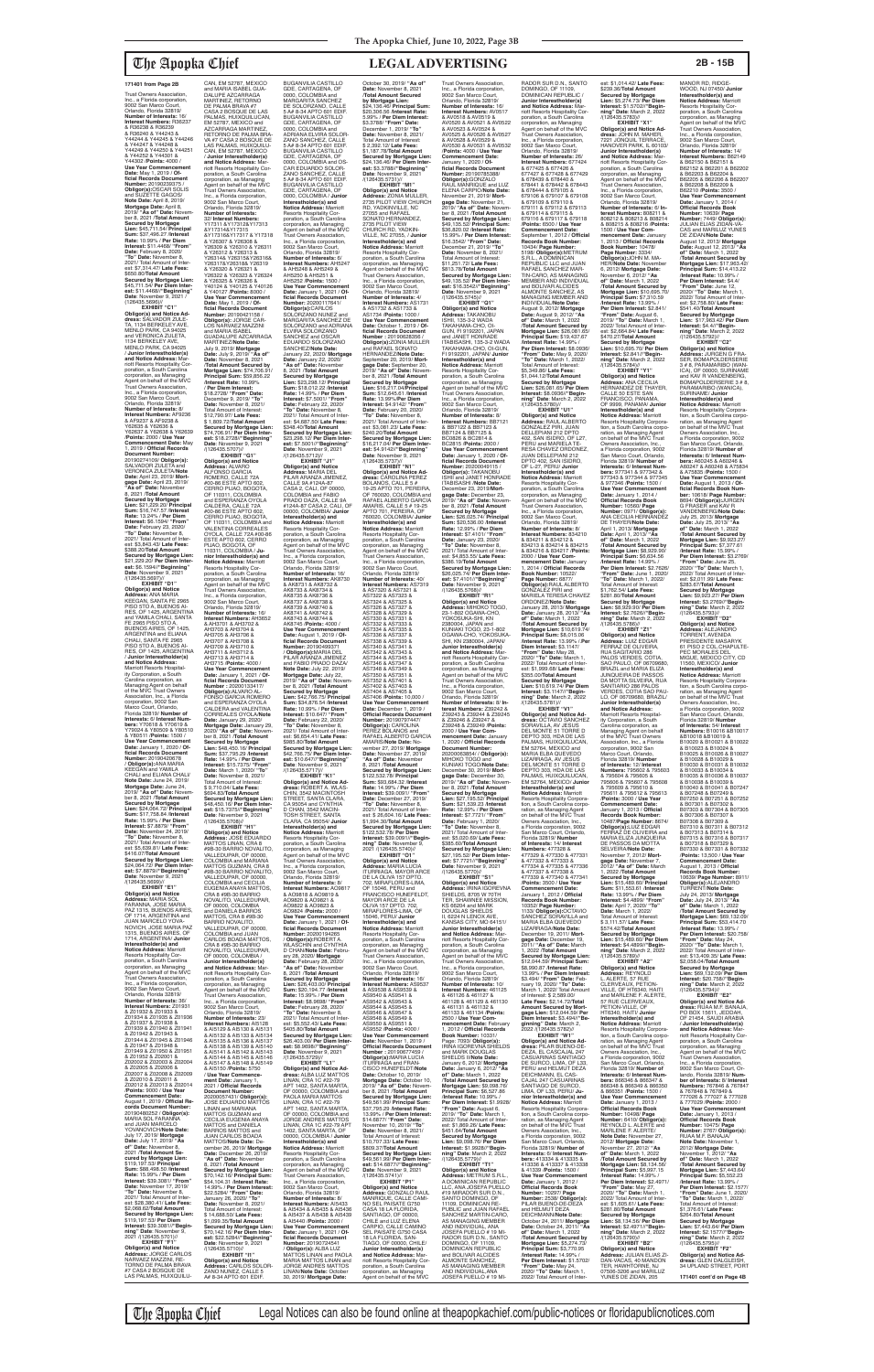(126435.5696)// **EXHIBIT "C1" Obligor(s) and Notice Ad-dress:** SALVADOR ZULE-TA, 1134 BERKELEY AVE, MENLO PARK, CA 94025 and VERONICA ZULETA,<br>1134 BERKELEY AVE, MENLO PARK, CA 94025 / **Junior Interestholder(s) and Notice Address:** Marriott Resorts Hospitality Corporation, a South Carolina corporation, as Managing Agent on behalf of the MVC Trust Owners Association, Inc., a Florida corporation, 9002 San Marco Court, Orlando, Florida 32819/<br>Number of Interests: 8/ **Number of Interests:** 8/<br>**Interest Numbers:** AF9236<br>& AF9237 & AF9238 &<br>Y62635 & Y62636 & Y62639<br>Y62637 & Y62638 & Y62639 /**Points:** 2000 / **Use Year Commencement Date:** May 1, 2019 / **Official Records Document Number:** 20190274109/ **Obligor(s):** SALVADOR ZULETA and VERONICA ZULETA/**Note Date:** April 23, 2019/ **Mortgage Date:** April 23, 2019/ **"As of" Date:** November 8, 2021 /**Total Amount Secured by Mortgage Lien:** \$21,229.20/ **Principal Sum:** \$16,747.57 /**Interest Rate:** 13.24% / **Per Diem Interest:** \$6.1594/ **"From" Date:** February 23, 2020/ **"To" Date:** November 8, 2021/ Total Amount of Inter-est: \$3,843.43/ **Late Fees:** \$388.20/**Total Amount Secured by Mortgage Lien:**  \$21,229.20/ **Per Diem Inter-est:** \$6.1594//**"Beginning" Date**: November 9, 2021<br>/(126435.5697)// **EXHIBIT "D1" Obligor(s) and Notice Address:** ANA MARIA

KEEGAN, SANTA FE 2965 PISO 5TO A, BUENOS AI-RES, OF 1425, ARGENTINA and YAMILA CHALI, SANTA FE 2965 PISO 5TO A, BUENOS AIRES, OF 1425, ARGENTINA and ELIANA CHALI, SANTA FE 2965 PISO 5TO A, BUENOS AI-RES, OF 1425, ARGENTINA / **Junior Interestholder(s) and Notice Address:** Marriott Resorts Hospitality Corporation, a South Carolina corporation, as Managing Agent on behalf of the MVC Trust Owners Association, Inc., a Florida corporation, 9002 San Marco Court, Orlando, Florida 32819/ **Number of Interests:** 6/ **Interest Num-bers:** Y70618 & Y70619 & Y79024 & Y80509 & Y80510 & Y80511 /**Points:** 1500 / **Use Year Commencement Date:** January 1, 2020 / **Official Records Document Number:** 20190420678<br>/ **Obligor(s):**ANA MARIA<br>KEEGAN and YAMILA CHALI and ELIANA CHALI/ **Note Date:** June 24, 2019/ **Mortgage Date:** June 24, 2019/ **"As of" Date:** Novem-ber 8, 2021 /**Total Amount Secured by Mortgage Lien:** \$24,064.72/ **Principal Sum:** \$17,758.84 /**Interest Rate:** 15.99% / **Per Diem Interest:** \$7.8879/ **"From" Date:** November 24, 2019/ **"To" Date:** November 8, 2021/ Total Amount of Interest: \$5,639.81/ **Late Fees:** \$416.07/**Total Amount Secured by Mortgage Lien:**  \$24,064.72/ **Per Diem Interest:** \$7.8879//**"Beginning" Date**: November 9, 2021<br>/(126435.5699)// **EXHIBIT "E1" Obligor(s) and Notice Address:** MARIA SOL FARANNA, JOSE MARIA PAZ 1315, BUENOS AIRES OF 1714, ARGENTINA and<br>ILLIAN MARCELO YOVA-JUAN MARCELO YOVA-NOVICH, JOSE MARIA PAZ 1315, BUENOS AIRES, OF 1714, ARGENTINA/ **Junior Interestholder(s) and Notice Address:** Marriott Resorts Hospitality Cor-poration, a South Carolina corporation, as Managing Agent on behalf of the MVC Trust Owners Association, Inc., a Florida corporation, 9002 San Marco Court, Orlando, Florida 32819/ **Number of Interests:** 36/ **Interest Numbers:** Z01931 & Z01932 & Z01933 & Z01934 & Z01935 & Z01936 & Z01937 & Z01938 & Z01939 & Z01940 & Z01941 & Z01942 & Z01943 & Z01944 & Z01945 & Z01946 & Z01947 & Z01948 & Z01949 & Z01950 & Z01951 & Z01952 & Z02001 & Z02002 & Z02003 & Z02004 & Z02005 & Z02006 & Z02007 & Z02008 & Z02009 & Z02010 & Z02011 & Z02012 & Z02013 & Z02014 /**Points:** 9000 / **Use Year Commencement Date:** August 1, 2019 / **Official Records Document Number:** 20190480252 / **Obligor(s):** MARIA SOL FARANNA and JUAN MARCELO<br>YOVANOVICH/**Note Date:**<br>July 17, 2019/ **Mortgage**<br>**Date:** July 17, 2019/ "**As of" Date:** November 8, 2021 /**Total Amount Secured by Mortgage Lien:**  \$119,197.53/ **Principal Sum:** \$88,498.50 /**Interest Rate:** 15.99% / **Per Diem Interest:** \$39.3081/ **"From" Date:** November 17, 2019/ **"To" Date:** November 8, 2021/ Total Amount of Inter-est: \$28,380.41/ **Late Fees:** \$2,068.62/**Total Amount Secured by Mortgage Lien:**  \$119,197.53/ **Per Diem Interest:** \$39.3081//**"Begin-ning" Date**: November 9, 2021 /(126435.5701)// **EXHIBIT "F1" Obligor(s) and Notice Address:** JORGE CARLOS NARVAEZ MAZZINI, RE-**Secured by Mortgage Lien:** \$48,450.16/ **Principal Sum:** \$37,795.29 /**Interest Rate:** 14.99% / **Per Diem** 

TORNO DE PALMA BRAVA<br>#7 CASA 2 BOSQUE DE<br>LAS PALMAS, HUIXQUILU-

CAN, EM 52787, MEXICO and MARIA ISABEL GUA-DALUPE AZCARRAGA MARTINEZ, RETORNO<br>DE PALMA BRAVA #7<br>CASA 2 BOSQUE DE LAS<br>PALMAS, HUIXQUILUCAN, EM 52787, MEXICO and AZCARRAGA MARTINEZ, RETORNO DE PALMA BRA-VA #7 CASA 2 BOSQUE DE LAS PALMAS, HUIXQUILU-CAN, EM 52787, MEXICO / **Junior Interestholder(s) and Notice Address:** Marriott Resorts Hospitality Corporation, a South Carolina corporation, as Managing Agent on behalf of the MVC Trust Owners Association, Inc., a Florida corporation, 9002 San Marco Court, Orlando, Florida 32819/ **Number of Interests:** 32/ **Interest Numbers:** Y17311 &Y17312&Y17313 &Y17314&Y17315 &Y17316&Y17317 & Y17318 & Y26307 & Y26308 & Y26309 & Y26310 & Y26311 & Y26312 & Y26313 & Y26314& Y26315&Y26316& Y26317&Y26318& Y26319<br>& Y26320 & Y26321 & & Y26320 & Y26321 & Y26322 & Y26323 & Y26324 & Y26325 & Y26326 & Y40124 & Y40125 & Y40126 & Y40127 /**Points:** 8000 / **Use Year Commencement Date:** May 1, 2019 / **Of-ficial Records Document Number:** 20190421158 / **Obligor(s):** JORGE CAR-LOS NARVAEZ MAZZINI and MARIA ISABEL GUADALUPE AZCARRAGA MARTINEZ/**Note Date:** July 9, 2019/ **Mortgage Date:** July 9, 2019/ **"As of" Date:** November 8, 2021 /**Total Amount Secured by Mortgage Lien:** \$74,706.91/ **Principal Sum:** \$59,856.22 /**Interest Rate:** 10.99% / **Per Diem Interest:** \$18.2728/ **"From" Date:** December 9, 2019/ **"To" Date:** November 8, 2021/ Total Amount of Interest: \$12,790.97/ **Late Fees:** \$ 1,809.72/**Total Amount Secured by Mortgage Lien:**  \$74,706.91/ **Per Diem Interest:** \$18.2728//"**Beginning"**<br>**Date**: November 9, 2021<br>/(126435.5707)// **EXHIBIT "G1" Obligor(s) and Notice Address:** ALVARO ALFONSO GARCIA<br>ROMERO, CALLE 72A<br>#00-86 ESTE APTO 602,<br>CERRO PIJAO, BOGOTA, OF 110311, COLOMBIA<br>and ESPERANZA OYOLA CALDERA, CALLE 72A<br>#00-86 ESTE APTO 602,<br>CERRO PIJAO, BOGOTA,<br>OF 110311, COLOMBIA and VALENTINA CORREALES OYOLA, CALLE 72A #00-86 ESTE APTO 602, CERRO<br>PIJAO, BOGOTA, OF<br>110311, COLOMBIA / **Ju-**<br>**nior Interestholder(s) and Notice Address:** Marriott Resorts Hospitality Cor-poration, a South Carolina corporation, as Managing Agent on behalf of the MVC Trust Owners Association, Inc., a Florida corporation, 9002 San Marco Court, Orlando, Florida 32819/<br>**Number of Interests:** 16/<br>**Interest Numbers:** AH3652<br>& AH3701 & AH3702 & AH3703 & AH3704 & AH3705 & AH3706 & AH3707 & AH3708 & AH3709 & AH3710 & AH3711 & AH3712 & AH3713 & AH3714 & AH3715 /**Points:** 4000 / **Use Year Commencement Date:** January 1, 2021 / **Of-ficial Records Document Number :** 20200133417/ **Obligor(s):**ALVARO AL-FONSO GARCIA ROMERO and ESPERANZA OYOLA CALDERA and VALENTINA CORREALES OYOLA/**Note Date:** January 29, 2020/ **Mortgage Date:** January 29, 2020/ **"As of" Date:** Novem-ber 8, 2021 /**Total Amount** 

**Interest:** \$15.7375/ **"From" Date:** March 1, 2020/ "**To**<br> **Date:** November 8, 2021/ per 8, 2021/ Total Amount of Interest: \$ 9,710.04/ **Late Fees:** \$694.83/**Total Amount Secured by Mortgage Lien:**  \$48,450.16/ **Per Diem Interest:** \$15.7375//"**Beginning"**<br>**Date**: November 9, 2021<br>/(126435.5708)// **EXHIBIT "H1" Obligor(s) and Notice Address:** JOSE EDUARDO MATTOS LINAN, CRA 8 #9B-30 BARRIO NOVALITO, VALLEDUPAR, OF 00000, COLOMBIA and MARIANA MATTOS GUZMAN, CRA 8 #9B-30 BARRIO NOVALITO, VALLEDUPAR, OF 00000,<br>COLOMBIA and CECILIA<br>EUGENIA ANAYA MATTOS,<br>CRA 8 #9B-30 BARRIO NOVALITO, VALLEDUPAR, OF 00000, COLOMBIA and DANIELA BARROS<br>MATTOS, CRA 8 #9B-30<br>BARRIO NOVALITO,<br>VALLEDUPAR, OF 00000, COLOMBIA and JUAN CARLOS BOADA MATTOS, CRA 8 #9B-30 BARRIO<br>NOVALITO, VALLEDUPAR,<br>OF 00000, COLOMBIA / **Junior Interestholder(s) and Notice Address:** Mar-riott Resorts Hospitality Corporation, a South Carolina corporation, as Managing Agent on behalf of the MVC Trust Owners Association, Inc., a Florida corporation, 9002 San Marco Court, Orlando, Florida 32819/ **Number of Interests:** 23/<br>**Interest Numbers:** AI5128<br>& AI5129 & AI5130 & AI5131 & AI5132 & AI5133 & AI5134 & AI5135 & AI5136 & AI5137 & AI5138 & AI5139 & AI5140<br>& AI5141 & AI5142 & AI5143<br>& AI5144 & AI5145 & AI5146<br>& AI5147 & AI5148 & AI5149 & AI5150 /**Points:** 5750 / **Use Year Commencement Date:** January 1,<br>2021 / **Official Records<br>Document Number:<br>20200057431/ <b>Obligor(s):** JOSE EDUARDO MATTOS LINAN and MARIANA MATTOS GUZMAN and CECILIA EUGENIA ANAYA MATTOS and DANIELA BARROS MATTOS and JUAN CARLOS BOADA MATTOS/**Note Date:** December 26, 2019/ **Mortgage Date:** December 26, 2019/ **"As of" Date:** November 8, 2021 /**Total Amount Secured by Mortgage Lien:**  \$70,142.16/ **Principal Sum:** \$54,104.31 /**Interest Rate:** 14.99% / **Per Diem Interest:** \$22.5284/ **"From" Date:** January 26, 2020/ **"To" Date:** November 8, 2021/ Total Amount of Interest: \$ 14,688.50/ **Late Fees:** \$1,099.35/**Total Amount Secured by Mortgage Lien:**  \$70,142.16/ **Per Diem Interest:** \$22.5284//**"Beginning" Date**: November 9, 2021 /(126435.5710)// **EXHIBIT "I1" Obligor(s) and Notice Address:** CARLOS SOLOR-ZANO NUNEZ, CALLE 5 A# 8-34 APTO 601 EDIF.

Trust Owners Association, Inc., a Florida corporation, 9002 San Marco Court, Orlando, Florida 32819/<br>**Number of Interests:** 16/<br>**Interest Numbers:** AV0517<br>& AV0518 & AV0519 & AV0520 & AV0521 & AV0522 & AV0523 & AV0524 & AV0525 & AV0526 & AV0527 & AV0528 & AV0529 & AV0530 & AV0531 & AV0532 /**Points:** 4000 / **Use Year Commencement Date:** January 1, 2020 / **Official Records Document Number:** 20190785388/<br>**Obligor(s):**GONZALO<br>RAUL MANRIQUE and LUZ ELENA CARPIO/**Note Date:** November 21, 2019/ **Mort-gage Date:** November 21, 2019/ **"As of" Date:** Novem-ber 8, 2021 /**Total Amount Secured by Mortgage Lien:**  \$49,135.52/ **Principal Sum:** \$36,820.02 /**Interest Rate:** 15.99% / **Per Diem Interest:** \$16.3542/ **"From" Date:** December 21, 2019/ **"To" Date:** November 8, 2021/ Total Amount of Interest: \$11,251.72/ **Late Fees:** \$813.78/**Total Amount Secured by Mortgage Lien:**  \$49,135.52/ **Per Diem Inter-est:** \$16.3542//**"Beginning" Date**: November 9, 2021<br>/(126435.5745)// **EXHIBIT "Q1" Obligor(s) and Notice Address:** TAKANOBU ISHII, 135-3-2 WADA TAKAHAMA-CHO, OI-GUN, FI 9192201, JAPAN and JANET HONRADE<br>ITABISASHI, 135-3-2 WADA<br>TAKAHAMA-CHO, OI-GUN,<br>FI 9192201, JAPAN/ **Junior Interestholder(s) and Notice Address:** Marriott Resorts Hospitality Cor-poration, a South Carolina corporation, as Managing Agent on behalf of the MVC Trust Owners Association, Inc., a Florida corporation, 9002 San Marco Court,<br>Orlando, Florida 32819/<br>**Number of Interests:** 8/ **Interest Numbers:** BB7121 & BB7122 & BB7123 & BB7124 & BB7125 & BC0826 & BC2814 & BC2815 /**Points:** 2000 / **Use Year Commencement Date:** January 1, 2020 / **Official Records Document Number:** 20200049115 /<br>**Obligor(s):** TAKANOBU<br>ISHII and JANET HONRADE<br>ITABISASHI /**Note Date:**<br>December 23, 2019/**Mortgage Date:** December 23, 2019/ **"As of" Date:** November 8, 2021 /**Total Amount Secured by Mortgage Lien:** \$26,025.74/ **Principal Sum:** \$20,536.00 /**Interest Rate:** 12.99% / **Per Diem Interest:** \$7.4101/ **"From" Date:** January 23, 2020/ **"To" Date:** November 8, 2021/ Total Amount of Inter-est: \$4,853.55/ **Late Fees:** \$386.19/**Total Amount Secured by Mortgage Lien:**  \$26,025.74/ **Per Diem Interest:** \$7.4101//**"Beginning"**<br>**Date**: November 9, 2021<br>/(126435.5768)// **EXHIBIT "R1" Obligor(s) and Notice Address:** MIHOKO TOGO,<br>23-1-802 OGAWA-CHO,<br>YOKOSUKA-SHI, KN<br>2380004, JAPAN and KUNIAKI TOGO, 23-1-802 OGAWA-CHO, YOKOSUKA-SHI, KN 2380004, JAPAN/ **Junior Interestholder(s) and Notice Address:** Marriott Resorts Hospitality Corporation, a South Carolina corporation, as Managing<br>Corporation, as Managing<br>Agent on behalf of the MVC Agent on behalf of the MVC Trust Owners Association, Inc., a Florida corporation, 9002 San Marco Court, Orlando, Florida 32819/ **Number of Interests:** 8/ **Interest Numbers:** Z39242 & Z39243 & Z39244 & Z39245 & Z39246 & Z39247 & Z39248 & Z39249 /**Points:** 2000 / **Use Year Com-mencement Date:** January 1, 2020 / **Official Records Document Number:** 20200063854/ / **Obligor(s):** MIHOKO TOGO and KUNIAKI TOGO/**Note Date:** December 30, 2019/ **Mortgage Date:** December 30,<br>2019/ "**As of" Date:** Novem-<br>ber 8, 2021 /**Total Amount Secured by Mortgage Lien:** \$27,195.52/ **Principal Sum:** \$21,539.23 /**Interest Rate:** 12.99% / **Per Diem Interest:** \$7.7721/ **"From" Date:** February 1, 2020/ **"To" Date:** November 8, 2021/ Total Amount of Inter-est: \$5,020.69/ **Late Fees:** \$385.60/**Total Amount Secured by Mortgage Lien:**  \$27,195.52/ **Per Diem Interest:** \$7.7721//**"Beginning" Date**: November 9, 2021<br>/(126435.5770)// **EXHIBIT "S1" Obligor(s) and Notice<br><b>Address:** IRINA IGOREVNA<br>SHIELDS, 8705 W 70TH TER, SHAWNEE MISSION, KS 66204 and MARK<br>DOUGLAS SHIELDS DOUGLAS SHIELDS<br>II, 6224 N LENOX AVE,<br>KANSAS CITY, MO 64151/ **Junior Interestholder(s) and Notice Address:** Marriott Resorts Hospitality Corporation, a South Carolina corporation, as Managing Agent on behalf of the MVC Trust Owners Association, Inc., a Florida corporation, 9002 San Marco Court, Orlando, Florida 32819/ **Number of Interests:** 10/ **Interest Numbers:** 461125 & 461126 & 461127 & 461128 & 461129 & 461130 & 461131 & 461132 & 461133 & 461134 /**Points:** 2500 / **Use Year Com-mencement Date:** February 1, 2012 / **Official Records Book Number:** 10331/<br>Page: 7093/ **Obligor(s):**<br>IRINA IGOREVNA SHIELDS and MARK DOUGLAS SHIELDS II/**Note Date:** January 6, 2012/ **Mortgage Date:** January 6, 2012/ **"As of" Date:** March 1, 2022 /**Total Amount Secured by Mortgage Lien:** \$9,098.76/ **Principal Sum:** \$6,527.86 /**Interest Rate:** 10.99% / **Per Diem Interest:** \$1.9928/ **"From" Date:** August 6, 2019/ **"To" Date:** March 1, 2022/ Total Amount of Inter-est: \$1,869.26/ **Late Fees:** \$451.64/**Total Amount Secured by Mortgage Lien:** \$9,098.76/ **Per Diem Interest:** \$1.9928//**"Begin-ning" Date**: March 2, 2022 /(126435.5779)// **EXHIBIT "T1" Obligor(s) and Notice Address:** METRUM S.R.L., A DOMINICAN REPUBLIC<br>LLC, ANA JOSEFA PUELLO<br>#19 MIRADOR SUR D.N.,<br>SANTO DOMINGO, OF 11109, DOMINICAN RE PUBLIC and JUAN RAFAEL SANCHEZ MARTIN-CARO, AS MANAGING MEMBER AND INDIVIDUAL, ANA JOSEFA PUELLO # 19 MI-RADOR SUR D.N., SANTO DOMINGO, OF 11109, DOMINICAN REPUBLIC and BOLIVAR ALCIDES ALMONTE SANCHEZ, AS MANAGING MEMBER AND INDIVIDUAL,ANA<br>JOSEFA PUELLO # 19 MI-

RADOR SUR D.N., SANTO DOMINGO, OF 11109, DOMINICAN REPUBLIC / **Junior Interestholder(s) and Notice Address:** Mar-riott Resorts Hospitality Corporation, a South Carolina corporation, as Managing Agent on behalf of the MVC Trust Owners Association, Inc., a Florida corporation, 9002 San Marco Court, Orlando, Florida 32819/ **Number of Interests:** 26/ **Interest Numbers:** 677424 & 677425 & 677426 & 677425 & 677426<br>7427 & 677428 & 677429<br>678439 & 678440 & & 678439 & 678440 & 678441 & 678442 & 678443 & 678444 & 679105 & 679106 & 679107 & 679108 & 679109 & 679110 & 679111 & 679112 & 679113 & 679114 & 679115 & 679116 & 679117 & 679118 /**Points:** 6500 / **Use Year Commencement Date:**<br>September 1, 2012 / **Official<br>Records Book Number:**<br>10434/ **Page Number:**<br>5198/ **Obligor(s):**METRUM<br>S.R.L., A DOMINICAN<br>SEPUBLIC LLC and JUAN RAFAEL SANCHEZ MAR-TIN-CARO, AS MANAGING MEMBER AND INDIVIDUAL and BOLIVAR ALCIDES ALMONTE SANCHEZ, AS MANAGING MEMBER AND INDIVIDUAL/**Note Date:** August 9, 2012/ **Mortgage Date:** August 9, 2012/ **"As of" Date:** March 1, 2022 /**Total Amount Secured by Mortgage Lien:** \$26,081.65/ **Principal Sum:** \$19,437.67 /**Interest Rate:** 14.99% / **Per Diem Interest:** \$8.0936/ **"From" Date:** May 9, 2020/ **"To" Date:** March 1, 2022/ Total Amount of Interest: \$5,349.86/ **Late Fees:** \$1,044.12/**Total Amount Secured by Mortgage Lien:** \$26,081.65/ **Per Diem Interest:** \$8.0936//**"Begin-ning" Date**: March 2, 2022 /(126435.5780)// **EXHIBIT "U1" Obligor(s) and Notice Address:** RAUL ALBERTO GONZALEZ PIRI, JUAN DELLEPIANI 212 DPTO 402, SAN ISIDRO, OF L27, PERU and MARIELA TE-RESA CHAVEZ ORDONEZ, JUAN DELLEPIANI 212 DPTO 402, SAN ISIDRO, OF L-27, PERU/ **Junior Interestholder(s) and<br><b>Notice Address:** Marriott<br>Resorts Hospitality Cor-<br>poration, a South Carolina corporation, as Managing Agent on behalf of the MVC Trust Owners Association, Inc., a Florida corporation, 9002 San Marco Court, Orlando, Florida 32819/<br>Orlando, Florida 32819/<br>Number of this **Number of Interests:** 8/ **Interest Numbers:** 834210 & 834211 & 834212 & 834213 & 834214 & 834215 & 834216 & 834217 /**Points:** 2000 / **Use Year Commencement Date:** January 1, 2014 / **Official Records Book Number:** 10522/<br>**Page Number:** 6877/<br>**Obligor(s):**RAUL ALBERTO<br>GONZALEZ PIRI and MARIELA TERESA CHAVEZ ORDONEZ/**Note Date:** January 28, 2013/ **Mortgage Date:** January 28, 2013/ **"As of" Date:** March 1, 2022 /**Total Amount Secured by Mortgage Lien:** \$10,619.74/ **Principal Sum:** \$8,015.06 /**Interest Rate:** 13.99% /.**Per Diem Interest:** \$3.1147/ **"From" Date:** May 28, 2020/ **"To" Date:** March 1, 2022/ Total Amount of Inter est: \$1,999.68/ **Late Fees:** \$355.00/**Total Amount Secured by Mortgage Lien:** \$10,619.74/ **Per Diem Interest:** \$3.1147//**"Beginning" Date**: March 2, 2022 /(126435.5781)// **EXHIBIT "V1"<br>
<b>Obligor(s) and Notice Ad-**<br> **dress:** OCTAVIO SANCHEZ<br>
SORAVILLA, AV JESUS<br>
DEL MONTE 51 TORRE D<br>
DEPTO 303, HDA DE LAS

> PALMAS, HUIXQUILUCAN,<br>EM 52764, MEXICO and<br>MARIA ELBA QUEVEDO LIZARRAGA, AV JESUS

BUGANVILIA CASTILLO GDE, CARTAGENA, OF 0000, COLOMBIA and MARGARITA SANCHEZ<br>DE SOLORZANO, CALLE<br>5 A# 8-34 APTO 601 EDIF.<br>BUGANVILIA CASTILLO GDE, CARTAGENA, OF 0000, COLOMBIA and ADRIANA ELVIRA SOLOR-ZANO SANCHEZ, CALLE 5 A# 8-34 APTO 601 EDIF. BUGANVILIA CASTILLO GDE, CARTAGENA, OF 0000, COLOMBIA and OS-CAR EDUARDO SOLOR-ZANO SANCHEZ, CALLE 5 A# 8-34 APTO 601 EDIF. BUGANVILIA CASTILLO GDE, CARTAGENA, OF<br>0000, COLOMBIA / Junior 0000, COLOMBIA / **Junior Interestholder(s) and Notice Address:** Marriott Resorts Hospitality Cor-poration, a South Carolina corporation, as Managing<br>Agent on behalf of the MVC Agent on behalf of the MVC Trust Owners Association, Inc., a Florida corporation, 9002 San Marco Court, Orlando, Florida 32819/ **Number of Interests:** 6/ **Interest Numbers:** AH5247 & AH5248 & AH5249 & AH5250 & AH5251 & AH5252 /**Points:** 1500 / **Use Year Commencement Date:** January 1, 2021 / **Of-ficial Records Document Number:** 20200117641/ **Obligor(s):**CARLOS<br>SOLORZANO NUNEZ and<br>MARGARITA SANCHEZ DE SOLORZANO and ADRIANA ELVIRA SOLORZANO SANCHEZ and OSCAR EDUARDO SOLORZANO SANCHEZ/**Note Date:** January 22, 2020/ **Mortgage Date:** January 22, 2020/ **"As of" Date:** November 8, 2021 /**Total Amount Secured by Mortgage Lien:** \$23,298.12/ **Principal Sum:** \$18,012.22 /**Interest Rate:** 14.99% / **Per Diem Interest:** \$7.5001/ **"From" Date:** February 22, 2020/ **"To" Date:** November 8, 2021/ Total Amount of Inter-est: \$4,687.50/ **Late Fees:** \$348.40/**Total Amount Secured by Mortgage Lien:**  \$23,298.12/ **Per Diem Interest:** \$7.5001//**"Beginning"**<br>**Date**: November 9, 2021<br>/(126435.5712)// **EXHIBIT "J1"<br><b>Obligor(s) and Notice<br><b>Addres**s: MARIA DEL<br>PILAR ARANZA JIMENEZ,<br>CALLE 9A #124A-87<br>CASA 2, CALI, OF 00000, COLOMBIA and FABIO PRADO DAZA, CALLE 9A #124A-87 CASA 2, CALI, OF 00000, COLOMBIA/ **Junior Interestholder(s) and Notice Address:** Marriott Resorts Hospitality Cor-poration, a South Carolina corporation, as Managing Agent on behalf of the MVC Trust Owners Association, Inc., a Florida corporation, 9002 San Marco Court, Orlando, Florida 32819/ **Number of Interests:** 16/ **Interest Numbers:** AK8730<br>& AK8731 & AK8732 &<br>AK8733 & AK8734 & AK8735 & AK8736 & AK8737 & AK8738 & AK8739 & AK8740 & AK8741 & AK8742 & AK8743 & AK8744 & AK8745 /**Points:** 4000 / **Use Year Commencement Date:** August 1, 2019 / **Official Records Document<br><b>Number:** 20190499371<br>/ **Obligor(s):**MARIA DEL<br>PILAR ARANZA JIMENEZ and FABIO PRADO DAZA/<br>Note Date: July 22, 2019/ Note Date: July 22, 2019/<br>Mortgage Date: July 22,<br>2019/ "As of" Date: November 8, 2021 /Total Amount<br>Secured by Mortgage<br>Lien: \$42,766.75/ Principal<br>Lien: \$42,766.75/ Principal **Rate:** 10.99% / **Per Diem Interest:** \$10.647/ **"From" Date:** February 22, 2020/ **"To" Date:** November 8, 2021/ Total Amount of Inter-est: \$6,654.41/ **Late Fees:** \$985.80/**Total Amount Secured by Mortgage Lien:**  \$42,766.75/ **Per Diem Interest:** \$10.647//**"Beginning" Date**: November 9, 2021<br>/(126435.5717)// **EXHIBIT "K1" Obligor(s) and Notice Ad-dress:** ROBERT A. WLAS-CHIN, 3542 MACINTOSH STREET, SANTA CLARA, CA 95054 and CYNTHIA D CHAN, 3542 MACIN TOSH STREET, SANTA CLARA, CA 95054/ **Junior Interestholder(s) and Notice Address:** Marriott Resorts Hospitality Corporation, a South Carolina corporation, as Managing Agent on behalf of the MVC Trust Owners Association, Inc., a Florida corporation, 9002 San Marco Court, Orlando, Florida 32819/<br>**Number of Interests:** 8/<br>**Interest Numbers:** AO9817<br>& AO9818 & AO9819 & AO9820 & AO9821 & AO9822 & AO9823 & AO9824 /**Points:** 2000 / **Use Year Commencement Date:** January 1, 2021 / **Official Records Document Number:** 20200194265 / **Obligor(s):**ROBERT A. WLASCHIN and CYNTHIA D CHAN/**Note Date:** Febru-ary 28, 2020/ **Mortgage Date:** February 28, 2020/ **"As of" Date:** November 8, 2021 /**Total Amount Secured by Mortgage Lien:** \$26,403.00/ **Principal Sum:** \$20,194.77 /**Interest Rate:** 15.99% / **Per Diem Interest:** \$8.9698/ **"From" Date:** February 28, 2020/ **"To" Date:** November 8, 2021/ Total Amount of Inter-est: \$5,552.43/ **Late Fees:** \$405.80/**Total Amount Secured by Mortgage Lien:**  \$26,403.00/ **Per Diem Interest:** \$8.9698//"**Beginning"**<br>**Date**: November 9, 2021<br>/(126435.5729)// **EXHIBIT "L1" Obligor(s) and Notice Ad-dress:** ALBA LUZ MATTOS LINAN, CRA 1C #22-79 APT 1402, SANTA MARTA, OF 00000, COLOMBIA and PAOLA MARIA MATTOS LINAN, CRA 1C #22-79 APT 1402, SANTA MARTA, OF 00000, COLOMBIA and JORGE ANDRES MATTOS LINAN, CRA 1C #22-79 APT 1402, SANTA MARTA, OF 00000, COLOMBIA / **Junior Interestholder(s) and Notice Address:** Marriott<br>Resorts Hospitality Cor-<br>poration, a South Carolina corporation, as Managing Agent on behalf of the MVC Trust Owners Association, Inc., a Florida corporation, 9002 San Marco Court, Orlando, Florida 32819/ **Number of Interests:** 8/ **Interest Numbers:** AI5433 & AI5434 & AI5435 & AI5436 & AI5437 & AI5438 & AI5439 & AI5440 /**Points:** 2000 / **Use Year Commencement Date:** January 1, 2021 / **Official Records Document Number:** 20190724541<br>/ **Obligor(s):** ALBA LUZ<br>MATTOS LINAN and PAOLA<br>MARIA MATTOS LINAN and JORGE ANDRES MATTOS LINAN/**Note Date:** October 30, 2019/ **Mortgage Date:** October 30, 2019/ **"As of" Date:** November 8, 2021 /**Total Amount Secured by Mortgage Lien:**  \$24,136.46/ **Principal Sum:** \$20,306.56 /**Interest Rate:** 5.99% / **Per Diem Interest:** \$3.3788/ **"From" Date:** December 1, 2019/ **"To" Date:** November 8, 2021/ Total Amount of Interest: \$ 2,392.12/ **Late Fees:** \$1,187.78/**Total Amount Secured by Mortgage Lien:**  \$24,136.46/ **Per Diem Interest:** \$3.3788//"**Beginning"**<br>**Date**: November 9, 2021<br>/(126435.5731)// **EXHIBIT "M1" Obligor(s) and Notice Address:** ZONIA MULLER, 2735 PILOT VIEW CHURCH RD, YADKINVILLE, NC 27055 and RAFAEL SONATO HERNANDEZ, 2735 PILOT VIEW CHURCH RD, YADKIN-VILLE, NC 27055, / **Junior Interestholder(s) and Notice Address:** Marriott Resorts Hospitality Corporation, a South Carolina .<br>corporation, as Managing Agent on behalf of the MVC Trust Owners Association, Inc., a Florida corporation, 9002 San Marco Court, Orlando, Florida 32819/ **Number of Interests:** 4/ **Interest Numbers:** AS1731 & AS1732 & AS1733 & AS1734 /**Points:** 1000 / **Use Year Commencer Date:** October 1, 2019 / **Of-ficial Records Document Number :** 20190628356 / **Obligor(s):**ZONIA MULLER and RAFAEL SONATO HERNANDEZ/**Note Date:** September 20, 2019/ **Mort-<br>gage Date:** September 20,<br>2019/ "**As of" Date:** Novem-<br>ber 8, 2021 /**Total Amount**<br>**Secured by Mortgage**<br>**Lien:** \$16,217.04/**Principal Sum:** \$12,645.61 /**Interest Rate:** 13.99%/**Per Diem Interest:** \$4.9142/ **"From" Date:** February 20, 2020/ **"To" Date:** November 8, 2021/ Total Amount of Interest: \$3,081.23/ **Late Fees:** \$240.20/**Total Amount Secured by Mortgage Lien:**  \$16,217.04/ **Per Diem Inter-est:** \$4.9142//**"Beginning" Date**: November 9, 2021 /(126435.5737)// **EXHIBIT "N1"**<br> **Obligor(s) and Notice Ad-<br>
BOLANOS, CALLE 5 #<br>
BOLANOS, CALLE 5 #<br>
19-25 APTO 701, PEREIRA,<br>
OF 760020, COLOMBIA and<br>
RAFAEL ALBERTO GARCIA** AMARIS, CALLE 5 # 19-25 APTO 701, PEREIRA, OF 760020, COLOMBIA/ **Junior Interestholder(s) and Notice Address:** Marriott Resorts Hospitality Corporation, a South Carolina corporation, as Managing Agent on behalf of the MVC Trust Owners Association, Inc., a Florida corporation, 9002 San Marco Court, Orlando, Florida 32819/ **Number of Interests:** 40/ **Interest Numbers:** AS7319 & AS7320 & AS7321 & AS7322 & AS7323 & AS7324 & AS7325 & AS7326 & AS7327 & AS7328 & AS7329 & AS7330 & AS7331 & AS7332 & AS7333 & AS7334 & AS7335 & AS7336 & AS7337 & AS7338 & AS7339 & AS7340 & AS7341 & AS7342 & AS7343 & AS7344 & AS7345 & AS7346 & AS7347 & AS7348 & AS7349 & AS7350 & AS7351 & AS7352 & AS7401 & AS7402 & AS7403 & AS7404 & AS7405 & AS7406 /**Points:** 10,000 / **Use Year Commencemer<br>Date:** December 1, 2019 / Date: December 1, 2019 /<br>**Official Records Document<br><b>Number:** 20190797447/<br>**Obligor(s):** CAROLINA<br>PEREZ BOLANOS and<br>RAFAEL ALBERTO GARCIA AMARIS/**Note Date:** November 27, 2019/ **Mortgage Date:** November 27, 2019/ **"As of" Date:** November 8, 2021 /**Total Amount Secured by Mortgage Lien:**  \$122,532.78/ **Principal Sum:** \$93,684.32 /**Interest Rate:** 14.99% / **Per Diem Interest:** \$39.0091/ **"From" Date:** December 27, 2019/ **"To" Date:** November 8, 2021/ Total Amount of Inter-est: \$ 26,604.16/ **Late Fees:** \$1,994.30/**Total Amount Secured by Mortgage Lien:**  \$122,532.78/ **Per Diem Interest:** \$39.0091//**"Beginning" Date**: November 9, 2021 /(126435.5740)// **EXHIBIT "O1" Obligor(s) and Notice Address:** MARIA LUCIA<br>ITURRIAGA, MAYOR ARCE DE LA OLIVA 157 DPTO.<br>702, MIRAFLORES-LIMA,<br>OF 15046, PERU and<br>FRANCISCO HUNEFELDT, MAYOR ARCE DE LA OLIVA 157 DPTO. 702, MIRAFLORES-LIMA, OF 15046, PERU/ **Junior Interestholder(s) and Notice Address:** Marriott Resorts Hospitality Cor-poration, a South Carolina corporation, as Managing<br>Agent on behalf of the MVC<br>Trust Owners Association,<br>Inc., a Florida corporation, 9002 San Marco Court, Orlando, Florida 32819/ **Number of Interests:** 16/ **Interest Numbers:** AS9537 & AS9538 & AS9539 & AS9540 & AS9541 & AS9542 & AS9543 & AS9544 & AS9545 &<br>AS9546 & AS9547 & AS9546 & AS9547 & AS9548 & AS9549 & AS9550 & AS9551 & AS9552 /**Points:** 4000 / **Use Year Commencement Date:** November 1, 2019 / **Official Records Docum Number :** 20190677459 / **Obligor(s):**MARIA LUCIA ITURRIAGA and FRAN-CISCO HUNEFELDT/**Note Date:** October 10, 2019/ **Mortgage Date:** October 10,<br>2019/ "**As of" Date:** Novem-<br>ber 8, 2021 /**Total Amount**<br>**Secured by Mortgage Lien:** \$49,561.99/ **Principal Sum:** \$37,795.29 /**Interest Rate:** 13.99% / **Per Diem Interest:** \$14.6877/ **"From" Date:** November 10, 2019/ **"To" Date:** November 8, 2021/ Total Amount of Interest: \$10,707.33/ **Late Fees:** \$809.37/**Total Amount Secured by Mortgage Lien:**  \$49,561.99/ **Per Diem Inter-est:** \$14.6877//**"Beginning" Date**: November 9, 2021<br>/(126435.5741)// **EXHIBIT "P1" Obligor(s) and Notice Address:** GONZALO RAUL MANRIQUE, CALLE CAMI-NO SEL PAISATE G750 CASA 18 LA FLORIDA, SANTIAGO, OF 00000,<br>CHILE and LUZ ELENA<br>CARPIO, CALLE CAMINO<br>SEL PAISATE G750 CASA 18 LA FLORIDA, SAN-TIAGO, OF 00000, CHILE/ **Junior Interestholder(s) and Notice Address:** Mar-riott Resorts Hospitality Corporation, a South Carolina corporation, as Managing Agent on behalf of the MVC

est: \$1,014.42/ **Late Fees:** \$239.36/**Total Amount Secured by Mortgage Lien:** \$5,274.73/ **Per Diem Interest:** \$1.5702//**"Begin-ning" Date**: March 2, 2022 /(126435.5783)// **EXHIBIT "X1" Obligor(s) and Notice Ad-dress:** JOHN M. MAHER, 7221 JONQUIL TERRACE, HANOVER PARK, IL 60103/ **Junior Interestholder(s) and Notice Address:** Marriott Resorts Hospitality Corporation, a South Carolina corporation, as Managing Agent on behalf of the MVC Trust Owners Association, Inc., a Florida corporation, 9002 San Marco Court, Orlando, Florida 32819/ **Number of Interests:** 6/ **In-terest Numbers:** 808211 & 808212 & 808213 & 808214 & 808215 & 808216 /**Points:** 1500 / **Use Year Commencement Date:** January 1, 2013 / **Official Records Book Number:** 10478/ **Page Number:** 3334/ **Obligor(s):**JOHN M. MA-HER/**Note Date:** November 6, 2012/ **Mortgage Date:** November 6, 2012/ **"As of" Date:** March 1, 2022 /**Total Amount Secured by Mortgage Lien:** \$10,695.70/ **Principal Sum:** \$7,310.59 /**Interest Rate:** 13.99% / **Per Diem Interest:** \$2.841/ **"From" Date:** August 6, 2019/ **"To" Date:** March 1, 2022/ Total Amount of Inter-est: \$2,664.84/ **Late Fees:** \$470.27/**Total Amount Secured by Mortgage Lien:** \$10,695.70/ **Per Diem Interest:** \$2.841//**"Begin-ning" Date**: March 2, 2022 /(126435.5784)// **EXHIBIT "Y1" Obligor(s) and Notice Address:** ANA CECILIA HERNANDEZ DE THAYER, CALLE 50 ESTE SAN FRANCISCO, PANAMA, OF 9999, PANAMA/ **Junior Interestholder(s) and Notice Address:** Marriott Resorts Hospitality Corporation, a South Carolina corpo-ration, as Managing Agent on behalf of the MVC Trust Owners Association, Inc., a Florida corporation, 9002 San Marco Court, Orlando, Florida 32819/ **Number of Interests:** 6/ **Interest Num-bers:** 977341 & 977342 & 977343 & 977344 & 977345 & 977346 /**Points:** 1500 / **Use Year Commencement Date:** January 1, 2014 / **Official Records Book Number: 10560/ Page<br><b>Number: 0971/ Obligor(s):**<br>ANA CECILIA HERNANDEZ<br>DE THAYER/**Note Date:** April 1, 2013/ **Mortgage Date:** April 1, 2013/ **"As of" Date:** March 1, 2022 /**Total Amount Secured by Mortgage Lien:** \$8,929.90/ **Principal Sum:** \$6,634.56 /**Interest Rate:** 14.99% / **Per Diem Interest:** \$2.7626/ **"From" Date:** June 1, 2020/ **"To" Date:** March 1, 2022/ Total Amount of Interest: \$1,762.54/ **Late Fees:** \$281.80/**Total Amount Secured by Mortgage Lien:** \$8,929.90/ **Per Diem Interest:** \$2.7626//**"Begin-ning" Date**: March 2, 2022 /(126435.5786)// **EXHIBIT "Z1"<br><b>Obligor(s) and Notice**<br>**Addres**s: LUIZ EDGAR<br>FERRAZ DE OLIVEIRA,<br>RUA SAGITARIO 286<br>PALOS VERDES, COTIA, SAO PAULO, OF 06709680 BRAZIL and MARIA ELIZA JUNQUEIRA DE PASSOS DA MOTTA SILVEIRA, RUA SANTIARIO 286 PALOS VERDES, COTIA SAO PAU-LO, OF 06709680, BRAZIL/ **Junior Interestholder(s) and Notice Address:**<br>Marriott Resorts Hospital-<br>ity Corporation, a South

**Numbers:** 795602 & 795603<br>& 795604 & 795605 &<br>795606 & 795607 & 795608<br>& 795609 & 795610 & 795611 & 795612 & 795613 /**Points:** 3000 / **Use Year Commencement Date:**<br>January 1, 2013 / Official January 1, 2013 / **Official Records Book Number:** 10487/**Page Number:** 8674/ **Obligor(s):**LUIZ EDGAR FERRAZ DE OLIVEIRA and MARIA ELIZA JUNQUEIRA DE PASSOS DA MOTTA SELVEIRA/**Note Date:** November 7, 2012/ **Mortgage Date:** November 7, 2012/ **"As of" Date:** March 1, 2022 /**Total Amount Secured by Mortgage Lien:** \$15,489.60/ **Principal Sum:** \$11,553.61 /**Interest Rate:** 13.99% / **Per Diem Interest:** \$4.4899/ **"From" Date:** April 7, 2020/ **"To" Date:** March 1, 2022/ Total Amount of Interest: \$ 3,111.57/ **Late Fees:** \$574.42/**Total Amount Secured by Mortgage Lien:** \$15,489.60/ **Per Diem Interest:** \$4.4899//"**Begin-<br><b>ning" Date**: March 2, 2022<br>/(126435.5789)//<br>**EXHIBIT "A2" Obligor(s) and Notice Address:** REYNOLD L. ALERTE, 57 RUE<br>CLERVEAUX, PETION-<br>VILLE, OF HT6340, HAITI<br>and MARLENE F. ALERTE, 57 RUE CLERVEAUX, PETION-VILLE, OF HT6340, HAITI/ **Junior Interestholder(s) and Notice Address:** Marriott Resorts Hospitality Corporation, a South Carolina corpo-<br>ration, as Managing Agent ration, as Managing Agent<br>on behalf of the MVC Trust<br>Owners Association, Inc.,<br>a Florida corporation, 9002 San Marco Court, Orlando, Florida 32819/ **Number of Interests:** 6/ **Interest Numbers:** 866346 & 866347 & 866348 & 866349 & 866350 & 866351 /**Points:** 1500 / **Use Year Commencement Date:** January 1, 2013 / **Official Records Book Number:** 10498/ **Page Number:** 6410/ **Obligor(s):** REYNOLD L. ALERTE and MARLENE F. ALERTE/ **Note Date:** November 27, 2012/ **Mortgage Date:** November 27, 2012/ **"As of" Date:** March 1, 2022 /**Total Amount Secured by Mortgage Lien:** \$8,134.56/ **Principal Sum:** \$5,997.15 /**Interest Rate:** 14.99% / **Per Diem Interest:** \$2.4971/ **"From" Date:** May 27, 2020/ **"To" Date:** March 1, 2022/ Total Amount of Interest: \$1,605.61/ **Late Fees:** \$281.80/**Total Amount Secured by Mortgage Lien:** \$8,134.56/ **Per Diem Interest:** \$2.4971//**"Beginning" Date**: March 2, 2022 /(126435.5790)// **EXHIBIT "B2" Obligor(s) and Notice Address:** JULIAN ELIAS ZI-DAN-VACAS, 40 MANDON TER, HAWHTORNE, NJ 07506-3206 and MARILUZ YUNES DE ZIDAN, 205

## Trust Owners Association, Inc., a Florida corporation, 9002 San Marco Court, Orlando, Florida 32819/<br>**Number of Interests:** 16/<br>**Interest Numbers:** R36237<br>& R36238 & R36239 & R36240 & Y44243 & Y44244 & Y44245 & Y44246 & Y44247 & Y44248 & Y44249 & Y44250 & Y44251 & Y44252 & Y44301 & Y44302 /**Points:** 4000 / **Use Year Commencement Date:** May 1, 2019 / **Of-ficial Records Document Number:** 20190239375 /<br>**Obligor(s):**OSCAR SOLIS<br>and SUZETTE GAGOS/ **Note Date:** April 8, 2019/ **Mortgage Date:** April 8, 2019/ **"As of" Date:** Novem-ber 8, 2021 /**Total Amount Secured by Mortgage Lien:** \$45,711.54/ **Principal Sum:** \$37,496.27 /**Interest Rate:** 10.99% / **Per Diem Interest:** \$11.4468/ **"From" Date:** February 8, 2020/ **"To" Date:** November 8, 2021/ Total Amount of Interest: \$7,314.47/ **Late Fees:** \$650.80/**Total Amount Secured by Mortgage Lien:**  \$45,711.54/ **Per Diem Inter-est:** \$11.4468//**"Beginning" Date**: November 9, 2021 / **171401 from Page 2B**

DEL MONTE 51 TORRE D DEPTO 303, HDA DE LAS PALMAS, HUIXQUILUCAN, EM 52764, MEXICO/ **Junior Interestholder(s) and Notice Address:** Marriott Resorts Hospitality Corpora-tion, a South Carolina corporation, as Managing Agent on behalf of the MVC Trust Owners Association, Inc., a Florida corporation, 9002 San Marco Court, Orlando, Florida 32819/ **Number of Interests:** 14/ **Interest Numbers:** 477328 & 477329 & 477330 & 477331 & 477332 & 477333 & 477334 & 477335 & 477336 & 477337 & 477338 & 477339 & 477340 & 477341 /**Points:** 3500 / **Use Year Commencement Date:** January 1, 2012 / **Official Records Book Number:** 10352/ **Page Number:** 1133/ **Obligor(s):**OCTAVIO<br>SANCHEZ SORAVILLA and<br>MARIA ELBA QUEVEDO LIZARRAGA/**Note Date:** December 19, 2011/ **Mortgage Date:** December 19, 2011/ **"As of" Date:** March 1, 2022 /**Total Amount Secured by Mortgage Lien:**  \$12,044.59/ **Principal Sum:** \$8,990.87 /**Interest Rate:** 13.99% / **Per Diem Interest:** \$3.494/ **"From" Date:** Feb-ruary 19, 2020/ **"To" Date:** March 1, 2022/ Total Amount of Interest: \$ 2,589.00/ **Late Fees:** \$2,14.72/**Total Amount Secured by Mortgage Lien:** \$12,044.59/ **Per Diem Interest:** \$3.494//**"Be-ginning" Date**: March 2, 2022 /(126435.5782)// **EXHIBIT "W1"<br><b>Obligor(s) and Notice Ad-**<br>**dress:** PILAR BUENO-DE-<br>DEZA, EL CASCAJAL 247<br>CASUARINAS SANTIAGO<br>DE SURCO, LIMA, OF L33, PERU and HELMUT DEZA DEICHMANN, EL CAS-<br>CAJAL 247 CASUARINAS CAJAL 247 CASUARINAS SANTIAGO DE SURCO, LIMA, OF L33, PERU/ **Junior Interestholder(s) and Notice Address:** Marriott Resorts Hospitality Corporation, a South Carolina corp ration, as Managing Agent<br>on behalf of the MVC Trust Owners Association, Inc., a Florida corporation, 9002 San Marco Court, Orlando, Florida 32819/ **Number of Interests:** 6/ **Interest Num-bers:** 413334 & 413335 & 413336 & 413337 & 413338 & 41339 /**Points:** 1500 / **Use Year Commencement Date:** January 1, 2012 / **Official Records Book Number:** 10297/ **Page Number:** 2538/ **Obligor(s):** PILAR BUENO-DE-DEZA and HELMUT DEZA DEICHMANN/**Note Date:** October 24, 2011/ **Mortgage Date:** October 24, 2011/ **"As of" Date:** March 1, 2022 /**Total Amount Secured by Mortgage Lien:** \$5,274.73/ **Principal Sum:** \$3,770.95 /**Interest Rate:** 14.99% / **Per Diem Interest:** \$1.5702/ **"From" Date:** May 24, 2020/ **"To" Date:** March 1, 2022/ Total Amount of Inter-

Carolina corporation, as Managing Agent on behalf of the MVC Trust Owners Association, Inc., a Florida corporation, 9002 San Marco Court, Orlando, Florida 32819/ **Number of Interests:** 12/ **Interest Obligor(s) and Notice Address:** ALEJANDRO<br>TORRENT, AVENIDA PRESIDENTE MASARYK 61 PISO 2 COL.CHAPULTE-PEC MORALES DEL MIGUE, MEXICO CITY, CD 11560, MEXICO/ **Junior Interestholder(s) and Notice Address:** Marriott<br>Resorts Hospitality Corpora-<br>tion, a South Carolina corpo-<br>ration, as Managing Agent on behalf of the MVC Trust Owners Association, Inc., a Florida corporation, 9002 San Marco Court, Orlando, Florida 32819/ **Number of Interests:** 54/ **Interest Numbers:** B10016 &B10017 &B10018 &B10019 & B10020 & B10021 & B10022 & B10023 & B10024 & B10025 & B10026 & B10027 & B10028 & B10029 & B10030 & B10031 & B10032 & B10033 & B10034 &

MANOR RD, RIDGE-WOOD, NJ 07450/ **Junior Interestholder(s) and Notice Address:** Marriott Resorts Hospitality Cor-poration, a South Carolina corporation, as Managing Agent on behalf of the MVC Trust Owners Association, Inc., a Florida corporation, 9002 San Marco Court, Orlando, Florida 32819/ **Number of Interests:** 14/ **Interest Numbers:** B62149 & B62150 & B62151 & B62152 & B62201 & B62202 & B62203 & B62204 & B62205 & B62206 & B62207 & B62208 & B62209 & B62210 /**Points:** 3500 / **Use Year Commencement Date:** January 1, 2014 / **Official Records Book Number:** 10639/ **Page Number:** 7449/ **Obligor(s):** JULIAN ELIAS ZIDAN-VA-CAS and MARILUZ YUNES DE ZIDAN/**Note Date:** August 12, 2013/ **Mortgage Date:** August 12, 2013/ **"As of" Date:** March 1, 2022 /**Total Amount Secured by Mortgage Lien:** \$17,963.42/ **Principal Sum:** \$14,413.22 /**Interest Rate:** 10.99% / **Per Diem Interest:** \$4.4/ **"From" Date:** June 12, 2020/ **"To" Date:** March 1, 2022/ Total Amount of Interest: \$2,758.80/ **Late Fees:** \$541.40/**Total Amount Secured by Mortgage Lien:** \$17,963.42/ **Per Diem Interest:** \$4.4//**"Begin-ning" Date**: March 2, 2022 /(126435.5792)//

**EXHIBIT "C2" Obligor(s) and Notice Address:** JURGEN G FRA-SER, BOMAPOLDERSERIE<br>3 # 8, PARAMARIBO (WAN-ICA), OF 00000, SURINAME<br>and KAV R VANDENBERG,<br>BOMAPOLDERSERIE 3 # 8,<br>PARAMARIBO (WANICA), SURINAME/ **Junior Interestholder(s) and<br><b>Resorts Hospitality Corpora-**<br>**Resorts Hospitality Corpora-**<br>tion, a South Carolina corpo-<br>con behalf of the MVC Trust<br>on behalf of the MVC Trust<br>Owners Association, Inc., a Florida corporation, 9002 San Marco Court, Orlando, Florida 32819/ **Number of Interests:** 6/ **Interest Numbers:** A60245 & A60246 & A60247 & A60248 & A75834 & A75835 /**Points:** 1500 / **Use Year Commencement Date:** August 1, 2013 / **Of-ficial Records Book Number:** 10618/ **Page Number:** 8694/ **Obligor(s):**JURGEN G FRASER and KAV R VANDENBERG/**Note Date:** July 25, 2013/ **Mortgage Date:** July 25, 2013/ **"As of" Date:** March 1, 2022 /**Total Amount Secured by Mortgage Lien:** \$9,923.27/ **Principal Sum:** \$7,377.61 /**Interest Rate:** 15.99% / **Per Diem Interest:** \$3.2769/ **"From" Date:** June 25, 2020/ **"To" Date:** March 1, 2022/ Total Amount of Interest: \$2,011.99/ **Late Fees:** \$283.67/**Total Amount Secured by Mortgage Lien:** \$9,923.27/ **Per Diem Interest:** \$3.2769//**"Beginning" Date**: March 2, 2022 /(126435.5793)// **EXHIBIT "D2"**

B10035 & B10036 & B10037 & B10038 & B10039 & B10040 & B10041 & B07247 & B07248 & B07249 & B07250 & B07251 & B07252 & B07301 & B07302 & B07303 & B07304 & B07305 & B07306 & B07307 & B07308 & B07309 & B07310 & B07311 & B07312 & B07313 & B07314 & B07315 & B07316 & B07317 & B07318 & B07329 & B07330 & B07331 & B07332 /**Points:** 13,500 / **Use Year Commencement Date:** August 1, 2013 / **Official Records Book Number:** 10639/ **Page Number:** 8911/ **Obligor(s):**ALEJANDRO TURRENT/**Note Date:** July 24, 2013/ **Mortgage Date:** July 24, 2013/ **"As of" Date:** March 1, 2022 /**Total Amount Secured by Mortgage Lien:** \$69,132.09/ **Principal Sum:** \$53,414.70 /**Interest Rate:** 13.99% / **Per Diem Interest:** \$20.758/ **"From" Date:** May 24, 2020/ **"To" Date:** March 1, 2022/ Total Amount of Inter-est: \$13,409.35/ **Late Fees:** \$2,058.04/**Total Amount Secured by Mortgage Lien:** \$69,132.09/ **Per Diem Interest:** \$20.758//**"Begin-ning" Date**: March 2, 2022 /(126435.5794)// **EXHIBIT "E2" Obligor(s) and Notice Ad-dress:** RUAA M.F. BANAJA, PO BOX 15611, JEDDAH, OF 21454, SAUDI ARABIA / **Junior Interestholder(s) and Notice Address:** Marriott Resorts Hospitality Cor-poration, a South Carolina corporation, as Managing Agent on behalf of the MVC Trust Owners Association, Inc., a Florida corporation, 9002 San Marco Court, Orlando, Florida 32819/ **Number of Interests:** 8/ **Interest Numbers:** 767846 & 767847 & 767848 & 767849 & 777026 & 777027 & 777028 & 777029 /**Points:** 2000 / **Use Year Commencement Date:** January 1, 2013 / **Official Records Book Number:** 10475/ **Page Number:** 2767/ **Obligor(s):** RUAA M.F. BANAJA/ **Note Date:** November 1, 2012/ **Mortgage Date:** November 1, 2012/ **"As of" Date:** March 1, 2022 /**Total Amount Secured by Mortgage Lien:** \$7,443.64/ **Principal Sum:** \$5,552.23 /**Interest Rate:** 13.99% / **Per Diem Interest:** \$2.1577/ **"From" Date:** June 1, 2020/ **"To" Date:** March 1, 2022/ Total Amount of Interest: \$1,376.61/ **Late Fees:** \$264.80/**Total Amount Secured by Mortgage Lien:** \$7,443.64/ **Per Diem Interest:** \$2.1577//**"Beginning" Date**: March 2, 2022 /(126435.5795)// **EXHIBIT "F2" Obligor(s) and Notice Ad-dress:** GLEN DALGLEISH, 34 UPLAND STREET, PORT

**171401 cont'd on Page 4B**

The Apopka Chief Legal Notices can also be found online at theapopkachief.com/public-notices or floridapublicnotices.com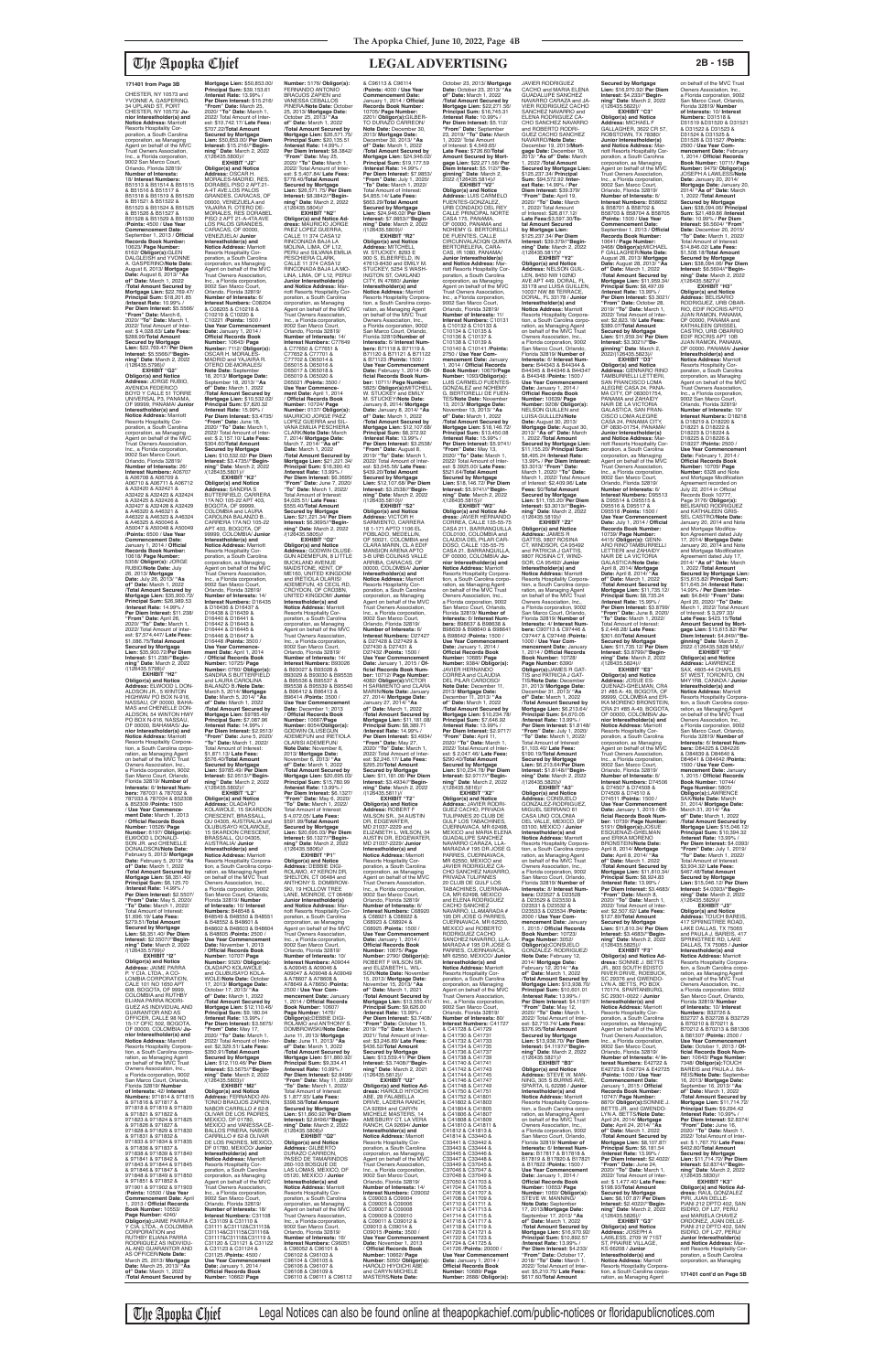CHESTER, NY 10573 and<br>VVONNE A GASPERINO YVONNE A. GASPERINO,<br>34 UPLAND ST, PORT<br>CHESTER, NY 10573/ **Junior Interestholder(s) and Notice Address:** Marriott Resorts Hospitality Corporation, a South Carolina corporation, as Managing Agent on behalf of the MVC Trust Owners Association, Inc., a Florida corporation, 9002 San Marco Court, Orlando, Florida 32819/ **Number of Interests:** 18/ **Interest Numbers:** B51513 & B51514 & B51515 & B51516 & B51517 & B51518 & B51519 & B51520 & B51521 & B51522 & B51523 & B51524 & B51525 & B51526 & B51527 & B51528 & B51529 & B51530 /**Points:** 4500 / **Use Year Commencement Date:** September 1, 2013 / **Official Records Book Number:** 10623/ **Page Number:** 6162/ **ObIigor(s):**GLEN DALGLEISH and YVONNE A. GASPERINO/**Note Date:** August 6, 2013/ **Mortgage Date:** August 6, 2013/ **"As of" Date:** March 1, 2022 /**Total Amount Secured by Mortgage Lien:** \$22,769.47/ **Principal Sum:** \$18,201.85 /**Interest Rate:** 10.99% / **Per Diem Interest:** \$5.5566/ **"From" Date:** March 6, 2020/ **"To" Date:** March 1, 2022/ Total Amount of Inter-est: \$ 4,028.63/ **Late Fees:** \$288.99/**Total Amount Secured by Mortgage Lien:** \$22,769.47/ **Per Diem Interest:** \$5.5566//**"Beginning" Date**: March 2, 2022 /(126435.5796)// **EXHIBIT "G2" Obligor(s) and Notice Address:** JORGE RUBIO, AVENIDA FEDERICO BOYD Y CALLE 51 TORRE UNIVERSAL P3, PANAMA, OF 99999, PANAMA/ **Junio Interestholder(s) and Notice Address:** Marriott Resorts Hospitality Corporation, a South Carolina<br>corporation, as Managing corporation, as Managing Agent on behalf of the MVC Trust Owners Association, Inc., a Florida corporation, 9002 San Marco Court, Orlando, Florida 32819/ **Number of Interests:** 26/ **Interest Numbers:** A06707<br>& A06708 & A06709 &<br>A06710 & A06711 & A06712 & A32420 & A32421 & A32422 & A32423 & A32424 & A32425 & A32426 & A32427 & A32428 & A32429 & A46320 & A46321 & A46322 & A46323 & A46324 & A46325 & A50046 & A50047 & A50048 & A50049 /**Points:** 6500 / **Use Year Commencement Date:** January 1, 2014 / **Official Records Book Number:** 10618/ **Page Number:** 5358/ **Obligor(s):** JORGE RUBIO/**Note Date:** July 26, 2013/ **Mortgage Date:** July 26, 2013/ **"As of" Date:** March 1, 2022 /**Total Amount Secured by Mortgage Lien:** \$35,900.72/ **Principal Sum:** \$26,989.53 /**Interest Rate:** 14.99% / **Per Diem Interest:** \$11.238/ **"From" Date:** April 26, 2020/ **"To" Date:** March 1, 2022/ Total Amount of Inter-est: \$7,574,447/ **Late Fees:** \$1,086.75/**Total Amount Secured by Mortgage Lien:** \$35,900.72/**Per Diem Interest:** \$11.238//**"Beginning" Date**: March 2, 2022 /(126435.5798)//

**EXHIBIT "H2" Obligor(s) and Notice Address:** ELWOOD L DON-ALDSON JR., 5 WINTON HIGHWAV PO BOX N-916, NASSAU, OF 00000, BAHA-MAS and CHENELLE DON-ALDSON, 54 WINTON HWY PO BOX N-916, NASSAU, OF 00000, BAHAMAS/ **Junior Interestholder(s) and Notice Address:** Marriott Resorts Hospitality Corpora-tion, a South Carolina corpo-ration, as Managing Agent on behalf of the MVC Trust

Owners Association, Inc., a Florida corporation, 9002 San Marco Court, Orlando, Florida 32819/ **Number of Interests:** 6/ **Interest Num-bers:** 787031 & 787032 & 787033 & 787034 & 852308 & 852309 /**Points:** 1500 / **Use Year Commencement Date:** March 1, 2013 / **Official Records Book Number:** 10526/ **Page Number:** 6197/ **Obligor(s):** ELWOOD L DONALD-SON JR. and CHENELLE DONALDSON/**Note Date:** February 5, 2013/ **Mortgage Date:** February 5, 2013/ **"As of" Date:** March 1, 2022 /**Total Amount Secured by Mortgage Lien:** \$8,351.40/ **Principal Sum:** \$6,125.70 /**Interest Rate:** 14.99% / **Per Diem Interest:** \$2.5507/ **"From" Date:** May 5, 2020/ **"To" Date:** March 1, 2022/ Total Amount of Interest: \$1,696.19/ **Late Fees:** \$279.51/**Total Amount Secured by Mortgage Lien:** \$8,351.40/ **Per Diem Interest:** \$2.5507//**"Begin-ning" Date**: March 2, 2022 /(126435.5799)// **EXHIBIT "I2" Obligor(s) and Notice Address:** JAIME PARRA P. Y CIA. LTDA., A CO-LOMBIA CORPORATION, CALE 101 NO 1650 APT 608, BOGOTA, OF 9999, COLOMBIA and RUTHBY ELIANA PARRA RODRI-GUEZ AS INDIVIDUAL AND GUARANTOR AND AS OFFICER, CALLE 98 NO<br>15-17 OFIC 502, BOGOTA,<br>OF 00000, COLOMBIA/ **Junior Interestholder(s) and Notice Address:** Marriott Resorts Hospitality Corpora-tion, a South Carolina corpo-ration, as Managing Agent on behalf of the MVC Trust Owners Association, Inc. a Florida corporation, 9002 San Marco Court, Orlando, Florida 32819/ **Number of Interests:** 42/ **Interest Numbers:** 971814 & 971815 & 971816 & 971817 & 971818 & 971819 & 971820 & 971821 & 971822 & 971823 & 971824 & 971825 & 971826 & 971827 & 971828 & 971829 & 971830 & 971831 & 971832 & 971833 & 971834 & 971835 & 971836 & 971837 & 971838 & 971839 & 971840 & 971841 & 971842 & 971843 & 971844 & 971845 & 971846 & 971847 & 971848 & 971849 & 971850 & 971851 & 971852 & 971901 & 971902 & 971903 /**Points:** 10500 / **Use Year Commencement Date:** April 1, 2013 / **Official Records Book Number:** 10553/ **Page Number:** 4240/<br>**Obligor(s):**JAIME PARRA P.<br>Y CIA. LTDA., A COLOMBIA<br>CORPORATION and RUTHBY ELIANA PARRA RODRIGUEZ AS INDIVIDU-AL AND GUARANTOR AND AS OFFICER/**Note Date:** March 25, 2013/ **Mortgage Date:** March 25, 2013/ **"As of" Date:** March 1, 2022 /**Total Amount Secured by** 

**Secured by Mortgage** 

**Mortgage Lien:** \$50,853.00/ **Principal Sum:** \$39,153.61 /**Interest Rate:** 13.99% / **Per Diem Interest:** \$15.216/ **"From" Date:** March 25, 2020/ **"To" Date:** March 1, 2022/ Total Amount of Interest: \$10,742.17/ **Late Fees:** \$707.22/**Total Amount Secured by Mortgage Lien:** \$50,853.00/ **Per Diem Interest:** \$15.216//**"Begin-ning" Date**: March 2, 2022 /(126435.5800)// **EXHIBIT "J2" Obligor(s) and Notice Address:** OSCAR H. MORALES-MADRID, RES. DORABEL PISO 2 APT.21- A-4T AVE.LOS PALOS<br>GRANDES, CARACAS, OF GRANDES, CARACAS, OF 00000, VENEZUELA and YAJAIRA R. OTERO DE-MORALES, RES DORABEL PISO 2 APT 21-A-4TA AVE LOS PALOS GRANDES, CARACAS, OF 00000, VENEZUELA/ **Junior Interestholder(s) and Notice Address:** Marriott Resorts Hospitality Corporation, a South Carolina corporation, as Managing Agent on behalf of the MVC Trust Owners Association, Inc., a Florida corporation, 9002 San Marco Court, Orlando, Florida 32819/ **Number of Interests:** 6/ **Interest Numbers:** C08204<br>& C08205 & C10218 &<br>C10219 & C10220 & C10221 /**Points:** 1500 / **Use Year Commencement Date:** January 1, 2014 / **Official Records Book Number:** 10643/ **Page Number:** 7112/ **Obligor(s):** OSCAR H. MORALES-MADRID and YAJAIRA R. OTERO DE-MORALES/ **Note Date:** September 18, 2013/ **Mortgage Date:** September 18, 2013/ **"As of" Date:** March 1, 2022 /**Total Amount Secured by Mortgage Lien:** \$10,532.02/ **Principal Sum:** \$7,820.32 /**Interest Rate:** 15.99% / **Per Diem Interest:** \$3.4735/ **"From" Date:** June 18, 2020/ **"To" Date:** March 1, 2022/ Total Amount of Interest: \$ 2,157.10/ **Late Fees:** \$304.60/**Total Amount Secured by Mortgage Lien:** \$10,532.02/ **Per Diem Interest:** \$3.4735//**"Begin-ning" Date**: March 2, 2022 /(126435.5801)// **EXHIBIT "K2" Obligor(s) and Notice Address:** SANDRA S BUTTERFIELD, CARRERA 17A NO 105-22 APT 403, BOGOTA, OF 99999, COLOMBIA and LAURA CAROLINA BALANZO B., CARRERA 17A NO 105-22 APT 403, BOGOTA, OF 99999, COLOMBIA/ **Junior Interestholder(s) and Notice Address:** Marriott Resorts Hospitality Corporation, a South Carolina corporation, as Managing Agent on behalf of the MVC Trust Owners Association, Inc., a Florida corporation, 9002 San Marco Court, Orlando, Florida 32819/ **Number of Interests:** 14/ **Interest Numbers:** D16435 & D16436 & D16437 & D16438 & D16439 & D16440 & D16441 & D16442 & D16443 & D16444 & D16445 & D16446 & D16447 & D16448 /**Points:** 3500 / **Use Year Commence-ment Date:** April 1, 2014 / **Official Records Book Number:** 10725/ **Page Number:** 0760/ **Obligor(s):** SANDRA S BUTTERFIELD and LAURA CAROLINA BALANZO B./**Note Date:** March 5, 2014/ **Mortgage Date:** March 5, 2014/ **"As of" Date:** March 1, 2022 /**Total Amount Secured by Mortgage Lien:** \$9785.49/ **Principal Sum:** \$7,087.96 /**Interest Rate:** 14.99% / **Per Diem Interest:** \$2.9513/ **"From" Date:** June 5, 2020/ **"To" Date:** March 1, 2022/ Total Amount of Interest: \$1,871.13/ **Late Fees:** \$576.40/**Total Amount Number:** 5176/ **Obligor(s):** FERNANDO ANTONIO<br>BRAOJOS ZAPIEN and VANESSA CEBALLOS PINERA/**Note Date:** October 25, 2013/ **Mortgage Date:** October 25, 2013/ **"As of" Date:** March 1, 2022 /**Total Amount Secured by Mortgage Lien:** \$26,571.75/ **Principal Sum:** \$20,135.51 /**Interest Rate:** 14.99% / **Per Diem Interest:** \$8.3842/ **"From" Date:** May 25, 2020/ **"To" Date:** March 1, 2022/ Total Amount of Interest: \$ 5,407.84/ **Late Fees:** \$778.40/**Total Amount Secured by Mortgage Lien:** \$26,571.75/ **Per Diem Interest:** \$8.3842//**"Beginning" Date**: March 2, 2022 /(126435.5804)// **EXHIBIT "N2" Obligor(s) and Notice Address:** MAURICIO JORGE PAEZ LOPEZ GUERRA, CALLE 11 374 CASA12 RINCONADA BAJA LA MOLINA, LIMA, OF L12, PERU and SILVANA EMILIA PESCHIERA CLARK,<br>CALLE 11 374 CASA12 RINCONADA BAJA LA MO-LINA, LIMA, OF L12, PERU/ **Junior Interestholder(s) and Notice Address:** Marriott Resorts Hospitality Cor-poration, a South Carolina corporation, as Managing Agent on behalf of the MVC Trust Owners Association, Inc., a Florida corporation, 9002 San Marco Court, Orlando, Florida 32819/ **Number of Interests:** 14/ **Interest Numbers:** C77649<br>& C77650 & C77651 &<br>C77652 & C77701 & C77702 & D65014 & D65015 & D65016 & D65017 & D65018 & D65019 & D65020 & D65021 /**Points:** 3500 / **Use Year Commencement Date:** April 1, 2014 / **Official Records Book Number:** 10724/ **Page<br>Number:** 0137/ **Obligor(s):**<br>MAURICIO JORGE PAEZ<br>LOPEZ GUERRA and SIL-VANA EMILIA PESCHIERA CLARK/**Note Date:** March 7, 2014/ **Mortgage Date:** March 7, 2014/ **"As of" Date:** March 1, 2022 /**Total Amount Secured by Mortgage Lien:** \$21,221.34/ **Principal Sum:** \$16,390.43 /**Interest Rate:** 13.99% / **Per Diem Interest:** \$6.3695/ **"From" Date:** June 7, 2020/ **"To" Date:** March 1, 2022/ Total Amount of Interest: \$4,025.51/ **Late Fees:** \$555.40/**Total Amount Secured by Mortgage Lien:** \$21,221.34/ **Per Diem Interest:** \$6.3695//**"Beginning" Date**: March 2, 2022 /(126435.5805)// **Obligor(s) and Notice Address:** GODWIN OLUSE-GUN ADEMEFUN, 8 LITTLE BUCKLAND AVENUE<br>MAIDSTONE, KENT, OF ME160, UNITED KINGDOM and IRETIOLA OLARISI ADEMEFUN, 43 CECIL RD, CROYDON, OF CRO3BN, UNITED KINGDOM/ **Junior Interestholder(s) and Notice Address:** Marriott Resorts Hospitality Cor-poration, a South Carolina corporation, as Managing Agent on behalf of the MVC Trust Owners Association, Inc., a Florida corporation, 9002 San Marco Court, Orlando, Florida 32819/ **Number of Interests:** 14/ **Interest Numbers:** B93026 & B93027 & B93028 & B93029 & B93030 & B95535 & B95536 & B95537 & B95538 & B95539 & B95540 & B96412 & B96413 & B96414 /**Points:** 3500 / **Use Year Commencement Date:** December 1; 2013 / **Official Records Book Number:** 10667/**Page Number:** 6054/**Obligor(s):** GODWIN OLUSEGUN ADEMEFUN and IRETIOLA OLARISI ADEMEFUN/ **Note Date:** November 6, 2013/ **Mortgage Date:** November 6, 2013/ **"As** 

**Lien:** \$9785.49/ **Per Diem Interest:** \$2.9513//**"Begin-ning" Date**: March 2, 2022 /(126435.5802)// **EXHIBIT "L2" Obligor(s) and Notice Address:** OLADAPO KOLAWOLE, 15 SKARDON CRESCENT, BRASSALL, QU 04305, AUSTRALIA and OLUBUSAYO KOLAWOLE, 15 SKARDON CRESCENT, BRASSALL, QU 04305, AUSTRALIA/ **Junior Interestholder(s) and Notice Address:** Marriott Resorts Hospitality Corporation, a South Carolina corpo ration, as Managing Agent on behalf of the MVC Trust Owners Association, Inc., a Florida corporation, 9002 San Marco Court, Orlando, Florida 32819/ **Number of Interests:** 10/ **Interest Numbers:** B48548 &<br>B48549 & B48550 & B48551<br>& B48552 & B48601 & B48602 & B48603 & B48604 & B48605 /**Points:** 2500 / **Use Year Commencement Date:** November 1, 2013 / **Official Records Book Number:** 10707/ **Page Number:** 9320/ **Obligor(s):** OLADAPO KOLAWOLE and OLUBUSAYO KOLA-WOLE/**Note Date:** October 17, 2013/ **Mortgage Date:** October 17, 2013/ **"As of" Date:** March 1, 2022 /**Total Amount Secured by Mortgage Lien:** \$12,110.46/ **Principal Sum:** \$9,180.04 /**Interest Rate:** 13.99% / **Per Diem Interest:** \$3.5675/ **"From" Date:** May 17, 2020/ **"To" Date:** March 1, 2022/ Total Amount of Interest: \$2,329.51/ **Late Fees:** \$350.91/**Total Amount Secured by Mortgage Lien:** \$12,110.46/ **Per Diem Interest:** \$3.5675//**"Begin-ning" Date**: March 2, 2022 /(126435.5803)// **EXHIBIT "M2" Obligor(s) and Notice Address:** FERNANDO AN-TONIO BRAOJOS ZAPIEN,<br>NABOR CARRILLO # 62-8 OLIVAR DE LOS PADRES,<br>MEXICO, DF 01780,<br>MEXICO and VANESSA CE-<br>BALLOS PINERA, NABOR CARRILLO # 62-8 OLIVAR<br>DE LOS PADRES, MEXICO, DF 01780, MEXICO/ **Junior Interestholder(s) and Notice Address:** Marriott Resorts Hospitality Corporation, a South Carolina<br>corporation, as Managing corporation, as Managing<br>Agent on behalf of the MVC<br>Trust Owners Association,<br>Inc., a Florida corporation, 9002 San Marco Court, Orlando, Florida 32819/ **Number of Interests:** 18/ **Interest Numbers:** C31108<br>& C31109 & C31110 &<br>C31111 &C31112&C31113&<br>C31114&C31115&C31116& C31117&C31118&C31119 & C31120 & C31121 & C31122 & C31123 & C31124 & C31125 /**Points:** 4500 / **Use Year Commencement Date:** January 1, 2014 / **Official Records Book Number:** 10662/ **Page** 

**EXHIBIT "O2"**

**of" Date:** March 1, 2022 /**Total Amount Secured by Mortgage Lien:** \$20,695.03/ **Principal Sum:** \$15,780.99 Principal Sum: \$15,<br>/Interest Rate: 13.99<br>*Interest: \$* **Per Diem Interest:** \$6.1327/ **"From" Date:** May 6, 2020/ **"To" Date:** March 1, 2022/ Total Amount of Interest: \$ 4,072.05/ **Late Fees:** \$591.99/**Total Amount Secured by Mortgage Lien:** \$20,695.03/ **Per Diem Interest:** \$6.1327//**"Beginning" Date**: March 2, 2022 /(126435.5806)// **EXHIBIT "P1" Obligor(s) and Notice Address:** DEBBIE DIGI-ROLAMO, 47 KERON DR, SHELTON, CT 06484 and<br>ANTHONY S. DOMBROW-<br>SKI, 19 HOLLOW TREE<br>LANE, MONROE, CT 06468/ **Junior Interestholder(s) and Notice Address:** Marriott Resorts Hospitality Cor-poration, a South Carolina corporation, as Managing Agent on behalf of the MVC Trust Owners Association, Inc., a Florida corporation,<br>9002 San Marco Court. 9002 San Marco Court, Orlando, Florida 32819/ **Number of Interests:** 10/ **Interest Numbers:** A09044 & A09045 & A09046 & A09047 & A09048 & A09049 & A78607 & A78608 & A78649 & A78650 /**Points:** 2500 / **Use Year Commencement Date:** January 1, 2014 / **Official Records Book Number:** 10607/ **Page Number:** 1476/ **ObIigor(s):**DEBBIE DIGI-ROLAMO and ANTHONY S. DOMBROWSKI/**Note Date:** June 11, 2013/ **Mortgage Date:** June 11, 2013/ **"As of" Date:** March 1, 2022 /**Total Amount Secured by Mortgage Lien:** \$11,860.92/ **Principal Sum:** \$9,334.41 /**Interest Rate:** 10.99% / **Per Diem Interest:** \$2.8496/ **"From" Date:** May 11, 2020/ **"To" Date:** March 1, 2022/ Total Amount of Interest: \$ 1,877.93/ **Late Fees:** \$398.58/**Total Amount Secured by Mortgage Lien:** \$11,860.92/ **Per Diem Interest:** \$2.8496//**"Begin-ning" Date**: March 2, 2022 /(126435.5808)// **EXHIBIT "Q2" Obligor(s) and Notice<br><b>Address:** GILBERTO<br>DURAZO CARREON,<br>PASEO DE TAMARINDOS 260-103 BOSQUE DE LAS LOMAS, MEXICO, DF 05120, MEXICO / **Junior Interestholder(s) and Notice Address:** Marriott Resorts Hospitality Corporation, a South Carolina corporation, as Managing Agent on behalf of the MVC Trust Owners Association, Inc., a Florida corporation, 9002 San Marco Court, Orlando, Florida 32819/ **Number of Interests:** 16/ **Interest Numbers:** C96051 & C96052 & C96101 & C96102 & C96103 & C96104 & C96105 & C96106 & C96107 & C96108 & C96109 & C96110 & C96111 & C96112 **Obligor(s) and Notice<br><b>Address:** ROBERT F<br>WILSON SR., 34 AUSTIN<br>DR, EDGEWATER, MD 21037-2229 and MD 21037-2229/ **Junior Interestholder(s) and Notice Address:** Marriott Resorts Hospitality Corporation, a South Carolina<br>corporation, as Managing Orlando, Florida 32819/ **Number of Interests:** 6/ C68925 /**Points:** 1500 / **Use Year Commencement Date:** January 1, 2014 / 15, 2013/ **Mortgage Date:** November 15, 2013/ **"As of" Date:** March 1, 2021 /**Interest Rate:** 13.99% / \$436.52/**Total Amount**  DRIVE, LADERA RANCH, CA 92694 and CARYN<br>MICHELE MASTERS, 14 **Interestholder(s) and Notice Address:** Marriott Resorts Hospitality Cor-Trust Owners Association, & C09003 & C09004 & C09005 & C09006 & C09007 & C09008 & C09009 & C09010 & C09011 & C09012 & C09013 & C09014 & C09015 /**Points:** 3500 / and CARYN MICHELE MASTERS/**Note Date:**

The Apopka Chief Legal Notices can also be found online at theapopkachief.com/public-notices or floridapublicnotices.com

& C96113 & C96114 /**Points:** 4000 / **Use Year Commencement Date:** January 1, 2014 / **Official Records Book Number:** 10705/ **Page Number:** 2201/ **Obligor(s):**GILBER-TO DURAZO CARREON/ **Note Date:** December 30, 2013/ **Mortgage Date:** December 30, 2013/ **"As of" Date:** March 1, 2022 /**Total Amount Secured by Mortgage Lien:** \$24,946.02/ **Principal Sum:** \$19,177.59 /**Interest Rate:** 14.99% / **Per Diem Interest:** \$7.9853/ **"From" Date:** July 1, 2020/ **"To" Date:** March 1, 2022/ Total Amount of Interest: \$4,855.14/ **Late Fees:** \$663.29/**Total Amount Secured by Mortgage Lien:** \$24,946.02/ **Per Diem Interest:** \$7.9853//**"Beginning" Date**: March 2, 2022 /(126435.5809)// **EXHIBIT "R2" Obligor(s) and Notice Address:** MITCHELL Address: MITCHELL<br>W. STUCKEY, 8293 E 900 S, ELBERFELD, IN 47613-8430 and EMILY M. STUCKEY, 5254 S WASH INGTON ST, OAKLAND CITY, IN 47660/ **Junior Interestholder(s) and Notice Address:** Marriott Resorts Hospitality Corporation, a South Carolina corpo ration, as Managing Agent on behalf of the MVC Trust Owners Association, Inc., a Florida corporation, 9002 San Marco Court, Orlando, Florida 32819/**Number of Interests:** 6/ **Interest Num-bers:** B71118 & B71119 & B71120 & B71121 & B71122 & B71123 /**Points:** 1500 / Use Year Commencement<br>Date: February 1, 2014 / 01-<br>ficial Records Book Num-<br>ber: 10711/ Page Number:<br>5825/ Obligor(s):MITCHELL<br>W. STUCKEY/Note Date:<br>M. STUCKEY/Note Date: January 8, 2014/ **Mortgage Date:** January 8, 2014/ **"As of" Date:** March 1, 2022 /**Total Amount Secured by Mortgage Lien:** \$12,107.68/ **Principal Sum:** \$8,372.92 /**Interest Rate:** 13.99% / **Per Diem Interest:** \$3.2538/ **"From" Date:** August 8, 2019/ **"To" Date:** March 1, 2022/ Total Amount of Inter-est: \$3,045.56/ **Late Fees:** \$439.20/**Total Amount Secured by Mortgage Lien:** \$12,107.68/ **Per Diem Interest:** \$3.2538//**"Beginning" Date**: March 2, 2022 /(126435.5810)// **EXHIBIT "S2" Obligor(s) and Notice Address:** VICTOR H SARMIENTO, CARRERA 18 1-171 APTO 1106 EL POBLADO, MEDELLIN, OF 50021, COLOMBIA and CLARA MARIN, CL A EDIF MANSION ARENA APTO 3-B URB COLINAS VALLE ARRIBA, CARACAS, OF 00000, COLOMBIA/ **Junior Interestholder(s) and Notice Address:** Marriott Resorts Hospitahty Cor-poration, a South Carolina corporation, as Managing Agent on behalf of the MVC Trust Owners Association, Inc., a Florida corporation, 9002 San Marco Court, Orlando, Florida 32819/ **Number of Interests:** 6/ **Interest Numbers:** D27427 & D27428 & D27429 & D27430 & D27431 & D27432 /**Points:** 1500 / **Use Year Commencem Date:** January 1, 2015 / **Of-ficial Records Book Number:** 10712/ **Page Number:** 4082/ **ObIigor(s):**VICTOR H SARMIENTO and CLARA MARIN/**Note Date:** January 27, 2014/ **Mortgage Date:** January 27, 2014/ **"As of" Date:** March 1, 2022 /**Total Amount Secured by Mortgage Lien:** \$11,181.08/ **Principal Sum:** \$8,389.71 /**Interest Rate:** 14.99% / **Per Diem Interest:** \$3.4934/ **"From" Date:** May 27, 2020/ **"To" Date:** March 1, 2022/ Total Amount of Inter-est: \$2,246.17/ **Late Fees:**

\$295.20/**Total Amount Secured by Mortgage Lien:** \$11,181.08/ **Per Diem Interest:** \$3.4934//**"Begin-ning" Date**: March 2, 2022 /(126435.5811)// **EXHIBIT "T2"** ELIZABETH L. WILSON, 34 AUSTIN DR, EDGEWATER, corporation, as Managing Agent on behalf of the MVC Trust Owners Association, Inc., a Florida corporation, 9002 San Marco Court, **Interest Numbers:** C68920<br>& C68921 & C68922 &<br>C68923 & C68924 & **Official Records Book Number:** 10675/ **Page Number:** 2790/ **Obligor(s):** ROBERT F WILSON SR. and ELIZABETH L. WIL-SON/**Note Date:** November /**Total Amount Secured by Mortgage Lien:** \$13,559.41/ **Principal Sum:** \$9,626.00 **Per Diem Interest:** \$3.7408/ **"From" Date:** October 15, 2019/ **"To" Date:** March 1, 2021/ Total Amount of Inter-est: \$3,246.89/ **Late Fees: Secured by Mortgage Lien:** \$13,559.41/ **Per Diem Interest:** \$3.7408//**"Beginning" Date**: March 2, 2021 /(126435.5812)// **EXHIBIT "U2" Obligor(s) and Notice Ad-dress:** HAROLD HIYOICHI ABE, 28 FALABELLA MICHELE MASTERS, 14 AMESBURY CT, LA VERA RANCH, CA 92694/ **Junior**  poration, a South Carolina corporation, as Managing Agent on behalf of the MVC Inc., a Florida corporation, 9002 San Marco Court, Orlando, Florida 32819/ **Number of Interests:** 14/ **Interest Numbers:** C09002 **Use Year Commencement Date:** November 1, 2013 / **Official Records Book Number:** 10662/ **Page Number:** 5050/ **Obligor(s):** HAROLD HIYOICHI ABE October 23, 2013/ **Mortgage Date:** October 23, 2013/ **"As of" Date:** March 1, 2022 /**Total Amount Secured by Mortgage Lien:** \$22,271.56/ **Principal Sum:** \$16,745.31 /**Interest Rate:** 10.99% / **Per Diem Interest:** \$5.112/ **'From" Date: Septe** 23, 2019/ **"To" Date:** March 1, 2022/ Total Amount of Interest: \$ 4,549.65/ **Late Fees:** \$726.60/**Total Amount Secured by Mort-gage Lien:** \$22,271.56/ **Per Diem Interest:** \$5.112//**"Be-ginning" Date**: March 2, 2022 /(126435.5814)// **EXHIBIT "V2" Obligor(s) and Notice Address:** LUIS CARMELO FUENTES-GONZALEZ,<br>URB CONDADO DEL REY<br>CALLE PRINCIPAL NORTE<br>CASA 175, PANAMA, OF 00000, PANAMA and NOHEMY G. BERTORELLI DE FUENTES, CALLE CIRCUNVALACIQN QUINTA BERTORELERA, CARA-CAS, IR 1080, PANAMA/ **Junior Interestholder(s) and Notice Address:** Marriott Resorts Hospitality Corporation, a South Carolina corporation, as Managing Agent on behalf of the MVC Trust Owners Association, Inc., a Florida corporation, 9002 San Marco Court Orlando, Florida 32819/ **Number of Interests:** 11/ **Interest Numbers:** C10131 & C10132 & C10133 & C10134 & C10135 & C10136 & C10137 & C10138 & C10139 & C10140 & C10141 /**Points:** 2750 / **Use Year Commencement Date:** January 1, 2014 / **Official Records Book Number:** 10679/**Page Number:** 1093/**Obligor(s):** LUIS CARMELO FUENTES-GONZALEZ and NOHEMY G. BERTORELLI DE FUEN-<br>TES/Note Date: November TES/**Note Date:** November 13, 2013/ **Mortgage Date:** November 13, 2013/ **"As of" Date:** March 1, 2022 /**Total Amount Secured by Mortgage Lien:** \$18,146.72/ **Principal Sum:** \$13,450.08 /**Interest Rate:** 15.99% / **Per Diem Interest:** \$5.9741/ **"From" Date:** May 13, 2020/ **"To" Date:** March 1, 2022/ Total Amount of Inter-est: \$ 3925.00/ **Late Fees:** \$521.64/**Total Amount Secured by Mortgage Lien:** \$18,146.72/ **Per Diem Interest:** \$5.9741//**"Begin-ning" Date**: March 2, 2022 /(126435.5815)// **EXHIBIT "W2" Obligor(s) and Notice Ad-dress:** JAVIER HERNANDO CORREA, CALLE 135-55-75 CASA 211, BARRANQUILLA COL0100, COLOMBIA and CLAUDIA DEL PILAR CAR-DOSO, CALLE 135-55-75 CASA 21, BARRANQUILLA, OF 00000, COLOMBIA/ **Junior Interestholder(s) and Notice Address:** Marriott Resorts Hospitality Corpora-tion, a South Carolina corpo-ration, as Managing Agent on behalf of the MVC Trust Owners Association, Inc., a Florida corporation, 9002<br>San Marco Court, Orlando San Marco Court, Orlando, Florida 32819/ **Number of Interests:** 6/ **Interest Num-bers:** B98637 & B98638 & B98639 & B98640 & B98641 & B98642 /**Points:** 1500 / **Use Year Commencement Date:** January 1, 2014 / **Official Records Book Number:** 10685/ **Page Number:** 9384/ **ObIigor(s):** JAVIER HERNANDO CORREA and CLAUDIA DEL PILAR CARDOSO/ **Note Date:** December 11, 2013/ **Mortgage Date:** December 11, 2013/ **"As of" Date:** March 1, 2022 /**Total Amount Secured by Mortgage Lien:** \$10,234.78/ **Principal Sum:** \$7,646.92 /**Interest Rate:** 13.99% / **Per Diem Interest:** \$2.9717/ **"From" Date:** April 11, 2020/ **"To" Date:** March 1, 2022/ Total Amount of Inter-est: \$ 2,047.46/ **Late Fees:** \$290.40/**Total Amount Secured by Mortgage Lien:** \$10,234.78/ **Per Diem Interest:** \$2.9717//**"Begin-ning" Date**: March 2, 2022 /(126435.5816)// **EXHIBIT "X2" Obligor(s) and Notice Address:** JAVIER RODRI-GUEZ CACHO, PRIVADA TULIPANES 20 CLUB DE GULF LOS TABACHINES, CUERNAVACA, MR 62498, MEXICO and MARIA ELENA GUADALUPE SANCHEZ NAVARRO CARAZA, LLA-MARADA # 195 DR JOSE G PARRES, CUERNAVACA, MR 62550, MEXICO and JAVIER RODRIGUEZ CA-CHO SANCHEZ NAVARRO, PRIVADA TULIPANES 20 CLUB DE GULF LOS TABACHINES, CUERNAVA-CA, MR 62498, MEXICO and ELENA RODRIGUEZ CACHO SANCHEZ NAVARRO, LLAMARADA # 195 DR JOSE G PARRES, CUERNAVACA, MR 62550, MEXICO and ROBERTO RODRIGUEZ CACHO<br>SANCHEZ NAVARRO, LLA-SANCHEZ NAVARRO, LLA-MARADA # 195 DR JOSE G PARRES, CUERNAVACA, MR 62550, MEXICO/ **Junior Interestholder(s) and Notice Address:** Marriott Resorts Hospitality Corporation, a South Carolina corporation, as Managing Agent on behalf of the MVC Trust Owners Association, Inc., a Florida corporation, 9002 San Marco Court, Orlando, Florida 32819/ **Number of Interests:** 80/ **Interest Numbers:** C41727 & C41728 & C41729 & C41730 & C41731 & C41732 & C41733 & C41734 & C41735 & C41736 & C41737 & C41738 & C41739 & C41740 & C41741 & C41742 & C41743 & C41744 & C41745 & C41746 & C41747 & C41748 & C41749 & C41750 & C41751 & C41752 & C41801 & C41802 & C41803 & C41804 & C41805 & C41806 & C41807 & C41808 & C41809 & C41810 & C41811 & C41812 & C41813 & C41814 & C33440 & C33441 & C33442 & C33443 & C33444 & C33445 & C33446 & C33447 & C33448 & C33449 & C37045 & C37046 & C37047 & C37048 & C37049 & C37050 & C41703 & C41704 & C41705 & C41706 & C41707 & C41708 & C41709 & C41710 & C41711 & C41712 & C41713 & C41714 & C41715 & C41716 & C41717 & C41718 & C41719 & C41720 & C41721 & C41722 & C41723 & C41724 & C41725 & C41726 /**Points:** 20000 / **Use Year Commencement Date:** January 1, 2014 / **Official Records Book Number:** 10689/ **Page Number:** 2688/ **Obligor(s):** JAVIER RODRIGUEZ CACHO and MARIA ELENA GUADALUPE SANCHEZ NAVARRO CARAZA and JA-VIER RODRIGUEZ CACHO SANCHEZ NAVARRO and ELENA RODRIGUEZ CA-CHO SANCHEZ NAVARRO and ROBERTO RODRI-GUEZ CACHO SANCHEZ NAVARRO/**Note Date:** December 19, 2013/**Mortgage Date:** December 19, 2013/ **"As of" Date:** March 1, 2022 /**Total Amount Secured by Mortgage Lien:**  \$125,237.34/ **Principal Sum:** \$94,572.92 /**Inter-est Rate:** 14.99% / **Per Diem Interest:** \$39.379/ **"From" Date:** April 19, 2020/ **"To" Date:** March 1, 2022/ Total Amount of Interest: \$26,817.12/ **Late Fees:**\$3,597.30/**Total Amount Secured by Mortgage Lien:**  \$125,237.34/ **Per Diem Interest:** \$39.379//**"Begin-ning" Date**: March 2, 2022 /(126435.5817)//<br>"EXHIBIT "Y2 **EXHIBIT "Y2"<br><b>Obligor(s) and Notice**<br>**Addres**s: NELSON GUIL-<br>LEN, 8450 NW 102ND<br>AVE APT 449, DORAL, FL<br>33178 and LUISA GUILLEN, 10037 NW 88 TERRACE, DORAL, FL 33178 / **Junior Interestholder(s) and Notice Address:** Marriott Resorts Hospitality Corpora-tion, a South Carolina corporation, as Managing Agent on behalf of the MVC Trust Owners Association, Inc., a Florida corporation, 9002 San Marco Court, Orlando, Florida 32819/ **Number of Interests:** 6/ **Interest Num-bers:** B44343 & B44344 & B44345 & B44346 & B44347 & B44348 /**Points:** 1500 / **Use Year Commencement Date:** January 1, 2014 / **Official Records Book Number:** 10639/ **Page Number:** 9208/ **Obligor(s):** NELSON GUILLEN and LUISA GULLLEN/**Note Date:** August 30, 2013/ **Mortgage Date:** August 30, 2013/ **"As of" Date:** March 1, 2022 /**Total Amount Secured by Mortgage Lien:**  \$11,155.20/ **Principal Sum:** \$8,495.24 /**Interest Rate:** 13.99% / **Per Diem Interest:** \$3.3013/ **"From" Date:** March 1, 2020/ **"To" Date:** March 1, 2022/ Total Amount of Interest: \$2,409.96/ **Late Fees:** \$0/**Total Amount Secured by Mortgage Lien:** \$11,155.20/ **Per Diem Interest:** \$3.3013//**"Begin-ning" Date**: March 2, 2022 /(126435.5819)// **EXHIBIT "Z2" Obligor(s) and Notice Address:** JAMES R GATTIS, 9807 ROSINA CT, WINDSOR, CA 95492 and PATRICIA J GATTIS, 9807 ROSINA CT, WIND-SOR, CA 95492/ **Junior Interestholder(s) and Notice Address:** Marriott<br>Resorts Hospitality Corpora-<br>tion, a South Carolina corporation, as Managing Agent on behalf of the MVC Trust Owners Association, Inc., a Florida corporation, 9002 San Marco Court, Orlando, Florida 32819/ **Number of Interests:** 4/ **Interest Num-bers:** C90713 & C97446 & C97447 & C97448 /**Points:** 1000 / **Use Year Com-mencement Date:** January 1, 2014 / **Official Records Book Number:** 10728/ **Page Number:** 6390/ **Obligor(s):**JAMES R GAT-TIS and PATRICIA J GAT-TIS/**Note Date:** December 31, 2013/ **Mortgage Date:** December 31, 2013/ **"As of" Date:** March 1, 2022 /**Total Amount Secured by Mortgage Lien:** \$6,213.64/ **Principal Sum:** \$4,670.05 /**Interest Rate:** 13.99% / **Per Diem Interest:** \$1.8148/ **"From" Date:** July 1, 2020/ **"To" Date:** March 1, 2022/ Total Amount of Interest: \$1,103.40/ **Late Fees:** \$190.19/**Total Amount Secured by Mortgage Lien:** \$6,213.64/**Per Diem Interest:** \$1.8148//**"Begin-ning" Date**: March 2, 2022 /(126435.5820)// **EXHIBIT "A3" Obligor(s) and Notice Address:** CONSUELO GONZALEZ-RODRIGUEZ, MIGUEL SERRANO 61 CASA UNO COLONIA DEL VALLE, MEXICO, DF 03100, MEXICO / **Junior Interestholder(s) and Notice Address:** Marriott Resorts Hospitality Corpora-tion, a South Carolina corpo-ration, as Managing Agent on behalf of the MVC Trust Owners Association, Inc., a Florida corporation, 9002 San Marco Court, Orlando,<br>Florida 32819/ **Number of**<br>**Interests:** 8/ **Interest Numbers:** D23527 & D23528 & D23529 & D23530 & D23531 & D23532 &<br>D23533 & D23534 / Points D23533 & D23534 /**Points:** 2000 / **Use Year Com-mencement Date:** January 1, 2015 / **Official Records Book Number:** 10723/ **Page Number:** 3052/ **Obligor(s):**CONSUELO<br>GONZALEZ- RODRIGUEZ/<br>**Note Date:** February 12, 2014/ **Mortgage Date:** February 12, 2014/ **"As of" Date:** March 1, 2022 /**Total Amount Secured by Mortgage Lien:** \$13,938.70/ **Principal Sum:** \$10,601.01 /**Interest Rate:** 13.99% / **Per Diem Interest:** \$4.1197/ **"From" Date:** May 12, 2020/ **"To" Date:** March 1, 2022/ Total Amount of Inter-est: \$2,710.74/ **Late Fees:** \$376.95/**Total Amount Secured by Mortgage Lien:** \$13,938.70/ **Per Diem Interest:** \$4.1197//**"Begin-ning" Date**: March 2, 2022 /(126435.5821)// **EXHIBIT "B3" Obligor(s) and Notice Address:** STEVE W. MAN-NING, 305 S BURNS AVE, SPARTA, IL 62286 / **Junior Interestholder(s) and Notice Address:** Marriott Resorts Hospitality Corpora-tion, a South Carolina corporation, as Managing Agent on behalf of the MVC Trust Owners Association, Inc., a Florida corporation, 9002 San Marco Court, Orlando, Florida 32819/ **Number of Interests:** 6/ **Interest Num-bers:** B17817 & B17818 & B17819 & B17820 & B17821 & B17822 /**Points:** 1500 / **Use Year Commencement Date:** January 1, 2014 / **Official Records Book Number:** 10653/ **Page Number:** 1060/ **Obligor(s):** STEVE W. MANNING **Note Date:** September 17, 2013/**Mortgage Date:** September 17, 2013/ **"As of" Date:** March 1, 2022 /**Total Amount Secured by Mortgage Lien:** \$16,970.92/ **Principal Sum:** \$10,892.57 /**Interest Rate:** 13.99% / **Per Diem Interest:** \$4.233/ **"From" Date:** October 17, 2018/ **"To" Date:** March 1, 2022/ Total Amount of Inter est: \$5,210.75/ **Late Fees:** \$617.60/**Total Amount** 

**Secured by Mortgage Lien:** \$16,970.92/ **Per Diem Interest:** \$4.233//**"Begin-ning" Date**: March 2, 2022 /(126435.5822)// **EXHIBIT "C3"**<br>**EXHIBIT "C3" Obligor(s) and Notice Address:** MICHAEL F GALLAGHER, 3622 CR 57, ROBSTOWN, TX 78380/ **Junior Interestholder(s) and Notice Address:** Marriott Resorts Hospitality Cor-<br>poration, a South Carohna poration, a South Carohna corporation, as Managing Agent on behalf of the MVC Trust Owners Association, Inc., a Florida corporation, 9002 San Marco Court, Orlando, Florida 32819/<br>Number of Interests: 6/ **Number of Interests:** 6/<br>**Interest Numbers:** B58652<br>& B58701 & B58702 &<br>B58703 & B58704 & B58705 /**Points:** 1500 / **Use Year Commencement Date:** September 1, 2013 / **Official Records Book Number:** 10641/ **Page Number:** 9468/ **Obligor(s):**MICHAEL F GALLAGHER/**Note Date:** August 28, 2013/ **Mortgage Date:** August 28, 2013/ **"As of" Date:** March 1, 2022 /**Total Amount Secured by Mortgage Lien:** \$11,959.34/ **Principal Sum:** \$8,497.09 /**Interest Rate:** 13.99% / **Per Diem Interest:** \$3.3021/ **"From" Date:** October 28, 2019/ **"To" Date:** March 1, 2022/ Total Amount of Inter-est: \$2,823.18/ **Late Fees:** \$389.07/**Total Amount Secured by Mortgage Lien:** \$11,959.34/ **Per Diem Interest:** \$3.3021//**"Be-ginning" Date**: March 2, 2022/(126435.5823)// **EXHIBIT "D3" Obligor(s) and Notice Address:** GENNARO RINO TAMBURRELLI LETTIERI, SAN FRANCISCO LOMA ALEGRE CASA 24, PANA-MA CITY, OF 083001754, PANAMA and ZAHAIDY NAIR DE LA VICTORIA<br>GALASTICA, SAN FRAN-<br>CISCO LOMA ALEGRE<br>CASA 24, PANAMA CITY, OF 0830-01754, PANAMA/ **Junior Interestholder(s) and Notice Address:** Mar-riott Resorts Hospitality Cor-poration, a South Carolina corporation, as Managing Agent on behalf of the MVC Trust Owners Association, Inc., a Florida corporation, 9002 San Marco Court, Orlando, Florida 32819/ **Number of Interests:** 6/ **Interest Numbers:** D95513 & D95514 & D95515 & D95516 & D95517 & D95518 /**Points:** 1500 / **Use Year Commencement Date:** July 1, 2014 / **Official Records Book Number:**<br>10739/ **Page Number:**<br>4415/ **Obligor(s)**: GENN-<br>ARO RINO TAMBURRELLI<br>LETTIERI and ZAHAIDY<br>NAIR DE LA VICTORIA GALASTICA/**Note Date:** April 8, 2014/ **Mortgage Date:** April 8, 2014/ **"As of" Date:** March 1, 2022 /**Total Amount Secured by Mortgage Lien:** \$11,735.12/ **Principal Sum:** \$8,735.24 /**Interest Rate:** 15.99% / **Per Diem Interest:** \$3.8799/ **"From" Date:** June 8, 2020/ **"To" Date:** March 1, 2022/ Total Amount of Interest: \$ 2,448.28/ **Late Fees:** \$301.60/**Total Amount Secured by Mortgage Lien:** \$11,735.12/ **Per Diem Interest:** \$3.8799//**"Begin-ning" Date**: March 2, 2022 /(126435.5824)// **EXHIBIT "E3" Obligor(s) and Notice<br><b>Address:** JOSUE ES-<br>QUENAZI-GHELMAN, CRA<br>21 #85 A- 49, BOGOTA, OF 99999, COLOMBIA and ER-IKA MORENO BRONSTEIN,

on behalf of the MVC Trust

Owners Association, Inc., a Florida corporation, 9002 San Marco Court, Orlando, Florida 32819/ **Number of Interests:** 10/ **Interest Numbers:** D31518 & D31519 &D31520 & D31521 & D31522 & D31523 & D31524 & D31525 & D31526 & D31527 /**Points:** 2500 / **Use Year Com-mencement Date:** February 1, 2014 / **Official Records Book Number:** 10711/ **Page Number:** 9479/ **Obligor(s):** JOSEPH A LAWLESS/**Note Date:** January 20, 2014/ **Mortgage Date:** January 20, 2014/ **"As of" Date:** March 1, 2022 /**Total Amount Secured by Mortgage Lien:** \$38,094.06/ **Principal Sum:** \$21,489.86 /**Interest Rate:** 10.99% / **Per Diem Interest:** \$6.5604/ **"From" Date:** December 20, 2015/ **"To" Date:** March 1, 2022/ Total Amount of Interest: \$14,846.02/ **Late Fees:** \$1,508.18/**Total Amount Secured by Mortgage Lien:** \$38,094.06/ **Per Diem Interest:** \$6.5604//**"Begin-ning" Date**: March 2, 2022 /(126435.5827)// **EXHIBIT "H3" Obligor(s) and Notice Address:** BELISARIO RODRIGUEZ, URB OBAR-RIO, EDIF ROCRIS APTO JUAN RAMON, PANAMA, OF 00000, PANAMA and KATHALEEN GRISSEL CASTRO, URB OBARRIO EDIF ROCRIS APT 10B JUAN RAMON, PANAMA, OF 00000, PANAMA/ **Junior Interestholder(s) and Notice Address:** Marriott Resorts Hospitality Cor-poration, a South Carolina corporation, as Managing Agent on behalf of the MVC Trust Owners Association, Inc., a Florida corporation, 9002 San Marco Court, Orlando, Florida 32819/ **Number of Interests:** 10/ **Interest Numbers:** D18218 & D18219 & D18220 & D18221 & D18222 & D18223 & D18224 & D18225 & D18226 & D18227 /**Points:** 2500 / **Use Year Commencement Secured by Mortgage Lien:**  \$15,615.82/ **Principal Sum:** \$11,645.34 /**Interest Rate:** 14.99% / **Per Diem Inter-**March 1, 2022/ Total Amount of Interest: \$ 3,297.33/ **Late Fees:** \$423.15/**Total gage Lien:** \$15,615.82/ **Per Diem Interest:** \$4.849//**"Be-**

CRA 21 #85 A-49, BOGOTA, OF 00000, COLOMBIA/ **Ju-nior Interestholder(s) and Notice Address:** Marriott Resorts Hospitality Cor-poration, a South Carolina corporation, as Managing Agent on behalf of the MVC Trust Owners Association, Inc., a Florida corporation, 9002 San Marco Court, Orlando, Florida 32819/ **Number of Interests:** 6/ **Interest Numbers:** D74506<br>& D74507 & D74508 &<br>D74509 & D74510 & D74511 /**Points:** 1500 / Use Year Commencement<br>
Date: January 1, 2015 / Of-<br> **ficial Records Book Num-<br>
ber: 10739/ Page Number:**<br>5191/ Obligor(s):JOSUE<br>
ESQUENAZI-GHELMAN<br>
and ERIKA MORENO BRONSTEIN/**Note Date:** April 8, 2014/ **Mortgage Date:** April 8, 2014/ **"As of" Date:** March 1, 2022 /**Total Amount Secured by Mortgage Lien:** \$11,810.34/ **Principal Sum:** \$8,924.83 /**Interest Rate:** 13.99% / **Per Diem Interest:** \$3.4683/ **"From" Date:** March 8, 2020/ **"To" Date:** March 1, 2022/ Total Amount of Interest: \$2,507.62/ **Late Fees:** \$127.89/**Total Amount Secured by Mortgage Lien:** \$11,810.34/ **Per Diem Interest:** \$3.4683//**"Begin-ning" Date**: March 2, 2022 /(126435.5825)// **EXHIBIT "F3" Obligor(s) and Notice Ad-dress:** SONNIE J. BETTS JR., 803 SOUTH EDISTO RIVER DRIVE, ROEBUCK, SC 29376 and GWENDO-LYN A. BETTS, PO BOX 170174, SPARTANBURG, SC 29301-0022 / **Junior Interestholder(s) and Notice Address:** Marriott Resorts Hospitality Cor-poration, a South Carolina corporation, as Managing Agent on behalf of the MVC Trust Owners Association, Inc., a Florida corporation, 9002 San Marco Court,<br>Orlando, Florida 32819/<br>**Number of Interests:** 4/ **Interest Numbers:** E42722 & E42723 & E42724 & E42725 /**Points:** 1000 / **Use Year Commencement Date:** January 1, 2015 / **Official Records Book Number:** 10747/ **Page Number:** 8870/ **Obligor(s):**SONNIE J. BETTS JR. and GWENDO-LYN A. BETTS/**Note Date:** April 24, 2014/ **Mortgage Date:** April 24, 2014/ **"As of" Date:** March 1, 2022 /**Total Amount Secured by Mortgage Lien:** \$8,107.87/ **Principal Sum:** \$6,181.54 /**Interest Rate:** 13.99% / **Per Diem Interest:** \$2.4022/ **"From" Date:** June 24, 2020/ **"To" Date:** March 1, 2022/ Total Amount of Interest: \$ 1,477.40/ **Late Fees:** \$198.93/**Total Amount Secured by Mortgage Lien:** \$8,107.87/ **Per Diem Interest:** \$2.4022//**"Begin-ning" Date**: March 2, 2022 /(126435.5826)// **EXHIBIT "G3" Obligor(s) and Notice Address:** JOSEPH A LAWLESS, 2709 W 71ST ST, PRAIRIE VILLAGE, KS 66208 / **Junior Interestholder(s) and Notice Address:** Marriott Resorts Hospitality Corporation, a South Carolina corporation, as Managing Agent **Date:** February 1, 2014 / **Official Records Book Number:** 10709/ **Page Number:** 6328 and Note<br>and Mortgage Modification<br>Agreement recorded on<br>July 22, 2014 in Official Records Book 10777,<br>Page 3176/ **Obligor(s):**<br>BELISARIO RODRIGUEZ and KATHALEEN GRIS-SEL CASTRO/**Note Date:** January 20, 2014 and Note and Mortgage Modifica-tion Agreement dated July 17, 2014/ **Mortgage Date:** January 20, 2014 and Note and Mortgage Modification Agreement dated July 17, 2014/ **"As of" Date:** March 1, 2022 /**Total Amount est:** \$4.849/ **"From" Date:** April 20, 2020/ **"To" Date: Amount Secured by Mortginning" Date**: March 2, 2022 /(126435.5828 MM)// **EXHIBIT "I3" Obligor(s) and Notice Address:** LAWRENCE SAX, 4805-44 CHARLES ration, as Managing Agent on behalf of the MVC Trust Owners Association, Inc., a Florida corporation, 9002 San Marco Court, Orlando, Florida 32819/ **Number of Interests:** 6/ **Interest Num-bers:** D84225 & D84226 & D84639 & D84640 & D84641 & D84642 /**Points:** 1500 / **Use Year Commencement Date:** January 1, 2015 / **Official Records Book Number:** 10744/ **Page Number:** 5805/ **Obligor(s):**LAWRENCE SAX/**Note Date:** March 31, 2014/ **Mortgage Date: Principal Sum:** \$10,394.32 /**Interest Rate:** 13.99% / Total Amount of Interest: \$3,934.32/ **Late Fees:** \$467.48/**Total Amount ning" Date**: March 2, 2022 /(126435.5829)// **EXHIBIT "J3"** DALLAS, TX 75065 / **Junior Interestholder(s) and Notice Address:** Marriott Resorts Hospitality Corporation, a South Carolina corporation as Managing Agent ration, as Managing Agent<br>on behalf of the MVC Trust<br>Owners Association, Inc.,<br>a Florida corporation, 9002 San Marco Court, Orlando, Florida 32819/ **Number of Interests:** 10/ **Interest Date:** October 1, 2013 / **Official Records Book Num-ber:** 10643/ **Page Number:** 7348/ **Obligor(s):**TOUCH BAREIS and PAULA J. BA<br>REIS/**Note Date:** Septemb /**Total Amount Secured by**  /**Interest Rate:** 10.99% / 2020/ **"To" Date:** March 1, 2022/ Total Amount of Inter-est: \$ 1,767.70/ **Late Fees:** \$402.60/**Total Amount ning" Date**: March 2, 2022 /(126435.5830)// **EXHIBIT "K3" Obligor(s) and Notice Ad-dress:** RAUL GONZALEZ PIRI, JUAN DELLE-PIANI 212 DPTO 402, SAN ISIDRO, OF L27, PERU and MARIELA CHAVEZ ORDONEZ, JUAN DELLE-PIANI 212 DPTO 402, SAN ISIDRO, OF L-27, PERU/ **Junior Interestholder(s) and Notice Address:** Marariu Notice Auditors: ......<br>riott Resorts Hospitality Corporation, a South Carolina corporation, as Managing

ST WEST, TORONTO, ON M4Y1R8, CANADA / **Junior Interestholder(s) and Notice Address:** Marriott Resorts Hospitality Corpora-tion, a South Carolina corpo-March 31, 2014/ **"As of" Date:** March 1, 2022 /**Total Amount Secured by Mortgage Lien:** \$15,046.12/ **Per Diem Interest:** \$4.0393/ **"From" Date:** July 1, 2019/ **"To" Date:** March 1, 2022/ **Secured by Mortgage Lien:** \$15,046.12/ **Per Diem Interest:** \$4.0393//**"Begin-Obligor(s) and Notice<br><b>Address:** TOUCH BAREIS,<br>417 SPRINGTREE ROAD,<br>LAKE DALLAS, TX 75065 and PAULA J. BAREIS, 417 SPRINGTREE RD, LAKE **Numbers:** B32726 &<br>B32727 & B32728 & B32729<br>& B70210 & B70211 & B70212 & B70213 & B81306 & B81307 /**Points:** 2500 / **Use Year Commencement**  REIS/**Note Date:** September 16, 2013/ **Mortgage Date:** September 16, 2013/ **"As of" Date:** March 1, 2022 **Mortgage Lien:** \$11,714.72/ **Principal Sum:** \$9,294.42 **Per Diem Interest:** \$2.8374/ **"From" Date:** June 16, **Secured by Mortgage Lien:** \$11,714.72/ **Per Diem Interest:** \$2.8374//**"Begin-171401 cont'd on Page 5B**

## **171401 from Page 3B**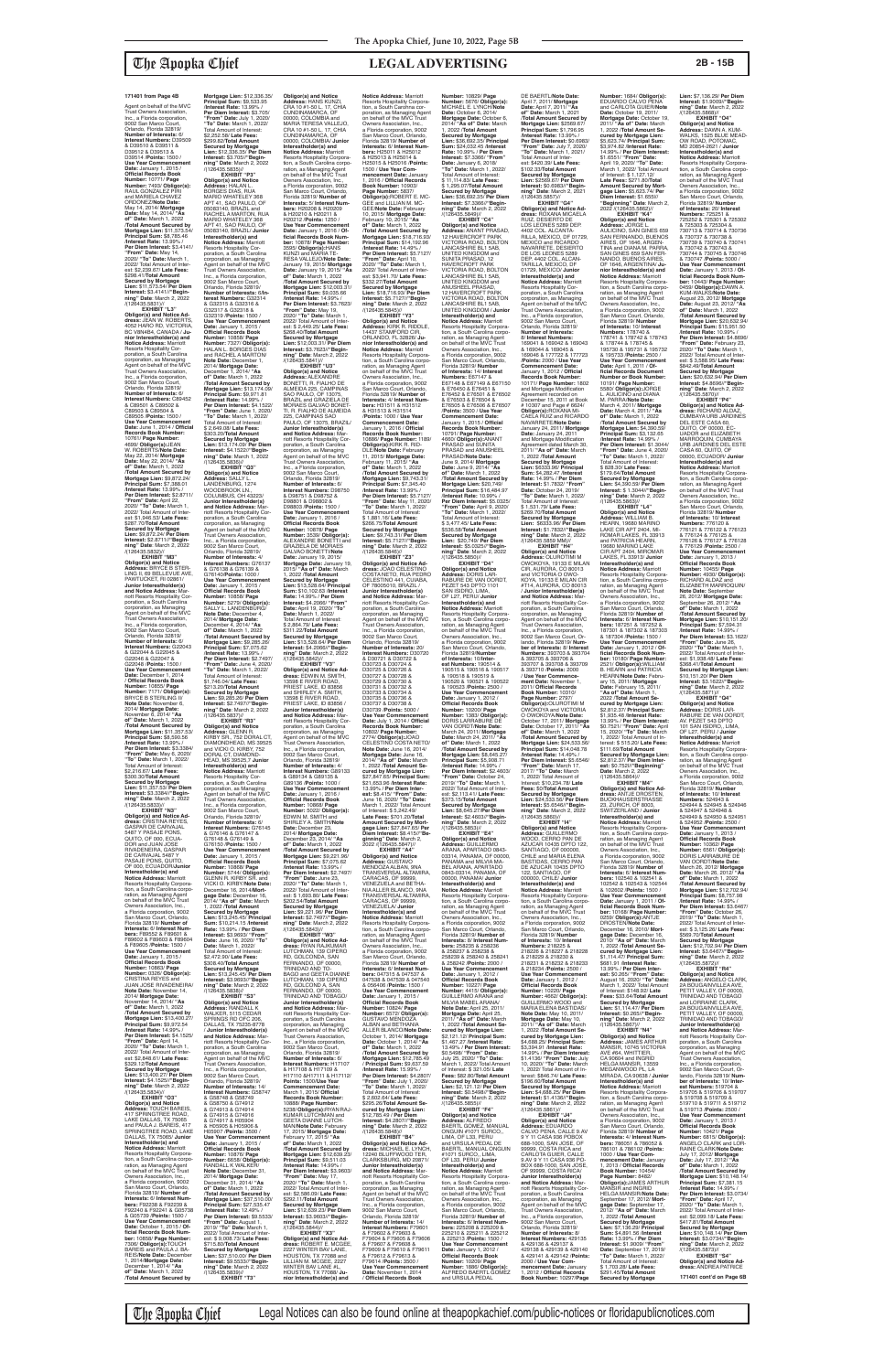Agent on behalf of the MVC Trust Owners Association, Inc., a Florida corporation, 9002 San Marco Court, Orlando, Florida 32819/<br>**Number of Interests:** 6/<br>**Interest Numbers:** D39509<br>& D39510 & D39511 & D39512 & D39513 & D39514 /**Points:** 1500 / **Use Year Commencement Date:** January 1, 2015 / **Official Records Book Number:** 10771/ **Page Number:** 7493/ **Obligor(s):** RAUL GONZALEZ PIRI and MARIELA CHAVEZ ORDONEZ/**Note Date:** May 14, 2014/ **Mortgage Date:** May 14, 2014/ **"As of" Date:** March 1, 2022 /**Total Amount Secured by Mortgage Lien:** \$11,573.54/ **Principal Sum:** \$8,785.46 /**Interest Rate:** 13.99% / Per Diem Interest: \$3.4141 **"From" Date:** May 14, 2020/ **"To" Date:** March 1, 2022/ Total Amount of Inter-est: \$2,239.67/ **Late Fees:** \$298.41/**Total Amount Secured by Mortgage Lien:** \$11,573.54/ **Per Diem Interest:** \$3.4141//**"Begin-ning" Date**: March 2, 2022 /(126435.5831)// **EXHIBIT "L3"**

**EXHIBIT "M3" Obligor(s) and Notice Address:** BRYCE B STER-LING II, 69 BELLEVUE AVE, PAWTUCKET, RI 02861/ **Junior Interestholder(s)**  and Notice Address: Ma riott Resorts Hospitality Corporation, a South Carolina corporation, as Managing Agent on behalf of the MVC Trust Owners Association, Inc., a Florida corporation, 9002 San Marco Court, Orlando, Florida 32819/ **Number of Interests:** 6/<br>**Interest Numbers:** G22043<br>& G22044 & G22045 & G22046 & G22047 & G22048 /**Points:** 1500 / Use Year Commence **Date:** December 1, 2014 / **Official Records Book Number:** 10855/ **Page Number:** 7171/ **Obligor(s):** BRYCE B STERLING II/ **Note Date:** November 6, 2014/ **Mortgage Date:** November 6, 2014/ **"As of" Date:** March 1, 2022 /**Total Amount Secured by Mortgage Lien:** \$11,357.53/ **Principal Sum:** \$8,590.56 /**Interest Rate:** 13.99% / **Per Diem Interest:** \$3.3384/ **"From" Date:** May 6, 2020/ **"To" Date:** March 1, 2022/ Total Amount of Interest:<br>\$2.216.67/ Late Fees:

**Obligor(s) and Notice Ad-dress:** JEAN W. ROBERTS, 4052 HARO RD, VICTORIA, BC V8N4B4, CANADA / **Junior Interestholder(s) and Notice Address:** Marriott Resorts Hospitality Corporation, a South Carolina corporation, as Managing Agent on behalf of the MVC Trust Owners Association, Inc., a Florida corporation, 9002 San Marco Court, Orlando, Florida 32819/ **Number of Interests:** 6/ **Interest Numbers:** C89452 & C89501 & C89502 & C89503 & C89504 & C89505 /**Points:** 1500 / **Use Year Commencement Date:** June 1, 2014 / **Official Records Book Number:** 10761/ **Page Number:** 4699/ **Obligor(s):**JEAN W. ROBERTS/**Note Date:** May 22, 2014/ **Mortgage Date:** May 22, 2014/ **"As of" Date:** March 1, 2022 /**Total Amount Secured by Mortgage Lien:** \$9,872.24/ **Principal Sum:** \$7,388.01 /**Interest Rate:** 13.99% / **Per Diem Interest:** \$2.8711/ **"From" Date:** April 22, 2020/ **"To" Date:** March 1, 2022/ Total Amount of Inter-est: \$1,946.53/ **Late Fees:** \$287.70/**Total Amount Secured by Mortgage Lien:** \$9,872.24/ **Per Diem Interest:** \$2.8711//**"Begin-ning" Date**: March 2, 2022 /(126435.5832)//

\$2,216.67/ **Late Fees:** \$300.30/**Total Amount Secured by Mortgage Lien:** \$11,357.53/ **Per Diem Interest:** \$3.3384//**"Begin-ning" Date**: March 2, 2022 /(126435.5833)//

**EXHIBIT "N3" Obligor(s) and Notice Ad-dress:** CRISTINA REYES, GASPAR DE CARVAJAL 5487 Y PASAJE PONS, QUITO, OF 000, ECUA-DOR and JUAN JOSE RIVADENEIRA, GASPAR DE CARVAJAL 5487 Y PASAJE PONS, QUITO, OF 000, ECUADOR/**Junior Interestholder(s) and Notice Address:** Marriott Resorts Hospitality Corporation, a South Carolina corporation, as Managing Agent<br>on behalf of the MVC Trust Owners Association, Inc., a Florida corporation, 9002 San Marco Court, Orlando, Florida 32819/ **Number of Interests:** 6/ **Interest Num-bers:** F89552 & F89601 & F89602 & F89603 & F89604 & F89605 /**Points:** 1500 / **Use Year Commencement Date:** January 1, 2015 / **Official Records Book Number:** 10863/ **Page Number:** 0326/ **Obligor(s):** CRISTINA REYES and JUAN JOSE RIVADENEIRA/ **Note Date:** November 14, 2014/ **Mortgage Date:** November 14, 2014/ **"As of" Date:** March 1, 2022 /**Total Amount Secured by Mortgage Lien:** \$13,400.27/ **Principal Sum:** \$9,972.54 /**Interest Rate:** 14.99% / **Per Diem Interest:** \$4.1525/ **"From" Date:** April 14, 2020/ **"To" Date:** March 1, 2022/ Total Amount of Interest: \$2,848.61/ **Late Fees:** \$329.12/**Total Amount Secured by Mortgag Lien:** \$13,400.27/ **Per Diem Interest:** \$4.1525//**"Begin-ning" Date**: March 2, 2022 /(126435.5834)// **EXHIBIT "O3" Obligor(s) and Notice Address:** TOUCH BAREIS, 417 SPRINGTREE ROAD, LAKE DALLAS, TX 75065 and PAULA J. BAREIS, 417 SPRINGTREE ROAD, LAKE DALLAS, TX 75065/ **Junior Interestholder(s) and Notice Address:** Marriott<br>Resorts Hospitality Corporation, a South Carolina corporation, as Managing Agent<br>on behalf of the MVC Trust Owners Association, Inc., a Florida corporation, 9002 San Marco Court, Orlando, Florida 32819/ **Number of Interests:** 6/ **Interest Num-bers:** F92238 & F92239 & F92240 & F92241 & G05738 & G05739 /**Points:** 1500 / **Use Year Commencement Date:** October 1, 2015 / **Official Records Book Num-ber:** 10858/ **Page Number:**

7306/ **ObIigor(s):**TOUCH BAREIS and PAULA J. BA-REIS/**Note Date:** December 1, 2014/**Mortgage Date:** December 1, 2014/ **"As of" Date:** March 1, 2022 /**Total Amount Secured by** 

**Mortgage Lien:** \$12,336.35/ **Principal Sum:** \$9,533.95 /**Interest Rate:** 13.99% / **Per Diem Interest:** \$3.705/ **"From" Date:** July 1, 2020/ **"To" Date:** March 1, 2022/ Total Amount of Interest: \$2,252.58/ **Late Fees:** \$299.82/**Total Amount Secured by Mortgage Lien:** \$12,336.35/ **Per Diem Interest:** \$3.705//**"Beginning" Date**: March 2, 2022 /(126435.5835)// **EXHIBIT "P3" Obligor(s) and Notice Address:** HALAN L. BORGES DIAS, RUA MARIO WHATELEY 368 APT 41, SAO PAULO, OF 05083140, BRAZIL and RACHEL A MARTON, RUA MARIO WHATELEY 368 APT 41, SAO PAULO, OF 05083140, BRAZIL/ **Junior Interestholder(s) and Notice Address:** Marriott Resorts Hospitality Cor-poration, a South Carolina corporation, as Managing Agent on behalf of the MVC Trust Owners Association, Inc., a Florida corporation, 9002 San Marco Court, Orlando, Florida 32819/ **Number of Interests:** 6/**Interest Numbers:** G32314 & G32315 & G32316 & G32317 & G32318 & G32319 /**Points:** 1500 / **Use Year Commencement Date:** January 1, 2015 / **Official Records Book Number:** 10858/ **Page Number:** 7327/ **Obligor(s):** HALAN L. BORGES DIAS and RACHEL A MARTON/<br>Note Date: December 1 **Note Date:** December 1, 2014/ **Mortgage Date:** December 1, 2014/ **"As of" Date:** March 1, 2022 /**Total Amount Secured by Mortgage Lien:** \$13,174.09/ **Principal Sum:** \$9,971.81 /**Interest Rate:** 14.99% / **Per Diem Interest:** \$4.1522/ **"From" Date:** June 1, 2020/ **"To" Date:** March 1, 2022/ Total Amount of Interest: \$ 2,649.08/ **Late Fees:** \$303.20/**Total Amount Secured by Mortgage Lien:** \$13,174.09/ **Per Diem Interest:** \$4.1522//**"Beginning" Date**: March 1, 2022 /(126435.5836)// **EXHIBIT "Q3" Obligor(s) and Notice Address:** SALLY L. LANDENBURG, 1274 WOODBROOK LN., COLUMBUS, OH 43223/ **Junior Interestholder(s) and Notice Address:** Mar-riott Resorts Hospitality Corporation, a South Carolina corporation, as Managing Agent on behalf of the MVC Trust Owners Association, Inc., a Florida corporation, 9002 San Marco Court, Orlando, Florida 32819/ **Number of Interests:** 4/ **Interest Numbers:** G76137 & G76138 & G76139 & G76140/**Points:** 1000 / **Use Year Commencen<br>Date: January 1, 2015/ Date:** January 1, 2015 / **Official Records Book Number:** 10858/ **Page Number:** 5279/ **Obligor(s):** SALLY L. LANDENBURG/ **Note Date:** December 4, 2014/ **Mortgage Date:** December 4, 2014/ **"As of" Date:** March 1, 2022 /**Total Amount Secured by Mortgage Lien:** \$9,285.26/ **Principal Sum:** \$7,075.62 /**Interest Rate:** 13.99% / **Per Diem Interest:** \$2.7497/ **"From" Date:** June 4, 2020/ **"To" Date:** March 1, 2022/ Total Amount of Interest: \$1,746.04/ **Late Fees:** \$213.20/**Total Amount Secured by Mortgage Lien:** \$9,285.26/ **Per Diem Interest:** \$2.7497//**"Begin-ning" Date**: March 2, 2022 /(126435.5837)// **EXHIBIT "R3"<br><b>Address:** GLENN R.<br>**Address:** GLENN R.<br>KIRBY SR., 752 DORAL CT,<br>DIAMONDHEAD, MS 39525<br>and VICKI O. KIRBY, 752 DORAL CT, DIAMOND-HEAD, MS 39525,7 **Junior Interestholder(s) and Notice Address:** Marriott Resorts Hospitality Cor-poration, a South Carolina corporation, as Managing<br>Agent on behalf of the MVC<br>Trust Owners Association Agent on behalf of the MVC Trust Owners Association, Inc., a Florida corporation, 9002 San Marco Court, Orlando, Florida 32819/ **Number of Interests:** 6/ **Interest Numbers:** G76145 & G76146 & G76147 & G76148 & G76149 & G76150 /**Points:** 1500 / **Use Year Commencem Date:** January 1, 2015 / **Official Records Book Number:** 10868/ **Page Number:** 5744/ **Obligor(s):** GLENN R. KIRBY SR. and VICKI O. KIRBY/**Note Date:** December 16, 2014/**Mortgage Date:** December 16, 2014/ **"As of" Date:** March 1, 2022 /**Total Amount Secured by Mortgage Lien:** \$13,245.45/ **Principal Sum:** \$10,214.15 /**Interest Rate:** 13.99% / **Per Diem Interest:** \$3.9693/ **"From" Date:** June 16, 2020/ **Date:** March 1, 2022/ Total Amount of Interest: \$2,472.90/ **Late Fees:** \$308.40/**Total Amount Secured by Mortgage Lien:** \$13,245.45/ **Per Diem Interest:** \$3.9693//**"Begin-ning" Date**: March 2, 2022 /(126435.5838)// **EXHIBIT "S3" Obligor(s) and Notice Address:** RANDALL K WALKER, 5115 CEDAR SPRINGS RD OFC 206, DALLAS, TX 75235-8778 / **Junior Interestholder(s) and Notice Address:** Mar-riott Resorts Hospitality Corporation, a South Carolina corporation, as Managing Agent on behalf of the MVC Trust Owners Association, Inc., a Florida corporation, 9002 San Marco Court, Orlando, Florida 32819/ **Number of Interests:** 14/ **Interest Numbers:** G58747 & G58748 & G58749 & G58750 & G74912 & G74913 & G7491 & G74915 & G74916 & G74917 & H05904 & H05905 & H05906 & H05907 /**Points:** 3500 / **Use Year Commencement Date:** January 1, 2015 / **Official Records Book Number:** 10876/ **Page Number:** 6658/ **ObIigor(s):** RANDALL K WALKER/ **Note Date:** December 31, 2014/ **Mortgage Date:** December 31, 2014/ **"As of" Date:** March 1, 2022 /**Total Amount Secured by Mortgage Lien:** \$37,510.00/ **Principal Sum:** \$27,535.47 /**Interest Rate:** 12.49% / **Per Diem Interest:** \$9.5533/ **"From" Date:** August 1, 2019/ **"To" Date:** March 1, 2022/ Total Amount of Inter-est: \$ 9,008.73/ **Late Fees:** \$715.80/**Total Amount Secured by Mortgage Lien:** \$37,510.00/ **Per Diem Interest:** \$9.5533//**"Beginning" Date**: March 2, 2022 /(126435.5839)// **EXHIBIT "T3"**

DE BAERTL/**Note Date:** April 7, 2011/ **Mortgage Date:** April 7, 2011/ **"As of" Date:** March 1, 2021 /**Total Amount Secured by Mortgage Lien:** \$2569.67/ **Principal Sum:** \$1,796.95 /**Interest Rate:** 13.99% / Per Diem Interest: \$0.6983 **"From" Date:** July 7, 2020/ **"To" Date:** March 1, 2021/ Total Amount of Inter-est: \$420.39/ **Late Fees:** \$102.33/**Total Amount Secured by Mortgage Lien:** \$2569.67/ **Per Diem Interest:** \$0.6983//**"Begin-ning" Date**: March 2, 2021 /(126435.5857)// **EXHIBIT "G4" Obligor(s) and Notice Ad-dress:** ROXANA MICAELA RUIZ, DESIERTO DE<br>LOS LEONES 5289 DEP. LOS LEONES 5289 DEP.<br>4402 COL. ALCANTA-<br>RILLA, MEXICO, DF 01729,<br>MEXICO and RICARDO<br>NAVARRETE, DESIERTO DE LOS LEONES 5289 DEP. 4402 COL. ALCAN-TARILLA, MEXICO, DF 01729, MEXICO/ **Junior Interestholder(s) and Notice Address:** Marriott<br>Resorts Hospitality Cor-<br>poration, a South Carolina<br>corporation, as Managing<br>Agent on behalf of the MVC<br>Trust Owners Association, Inc., a Florida corporation, 9002 San Marco Court, Orlando, Florida 32819/ **Number of Interests:** 8/ **Interest Numbers:** 169041 & 169042 & 169043 & 169044 & 169045 & 169046 & 177722 & 177723 /**Points:** 2000 / **Use Year Commencement Date:** January 1, 2012 / **Official Records Book Number:** 10171/ **Page Number:** 1802 and Mortgage Modification Agreement recorded on December 15, 2011 at Book # 10307 and Page # 6624/ **Obligor(s):**ROXANA MI-CAELA RUIZ and RICARDO NAVARRETE/**Note Date:** January 24, 2011/ **Mortgage Date:** January 24, 2011 and Mortgage Modification Agreement dated March 30, 2011/ **"As of" Date:** March 1, 2022 /**Total Amount Secured by Mortgage Lien:** \$6333.96/ **Principal Sum:** \$4,282.47 /**Interest Rate:** 14.99% / **Per Diem Interest:** \$1.7832/ **"From" Date:** October 24, 2019/ **"To" Date:** March 1, 2022/ Total Amount of Interest: \$ 1,531.79/ **Late Fees:** \$269.70/**Total Amount Secured by Mortgage Lien:** \$6333.96/ **Per Diem Interest:** \$1.7832//**"Begin-ning" Date**: March 2, 2022 /(126435.5859 MM)// **EXHIBIT "H4" Obligor(s) and Notice Address:** OLUROTIMI M OWOKOYA, 19133 E MILAN CIR, AURORA, CO 80013 and VICTORIA O OWO-KOYA, 19133 E MILAN CIR #T14, AURORA, CO 80013 / **Junior Interestholder(s) and Notice Address:** Mar-riott Resorts Hospitality Corporation, a South Carolina corporation, as Managing Agent on behalf of the MVC Trust Owners Association,<br>Inc., a Florida corporation,<br>9002 San Marco Court, Or-

**Number:** 1684/ **ObIigor(s):** EDUARDO CALVO PENA and CARLOTA GUIER/**Note Date:** October 19, 2011/ **Mortgage Date:** October 19, 2011/ **"As of" Date:** March 1, 2022 /**Total Amount Se-cured by Mortgage Lien:**  \$5,623.74/ **Principal Sum:** \$3,974.82 /**Interest Rate:**<br>14.99% / **Per Diem Interest:**<br>\$1.6551/ "**From" Date:**<br>April 19, 2020/ "**To" Date:**<br>March 1, 2022/ Total Amount<br>of Interest: \$ 1,127.12/ **Late Fees:** \$271.80/**Total Amount Secured by Mort-gage Lien:** \$5,623.74/ **Per Diem Interest:** \$1.655l// **"Beginning" Date**: March 2, 2022 /(126435.5862)// **EXHIBIT "K4" Obligor(s) and Notice Address:** JORGE L.<br>AULICINO, SAN GINES 659<br>SAN FERNANDO, BUENOS<br>AIRES, OF 1646, ARGEN-TINA and DIANA M. PARRA, SAN GINES 659 SAN FER-NANDO, BUENOS AIRES, OF 1646, ARGENTINA/ **Junior Interestholder(s) and Notice Address:** Marriott Resorts Hospitality Corporation, a South Carolina corporation, as Managing Agent<br>on behalf of the MVC Trust Owners Association, Inc., a Florida corporation, 9002 San Marco Court, Orlando,<br>Florida 32819/ **Number<br>of Interests**: 10/ Interest<br>**Numbers:** 178742 & 178743<br>178741 & 178742 & 178743<br>& 178744 & 178745 & 195730 & 195731 & 195732 & 195733 /**Points:** 2500 / **Use Year Commencement Date:** April 1, 2011 / **Official Records Document Number or Book Number:** 10191/ **Page Number:** 5580/ **Obligor(s):**JORGE L. AULICINO and DIANA M. PARRA/**Note Date:** March 4, 2011/ **Mortgage Date:** March 4, 2011/ **"As of" Date:** March 1, 2022 /**Total Amount Secured by Mortgage Lien:** \$4,390.59/ **Principal Sum:** \$3,132.65 /**Interest Rate:** 14.99% / **Per Diem Interest:** \$1.3044/ **"From" Date:** June 4, 2020/ **"To" Date:** March 1, 2022/ Total Amount of Interest: \$ 828.30/ **Late Fees:** \$179.64/**Total Amount Secured by Mortgage Lien:** \$4,390.59/ **Per Diem Interest:** \$ 1.3044//**"Begin-ning" Date**: March 2, 2022 /(126435.5863)// **EXHIBIT "L4" Obligor(s) and Notice Address:** WILLIAM B. HEARN, 19680 MARINO<br>LAKE CIR APT 2404. MI LAKE CIR APT 2404, MI-ROMAR LAKES, FL 33913 and PATRICIA HEARN, 19680 MARINO LAKE CIR APT 2404, MIROMAR LAKES, FL 33913/ **Junior Interestholder(s) and Notice Address:** Marriott Resorts Hospitality Corpora-tion, a South Carolina corporation, as Managing Agent<br>Owners Association, Inc.,<br>Owners Association, Inc.,<br>a Florida corporation, 9002<br>San Marco Court, Orlando,<br>Florida 32819/ **Number of** 

**Obligor(s) and Notice Address:** HANS KUNZI, CRA 10 #1-50 L. 17, CHIA CUNDINAMARCA, OF 00000, COLOMBIA and MARIA TERESA VALLEJO, CRA 10 #1-50 L. 17, CHIA CUNDINAMARCA, OF 00000, COLOMBIA/ **Junior Interestholder(s) and Notice Address:** Marriott<br>Resorts Hospitality Corpora-<br>tion, a South Carolina corporation, as Managing Agent on behalf of the MVC Trust Owners Association, Inc., a Florida corporation, 9002 San Marco Court, Orlando, Florida 32819/ **Number of Interests:** 5/ **Interest Num-bers:** H20208 & H20209 & H20210 & H20211 & H20212 /**Points:** 1250 / **Use Year Commencement Date:** January 1, 2016 / **Official Records Book Num-ber:** 10878/ **Page Number:** 3595/ **Obligor(s):**HANS KUNZI and MARIA TE-RESA VALLEJO/**Note Date:** January 19, 2015/ **Mortgage Date:** January 19, 2015/ **"As of" Date:** March 1, 2022 /**Total Amount Secured by Mortgage Lien:** \$12,003.31/ **Principal Sum:** \$9,035.66 /**Interest Rate:** 14.99% / **Per Diem Interest:** \$3.7623/ **"From" Date:** May 19, 2020/ **"To" Date:** March 1, 2022/ Total Amount of Inter-est: \$ 2,449.25/ **Late Fees:** \$268.40/**Total Amount Secured by Mortgage Lien:** \$12,003.31/ **Per Diem Interest:** \$3.7623//**"Begin-ning" Date**: March 2, 2022 /(126435.5841)// **EXHIBIT "U3" Obligor(s) and Notice Address:** ALEXANDRE BONETTI, R. FIALHO DE<br>ALMEIDA 225, CAMPINAS<br>SAO PAULO, OF 13075,<br>BRAZIL and GRAZIELA DE<br>MORAES GALVAO BONET-<br>TI, R. FIALHO DE ALMEIDA 225, CAMPINAS SAO PAULO, OF 13075, BRAZIL/ **Junior Interestholder(s) and Notice Address:** Marriott Resorts Hospitality Cor-poration, a South Carolina corporation, as Managing Agent on behalf of the MVC Trust Owners Association, Inc., a Florida corporation, 9002 San Marco Court, Orlando, Florida 32819/ **Number of Interests:** 6/ **Interest Numbers:** D98750<br>& D98751 & D98752 &<br>D98801 & D98802 & D98803 /**Points:** 1500 / **Use Year Commencement Date:** January 1, 2016 / **Official Records Book Number:** 10878/ **Page Number:** 3539/ **Obligor(s):** ALEXANDRE BONETTI and GRAZIELA DE MORAES GALVAO BONETTI/**Note Date:** January 19, 2015/ **Mortgage Date:** January 19, 2015/ **"As of" Date:** March 1, 2022 /**Total Amount Secured by Mortgage Lien:** \$13,528.64/ **Principal Sum:** \$10,102.63 /**Interest Rate:** 14.99% / **Per Diem Interest:** \$4.2066/ **"From" Date:** April 19, 2020/ **"To" Date:** March 1, 2022/ Total Amount of Interest: \$ 2,864.79/ **Late Fees:** \$311.22/**Total Amount Secured by Mortgage Lien:** \$13,528.64/ **Per Diem Interest:** \$4.2066//**"Beginning" Date**: March 2, 2022 /(126435.5842)// **EXHIBIT "V3" Obligor(s) and Notice Ad-dress:** EDWIN M. SMITH, 13598 E RIVER ROAD, PRIEST LAKE, ID 83856 and SHIRLEY A. SMITH, 13598 E RIVER ROAD, PRIEST LAKE, ID 83856 / **Junior Interestholder(s) and Notice Address:** Marriott Resorts Hospitality Cor-poration, a South Carolina corporation, as Managing Agent on behalf of the MVC Trust Owners Association, Inc., a Florida corporation, 9002 San Marco Court, Orlando, Florida 32819/ **Number of Interests:** 4/ **Interest Numbers:** G89133 & G89134 & G89135 & G89136 /**Points:** 1000 / **Use Year Commencement Date:** January 1, 2016 / **Official Records Book Number:** 10868/ **Page Number:** 5022/ **Obligor(s):** EDWIN M. SMITH and SHIRLEY A. SMITH/**Note Date:** December 23, 2014/ **Mortgage Date:** December 23, 2014/ **"As of" Date:** March 1, 2022 /**Total Amount Secured by Mortgage Lien:** \$9,221.96/ **Principal Sum:** \$7,075.62 /**Interest Rate:** 13.99% / **Per Diem Interest:** \$2.7497/ **"From" Date:** June 23, 2020/ **"To" Date:** March 1, 2022/ Total Amount of Interest: \$ 1,693.80/ **Late Fees:** \$202.54/**Total Amount Secured by Mortgage Lien:** \$9,221.96/ **Per Diem Interest:** \$2.7497//**"Beginning" Date**: March 2, 2022 /(126435.5843)// **EXHIBIT "W3" Obligor(s) and Notice Ad-dress:** RYAN RAJKUMAR LUTCHMAN, 139 CIPERO RD, GOLCONDA, SAN FERNANDO, OF 00000,<br>TRINIDAD AND TO-TRINIDAD AND TO-BAGO and GEETA DIANNE LUTCHMAN, 139 CIPERO RD, GOLCOND A, SAN FERNANDO, OF 00000, TRINIDAD AND TOBAGO/ **Junior Interestholder(s) and Notice Address:** Marriott Resorts Hospitality Cor-poration, a South Carolina corporation, as Managing Agent on behalf of the MVC Trust Owners Association, Inc., a Florida corporation, 9002 San Marco Court, Orlando, Florida 32819/ **Number of Interests:** 6/ **Interest Numbers:** H17107 & H17108 & H17109 & H17110 &H17111 & H17112/ **Points:** 1500/**Use Year Commencement Date:** March 1, 2015/ **Official Records Book Number:** 10888/ **Page Number:** 5238/ **Obligor(s):**RYAN RAJ-KUMAR LUTCHMAN and GEETA DIANNE LUTCH-MAN/**Note Date:** February 17, 2015/ **Mortgage Date:** February 17, 2015/ **"As of" Date:** March 1, 2022 /**Total Amount Secured by Mortgage Lien:** \$12,639.23/ **Principal Sum:** \$9,511.03 /**Interest Rate:** 14.99% / **Per Diem Interest:** \$3.9603/ **"From" Date:** May 17, 2020/ **"To" Date:** March 1, 2022/ Total Amount of Interest: \$2,586.09/ **Late Fees:** \$292.11/**Total Amount Secured by Mortgage Lien:** \$12,639.23/ **Per Diem Interest:** \$3.9603//**"Begin-ning" Date**: March 2, 2022 /(126435.5844)// **EXHIBIT "X3" Obligor(s) and Notice Ad-dress:** ROBERT E. MCGEE, 2227 WINTER BAV LANE, HOUSTON, TX 77088 and LILLIAN M. MCGEE, 2227 WINTER BAV LANE #L, HOUSTON, TX 77088/ **Junior Interestholder(s) and Notice Address:** Marriott **Interests:** 6/ **Interest Numbers:** H25011 & H25012 & H25013 & H25014 & 10, 2015/ **Mortgage Date:** February 10, 2015/ **"As of" Date:** March 1, 2022 /**Interest Rate:** 14.49% / \$332.27/**Total Amount Secured by Mortgage Notice Address:** Marriott Owners Association, Inc.,<br>a Florida cornoration, 9002 /**Points:** 1000 / **Use Year Commencement Date:** January 1, 2016 / **Official Records Book Number:** 11, 2015/ **Mortgage Date:** February 11, 2015/ **"As of" Date:** March 1, 2022 \$ 1,881.16/ **Late Fees:** \$266.75/**Total Amount**  Orlando, Florida 32819/ **Number of Interests:** 20/ & D30721 & D30722 & D30723 & D30724 & D30725 & D30726 & D30727 & D30728 & D30729 & D30730 & D30731 & D30732 & D30733 & D30734 & D30735 & D30736 & D30737 & D30738 & **cured by Mortgage Lien:**  \$27,847.65/ **Principal Sum:** \$21,653.96 /**Interest Rate:** 13.99% / **Per Diem Inter**of Interest: \$ 5,242.49/ **Late Fees:** \$701.20/**Total Amount Secured by Mortginning" Date**: March 2, 2022 /(126435.5847)// **EXHIBIT "A4" Obligor(s) and Notice Address:** GUSTAVO MENDOZA ALBAN, 9NA CARACAS, OF 99999, VENEZUELA and BETHA-NIA ALLER BLANCO, 9NA VENEZUELA/ **Junior Interestholder(s) and Notice Address:** Marriott San Marco Court, Orlando, **bers:** 047315 & 047537 & **Use Year Commenceme Date:** January 1, 2015 / ALBAN and BETHANIA Total Amount of Interest: **cured by Mortgage Lien: ning" Date**: March 2, 2022 /(126435.5848)// poration, a South Carolina corporation, as Managing Trust Owners Association, Orlando, Florida 32819/ **Number of Interests:** 14/ F79614 /**Points:** 3500 / / **Official Records Book** 

Resorts Hospitality Corpora-tion, a South Carohna corporation, as Managing Agent<br>on behalf of the MVC Trust<br>Owners Association, Inc.,<br>a Florida corporation, 9002 San Marco Court, Orlando, Florida 32819/ **Number of**  H25015 & H25016 /**Points:** 1500 / **Use Year Com-mencement Date:** January 1, 2016 / **Official Records Book Number:** 10903/ **Page Number:** 5837/ **Obligor(s):**ROBERT E. MC-GEE and LILLIAN M. MC-GEE/**Note Date:** February /**Total Amount Secured by Mortgage Lien:** \$18,716.93/ **Principal Sum:** \$14,192.96 **Per Diem Interest:** \$5.7127/ **"From" Date:** April 10, 2020/ **"To" Date:** March 1, 2022/ Total Amount of Inter-est: \$3,941.70/ **Late Fees: Lien:** \$18,716.93/ **Per Diem Interest:** \$5.7127//**"Begin-ning" Date**: March 2, 2022 /(126435.5845)// **EXHIBIT "Y3" Obligor(s) and Notice Address:** KIRK R. RIDDLE, 14437 STAMFORD CIR, ORLANDO, FL 32826/ **Ju-nior Interestholder(s) and**  Resorts Hospitality Corpora-tion, a South Carolina corpo-ration, as Managing Agent on behalf of the MVC Trust a Florida corporation, 9002<br>Florida 32819/ **Number of<br>Interests: 4/ Interest Num-<br><b>Interests:** 4/ Interest Num-<br>**bers**: H31511 & H31512<br>& H31513 & H31514 10886/ **Page Number:** 1189/ **Obligor(s):**KIRK R. RID-DLE/**Note Date:** February /**Total Amount Secured by Mortgage Lien:** \$9,743.31/ **Principal Sum:** \$7,345.40 /**Interest Rate:** 13.99% / **Per Diem Interest:** \$5.7127/ **"From" Date:** May 11, 2020/ **"To" Date:** March 1, 2022/ Total Amount of Interest: **Secured by Mortgage Lien:** \$9,743.31/ **Per Diem Interest:** \$5.7127//**"Begin-ning" Date**: March 2, 2022 /(126435.5846)// **EXHIBIT "Z3" Obligor(s) and Notice Ad-dress:** JOAO CELESTINO COSTA NETO, RUA PEDRO CELESTINO 441, CUIABA, OF 78005010, BRAZIL /<br>**Junior Interestholder(s)**<br>**and Notice Address:** Mar-<br>riott Resorts Hospitality Cor-<br>poration, a South Carolina<br>corporation, as Managing<br>Agent on behalf of the MVC Trust Owners Association, Inc., a Florida corporation, 9002 San Marco Court, **Interest Numbers:** D30720 D30739 /**Points:** 5000 / **Use Year Commencement Date:** July 1, 2014 / **Official Records Book Number:** 10802/ **Page Number:** 2774/ **Obligor(s):**JOAO CELESTINO COSTA NETO/ **Note Date:** June 16, 2014/ **Mortgage Date:** June 16, 2014/ **"As of" Date:** March 1, 2022 /**Total Amount Seest:** \$8.415/ **"From" Date:** June 16, 2020/ **"To" Date:** March 1, 2022/ Total Amount **gage Lien:** \$27,847.65/ **Per Diem Interest:** \$8.415//**"Be-**TRANSVERSAL ALTAMIRA, TRANSVERSAL ALTAMIRA, CARACAS, OF 99999, Resorts Hospitality Corporation, a South Carolina corpo-ration, as Managing Agent on behalf of the MVC Trust Owners Association, Inc., a Florida corporation, 9002 Florida 32819/ **Number of Interests:** 6/ **Interest Num-**047538 & 047539 & 047540 & 056406 /**Points:** 1500 / **Official Records Book Number:** 10824/ **Page Number:** 6572/ **Obligor(s):** GUSTAVO MENDOZA ALLER BLANCO/**Note Date:** October 1, 2014/ **Mortgage Date:** October 1, 2014/ **"As of" Date:** March 1, 2022 /**Total Amount Secured by Mortgage Lien:** \$12,785.49 / **Principal Sum:** \$9,637.59 /**Interest Rate:** 15.99% / **Per Diem Interest:** \$4.2807/ **"From" Date:** July 1, 2020/ **"To" Date:** March 1, 2022/ \$ 2,602.64/ **Late Fees:** \$295.26/**Total Amount Se-**\$12,785.49 / **Per Diem Interest:** \$4.2807//**"Begin-EXHIBIT "B4" Obligor(s) and Notice Ad-dress:** MICHAEL E. LYNCH, 12240 BLUFFWOOD TER, CLARKSBURG, MD 20871/ **Junior Interestholder(s)**<br>**and Notice Address:** Mar-<br>riott Resorts Hospitality Cor-Agent on behalf of the MVC Inc., a Florida corporation, 9002 San Marco Court, **Interest Numbers:** F79601 & F79602 & F79603 & F79604 & F79605 & F79606 & F79607 & F79608 & F79609 & F79610 & F79611 & F79612 & F79613 & **Use Year Commencement Date:** November 1, 2014 **Number:** 10829/ **Page Number:** 5676/ **Obligor(s):** MICHAEL E. LYNCH/**Note Date:** October 6, 2014/ **Mortgage Date:** October 6, 2014/ **"As of" Date:** March 1, 2022 /**Total Amount Secured by Mortgage Lien:** \$36,692.35/ **Principal Sum:** \$24,032.45 /**Interest Rate:** 10.99% / **Per Diem Interest:** \$7.3366/ **"From" Date:** January 6, 2018/ **"To" Date:** March 1, 2022/ Total Amount of Interest:<br>\$11.114.83/Late Fees: \$ 11,114.83/ Late Fees:<br>\$ 1,295.07/Total Amount<br>Secured by Mortgage<br>Lien: \$36,692.35/ Per Diem<br>Interest: \$7.3366//"Begin-<br>ning" Date: March 2, 2022<br>(126435.5849)// **EXHIBIT "C4" Obligor(s) and Notice Address:** ANANT PRASAD, 12 HAVERCROFT PARK VICTORIA ROAD, BOLTON LANCASHIRE BL1 5AB, UNITED KINGDOM and<br>SUNITA PRASAD, 12 SUNITA PRASAD, 12 HAVERCROFT PARK VICTORIA ROAD, BOLTON LANCASHIRE BL1 5AB, UNITED KINGDOM and ANUSHEEL PRASAD, 12 HAVERCROFT PARK VICTORIA ROAD, BOLTON LANCASHIRE BL1 5AB, UNITED KINGDOM / **Junior Interestholder(s) and Notice Address:** Marriott<br>Resorts Hospitality Corpora-<br>tion, a South Carolina corporation, as Managing Agent<br>on behalf of the MVC Trust Owners Association, Inc., a Florida corporation, 9002 San Marco Court, Orlando, Florida 32819/ **Number of Interests:** 14/ **Interest Numbers:** E67147 & E67148 & E67149 & E67150 & E76450 & E76451 & E76452 & E76501 & E76502 & E76503 & E76504 & E76505 & E76506 & E76507 /**Points:** 3500 / **Use Year Commencement Date:** January 1, 2015 / **Official Records Book Number:** 10791/ **Page Number:** 4660/ **Obligor(s):**ANANT PRASAD and SUNITA **PRASAD and ANUSHEEL<br>PRASAD/Note Date:** PRASAD/**Note Date:** June 9, 2014/ **Mortgage Date:** June 9, 2014/ **"As of" Date:** March 1, 2022 /**Total Amount Secured by Mortgage Lien:** \$20,749/ **Principal Sum:** \$16,484.97 /**Interest Rate:** 10.99% / **Per Diem Interest:** \$5.0325/ **"From" Date:** April 9, 2020/ **"To" Date:** March 1, 2022/ Total Amount of Interest: \$ 3,477.45/ **Late Fees:** \$536.58/**Total Amount Secured by Mortgage Lien:** \$20,749/ **Per Diem Interest:** \$5.0325//**"Beginning" Date**: March 2, 2022 /(126435.5850)// **EXHIBIT "D4" Obligor(s) and Notice Address:** DORIS LAR-RABURE DE VAN OORDT, PEZET 543 DPTO 1101 SAN ISIDRO, LIMA,<br>OF L27. PERU/ **Junior** OF L27, PERU/ **Junior Interestholder(s) and Notice Address:** Marriott Resorts Hospitality Corpora-tion, a South Carolina corporation, as Managing Agent on behalf of the MVC Trust Owners Association, Inc., a Florida corporation, 9002 San Marco Court, Orlando, Florida 32819/**Number of Interests:** 10/**Inter-est Numbers:** 190514 & 190515 & 190516 & 190517 & 190518 & 190519 & 190520 & 190521 & 190522 & 190523 /**Points:** 2500 / **Use Year Commencement Date:** January 1, 2012 / **Official Records Book Number:** 10200/ **Page Number:** 1383/ **ObIigor(s):** DORIS LARRABURE DE<br>VAN OORDT/**Note Date:**<br>March 24, 2011/ Mortgage<br>Date: March 24, 2011/ **"As<br>of" Date:** March 1, 2022<br>**//Total Amount Secured by Mortgage Lien:** \$8,645.27/ **Principal Sum:** \$5,908.71 /**Interest Rate:** 14.99% / **Per Diem Interest:** \$2.4603/ **"From" Date:** October 24, 2019/ **"To" Date:** March 1, 2022/ Total Amount of Inter est: \$2,113.41/ **Late Fees:** \$373.15/**Total Amount Secured by Mortgage Lien:** \$8,645.27/**Per Diem Interest:** \$2.4603//**"Beginning" Date**: March 2, 2022 /(126435.5853)// **EXHIBIT "E4" Obligor(s) and Notice Address:** GUILLERMO ARANA, APARTADO 0843- 03314, PANAMA, OF 00000, PANAMA and MILVIA MA-BEL ARANA, APARTADO<br>0843-03314, PANAMA, OF<br>00000, PANAMA/ **Junior Interestholder(s) and Notice Address:** Marriott Resorts Hospitality Corpora-tion, a South Carolina corporation, as Managing Agent<br>on behalf of the MVC Trust Owners Association, Inc., a Florida coiporation, 9002 San Marco Court, Orlando, Florida 32819/ **Number of Interests:** 8/ **Interest Numbers:** 258235 & 258236 & 258237 & 258238 & 258239 & 258240 & 258241 & 258242 /**Points:** 2000 / **Use Year Commencement Date:** January 1, 2012 / **Official Records Book Number:** 10227/ **Page Number:** 4415/ **Obligor(s):** GUILLERMO ARANA and MILVIA MABEL ARANA/ **Note Date:** April 25, 2011/ **Mortgage Date:** April 25, 2011/ **"As of" Date:** March 1, 2022 /**Total Amount Secured by Mortgage Lien:**  \$2,121.12/ **Principal Sum:** \$1,467.27 /**Interest Rate:** 13.49% / **Per Diem Interest:** \$0.5498/ **"From" Date:** July 25, 2020/ **"To" Date:** March 1, 2022/ Total Amount of Interest: \$ 321.05/ **Late Fees:** \$82.80/**Total Amount Secured by Mortgage Lien:** \$2,121.12/ **Per Diem Interest:** \$0.5498//**"Beginning" Date**: March 2, 2022 /(126435.5855)// **EXHIBIT "F4" Obligor(s) and Notice Address:** ALFREDO BAERTL GOMEZ, MANUAL ONGUIN #1071 SURCO,, LIMA, OF L33, PERU<br>and URSULA PEDAL DE<br>BAERTL, MANUAL ONGUIN<br>#1071 SURCO,, LIMA, OF L33, PERU/ **Junior Interestholder(s) and Notice Address:** Marriott Resorts Hospitality Corporation, a South Carolina corporation, as Managing Agent<br>on behalf of the MVC Trust Owners Association, Inc., a Florida coiporation, 9002 San Marco Court, Orlando, Florida 32819/ **Number of Interests:** 6/ **Interest Numbers:** 225208 & 225209 & 225210 & 225211 & 225212 & 225213 /**Points:** 1500 / Use Year Commencement **Date:** January 1, 2012 / **Official Records Book Number:** 10209/ **Page Number:** 1886/ **Obligor(s):** ALFREDO BAERTL GOMEZ 2017/ **"To" Date:** March 1, 2022/ Total Amount of Interest: \$10,234.78/ **Late**  000000, CHILE/ **Junior**  Owners Association, Inc. & 218229 & 218230 & **Number:** 10220/ **Page**  \$196.60/**Total Amount Obligor(s) and Notice Address:** EDUARDO **Junior Interestho** Orlando, Florida 32819/ & 429136 & 429137 & 2000 / **Use Year Com-**

and URSULA PEDAL

lando, Florida 32819/ **Num-ber of Interests:** 8/ **Interest Numbers:** 393703 & 393704 & 393705 & 393706 & 393707 & 393708 & 393709 & 393710 /**Points:** 2000 / **Use Year Commence-ment Date:** November 1, 2011/ **Official Records Book Number:** 10310/ **Page Number:** 2797/ **Obligor(s):**OLUROTIMI M OWOKOYA and VICTORIA O OWOKOYA/**Note Date:** October 17, 2011/ Mortaa **Date:** October 17, 2011/ **"As of" Date:** March 1, 2022 /**Total Amount Secured by Mortgage Lien:** \$24,533.56/ **Principal Sum:** \$14,048.78 /**Interest Rate:** 14.49% / **Per Diem Interest:** \$5.6546/ **"From" Date:** March 17,

> **Fees:** \$0/**Total Amount Secured by Mortgage Lien:** \$24,533.56/ **Per Diem Interest:** \$5.6546//**"Beginning" Date**: March 2, 2022 /(126435.5860)// **EXHIBIT "I4" Obligor(s) and Notice Address:** GUILLERMO WOOD, CERRO PAN DE AZUCAR 10435 DPTO 122, SANTIAGO, OF 000000, CHILE and MARIA ELENA BASTIDAS, CERRO PAN<br>DE AZUCAR 10435 DPTO<br>122, SANTIAGO, OF **Interestholder(s) and Notice Address:** Marriott<br>Resorts Hospitality Corpora-<br>tion, a South Carolina corporation, as Managing Agent<br>on behalf of the MVC Trust a Florida corporation, 9002 San Marco Court, Orlando, Florida 32819/ **Number of Interests:** 10/ **Interest Numbers:** 218225 & 218226 & 218227 & 218228 218231 & 218232 & 218233 & 218234 /**Points:** 2500 / **Use Year Commencement Date:** January 1, 2012 / **Official Records Book Number:** 4662/ **Obligor(s):** GUILLERMO WOOD and MARIA ELENA BASTIDAS/ **Note Date:** May 10, 2011/ **Mortgage Date:** May 10, 2011/ **"As of" Date:** March 1, 2022 /**Total Amount Secured by Mortgage Lien:**  \$4,688.25/ **Principal Sum:** \$3,394.91 /**Interest Rate:** 14.99% / **Per Diem Interest:** \$1.4136/ **"From" Date:** July 10, 2020/ **"To" Date:** March 1, 2022/ Total Amount of Interest: \$846.74/ **Late Fees: Secured by Mortgage Lien:** \$4,688.25/ **Per Diem Interest:** \$1.4136//**"Begin-ning" Date**: March 2, 2022 /(126435.5861)// **EXHIBIT "J4"** CALVO PENA, CALLE 9.AV 9 Y 11 CASA 936 POBOX 688-1000, SAN JOSE, OF 99999, COSTA RICA and CARLOTA GUIER, CALLE 9.AV 9 Y 11 CASA 936 PO-BOX 688-1000, SAN JOSE, OF 99999, COSTA RICA/ **and Notice Address: Mar**riott Resorts Hospitality Corporation, a South Carolina corporation, as Managing Agent on behalf of the MVC Trust Owners Association, Inc., a Florida corporation, 9002 San Marco Court, **Number of Interests:** 8/ **Interest Numbers:** 429135 429138 & 429139 & 429140 & 429141 & 429142 /**Points: mencement Date:** January 1, 2012 / **Official Records Book Number:** 10297/**Page**  /(126435.5864)// **EXHIBIT "M4"**<br>Obligor(s) and Notice Ad-**Obligor(s) and Notice Ad-dress:** ANTJE DROSTEN, BUCKHAUSERSTRASSE 23, ZURICH, OF 8003, SWITZERLAND / **Junior Interestholder(s) and Notice Address:** Marriott Resorts Hospitality Corpora-tion, a South Carolina corporation, as Managing Agent<br>on behalf of the MVC Trust Owners Association, Inc., a Florida corporation, 9002 San Marco Court, Orlando, Florida 32819/ **Number of Interests:** 6/ **Interest Numbers:** 102540 & 102541 & 102542 & 102543 & 102544 & 102602 /**Points:** 1500 / **Use Year Commencement Date:** January 1, 2011 / **Of-ficial Records Book Number:** 10168/ **Page Number:** 0259/ **Obligor(s):**ANTJE DROSTEN/**Note Date:** December 16, 2010/ **Mort-gage Date:** December 16, 2010/ **"As of" Date:** March 1, 2022 /**Total Amount Secured by Mortgage Lien:**  \$1,114.47/ **Principal Sum:** \$681.91 /**Interest Rate:** 13.99% / **Per Diem Interest:** \$0.265/ **"From" Date:** August 16, 2020/ **"To" Date:** March 1, 2022/ Total Amount of Interest: \$148.92/ **Late Fees:** \$33.64/**Total Amount Secured by Mortgage Lien:** \$1,114.47/ **Per Diem Interest:** \$0.265//**"Begin-ning" Date**: March 2, 2022 /(126435.5867)// **EXHIBIT "N4" Obligor(s) and Notice Address:** JAMES ARTHUR MANSIR, 10745 VICTORIA AVE #64, WHITTIER, CA 90604 and INGRID HELGA MANSIR, 13559 MEGANWOOD PL, LA MIRADA, CA 90638 / **Junior Interestholder(s) and Notice Address:** Marriott Resorts Hospitality Corporation, a South Carolina corpo-ration, as Managing Agent on behalf of the MVC Trust Owners Association, Inc., a Florida corporation, 9002 San Marco Court, Orlando, Florida 32819/ **Number of Interests:** 4/ **Interest Num-bers:** 786051 & 786052 & 786101 & 786102 /**Points:** 1000 / **Use Year Commencement Date:** January 1, 2013 / **Official Records Book Number:** 10454/ **Page Number:** 8482/ **Obligor(s):**JAMES ARTHUR MANSIR and INGRID HELGA MANSIR/**Note Date:** September 17, 2012/ **Mort-gage Date:** September 17, 2012/ **"As of" Date:** March 1, 2022 /**Total Amount Secured by Mortgage Lien:** \$7,136.29/ **Principal Sum:** \$4,891.56 /**Interest Rate:** 13.99% / **Per Diem Interest:** \$1.9009/ **"From" Date:** September 17, 2019/ **"To" Date:** March 1, 2022/ Total Amount of Interest: \$ 1,703.28/ **Late Fees:** \$291.45/**Total Amount Secured by Mortgage**

The Apopka Chief Legal Notices can also be found online at theapopkachief.com/public-notices or floridapublicnotices.com

**Lien:** \$7,136.29/ **Per Diem** 

**Interest:** \$1.9009//**"Begin-ning" Date**: March 2, 2022 /(126435.5868)// **EXHIBIT "O4" Obligor(s) and Notice<br><b>Address:** DAWN A. KUM-<br>WALKS, 1525 BLUE MEAD-<br>OW ROAD, POTOMAC, MD 20854-2621 / **Junior Interestholder(s) and<br><b>Notice Address:** Marriott<br>Resorts Hospitality Corporation, a South Carolina corpo-ration, as Managing Agent on behalf of the MVC Trust Owners Association, Inc., a Florida corporation, 9002 San Marco Court, Orlando, Florida 32819/ **Number of Interests:** 20/ **Interest Numbers:** 725251 & 725252 & 725301 & 725302 & 725303 & 725304 & 730713 & 730714 & 730736 & 730737 & 730738 & 730739 & 730740 & 730741 & 730742 & 730743 & 730744 & 730745 & 730746 & 730747 /**Points:** 5000 / **Use Year Commencement Date:** January 1, 2013 / **Of-ficial Records Book Number:** 10443/ **Page Number:** 0459/ **Obligor(s):**DAWN A. KUM-WALKS/**Note Date:** August 23, 2012/ **Mortgage Date:** August 23, 2012/ **"As of" Date:** March 1, 2022 /**Total Amount Secured by Mortgage Lien:** \$20,632.94/ **Principal Sum:** \$15,951.50 /**Interest Rate:** 10.99% / **Per Diem Interest:** \$4.8696/ **"From" Date:** February 23, 2020/ **"To" Date:** March 1, 2022/ Total Amount of Inter-est: \$ 3,588.95/ **Late Fees:** \$842.49/**Total Amount Secured by Mortgage Lien:** \$20,632.94/ **Per Diem Interest:** \$4.8696//**"Begin-ning" Date**: March 2, 2022 /(126435.5870)// **EXHIBIT "P4" Obligor(s) and Notice Ad-dress:** RICHARD ALDAZ, CUMBAYA URB JARDINES DEL ESTE CASA 60, QUITO, OF 00000, EC-UADOR and ELIZABETH MARROQUIN, CUMBAYA URB JARDINES DEL ESTE CASA 60, QUITO, OF 00000, ECUADOR/ **Junior Interestholder(s) and Notice Address:** Marriott Resorts Hospitality Corpora-tion, a South Carolina corpo-

ration, as Managing Agent<br>on behalf of the MVC Trust<br>Owners Association, Inc.,<br>a Florida corporation, 9002 San Marco Court, Orlando, Florida 32819/ **Number of Interests:** 10/ **Interest**<br>**Numbers:** 776120 &<br>776121 & 776122 & 776123<br>& 776126 & 776127 & 776128<br>& 776129 /**Points:** 2500 /

**Interests:** 6/ **Interest Numbers:** 187251 & 187252 & 187301 & 187302 & 187303 & 187304 /**Points:** 1500 / **Use Year Commencement Date:** January 1, 2012 / **Of**ficial Records Book Num-<br>ber: 10180/ Page Number:<br>2521/ Obligor(s):WILLIAM<br>B. HEARN and PATRICIA<br>HEARN and PATRICIA<br>ary 15, 2011/ Mortgage<br>Date: February 15, 2011/<br>"As of" Date: March 1,<br>2022/Total Amount Se**cured by Mortgage Lien:**  \$2,812.37/ **Principal Sum:** \$1,935.48 /**Interest Rate:** 13.99% / **Per Diem Interest:**<br>\$0.7521/ **"From" Date:** April<br>15, 2020/ Total Amount of In-<br>1, 2022/ Total Amount of In-<br>terest: \$ 515.20/ **Late Fees:**<br>\$111.69/**Total Amount Secured by Mortgage Lien:**  \$2,812.37/ **Per Diem Inter-est:** \$0.752l//**"Beginning" Date**: March 2, 2022 **Use Year Commencement Date:** January 1, 2013 / **Official Records Book Number:** 10455/ **Page Number:** 4930/ **Obligor(s):** RICHARD ALDAZ and ELIZABETH MARROQUIN/ **Note Date:** September 26, 2012/ **Mortgage Date:** September 26, 2012/ **"As of" Date:** March 1, 2022 /**Total Amount Secured by Mortgage Lien:** \$10,151.20/ **Principal Sum:** \$7,594.31 /**Interest Rate:** 14.99% / **Per Diem Interest:** \$3.1622/ **"From" Date:** June 26, 2020/ **"To" Date:** March 1, 2022/ Total Amount of Inter est: \$1,938.48/ **Late Fees:** \$368.41/**Total Amount Secured by Mortgage Lien:**  \$10,151.20/ **Per Diem Interest:** \$3.1622//**"Beginning" Date**: March 2, 2022 /(126435.5871)// **EXHIBIT "Q4" Obligor(s) and Notice Address:** DORIS LAR-RABURE DE VAN OORDT, AV. PEZET 543 DPTO 101 SAN ISIDRO,, LIMA, OF L27, PERU / **Junior Interestholder(s) and Notice Address:** Marriott Resorts Hospitality Corporation, a South Carolina corpo ration, as Managing Agent on behalf of the MVC Trust Owners Association, Inc. a Florida corporation, 900 San Marco Court, Orlando, Florida 32819/ **Number of Interests:** 10/ **Interest Numbers:** 524943 & 524944 & 524945 & 524946 & 524947 & 524948 &  $\frac{1}{52494988}$  524950 & 524951 & 524952 /**Points:** 2500 / **Use Year Commencement Date:** January 1, 2013 / **Official Records Book Number:** 10362/ **Page Number:** 6561/ **Obligor(s):** DORIS LARRABURE DE VAN OORDT/**Note Date:** March 26, 2012/ **Mortgage Date:** March 26, 2012/ **"As of" Date:** March 1, 2022 /**Total Amount Secured by Mortgage Lien:** \$12,702.94/ **Principal Sum:** \$8,757.98 /**Interest Rate:** 14.99% / **Per Diem Interest:** \$3.6467/ **"From" Date:** October 26, 2019/ **"To" Date:** March 1, 2022/ Total Amount of Inter est: \$ 3,125.26/ **Late Fees:** \$569.70/**Total Amount Secured by Mortgage Lien:** \$12,702.94/ **Per Diem Interest:** \$3.6467//**"Beginning" Date**: March 2, 2022 /(126435.5872)// **EXHIBIT "R4" Obligor(s) and Notice Address:** ANGELO CLARK,<br>2A BOUGAINVILLEA AVE, PETIT VALLEY, OF 00000 TRINIDAD AND TOBAGO and LORRAINE CLARK, 2A BOUGAINVILLEA AVE PETIT VALLEY, OF 00000,<br>TRINIDAD AND TOBAGO/ **Junior Interestholder(s) and Notice Address:** Mar-riott Resorts Hospitality Cor-poration, a South Carolina corporation, as Managing Agent on behalf of the MVC Trust Owners Association, Inc., a Florida corporation, 9002 San Marco Court, Orlando, Florida 32819/ **Number of Interests:** 10/ **Inter-est Numbers:** 519704 & 519705 & 519706 & 519707 & 519708 & 519709 & 519710 & 519711 & 519712 & 519713 /**Points:** 2500 / **Use Year Commencement Date:** January 1, 2013 / Official Records Book<br>Number: 10421/ Page<br>Number: 6815/ Obligor(s):<br>ANGELO CLARK and LOR-<br>RAINE CLARK/Note Date:<br>July 17, 2012/ Mortgage<br>Date: July 17, 2012/ "As **of" Date:** March 1, 2022 /**Total Amount Secured by Mortgage Lien: \$10,148.14<br><b>Principal Sum: \$7,381.15 Principal Sum:** \$7,381.15 /**Interest Rate:** 14.99% / **Per Diem Interest:** \$3.0734/ **"From" Date:** April 17, 2020/ **"To" Date:** March 1, 2022/ Total Amount of Interest: \$2,099.18/ **Late Fees:** \$417.81/**Total Amount Secured by Mortgage Lien:** \$10,148.14/ **Per Diem Interest:** \$3.0734//**"Beginning" Date**: March 2, 2022 /(126435.5873)// **EXHIBIT "S4" Obligor(s) and Notice Address:** ANDREA PATRICE

```
171401 from Page 4B
```
**171401 cont'd on Page 6B**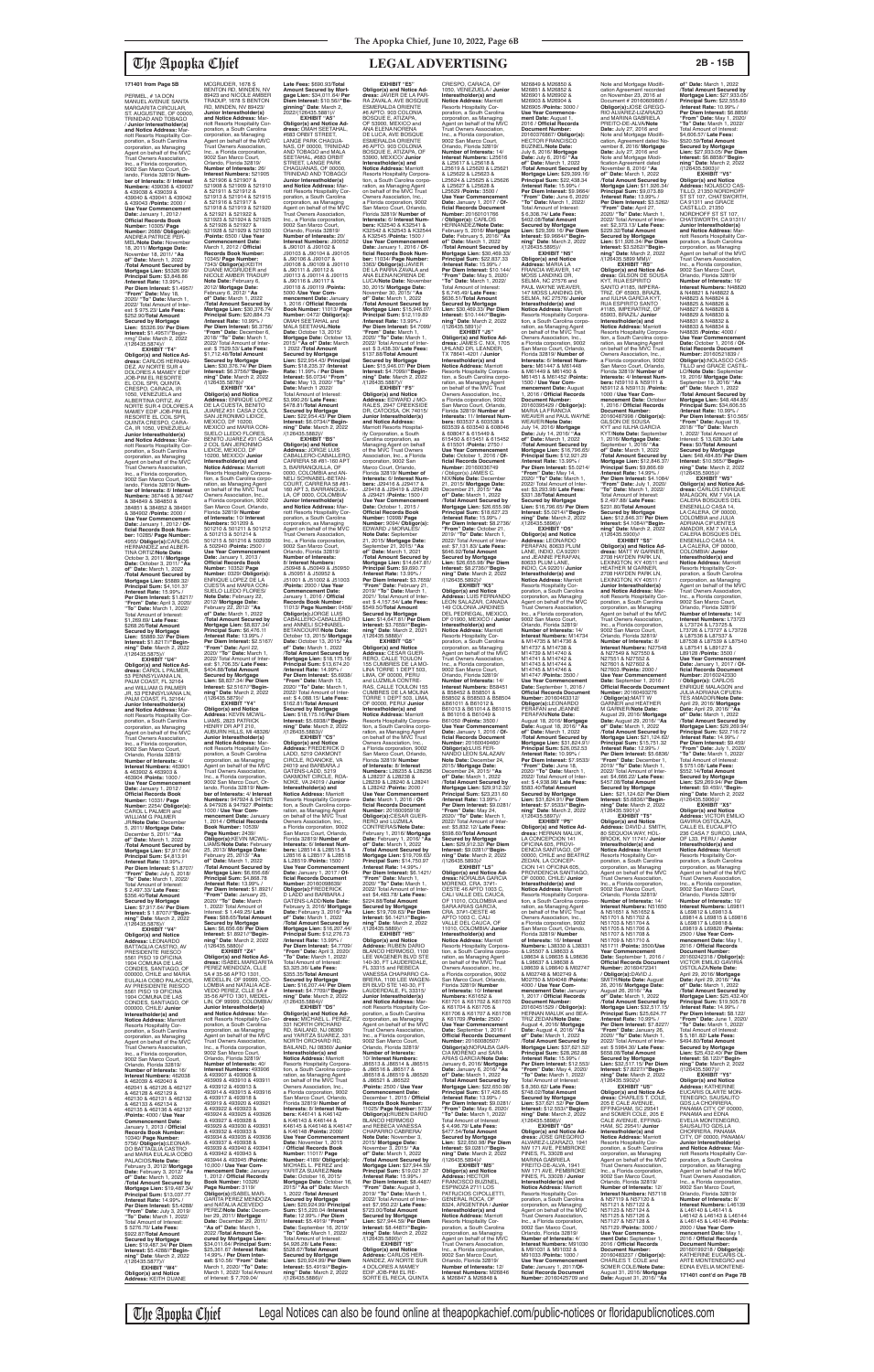PERMEL, # 1A DON<br>MANUEL AVENUE SANTA MARGARITA CIRCULAR, ST. AUGUSTINE, OF 00000, TRINIDAD AND TOBAGO / **Junior Interestholder(s) and Notice Address:** Marriott Resorts Hospitality Corporation, a South Carolina corporation, as Managing Agent on behalf of the MVC Trust Owners Association, Inc., a Florida corporation, 9002 San Marco Court, Orlando, Florida 32819/ **Number of Interests:** 8/ **Interest Numbers:** 439036 & 439037 & 439038 & 439039 & 439040 & 439041 & 439042 & 439043 /**Points:** 2000 / **Use Year Commencement Date:** January 1, 2012 / **Official Records Book Number:** 10305/ **Page Number:** 2688/ **Obligor(s):** ANDREA PATRICE PER-MEL/**Note Date:** November 18, 2011/ **Mortgage Date:** November 18, 2011/ **"As of" Date:** March 1, 2022 /**Total Amount Secured by Mortgage Lien:** \$5326.99/ **Principal Sum:** \$3,848.86 /**Interest Rate:** 13.99% / **Per Diem Interest:** \$1.4957/ **"From" Date:** May 18, 2020/ **"To" Date:** March 1, 2022/ Total Amount of Inter est: \$ 975.23/ **Late Fees:** \$252.90/**Total Amount Secured by Mortgage Lien:** \$5326.99/ **Per Diem Interest:** \$1.4957//"Begin-nmg" Date: March 2, 2022 /(126435.5874)// **EXHIBIT "T4" Obligor(s) and Notice Ad-dress:** CARLOS HERNAN-DEZ, AV NORTE SUR 4 DOLORES A MAMEY EDIF JOB-PIM EL RESORTE EL COIL SPR, QUINTA<br>CRESPO, CARACA, IR 1050, VENEZUELA and ALBERTINA ORTIZ, AV NORTE SUR 4 DOLORES A MAMEY EDIF JOB-PIM EL RESORTE EL COIL SPR,<br>OUINTA CRESPO, CARA QUINTA CRESPO, CARA-CA, IR 1050, VENEZUELA/ **Junior Interestholder(s) and Notice Address:** Mar-

riott Resorts Hospitality Corporation, a South Carolina corporation, as Managing Agent on behalf of the MVC Trust Owners Association, Inc., a Florida corporation, 9002 San Marco Court, Or-lando, Florida 32819/ **Num-ber of Interests:** 8/ **Interest Numbers:** 367446 & 367447 & 384849 & 384850 & 384851 & 384852 & 384901 & 384902 /**Points:** 2000 / **Use Year Commencement Date:** January 1, 2012 / **Of-ficial Records Book Number:** 10285/ **Page Number:** 4955/ **Obligor(s):**CARLOS HERNANDEZ and ALBER-TINA ORTIZ/**Note Date:** October 3, 2011/ **Mortgage Date:** October 3, 2011/ **"As of" Date:** March 1, 2022 /**Total Amount Secured by Mortgage Lien:** \$5889.32/ **Principal Sum:** \$4,101.37 /**Interest Rate:** 15.99% / **Per Diem Interest:** \$1.8217/ **"From" Date:** April 3, 2020/ **"To" Date:** March 1, 2022/ Total Amount of Interest: \$1,269.69/ **Late Fees:** \$268.26/**Total Amount Secured by Mortgage Lien:** \$5889.32/ **Per Diem Interest:** \$1.8217//**"Beginning" Date**: March 2, 2022

**Late Fees:** \$690.93/**Total Amount Secured by Mort-gage Lien:** \$34,011.64/ **Per Diem Interest:** \$10.56//**"Beginning" Date**: March 2,<br>2022/(126435.5881)// **EXHIBIT "A5" Obligor(s) and Notice Ad-dress:** OMAH SEETAHAL, #683 ORBIT STREET, LANGE PARK CHAGUA-NAS, OF 00000, TRINIDAD AND TOBAGO and MALA SEETAHAL, #683 ORBIT<br>STREET, LANGE PARK STREET, LANGE PARK CHAGUANAS, OF 00000, TRINIDAD AND TOBAGO/ **Junior Interestholder(s) and Notice Address:** Mar-<br>poration, a South Carolina<br>poration, as Managing<br>Agent on behalf of the MVC<br>Trust Owners Association, Inc., a Florida corporation, 9002 San Marco Court, Orlando, Florida 32819/ **Number of Interests:** 20/ **Interest Numbers:** J90052 & J90101 & J90102 & J90103 & J90104 & J90105 & J90106 & J90107 & J90108 & J90109 & J90110 & J90111 & J90112 & J90113 & J90114 & J90115 & J90116 & J90117 & J90118 & J90119 /**Points:** 5000 /**Use Year Com-mencement Date:** January 1, 2016 / **Official Records Book Number:** 11013/ **Page Number:** 0472/ **Obligor(s):** OMAH SEETAHAL and MALA SEETAHAL/**Note Date:** October 13, 2015/ **Mortgage Date:** October 13, 2015/ **"As of" Date:** March 1 2022 /**Total Amount Secured by Mortgage Lien:** \$22,954.43/ **Principal Sum:** \$18,235.37 /**Interest Rate:** 11.99% / **Per Diem Interest:** \$6.0734/ **"From" Date:** May 13, 2020/ **"To" Date:** March 1 2022/ otal Amount of Interest: \$3,990.26/ **Late Fees:** \$478.81/**Total Amount Secured by Mortgage Lien:** \$22,954.43/ **Per Diem Interest:** \$6.0734//**"Beginning" Date**: March 2, 2022 /(126435.5882)// **EXHIBIT "B5" Obligor(s) and Notice Address:** JORGE LUIS CABALLERO-CABALLERO, CARRERA 58 #81-160 APT 3, BARRANQUILLA, OF<br>0000, COLOMBIA and AN-<br>NELI SCHNABEL-BETAN-<br>COURT, CARRERA 58 #81-160 APT 3, BARRANQUIL-LA, OF 0000, COLOMBIA/ **Junior Interestholder(s) and Notice Address:** Marriott Resorts Hospitality Cor-poration, a South Carolina corporation, as Managing Agent on behalf of the MVC Trust Owners Association, Inc., a Florida corporation, 9002 San Marco Court, Orlando, Florida 32819/ **Number of Interests:** 8/ **Interest Numbers:** J50948 & J50949 & J50950 & J50951 & J50952 & J51001 & J51002 & J51003 /**Points:** 2000 / **Use Year Commencement Date:** January 1, 2016 / **Official Records Book Number:** 11013/ **Page Number:** 0458/ **Obligor(s):**JORGE LUIS CABALLERO-CABALLERO and ANNELI SCHNABEL-<br>BETANCOURT/Note Date:<br>October 13, 2015/ Mortgage<br>Date: October 13, 2015/ "As<br>of" Date: March 1, 2022<br>Total Amount Secured by<br>Mortgage Lien: \$18,674.20<br>Pirncipal Sum: \$13,674.20<br>"From" Date: March 13,<br>2 est: \$ 4,088.15/ **Late Fees:** \$162.81/**Total Amount Secured by Mortgage Lien:** \$18,175.16/**Per Diem Interest:** \$5.6938//**"Beginning" Date**: March 2, 2022 **EXHIBIT "E5" Obligor(s) and Notice Address:** JAVIER DE LA PAR-<br>RA ZAVALA, AVE BOSQUE<br>ESMERALDA ORIENTE<br>#6 APTO. 903 COLONIA BOSQUE E, ATIZAPA, OF 53900, MEXICO and<br>ANA ELENA NORENA ANA ELENA NORENA<br>DE LUCA, AVE BOSQUE<br>ESMERALDA ORIENTE<br>#6 APTO. 903 COLONIA<br>BOSQUE E, ATIZAPA, OF 53900, MEXICO/ **Junior Interestholder(s) and Notice Address:** Marriott Resorts Hospitality Corpora-tion, a South Carolina corporation, as Managing Agent<br>on behalf of the MVC Trust<br>Owners Association, Inc.,<br>a Florida corporation, 9002 San Marco Court, Orlando, Florida 32819/ **Number of Interests:** 6/ **Interest Numbers:** K32540 & K32541 & K32542 & K32543 & K32544 & K32545 /**Points:** 1500 / **Use Year Commencement Date:** January 1, 2016 / **Of-ficial Records Book Number:** 11034/ **Page Number:** 3363/ **Obligor(s):**JAVIER DE LA PARRA ZAVALA and ANA ELENA NORENA DE LUCA/**Note Date:** November 30, 2015/ **Mortgage Date:** November 30, 2015/ **"As of" Date:** March 1, 2022 /**Total Amount Secured by Mortgage Lien:** \$15,946.07/ **Principal Sum:** \$12,119.89 /**Interest Rate:** 13.99% / **Per Diem Interest:** \$4.7099/ **"From" Date:** March 1, 2020/ **"To" Date:** March 1, 2022/ Total Amount of Inter-est: \$ 3,438.30/ **Late Fees:** \$137.88/**Total Amount Secured by Mortgage Lien:** \$15,946.07/ **Per Diem Interest:** \$4.7099//**"Begin-ning" Date**: March 2, 2022 /(126435.5887)// **EXHIBIT "F5" Obligor(s) and Notice Address:** EDWARD J MO-RALES, 2947 CREEKSIDE DR, CATOOSA, OK 74015/ **Junior Interestholder(s) and Notice Address:** Marriott Resorts Hospital-ity Corporation, a South Carolina corporation, as Managing Agent on behalf of the MVC Trust Owners Association, Inc., a Florida corporation, 9002 San Marco Court, Orlando, Florida 32819/ **Number of Interests:** 6/ **Interest Num-bers:** J29416 & J29417 & J29418 & J29419 & J29420 & J29421 /**Points:** 1500 / **Use Year Commencement Date:** October 1, 2015 / **Official Records Book Number:** 10998/ **Page Number:** 9094/ **Obligor(s):** EDWARD J MORALES/<br>Note Date: Sentember **Note Date:** September 21, 2015/ **Mortgage Date:** September 21, 2015/ **"As of" Date:** March 1, 2021 /**Total Amount Secured by Mortgage Lien:** \$14,647.81/ **Principal Sum:** \$9,690.77 /**Interest Rate:** 13.99% / **Per Diem Interest:** \$3.7659/ **"From" Date:** February 21, 2019/ **"To" Date:** March 1, 2021/ Total Amount of Inter-est: \$ 4,157.54/ **Late Fees:** \$549.50/**Total Amount Secured by Mortgage Lien:** \$14,647.81/ **Per Diem Interest:** \$3.7659//**"Begin-ning" Date**: March 2, 2021 /(126435.5888)// **EXHIBIT "G5" Obligor(s) and Notice Address:** CESAR GUER-RERO, CALLE TOULON 155 CUMBRES DE LA MO-LINA TORRE 1 DEPT 503, LIMA, OF 00000, PERU and LUZMILA CONTRE-RAS, CALLE TOULON 155 CUMBRES DE LA MOLINA TORRE 1 DEPT 503, LIMA, OF 00000, PERU/ **Junior Interestholder(s) and Notice Address:** Marriott Resorts Hospitality Corporation, a South Carolina corpo

/(126435.5875)// **EXHIBIT "U4" Obligor(s) and Notice Ad-dress:** CAROL L PALMER, 53 PENNSYLVANIA LN, PALM COAST, FL 32164 and WILLIAM G PALMER<br>JR, 53 PENNSYLVANIA LN, PALM COAST, FL 32164 **Junior Interestholder(s) and Notice Address:** Marriott Resorts Hospitality Corporation, a South Carolina corporation, as Managing Agent on behalf of the MVC Trust Owners Association, Inc., a Florida corporation, 9002 San Marco Court, Orlando, Florida 32819/ **Number of Interests:** 4/ **Interest Numbers:** 463901 & 463902 & 463903 & 463904 /**Points:** 1000 / **Use Year Commencement Date:** January 1, 2012 / **Official Records Book Number:** 10331/ **Page Number:** 2254/ **Obligor(s):** CAROL L PALMER and WILLIAM G PALMER JR/**Note Date:** December 5, 2011/ **Mortgage Date:** December 5, 2011/ **"As of" Date:** March 1, 2022 /**Total Amount Secured by Mortgage Lien:** \$7,917.64/ **Principal Sum:** \$4,813.91 /**Interest Rate:** 13.99% / **Per Diem Interest:** \$1.8707/ **"From" Date:** July 5, 2018/ **"To" Date:** March 1, 2022/ Total Amount of Interest: \$ 2,497.33/ **Late Fees:** \$356.40/**Total Amount Secured by Mortgage Lien:** \$7,917.64/ **Per Diem Interest:** \$ 1.8707//**"Beginning" Date**: March 2, 2022 /(126435.5876)// **EXHIBIT "V4" Obligor(s) and Notice Address:** LEONARDO BATTAGLIA CASTRO, AV PRESIDENTE RIESCO 5561 PISO 19 OFICINA<br>1904 COMUNA DE LAS 1904 COMUNA DE LAS CONDES, SANTIAGO, OF 000000, CHILE and MARIA<br>EULALIA COBO PALACIOS, AV PRESIDENTE RIESCO 5561 PISO 19 OFICINA<br>1904 COMUNA DE LAS 1904 COMUNA DE LAS CONDES, SANTIAGO, OF 000000, CHILE/ **Junior Interestholder(s) and Notice Address:** Marriott Resorts Hospitality Cor-poration, a South Carolina corporation, as Managing Agent on behalf of the MVC Trust Owners Association, Inc., a Florida corporation, 9002 San Marco Court, Orlando, Florida 32819/ **Number of Interests:** 16/ **Interest Numbers:** 462038 & 462039 & 462040 & 462041 & 462126 & 462127 & 462128 & 462129 & 462130 & 462131 & 462132 & 462133 & 462134 & 462135 & 462136 & 462137 /**Points:** 4000 / **Use Year Commencement Date:** January 1, 2013 / **Official Records Book Number:** 10340/ **Page Number:** 5756/ **Obligor(s):**LEONAR-DO BATTAGLIA CASTRO and MARIA EULALIA COBO PALACIOS/**Note Date:** February 3, 2012/ **Mortgage Date:** February 3, 2012/ **"As of" Date:** March 1, 2022 /**Total Amount Secured by Mortgage Lien:** \$19,487.34/ **Principal Sum:** \$13,037.77 /**Interest Rate:** 14.99% / **Per Diem Interest:** \$5.4288/ **"From" Date:** July 3, 2019/ **"To" Date:** March 1, 2022/ Total Amount of Interest: \$ 5276.70/ **Late Fees:** \$922.87/**Total Amount Secured by Mortgage Lien:** \$19,487.34/ **Per Diem Interest:** \$5.4288//**"Beginning" Date**: March 2, 2022 /(126435.5877)// **EXHIBIT "W4" Obligor(s) and Notice Address:** KEITH DUANE poration, a South Carolina corporation, as Managing

MCGRUDER, 1678 S BENTON RD, MINDEN, NV 89423 and NICOLE AMBER TRADUP, 1678 S BENTON RD, MINDEN, NV 89423/ **Junior Interestholder(s) and Notice Address:** Mar-<br>poration, a South Carolina<br>poration, as Managing<br>Agent on behalf of the MVC<br>Trust Owners Association, Inc., a Florida corporation, 9002 San Marco Court,<br>Orlando, Florida 32819 Orlando, Florida 32819/ **Number of Interests:** 26/ **Interest Numbers:** 521905 & 521906 & 521907 & 521908 & 521909 & 521910 & 521911 & 521912 & 521913 & 521914 & 521915 & 521916 & 521917 & 521918 & 521919 & 521920 & 521921 & 521922 & 521923 & 521924 & 521925 & 521926 & 521927 & 521928 & 521929 & 521930 /**Points:** 6500 / **Use Year Commencement Date:** March 1, 2012 / **Official Records Book Number:** 10345/ **Page Number:**<br>7343/ **Obligor(s):**KEITH<br>DUANE MCGRUDER and<br>NICOLE AMBER TRADUP/ **Note Date:** February 6, 2012/ **Mortgage Date:** February 6, 2012/ **"As of" Date:** March 1, 2022 /**Total Amount Secured by Mortgage Lien:** \$30,376.74/ **Principal Sum:** \$20,884.73 /**Interest Rate:** 10.99% / **Per Diem Interest:** \$6.3756/ **"From" Date:** December 6, 2018/ **"To" Date:** March 1, 2022/ Total Amount of Inter-est: \$ 7529.53/ **Late Fees:** \$1,712.48/**Total Amount Secured by Mortgage Lien:** \$30,376.74/ **Per Diem Interest:** \$6.3756//**"Begin-ning" Date**: March 2, 2022 /(126435.5878)// **EXHIBIT "X4" Obligor(s) and Notice Address:** ENRIQUE LOPEZ DE LA CUESTA, BENITO<br>JUAREZ #31 CASA 2 COL<br>SAN JERONIMO LIDICE, MEXICO, DF 10200, MEXICO and MARIA CON-SUELO LLEDO FLORES, BENITO JUAREZ #31 CASA 2 COL SAN JERONIMO<br>LIDICE, MEXICO, DF 10200, MEXICO/ **Junior**<br>**Interestholder(s) and<br><b>Notice Address:** Marriott<br>Resorts Hospitality Corpora-<br>tration, a South Carolina corpo-<br>cration, as Managing Agent<br>on behalf of the MVC Trust Owners Association, Inc., a Florida corporation, 9002 San Marco Court, Orlando, Florida 32819/ **Number of Interests:** 10/ **Interest Numbers:** 501209 & 501210 & 501211 & 501212 & 501213 & 501214 & 501215 & 501216 & 502939 & 502940 /**Points:** 2500 / **Use Year Commencement Date:** January 1, 2013 / **Official Records Book Number:** 10352/ **Page Number:** 0329/ **Obligor(s):** ENRIQUE LOPEZ DE LA CUESTA and MARIA CON-SUELO LLEDO FLORES/ **Note Date:** February 22, 2012/ **Mortgage Date:** February 22, 2012/ **"As of" Date:** March 1, 2022 /**Total Amount Secured by Mortgage Lien:** \$8,837.34/ **Principal Sum:** \$6,476.11 /**Interest Rate:** 13.99% / **Per Diem Interest:** \$2.5167/ **"From" Date:** April 22, 2020/ **"To" Date:** March 1, 2022/ Total Amount of Inter est: \$1,706.35/ **Late Fees:** \$404.88/**Total Amount Secured by Mortgage Lien:** \$8,837.34/ **Per Diem Interest:** \$2.5167//**"Beginning" Date**: March 2, 2022 /(126435.5879)// **EXHIBIT "Y4" Obligor(s) and Notice Address:** KEVIN MCWIL-LIAMS, 2823 PATRICK HENRY DR APT 210, AUBURN HILLS, MI 48326/ **Junior Interestholder(s) and Notice Address:** Marriott Resorts Hospitality Cor-/(126435.5883)// **EXHIBIT "C5" Obligor(s) and Notice Address:** FREDERICK D LADD, 5219 OAKMONT

Agent on behalf of the MVC Trust Owners Association, Inc., a Florida corporation 9002 San Marco Court, Orlando, Florida 32819/ **Number of Interests:** 4/ **Interest Numbers:** 947924 & 947925 & 947926 & 947927 /**Points:** 1000 / **Use Year Commencement Date:** January 1, 2014 / **Official Records Book Number:** 10539/ **Page Number:** 2439/ **Obligor(s):**KEVIN MCWIL-LIAMS/**Note Date:** February 25, 2013/ **Mortgage Date:** February 25, 2013/ **"As of" Date:** March 1, 2022 /**Total Amount Secured by Mortgage Lien:** \$6,656.68/ **Principal Sum:** \$4,868.78 /**Interest Rate:** 13.99% / **Per Diem Interest:** \$1.8921/ **"From" Date:** January 25, 2020/ **"To" Date:** March 1, 2022/ Total Amount of Interest: \$ 1,449.25/ **Late Fees:** \$88.65/**Total Amount Secured by Mortgage Lien:** \$6,656.68/ **Per Diem Interest:** \$1.8921//**"Begin-ning" Date**: March 2, 2022 /(126435.5880)// **EXHIBIT "Z4" Obligor(s) and Notice Address:** ISABEL MARGARITA PEREZ MENDOZA, CLLE 5A # 35-56 APTO 1301, MEDELLIN, OF 99999, CO LOMBIA and NATALIA ACE-VEDO PEREZ, CLLE 5A # 35-56 APTO 1301, MEDEL-LIN, OF 99999, COLOMBIA/ **Junior Interestholder(s) and Notice Address:** M riott Resorts Hospitality Corporation, a South Carolina corporation, as Managing Agent on behalf of the MVC Trust Owners Association, Inc., a Florida corporation, 9002 San Marco Court, Orlando, Florida 32819/ **Number of Interests:** 40/ **Interest Numbers:** 493906 & 493907 & 493908 & 493909 & 493910 & 493911 & 493912 & 493913 & 493914 & 493915 & 493916 & 493917 & 493918 & 493919 & 493920 & 493921 & 493922 & 493923 & 493924 & 493925 & 493926 & 493927 & 493928 & 493929 & 493930 & 493931 & 493932 & 493933 & 493934 & 493935 & 493936 & 493937 & 493938 & 493939 & 493940 & 493941 & 493942 & 493943 & 493944 & 493945 /**Points:** 10,000 / **Use Year Commencement Date:** January 1, 2012 / **Official Records Book Number:** 10326/ **Page Number:** 3119/ **Obligor(s):**ISABEL MAR-GARITA PEREZ MENDOZA and NATALIA ACEVEDO PEREZ/**Note Date:** Decem-ber 29, 2011/ **Mortgage Date:** December 29, 2011/ **"As of" Date:** March 1, 2022 /**Total Amount Secured by Mortgage Lien:**  \$34,011.64/ **Principal Sum:** \$25,361.67 /**Interest Rate:** 14.99% / **Per Diem Inter-est:** \$10.56/ **"From" Date:** March 1, 2020/ **"To" Date:** March 1, 2022/ Total Amount of Interest: \$ 7,709.04/ M26849 & M26850 & M26851 & M26852 &<br>M26901 & M26902 & M26901 & M26902 & M26903 & M26904 & M26905 /**Points:** 3000 / **Use Year Commencement Date:** August 1, 2016 / **Official Records Document Number:** 20160376867/ **Obligor(s):** HECTOR FRANCISCO BUZINEL/**Note Date:** July 6, 2016/ **Mortgage Date:** July 6, 2016/ **"As of" Date:** March 1, 2022 /**Total Amount Secured by Mortgage Lien:** \$29,399.16/ **Principal Sum:** \$22,438.34 /**Interest Rate:** 15.99% / **Per Diem Interest:** \$9.9664/ **"From" Date:** June 6, 2020/ **"To" Date:** March 1, 2022/ Total Amount of Interest: \$ 6,308.74/ **Late Fees:** \$402.08/**Total Amount Secured by Mortgage Lien:** \$29,399.16/ **Per Diem Interest:** \$9.9664//**"Begin-ning" Date**: March 2, 2022 /(126435.5895)// **EXHIBIT "N5" Obligor(s) and Notice Address:** MARIA LA<br>FRANCIA WEAVER, 147<br>MOSS LANDING DR,<br>SELMA, NC 27576 and PAUL WAYNE WEAVER, 147 MOSS LANDING DR, SELMA, NC 27576/ **Junior Interestholder(s) and Notice Address:** Marriott Resorts Hospitality Corporation, a South Carolina corporation, as Managing Agent<br>on behalf of the MVC Trust Owners Association, Inc., a Florida corporation, 9002 San Marco Court, Orlando, Florida 32819/ **Number of Interests:** 6/ **Interest Num-bers:** M61447 & M61448 & M61449 & M61450 & M61451 & M61452 /**Points:** 1500 / **Use Year Co mencement Date:** August 1, 2016 / **Official Records Document Number:<br>20160395429 / <b>Obligor(s):**<br>MARIA LA FRANCIA<br>WEAVER and PAUL WAYNE WEAVER/**Note Date:** July 14, 2016/ **Mortgage Date:** July 14, 2016/ **"As of" Date:** March 1, 2022 /**Total Amount Secured by Mortgage Lien:** \$16,796.65/ **Principal Sum:** \$12,921.29 /**Interest Rate:** 13.99% / **Per Diem Interest:** \$5.0214/ **"From" Date:** May 14, 2020/ **"To" Date:** March 1, 2022/ Total Amount of Inter-est: \$3,293.98/ **Late Fees:** \$331.38/**Total Amount Secured by Mortgage Lien:** \$16,796.65/ **Per Diem Interest:** \$5.0214//**"Begin-ning" Date**: March 2, 2022 /(126435.5896)//<br>"EXHIBIT "O5 **EXHIBIT "O5" Obligor(s) and Notice Address:** LEONARDO PERAFAN, 80633 PLUM LANE, INDIO, CA 92201 and JEANNE PERAFAN 80633 PLUM LANE,<br>INDIO, CA 92201/ **Junior**<br>**Interestholder(s) and Notice Address:** Marriott Resorts Hospitality Cor-poration, a South Carolina corporation, as Managing Agent on behalf of the MVC Trust Owners Association, Inc., a Florida corporation, 9002 San Marco Court, Orlando, Florida 32819/ **Number of Interests:** 14/ **Interest Numbers:** M14734 & M14735 & M14736 & M14737 & M14738 & M14739 & M14740 & M14741 & M14742 & M14743 & M14744 & M14745 & M14746 & M14747 /**Points:** 3500 / **Use Year Commencement Date:** September 1, 2016 / Official Records Document<br>Number: 20160463312/<br>Obligor(s):LEONARDO<br>PERAFAN and JEANNE<br>PERAFAN and JEANNE<br>August 18, 2016/ Mortgage<br>Date: August 18, 2016/ "As<br>Trotal Amount Secured by<br>Mortgage Lien: \$31,824.91/<br>Principal Su

CIRCLE, ROANOKE, VA

24019 and BARBARA J GATENS-LADD, 5219 OAKMONT CIRCLE, ROA-NOKE, VA 24019 / **Junior Interestholder(s) and Notice Address:** Marriott Resorts Hospitality Corpora-tion, a South Carolina corporation, as Managing Agent on behalf of the MVC Trust Owners Association, Inc., a Florida corporation, 9002 San Marco Court, Orlando, Florida 32819/ **Number of Interests:** 6/ **Interest Numbers:** L28514 & L28515 & L28516 & L28517 & L28518 & L28519 /**Points:** 1500 / **Use Year Commencement Date:** January 1, 2017 / **Of-ficial Records Document Number:** 20160098639/ **Obligor(s):**FREDERICK D LADD and BARBARA J GATENS-LADD/**Note Date:** February 3, 2016/ **Mortgage Date:** February 3, 2016/ **"As of" Date:** March 1, 2022 /**Total Amount Secured by Mortgage Lien:** \$16,207.44/ **Principal Sum:** \$12,276.73 /**Interest Rate:** 13.99% / **Per Diem Interest:** \$4.7709/ **"From" Date:** April 3, 2020/ **"To" Date:** March 1, 2022/ Total Amount of Interest: \$3,325.36/ **Late Fees:** \$355.35/**Total Amount Secured by Mortgage Lien:** \$16,207.44/ **Per Diem Interest:** \$4.7709//**"Beginning" Date**: March 2, 2022  $/(126435.5884)/\frac{1}{2}$ FXHIRIT "D5" **EXHIBIT "D5" Obligor(s) and Notice Ad-dress:** MICHAEL L. PEREZ, 331 NORTH ORCHARD RD, BAILAND, NJ 08360 and YARITZA SUAREZ, 331 NORTH ORCHARD RD, BAILAND, NJ 08360/ **Junior Interestholder(s) and Notice Address:** Marriott Resorts Hospitality Corpora-tion, a South Carolina corpo-ration, as Managing Agent on behalf of the MVC Trust Owners Association, Inc., a Florida corporation, 9002 San Marco Court, Orlando, Florida 32819/ **Number of Interests:** 8/ **Interest Num-bers:** K46141 & K46142 & K46143 & K46144 & K46145 & K46146 & K46147 & K46148 /**Points:** 2000/ **Use Year Commencement Date:** November 1, 2015 / **Official Records Book Number:** 11017/ **Page Number:** 4189/ **ObIigor(s):** MICHAEL L. PEREZ and YARITZA SUAREZ/**Note Date:** October 16, 2015/ **Mortgage Date:** October 16, 2015/ **"As of" Date:** March 1, 2022 /**Total Amount Secured by Mortgage Lien:** \$20,924.99/ **Principal Sum:** \$15,220.04 /**Interest Rate:** 12.99% / **Per Diem Interest:** \$5.4919/ **"From" Date:** September 16, 2019/ **"To" Date:** March 1, 2022/ Total Amount of Interest: \$4,926.28/ **Late Fees:** \$528.67/**Total Amount Secured by Mortgage Lien:** \$20,924.99/ **Per Diem Interest:** \$5.4919//**"Beginning" Date**: March 2, 2022 /(126435.5886)// & L28237 & L28238 & L28239 & L28240 & L28241 & L28242 /**Points:** 2000 / **Use Year Commencement Date:** March 1, 2016 / **Of-ficial Records Document Number:** 20160095918/ **Obligor(s):**CESAR GUER-RERO and LUZMILA CONTRERAS/**Note Date:** February 1, 2016/ **Mortgage Date:** February 1, 2016/ **"As of" Date:** March 1, 2022 /**Total Amount Secured by Mortgage Lien:** \$19,709.63/ **Principal Sum:** \$14,750.97 /**Interest Rate:** 14.99% / **Per Diem Interest:** \$6.1421/ **"From" Date:** March 1, 2020/ **"To" Date:** March 1, 2022/ Total Amount of Interest: \$4,483.78/ **Late Fees:** \$224.88/**Total Amount Secured by Mortgage Lien:** \$19,709.63/ **Per Diem Interest:** \$6.1421//**"Begin-ning" Date**: March 2, 2022 /(126435.5889)//<br>"EXHIBIT "H5 **EXHIBIT "H5" Obligor(s) and Notice Address:** RUBEN DARIO BLANCO HERMOSO, 1100 LEE WAGENER BLVD STE 140-30, FT LAUDERDALE, FL 33315 and REBECA VANESSA CHAPARRO CA-BRERA, 1100 LEE WAGEN ER BLVD STE 140-30, FT LAUDERDALE, FL 33315/ **Junior Interestholder(s) and Notice Address:** Mar-riott Resorts Hospitality Cor-poration, a South Carolina corporation, as Managing Agent on behalf of the MVC Trust Owners Association, Inc., a Florida corporation, 9002 San Marco Court, Orlando, Florida 32819/ **Number of Interests:** 10/ **Interest Numbers:** J86513 & J86514 & J86515 & J86516 & J86517 & J86518 & J86519 & J86520 & J86521 & J86522 /**Points:** 2500 / **Use Year Commencement Date:** December 1, 2015 / **Official Records Book Number:** 11025/ **Page Number:** 5733**/ Obligor(s):**RUBEN DARIO BLANCO HERMOSO and REBECA VANESSA CHAPARRO CABRERA/ **Note Date:** November 3, 2015/ **Mortgage Date:** November 3, 2015/ **"As of" Date:** March 1, 2022 /**Total Amount Secured by Mortgage Lien:** \$27,944.59/ **Principal Sum:** \$19,021.37 /**Interest Rate:** 15.99% / Per Diem Interest: \$8.4487 **"From" Date:** August 3, 2019/ **"To" Date:** March 1, 2022/ Total Amount of Inter est: \$7,950.22/ **Late Fees:** \$723.00/**Total Amount Secured by Mortgage Lien:** \$27,944.59/ **Per Diem Interest:** \$8.4487//**"Begin-ning" Date**: March 2, 2022 /(126435.5890)// **EXHIBIT "I5" Obligor(s) and Notice Address:** CARLOS HER-NANDEZ, AV NORTE SUR 4 DOLORES A MAMEY EDIF JOB-PIM EL RE-SORTE EL RECA, QUINTA

**of" Date:** March 1, 2022 /**Total Amount Secured by Mortgage Lien:** \$27,933.05/ **Principal Sum:** \$22,555.89 /**Interest Rate:** 10.99% / **Per Diem Interest:** \$6.8858/ **"From" Date:** May 1, 2020/ **"To" Date:** March 1, 2022/ Total Amount of Interest: \$4,606.57/ **Late Fees:** \$520.59/**Total Amount Secured by Mortgage Lien:** \$27,933.05/ **Per Diem Interest:** \$6.8858//**"Begin-ning" Date**: March 2, 2022 /(126435.5903)// **EXHIBIT "V5" Obligor(s) and Notice Address:** NOLASCO CAS-TILLO, 21350 NORDHOFF<br>ST ST 107, CHATSWORTH,<br>CA 91311 and GRACE<br>CASTILLO, 21350<br>NORDHOFF ST ST 107, CHATSWORTH, CA 91311/ **Junior Interestholder(s)<br><b>and Notice Address:** Mar-<br>riott Resorts Hospitality Corporation, a South Carolina corporation, as Managing Agent on behalf of the MVC Trust Owners Association, Inc., a Florida corporation, 9002 San Marco Court, Orlando, Florida 32819/ **Number of Interests:** 16/ **Interest Numbers:** N48820 & N48821 & N48822 & N48823 & N48824 & N48825 & N48826 & N48827 & N48828 & N48829 & N48830 & N48831 & N48832 & N48833 & N48834 & N48835 /**Points:** 4000 / Use Year Commencem **Date:** October 1, 2016 / **Of-ficial Records Document Number:** 20160521839 / **Obligor(s):NOLASCO CAS-<br>TILLO and GRACE CASTIL-**TILLO and GRACE CASTIL-LO/**Note Date:** September 19, 2016/ **Mortgage Date:** September 19, 2016/ **"As of" Date:** March 1, 2022 /**Total Amount Secured by Mortgage Lien:** \$48,484.85/ **Principal Sum:** \$34,606.55 /**Interest Rate:** 10.99% / **Per Diem Interest:** \$10.565/ **"From" Date:** August 19, 2018/ **"To" Date:** March 1, 2022/ Total Amount of Interest: \$ 13,628.30/ **Late Fees:** \$0/**Total Amount Secured by Mortgage Lien:** \$48,484.85/ **Per Diem Interest:** \$10.565//**"Begin-ning" Date**: March 2, 2022 /(126435.5905)// **EXHIBIT "W5" Obligor(s) and Notice Ad-dress:** CARLOS ENRIQUE MALAGON, KM 7 VIA LA CALERA BOSQUES DEL ENSENILLO CASA 14, LA CALERA, OF 00000, COLOMBIA and JULIA ADRIANA CIFUENTES AMADOR, KM 7 VIA LA CALERA BOSQUES DEL ENSENILLO CASA 14, LA CALERA, OF 00000, COLOMBIA/ **Junior Interestholder(s) and Notice Address:** Marriott<br>Resorts Hospitality Cor-<br>poration, a South Carolina corporation, as Managing Agent on behalf of the MVC Trust Owners Association, Inc., a Florida corporation, 9002 San Marco Court, Orlando, Florida 32819/ **Number of Interests:** 14/ **Interest Numbers:** L73723 & L73724 & L73725 & .<br>L73726 & L73727 & L73728<br>& L87536 & L87537 & & L87536 & L87537 & L87538 & L87539 & L87540 & L87541 & L89127 & L89128 /**Points:** 3500 / **Use Year Commence** 

CRESPO, CARACA, OF

ration, as Managing Agent on behalf of the MVC Trust Owners Association, Inc., a Florida corporation, 9002 San Marco Court, Orlando, Florida 32819/ **Number of Interests:** 8/ **Interest Numbers:** L28235 & L28236 1050, VENEZUELA / **Junior Interestholder(s) and Notice Address:** Marriott Resorts Hospitality Cor-poration, a South Carolina corporation, as Managing Agent on behalf of the MVC Trust Owners Association, Inc., a Florida corporation, 9002 San Marco Court, Orlando, Florida 32819/ **Number of Interests:** 14/ **Interest Numbers:** L25616 & L25617 & L25618 & L25619 & L25620 & L25621 & L25622 & L25623 & L25624 & L25625 & L25626 & L25627 & L25628 & L25629 /**Points:** 3500 / **Use Year Commencement Date:** January 1, 2017 / **Official Records Document Number:** 20160101766 / **Obligor(s):** CARLOS HERNANDEZ/**Note Date:** February 5, 2016/ **Mortgage Date:** February 5, 2016/ **"As of" Date:** March 1, 2022 /**Total Amount Secured by Mortgage Lien:** \$30,469.33/ **Principal Sum:** \$22,837.33 /**Interest Rate:** 15.99% / **Per Diem Interest:** \$10.144/ **"From" Date:** May 5, 2020/ **"To" Date:** March 1, 2022/ Total Amount of Interest: \$ 6,745.49/ **Late Fees:** \$636.51/**Total Amount Secured by Mortgage Lien:** \$30,469.33/ **Per Diem Interest:** \$10.144//**"Beginning" Date**: March 2, 2022  $(35.5891)/$ <br>**EXHIBIT** ".15" **EXHIBIT "J5" Obligor(s) and Notice Ad-dress:** JAMES C. NIX, 1705 UHLAND DR, LEANDER, TX 78641-4201 / **Junior Interestholder(s) and Notice Address:** Marriott Resorts Hospitality Corporation, a South Carolina corporation, as Managing Agent<br>on behalf of the MVC Trust Owners Association, Inc.,<br>a Florida coiporation, 9002<br>San Marco Court, Orlando,<br>Florida 32819/ **Number of Interests:** 11/ **Interest Num-bers:** 603537 & 603538 & 603539 & 603540 & 608046 & 608047 & 615449 & 615450 & 615451 & 615452 & 615501 /**Points:** 2750 / **Use Year Commencement Date:** October 1, 2016 / **Official Records Document Number:** 20160036749 / Obligor(s) JAMES C. NIX/**Note Date:** December 21, 2015/ **Mortgage Date:** December 21, 2015/ **"As of" Date:** March 1, 2022 /**Total Amount Secured by Mortgage Lien:** \$26,655.98/ **Principal Sum:** \$18,627.23 /**Interest Rate:** 15.99% / **Per Diem Interest:** \$8.2736/ **"From" Date:** October 21, 2019/ **"To" Date:** March 1, 2022/ Total Amount of Inter-est: \$7,131.83/ **Late Fees:** \$646.92/**Total Amount Secured by Mortgage Lien:** \$26,655.98/ **Per Diem Interest:** \$8.2736//**"Beginning" Date**: March 2, 2022 /(126435.5892)// **EXHIBIT "K5" Obligor(s) and Notice Address:** LUIS FERNANDO LEON SALAZAR, CANADA 149 COLONIA JARDINES DEL PEDREGAL, MEXICO, DF 01900, MEXICO / **Junior Interestholder(s) and Notice Address:** Marriott<br>Resorts Hospitality Cor-<br>poration, a South Carolina corporation, as Managing Agent on behalf of the MVC Trust Owners Association, Inc., a Florida corporation, 9002 San Marco Court, Orlando, Florida 32819/ **Number of Interests:** 14/ **Interest Numbers:** B58451 & B58452 & B58501 & B58502 & B58503 & B58504 &B61011 & B61012 & B61013 & B61014 & B61015 & B61016 & B61049 & B61050 /**Points:** 3500 / Use Year Commencement Date: January 1, 2016 / Of-<br>ficial Records Document **ficial Records Document<br><b>Number:** 20160049460/<br>**Obligor(s):**LUIS FER-<br>NANDO LEON SALAZAR/ **Note Date:** December 24, 2015/ **Mortgage Date:** December 24, 2015/ **"As Date:** March 1, 2022 /**Total Amount Secured by Mortgage Lien:** \$29,912.32/ **Principal Sum:** \$23,231.60 /**Interest Rate:** 13.99% / **Per Diem Interest:** \$9.0281/ **"From" Date:** May 24, 2020/ **"To" Date:** March 1, 2022/ Total Amount of Interest: \$5,832.12/ **Late Fees:** \$598.60/**Total Amount Secured by Mortgage Lien:** \$29,912.32/ **Per Diem Interest:** \$9.0281//**"Begin-ning" Date**: March 2, 2022 /(126435.5893)//<br>"EXHIBIT "L5 **EXHIBIT "L5" Obligor(s) and Notice Ad-dress:** NORALBA GARCIA MORENO, CRA. 37#1- OESTE 46 APTO 1003 C, CALI VALLE DEL CAUCA OF 11010, COLOMBIA and SARA ARIAS GARCIA, CRA. 37#1-OESTE 46 APTO 1003 C, CALI VALLE DEL CAUCA, OF 11010, COLOMBIA/ **Junior Interestholder(s) and Notice Address:** Marriott Resorts Hospitality Corporation, a South Carolina corporation, as Managing Agent on behalf of the MVC Trust Owners Association, Inc., a Florida corporation, 9002 San Marco Court, Orlando, Florida 32819/ **Number of Interests:** 10/ **Interest Numbers:** K61652 & K61701 & K61702 & K61703 & K61704 & K61705 & K61706 & K61707 & K61708 & K61709 /**Points:** 2500 / **Use Year Commencement Date:** September 1, 2016 / **Official Records Docum**<br>**Number: 20160080507/ Number:** 20160080507/ **Obligor(s):**NORALBA GAR-CIA MORENO and SARA ARIAS GARCIA/**Note Date:** January 6, 2016/ **Mortgage Date:** January 6, 2016/ **"As of" Date:** March 1, 2022 /**Total Amount Secured by Mortgage Lien:** \$22,650.98/ **Principal Sum:** \$17,426.65 /**Interest Rate:** 13.99% / **Per Diem Interest:** \$9.0281/ **"From" Date:** May 6, 2020/ **"To" Date:** March 1, 2022/ Total Amount of Interest: \$ 4,496.79/ **Late Fees:** \$477.54/**Total Amount Secured by Mortgage Lien:** \$22,650.98/ **Per Diem Interest:** \$9.0281//**"Begin-ning" Date**: March 2, 2022 /(126435.5894)// **EXHIBIT "M5" Obligor(s) and Notice Address:** HECTOR FRANCISCO BUZINEL ESPINOZA 2711 LOS PATRJCIOS CIPOLLETTI, GENERAL ROCA, OF 8324, ARGENTINA / **Junior Interestholder(s) and Notice Address:** Marriott Resorts Hospitality Cor-poration, a South Carolina corporation, as Managing Agent on behalf of the MVC Trust Owners Association, Inc., a Florida corporation, 9002 San Marco Court, Orlando, Florida 32819/ **Number of Interests:** 12/ **Interest Numbers:** M26846 & M26847 & M26848 & **"From" Date:** June 18, 2020/ **"To" Date:** March 1, 2022/ Total Amount of Inter-est: \$ 4,938.98/ **Late Fees:** \$583.40/**Total Amount Secured by Mortgage Lien:** \$31,824.91/ **Per Diem Interest:** \$7.9533//**"Begin-ning" Date**: March 2, 2022 /(126435.5897)// **EXHIBIT "P5" Obligor(s) and Notice Address:** HERNAN MALUK,<br>LA CONCEPCION 141 OFICINA 605, PROVI-DENCIA SANTIAGO, O 00000, CHILE and BEATRIZ ZEDAN, LA CONCEP-CION 141 OFICINA 605, PROVIDENCIA SANTIAGO, OF 00000, CHILE/ **Junior Interestholder(s) and Notice Address:** Marriott Resorts Hospitality Corporation, a South Carolina corporation, as Managing Agent ration, as Managing Agent<br>on behalf of the MVC Trust Owners Association, Inc., a Florida corporation, 9002 San Marco Court, Orlando, Florida 32819/ **Number of Interests:** 16/ **Interest Numbers:** L38330 & L38331 & L95507 & L98633 & L98634 & L98635 & L98636 & L98637 & L98638 & L98639 & L98640 & M02747 & M02748 & M02749 & M02750 & M04048 /**Points:** 4000 / **Use Year Com-mencement Date:** January 1, 2017 / **Official Records Document Number:** 20160451529 / **Obligor(s):** HERNAN MALUK and BEA-TRIZ ZEDAN/**Note Date:** August 4, 2016/ **Mortgage Date:** August 4, 2016/ **"As of" Date:** March 1, 2022 /**Total Amount Secured by Mortgage Lien: \$37,621.52<br><b>Principal Sum: \$28,262.88 Principal Sum:** \$28,262.88 /**Interest Rate:** 15.99% / **Per Diem Interest:** \$12.553/ **"From" Date:** May 4, 2020/ **"To" Date:** March 1, 2022/ Total Amount of Interest: \$ 8,360.62/ **Late Fees:** \$748.02/**Total Amount Secured by Mortgage Lien:** \$37,621.52/ **Per Diem Interest:** \$12.553//**"Begin-ning" Date**: March 2, 2022 /(126435.5898)// **EXHIBIT "Q5" Obligor(s) and Notice Ad-<br><b>dress:** JOSE GREGORIO<br>ALVAREZ-LIZARAZO, 1941 NW 171 AVE, PEMBROKE PINES, FL 33028 and MARINA GABRIELA PREITO-DE-ALVA, 1941 NW 171 AVE, PEMBROKE PINES, FL 33028 / **Junior Interestholder(s) and Notice Address:** Marriott Resorts Hospitality Corporation, a South Carolina corporation, as Managing Agent on behalf of the MVC Trust Owners Association, Inc., a Florida corporation, 9002 San Marco Court, Orlando, Florida 32819/ **Number of Interests:** 4/ **Interest Numbers:** M91030 & M91031 & M91032 & M91033 /**Points:** 1000 / **Use Year Commence Date:** January 1, 2017/**Official Records Document Number:** 20160425709 and

Note and Mortgage Modification Agreement recorded on November 23, 2016 at Document # 20160609805 / **Obligor(s):**JOSE GREGO-RIO ALVAREZ-LIZARAZO and MARINA GABRIELA PREITO-DE-ALVA/**Note Date:** July 27, 2016 and Note and Mortgage Modification, Agreement dated No-vember 8, 2016/ **Mortgage Date:** July 27, 2016 and Note and Mortgage Modi-fication Agreement dated November 8, 2016/ **"As of" Date:** March 1, 2022 /**Total Amount Secured by Mortgage Lien:** \$11,926.34/ **Principal Sum:** \$9,073.89 /**Interest Rate:** 13.99% / **Per Diem Interest:** \$3.5262/ **"From" Date:** April 27, 2020/ **"To" Date:** March 1, 2022/ Total Amount of Inter est: \$2,373.13/ **Late Fees:** \$229.32/**Total Amount Secured by Mortgage Lien:** \$11,926.34/ **Per Diem Interest:** \$3.5262//**"Beginning" Date**: March 2, 2022 /(126435.5899 MM)/<br>EXHIBIT "R5" **EXHIBIT "R5" Obligor(s) and Notice Ad-dress:** GILSON DE SOUSA KYT, RUA ESPIRITO SANTO #1185, IMPERA-TRIZ, OF 65903, BRAZIL<br>and IULHA GARCIA KYT and IULHA GARCIA KYT,<br>RUA ESPIRITO SANTO<br>#1185, IMPERATRIZ, OF<br>65903, BRAZIL/ **Junior Interestholder(s) and Notice Address:** Marriott<br>Resorts Hospitality Corpora-<br>tion, a South Carolina corporation, as Managing Agent<br>on behalf of the MVC Trust Owners Association, Inc. a Florida corporation, 9002 San Marco Court, Orlando, Florida 32819/ **Number of Interests:** 4/ **Interest Num-bers:** N59110 & N59111 & N59112 & N59113) /**Points:** 1000 / **Use Year Com-mencement Date:** October 1, 2016 / **Official Records Document Number:** 20160487998 / **Obligor(s):** GILSON DE SOUSA KYT and IULHA GARCIA<br>KYT/Note Date: Septemb KYT/**Note Date:** September 1, 2016/ **Mortgage Date:** September 1, 2016/ **"As of" Date:** March 1, 2022 /**Total Amount Secured by Mortgage Lien:** \$12,846.37/ **Principal Sum:** \$9,866.69 /**Interest Rate:** 14.99% / **Per Diem Interest:** \$4.1084/ **"From" Date:** July 1, 2020/ **"To" Date:** March 1, 2022/ Total Amount of Interest: \$ 2,497.88/ **Late Fees:** \$231.80/**Total Amount Secured by Mortgage Lien:** \$12,846.37/ **Per Diem Interest:** \$4.1084//**"Begin-ning" Date**: March 2, 2022 /(126435.5900)// **EXHIBIT "S5" Obligor(s) and Notice Ad-dress:** MATT W GARNER, 2708 HAYDEN PARK LN, LEXINGTON, KY 40511 and HEATHER M GARNER, 2708 HAYDEN PARK LN,<br>LEXINGTON, KY 40511 / **Junior Interestholder(s) and Notice Address:** Mar-<br>poration, a South Carolina<br>poration, as Managing<br>Agent on behalf of the MVC<br>Trust Owners Association, Inc., a Florida corporation, 9002 San Marco Court, Orlando, Florida 32819/ **Number of Interests:** 8/ **Interest Numbers:** N27548 & N27549 & N27550 & N27551 & N27552 & N27601 & N27602 & N27603 /**Points:** 2000 / **Use Year Commencement Date:** September 1, 2016 / **Official Records Document Number:** 20160493276 / **Obligor(s):**MATT W GARNER and HEATHER M GARNER/**Note Date:** August 29, 2016/ **Mortgage Date:** August 29, 2016/ **"As of" Date:** March 1, 2022 /**Total Amount Secured by Mortgage Lien:** \$21,124.62/ **Principal Sum:** \$15,751.32 /**Interest Rate:** 12.99% / **Per Diem Interest:** \$5.6836/ **"From" Date:** December 1, 2019/ **"To" Date:** March 1, 2022/ Total Amount of Inter-

est: \$4,666.22/ **Late Fees:** \$457.08/**Total Amount Secured by Mortgage Lien:** \$21,124.62/ **Per Diem Interest:** \$5.6836//**"Begin-ning" Date**: March 2, 2022 /(126435.5901)// **EXHIBIT "T5" Obligor(s) and Notice Address:** DAVID J. SMITH, 80 SEQUOIA WAY, HOL-BROOK, NY 11741/ **Junior Interestholder(s) and Notice Address:** Marriott Resorts Hospitality Corporation, a South Carolina corporation, as Managing Agent on behalf of the MVC Trust Owners Association, Inc., a Florida corporation, 9002 San Marco Court, Orlando, Florida 32819/ **Number of Interests:** 14/ **Interest Numbers:** N51650 & N51651 & N51652 & N51701 & N51702 & N51703 & N51704 & N51705 & N51706 & N51707 & N51708 & N51709 & N51710 & N51711 /**Points:** 3500/**Use Year Commencement Date:** September 1, 2016 / **Official Records Document Number:** 20160472341 / **Obligor(s):**DAVID J. SMITH/**Note Date:** August 26, 2016/ **Mortgage Date:** August 26, 2016/ **"As of" Date:** March 1, 2022 /**Total Amount Secured by Mortgage Lien:** \$32,517.15/ **Principal Sum:** \$25,624.77 /**Interest Rate:** 10.99% / **Per Diem Interest:** \$7.8227/ **"From" Date:** January 26, 2020/ **"To" Date:** March 1, 2022/ Total Amount of Interest: \$ 5984.30/ **Late Fees:** \$658.08/**Total Amount Secured by Mortgage Lien:** \$32,517.15/ **Per Diem Interest:** \$7.8227//**"Begin-ning" Date**: March 2, 2022 /(126435.5902)// **EXHIBIT "U5" Obligor(s) and Notice Ad-dress:** CHARLES T. COLE, 205 E CALE AVENUE,<br>EFFINGHAM, SC 29541 EFFINGHAM, SC 29541 and SOMER COLE, 205 E CALE AVENUE, EFFING-HAM, SC 29541/ **Junior Interestholder(s) and Notice Address:** Marriott<br>Resorts Hospitality Cor-<br>poration, a South Carolina corporation, as Managing Agent on behalf of the MVC Trust Owners Association, Inc., a Florida corporation, 9002 San Marco Court, Orlando, Florida 32819/ **Number of Interests:** 12/ **Interest Numbers:** N57118 & N57119 & N57120 & N57121 & N57122 & N57123 & N57124 & N57125 & N57126 & N57127 & N57128 & N57129 /**Points:** 3000 / **Use Year Commencement Date:** September 1, 2016 / **Official Records Document Number:** 20160483237 / **Obligor(s):** CHARLES T. COLE and SOMER COLE/**Note Date:** August 31, 2016/ **Mortgage Date:** August 31, 2016/ **"As** 

**Date:** January 1, 2017 / **Official Records Document<br><b>Number:** 20160242330<br>/ **Obligor(s):** CARLOS<br>ENRIQUE MALAGON and JULIA ADRIANA CIFUEN-TES AMADOR/**Note Date:** April 29, 2016/ **Mortgage Date:** April 29, 2016/ **"As of" Date:** March 1, 2022 /**Total Amount Secured by Mortgage Lien:** \$29,269.94/ **Principal Sum:** \$22,716.72 /**Interest Rate:** 14.99% / **Per Diem Interest:** \$9.459/ **"From" Date:** July 1, 2020/ **"To" Date:** March 1, 2022/ Total Amount of Interest: \$ 5751.08/ **Late Fees:** \$552.14/**Total Amount Secured by Mortgage Lien:** \$29,269.94/ **Per Diem Interest:** \$9.459//,**"Beginning" Date**: March 2, 2022 /(126435.5906)// **EXHIBIT "X5" Obligor(s) and Notice Address:** VICTOR EMILIO<br>GAVIRIA OSTOLAZA, CALLE EL EUCALIPTO 236 CASA 7 SURCO, LIMA, OF L33, PERU / **Junior Interestholder(s) and Notice Address:** Marriott Resorts Hospitality Corporation, a South Carolina corporation, as Managing Agent on behalf of the MVC Trust Owners Association, Inc., a Florida corporation, 9002 San Marco Court, Orlando, Florida 32819/ **Number of Interests:** 10/ **Interest Numbers:** L69811 & L69812 & L69813 & L69814 & L69815 & L69816 & L69817 & L69818 & L69819 & L69820 /**Points:** 2500 / **Use Year Commencement Date:** May 1, 2016 / **Official Records Document Number:** 20160242318 / **Obligor(s):** VICTOR EMILIO GAVIRIA OSTOLAZA/**Note Date:** April 29, 2016/ **Mortgage Date:** April 29, 2016/ **"As of" Date:** March 1, 2022 /**Total Amount Secured by Mortgage Lien:** \$25,432.40/ **Principal Sum:** \$19,505.78 /**Interest Rate:** 14.99% / **Per Diem Interest:** \$8.122/ **"From" Date:** June 1, 2020/ **"To" Date:** March 1, 2022/ Total Amount of Interest: \$ 5,181.82/ **Late Fees:** \$494.80/**Total Amount Secured by Mortgage Lien:** \$25,432.40/ **Per Diem Interest:** \$8.122//**"Beginning" Date**: March 2, 2022 /(126435.5907)// **EXHIBIT "Y5" Obligor(s) and Notice Address:** KATHERINE<br>EUCARIS OLARTE MON-TENEGRO, SAUSALITO GDS,LA CHORRERA, PANAMA CITY, OF 00000, PANAMA and EDN EVELIA MONTENEGRO, SAUSALITO GDS,LA CHORRERA, PANAMA CITY, OF 00000, PANAMA/ **Junior Interestholder(s) and Notice Address:** Marriott Resorts Hospitality Corporation, a South Carolina corporation, as Managing Agent on behalf of the MVC Trust Owners Association, Inc., a Florida corporation, 9002 San Marco Court, Orlando, Florida 32819/<br>Number of Interests: 8/ **Number of Interests:** 8/<br>**Interest Numbers:** L46139<br>& L46140 & L46141 &<br>L46142 & L46143 & L46144 & L46145 & L46146 /**Points:** 2000 / **Use Year Commencement Date:** May 1, 2016 / **Official Records Document Number:** 20160199218 / **Obligor(s):** KATHERINE EUCARIS OL-ARTE MONTENEGRO and EDNA EVELIA MONTENE-

### **171401 from Page 5B**

**171401 cont'd on Page 7B**

The Apopka Chief Legal Notices can also be found online at theapopkachief.com/public-notices or floridapublicnotices.com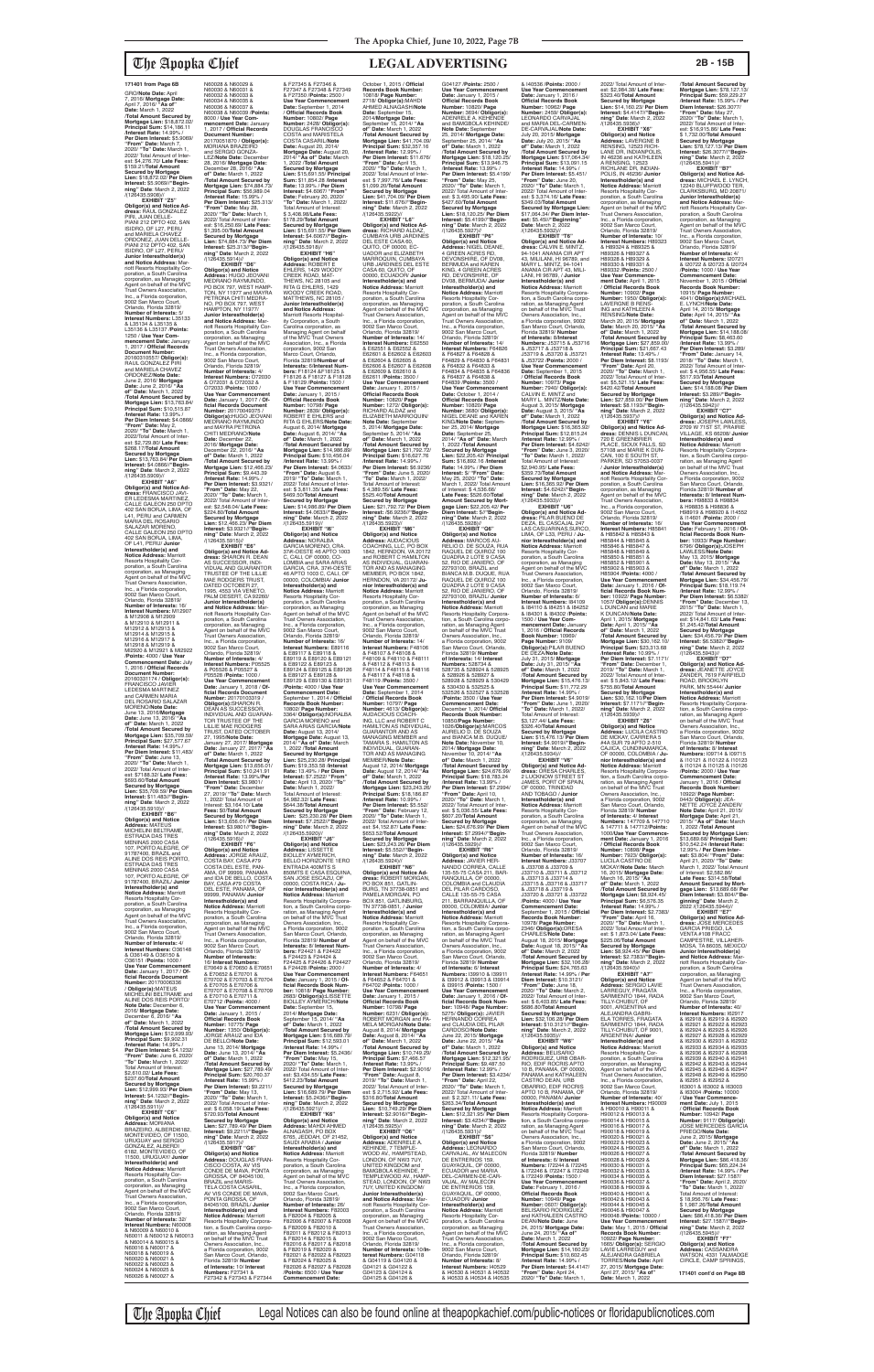**EXHIBIT "Z5" Obligor(s) and Notice Ad-dress:** RAUL GONZALEZ PIRI, JUAN DELLE-<br>PIANI 212 DPTO 402, SAN PIANI 212 DPTO 402, SAN ISIDRO, OF L27, PERU and MARIELA CHAVEZ ORDONEZ, JUAN DELLE-PIANI 212 DPTO 402, SAN ISIDRO, OF L27, PERU/ **Junior Interestholder(s)**  and Notice Address: M riott Resorts Hospitality Corporation, a South Carolina corporation, as Managing Agent on behalf of the MVC Trust Owners Association, Inc., a Florida corporation, 9002 San Marco Court, Orlando, Florida 32819/ **Number of Interests:** 5/ **Interest Numbers:** L35133 & L35134 & L35135 & L35136 & L35137 /**Points:** 1250 / **Use Year Commencement Date:** January 1, 2017 / **Official Records Document Number:** 20160310557/ **Obligor(s):** RAUL GONZALEZ PIRI and MARIELA CHAVEZ ORDONEZ/**Note Date:** June 2, 2016/ **Mortgage Date:** June 2, 2016/ **"As of" Date:** March 1, 2022 /**Total Amount Secured by Mortgage Lien:** \$13,763.84/ **Principal Sum:** \$10,515.87 /**Interest Rate:** 13.99% / **Per Diem Interest:** \$4.0866/ **"From" Date:** May 2, 2020/ **"To" Date:** March 1, 2022/Total Amount of Inter-est: \$2,729.80/ **Late Fees:** \$268.17/**Total Amount Secured by Mortgage Lien:** \$13,763.84/ **Per Diem Interest:** \$4.0866//**"Begin-ning" Date**: March 2, 2022 /(126435.5909)// **EXHIBIT "A6"**

\$693.60/**Total Amount Secured by Mortgage Lien:** \$35,709.59/ **Per Diem Interest:** \$11.483//**"Beginning" Date**: March 2, 2022 /(126435.5910)// **EXHIBIT "B6"**

**Obligor(s) and Notice Address:** MATEUS MICHELINI BELTRAME, ESTRADA DAS TRES MENINAS 2000 CASA 107, PORTO ALEGRE, OF 91787400, BRAZIL and ALINE DOS REIS PORTO,<br>ESTRADA DAS TRES MENINAS 2000 CASA 107, PORTO ALEGRE, OF 91787400, BRAZIL/ **Junior Interestholder(s) and Notice Address:** Marriott<br>Resorts Hospitality Cor-<br>poration, a South Carolina corporation, as Managing Agent on behalf of the MVC Trust Owners Association, Inc., a Florida corporation, 9002 San Marco Court, Orlando, Florida 32819/ **Number of Interests:** 4/ **Interest Numbers:** O36148 & O36149 & O36150 & O36151 /**Points:** 1000 / **Use Year Commencement Date:** January 1, 2017 / **Official Records Document Number:** 20170006336 / **Obligor(s):**MATEUS MICHELINI BELTRAME and ALINE DOS REIS PORTO/ **Note Date:** December 6, 2016/ **Mortgage Date:** December 6, 2016/ **"As of" Date:** March 1, 2022 /**Total Amount Secured by Mortgage Lien:** \$12,999.93/ **Principal Sum:** \$9,902.31 /**Interest Rate:** 14.99% / **Per Diem Interest:** \$4.1232/ **"From" Date:** June 6, 2020/ **"To" Date:** March 1, 2022/ Total Amount of Interest: \$2,610.02/ **Late Fees:** \$237.60/**Total Amount Secured by Mortgage Lien:** \$12,999.93/ **Per Diem Interest:** \$4.1232//**"Begin-ning" Date**: March 2, 2022 /(126435.5911)// **EXHIBIT "C6" Obligor(s) and Notice Address:** MORIANA BRAZEIRO, ALBERDI6182, MONTEVIDEO, OF 11500, URUGUAY and SERGIO GONZALEZ, ALBERDI 6182, MONTEVIDEO, OF 11500, URUGUAY/ **Junior Interestholder(s) and Notice Address:** Marriott Resorts Hospitality Corporation, a South Carolina corporation, as Managing Agent on behalf of the MVC Trust Owners Association, Inc., a Florida corporation, 9002 San Marco Court, Orlando, Florida 32819/ **Number of Interests:** 32/ **Interest Numbers:** N60008 & N60009 & N60010 & N60011 & N60012 & N60013 & N60014 & N60015 & N60016 & N60017 & N60018 & N60019 &

**Obligor(s) and Notice Ad-dress:** FRANCISCO JAVI-ER LEDESMA MARTINEZ CALLE GALEON 250 DPTO 402 SAN BORJA, LIMA, OF L41, PERU and CARMEN MARIA DEL ROSARIO<br>SALAZAR MORENO, CALLE GALEON 250 DPTO 402 SAN BORJA, LIMA, OF L41, PERU/ **Junior Interestholder(s) and Notice Address:** Marriott<br>Resorts Hospitality Cor-<br>poration, a South Carolina corporation, as Managing Agent on behalf of the MVC Trust Owners Association, Inc., a Florida corporation, 9002 San Marco Court, Orlando, Florida 32819/ **Number of Interests:** 16/ **Interest Numbers:** M12907 & M12908 & M12909 & M12910 & M12911 & M12912 & M12913 & M12914 & M12915 & M12916 & M12917 & M12918 & M12919 & Ml2920 & M12921 & Ml2922 /**Points:** 4000 / **Use Year Commencement Date:** July 1, 2016 / **Official Records Document Number:** 20160331174 / **Obligor(s):** FRANCISCO JAVIER LEDESMA MARTINEZ<br>and CARMEN MARIA and CARMEN MARIA<br>DEL ROSARIO SALAZAR MORENO/**Note Date:** June 13, 2016/**Mortgage Date:** June 13, 2016/ **"As of" Date:** March 1, 2022 /**Total Amount Secured by Mortgage Lien:** \$35,709.59/ **Principal Sum:** \$27,577.67 /**Interest Rate:** 14.99% / **Per Diem Interest:** \$11,483/ **"From" Date:** June 13, 2020/ **"To" Date:** March 1, 2022/ Total Amount of Interest: \$7188.32/ **Late Fees:** MAE RODGERS TRUST,<br>DATED OCTOBER 27, 1995, 4553 VIA VENETO, PALM DESERT, CA 92260/ **Junior Interestholder(s) and Notice Address:** M riott Resorts Hospitality Corporation, a South Carolina corporation, as Managing Agent on behalf of the MVC Trust Owners Association, Inc., a Florida corporation, 9002 San Marco Court, Orlando, Florida 32819/ **Number of Interests:** 4/ **Interest Numbers:** P05525 & P05526 & P05527 & **Use Year Commencement Date:** January 1, 2018 / **Of-ficial Records Document**  TOR TRUSTEE OF THE /**Total Amount Secured by** 

N60020 & N60021 & N60022 & N60023 & N60024 & N60025 & N60026 & N60027 &

The Apopka Chief Legal Notices can also be found online at theapopkachief.com/public-notices or floridapublicnotices.com

N60028 & N60029 & N60030 & N60031 & N60032 & N60033 & N60034 & N60035 & N60036 & N60037 & N60038 & N60039 /**Points:** 8000 / **Use Year Commencement Date: January**<br>2017 / Official Records 1, 2017 / **Official Records Document Number:** 20170051870 / **Obligor(s):** MORIANA BRAZEIRO and SERGIO GONZA-<br>LEZ/Note Date: December<br>28, 2016/ Mortgage Date:<br>December 28, 2016/ "As<br>of" Date: March 1, 2022<br>Mortgage Lien: \$74,884.73/<br>Mortgage Lien: \$74,884.73/<br>Principal Sum: \$56,989.04 /**Interest Rate:** 15.99% / **Per Diem Interest:** \$25.313/ **"From" Date:** May 28, 2020/ **"To" Date:** March 1, 2022/ Total Amount of Inter est: \$16,250.69/ **Late Fees:** \$1,395.00/**Total Amount Secured by Mortgage Lien:** \$74,884.73/ **Per Diem Interest:** \$25.313//**"Begin-ning" Date**: March 2, 2022  $/(126435.5914)/\frac{1}{2}$ FXHIRIT "D6" **EXHIBIT "D6" Obligor(s) and Notice Address:** HUGO JEOVANI MEDRANO RAYMUNDO, PO BOX 797, WEST HAMP-TON, NY 11977 and MAYRA PETRONA CHITI MEDRA-NO, PO BOX 797, WEST HAMPTON, NY 11977/ **Junior Interestholder(s) and Notice Address:** Mar-<br>poration, a South Carolina<br>poration, as Managing<br>Agent on behalf of the MVC<br>Trust Owners Association, Inc., a Florida corporation, 9002 San Marco Court, Orlando, Florida 32819/ **Number of Interests:** 4/ **Interest Numbers:** O72030 & O72031 & O72032 & O72033 /**Points:** 1000 / **Use Year Commencement Date:** January 1, 2017 / **Of-ficial Records Document Number:** 20170049375 / **Obligor(s):**HUGO JEOVANI MEDRANO RAYMUNDO and MAYRA PETRONA CHITI MEDRANO/**Note Date:** December 22, 2016/ **Mortgage Date:** December 22, 2016/ **"As of" Date:** March 1, 2022 /**Total Amount Secured by Mortgage Lien:** \$12,466.23/ **Principal Sum:** \$9,443.39 /**Interest Rate:** 14.99% / **Per Diem Interest:** \$3.9321/ **"From" Date:** May 22, 2020/ **"To" Date:** March 1, 2022/ Total Amount of Interest: \$2,548.04/ **Late Fees:** \$224.80/**Total Amount Secured by Mortgage Lien:** \$12,466.23/ **Per Diem Interest: \$3.9321//"Begin-<br><b>ning" Date**: March 2, 2022<br>/(126435.5915)//<br>**EXHIBIT "E6" Obligor(s) and Notice Address:** SHARON R. DEAN AS SUCCESSOR, INDI-VIDUAL AND GUARANTOR TRUSTEE OF THE LILLIE

P05528 /**Points:** 1000 /

**Mortgage Lien:** \$13,656.01/ **Principal Sum:** \$10,241.91 /**Interest Rate:** 13.99%/**Per Diem Interest:** \$3.9801/ "From" Date: Decembe 27, 2019/ **"To" Date:** March  $2022$ / Total Amount of Interest: \$3,164.10/ **Late Fees:** \$0/**Total Amount Secured by Mortgage Lien:** \$13,656.01/ **Per Diem Interest:** \$3.9801//**"Begin-ning" Date**: March 2, 2022 /(126435.5916)// **EXHIBIT "F6" Obligor(s) and Notice Address:** JORGE ARAUZ, COSTA BAY, CASA #79 COSTA DEL ESTE, PAN-AMA, OF 99999, PANAMA and IDA DE BELLO, COSTA BAY, CASA #79 COSTA DEL ESTE, PANAMA, OF 99999, PANAMA/ **Junior Interestholder(s) and<br><b>Notice Address:** Marriott<br>Resorts Hospitality Corporation, a South Carolina corporation, as Managing Agent on behalf of the MVC Trust Owners Association, Inc., a Florida corporation, 9002 San Marco Court, Orlando, Florida 32819/ **Number of Interests:** 16/ **Interest Numbers:** E70649 & E70650 & E70651 & E70652 & E70701 & E70702 & E70703 & E70704 & E70705 & E70706 & E70707 & E70708 & E70709 & E70710 & E70711 & E70712 /**Points:** 4000 / **Use Year Commencement**  Date: January 1, 2015 **Official Records Book Number:** 10775/ **Page Number:** 1350/ **Obligor(s):** JORGE ARAUZ and IDA DE BELLO/**Note Date:** June 13, 2014/ **Mortgage Date:** June 13, 2014/ **"As of" Date:** March 1, 2022 /**Total Amount Secured by Mortgage Lien:** \$27,789.49/ **Principal Sum:** \$20,760.37 /**Interest Rate:** 15.99% / **Per Diem Interest:** \$9.2211/ **"From" Date:** May 13, 2020/ **"To" Date:** March 1, 2022/ Total Amount of Inter-est: \$ 6,058.19/ **Late Fees:** \$720.93/**Total Amount Secured by Mortgage Lien:** \$27,789.49/ **Per Diem Interest:** \$9,2211//**"Begin-ning" Date**: March 2, 2022 /(126435.5917)// **EXHIBIT "G6" Obligor(s) and Notice Address:** DOUGLAS FRAN-CISCO COSTA, AV VIS CONDE DE MAVA, PONTA GROSSA, OF 84045100, BRAZIL and MARIS TELA COSTA CASARIL, AV VIS CONDE DE MAVA, PONTA GROSSA, OF 84045100, BRAZIL/ **Junior Interestholder(s) and Notice Address:** Marriott Resorts Hospitality Corpora-tion, a South Carolina corporation, as Managing Agent<br>on behalf of the MVC Trust<br>Owners Association, Inc.,<br>a Florida corporation, 9002 San Marco Court, Orlando, Florida 32819/ **Number of Interests:** 10/ **Interest Numbers:** F27341 & F27342 & F27343 & F27344

**Number:** 20170103319 /<br>**Obligor(s):**SHARON R.<br>DEAN AS SUCCESSOR,<br>INDIVIDUAL AND GUARAN-LILLIE MAE RODGERS TRUST, DATED OCTOBER 27, 1995/**Note Date:** January 27, 2017/ **Mortgage Date:** January 27, 2017/ **"As of" Date:** March 1, 2022 DOUGLAS FRANCISCO COSTA and MARISTELA COSTA CASARIL/**Note Date:** August 20, 2014/ **Mortgage Date:** August 20, 2014/ **"As of" Date:** March 1, 2022 /**Total Amount Secured by Mortgage Lien:** \$15,691.55/ **Principal Sum:** \$11,854.28 /**Interest Rate:** 13.99% / **Per Diem Interest:** \$4.6067/ **"From" Date:** February 20, 2020/ **"To" Date:** March 1, 2022/ Total Amount of Interest: \$ 3,408.98/**Late Fees:** \$178.29/**Total Amount Secured by Mortgage Lien:** \$15,691.55/ **Per Diem Interest:** \$4.6067//"**Begin-<br><b>ning" Date**: March 2, 2022<br>/(126435.5918)// **EXHIBIT "H6" Obligor(s) and Notice Address:** ROBERT E<br>EHLERS, 1429 WOODY<br>CREEK ROAD, MAT-THEWS, NC  $28105$  and RITA G EHLERS, 1429 WOODY CREEK ROAD,<br>MATTHEWS, NC 28105 / **Junior Interestholder(s) and Notice Address:** Marriott Resorts Hospitality Corporation, a South Carolina corporation, as Managing Agent on behalf of the MVC Trust Owners Association, Inc., a Florida corporation, 9002 San Marco Court, Orlando, Florida 32819/**Number of Interests:** 6/**Interest Numbers:** F18124 &F18125 & F18126 & F18127 & F18128 & F18129 /**Points:** 1500 / Use Year Commencement<br> **Date:** January 1, 2015 /<br> **Official Records Book**<br> **Number:** 10798/ **Page<br>
RUBERT E EHLERS and<br>
RITA G EHLERS/<b>Note Date:**<br>
RITA G EHLERS/**Note Date:** August 6, 2014/ **Mortgage Date:** August 6, 2014/ **"As of" Date:** March 1, 2022 /**Total Amount Secured by Mortgage Lien:** \$14,986.89/ Principal Sum: \$10,456.04<br>/Interest Rate: 13.99%/<br>Per Diem Interest: \$4.0633/<br>"From" Date: August 6,<br>2022/ Total Amout of Inter-<br>2022/ Total Amout of Inter-<br>est: \$ 3,811.35/ Late Fees: \$469.50/**Total Amount Secured by Mortgage Lien:** \$14,986.89/ **Per Diem Interest:** \$4.0633//**"Begin-ning" Date**: March 2, 2022 /(126435.5919)/<br>"EXHIBIT "I6" **EXHIBIT "I6"<br><b>Address:** NORALBA<br>**Address:** NORALBA<br>GARCIA MORENO, CRA.<br>37#l-OESTE 46 APTO 1003<br>C, CALI, OF 00000, CO-LOMBIA and SARA ARIAS GARCIA, CRA. 37#l-OESTE 46 APTO 1003 C, CALI, OF 00000, COLOMBIA/ **Junior Interestholder(s) and Notice Address:** Marriott Resorts Hospitality Cor-<br>poration, a South Carolina poration, a South Carolina corporation, as Managing Agent on behalf of the MVC Trust Owners Association, Inc., a Florida corporation, 9002 San Marco Court,<br>Orlando, Florida 32819/<br>**Number of Interests:** 16/ **Interest Numbers:** E89116 & E89117 & E89118 & E89119 & E89120 & E89121 & E89122 & E89123 & E89124 & E89125 & E89126 & E89127 & E89128 & E89129 & E89130 & E89131 /**Points:** 4000 / **Use Year Commencement Date:** September 1, 2014 / **Official Records Book Number:<br>10802/ <b>Page Number:**<br>3364/ **Obligor(s):**NORALBA<br>GARCIA MORENO and SARA ARIAS GARCIA/**Note Date:** August 13, 2014/ **Mortgage Date:** August 13, 2014/ **"As of" Date:** March 1, 2022 /**Total Amount Secured by Mortgage Lien:** \$25,230.28/ **Principal Sum:** \$19,353.58 /**Interest Rate:** 13.49% / **Per Diem Interest:** \$7.2522/ **"From" Date:** April 13, 2020/ **"To" Date:** March 1, 2022/ Total Amount of Interest: \$4,982.32/ **Late Fees:** \$644.38/**Total Amount Secured by Mortgage Lien:** \$25,230.28/ **Per Diem Interest:** \$7.2522//**"Begin-ning" Date**: March 2, 2022 /(126435.5920)// **EXHIBIT "J6" Obligor(s) and Notice Address:** LISSETTE BIOLLEY AYMERICH, BELLO HORIZONTE 1ERO ENTRADA 400MTS S 850MTS E CASA ESQUINA, SAN JOSE ESCAZU, OF 00000, COSTA RICA / **Junior Interestholder(s) and Notice Address:** Marriott Resorts Hospitality Corpora-tion, a South Carolina corporation, as Managing Agent<br>on behalf of the MVC Trust Owners Association, Inc., a Florida corporation, 9002 San Marco Court, Orlando<br>Elorido 32810/Number of Florida 32819/ **Number of Interests:** 8/ **Interest Numbers:** F24421 & F24422 & F24423 & F24424 & F24425 & F24426 & F24427 & F24428 /**Points:** 2000 / **Use Year Commencement Date:** January 1, 2015 / **Of-ficial Records Book Num-ber:** 10818/ **Page Number:** 2683/ **Obligor(s):**LISSETTE BIOLLEY AYMERICH/**Note**<br> **Date:** Sentember 15 **Date:** September 15, 2014/ **Mortgage Date:** September 15, 2014/ **"As of" Date:** March 1, 2022 /**Total Amount Secured by Mortgage Lien:** \$16,689.79/ **Principal Sum:** \$12,593.01 /**Interest Rate:** 14.99% / **Per Diem Interest:** \$5.2436/ **"From" Date:** May 15, 2020/ **"To" Date:** March 1, 2022/ Total Amount of Inter-est: \$3,434.55/ **Late Fees:** \$412.23/**Total Amount Secured by Mortgage Lien:** \$16,689.79/ **Per Diem Interest:** \$5.2436//**"Beginning" Date**: March 2, 2022 /(126435.5921)// **EXHIBIT "K6" Obligor(s) and Notice Address:** MAHDI AHMED ALNAGASH, PO BOX 6765, JEDDAH, OF 21452, SAUDI ARABIA / **Junior Interestholder(s) and Notice Address:** Marriott Resorts Hospitality Corporation, a South Carolina corporation, as Managing Agent on behalf of the MVC Trust Owners Association, Inc., a Florida corporation, 9002 San Marco Court, Orlando, Florida 32819/<br>Number of Interests: 26 **Number of Interests:** 26/ **Interest Numbers:** F82003 & F82004 & F82005 & F82006 & F82007 & F82008 & F82009 & F82010 & F82011 & F82012 & F82013 & F82014 & F82015 & F82016 & F82017 & F82018 & F82019 & F82020 & F82021 & F82022 & F82023 & F82024 & F82025 & F82026 & F82027 & F82028 /**Points:** 6500 / **Use Year Commencement Date: Mortgage Lien:** \$41,704.09/ **Principal Sum:** \$32,357.16 /**Interest Rate:** 12.99% / **Per Diem Interest:** \$11.676/ **"From" Date:** April 15, 2020/ **"To" Date:** March 1, 2022/ Total Amount of Inter-est: \$ 7,997.76/ **Late Fees:** \$1,099.20/**Total Amount Secured by Mortgage Lien:** \$41,704.09/ **Per Diem Interest:** \$11.676//**"Begin-ning" Date**: March 2, 2022 /(126435.5922)// **EXHIBIT "L6" Obligor(s) and Notice Ad-<br><b>dress:** RICHARD ALDAZ,<br>CUMBAYA URB JARDINES<br>DEL ESTE CASA 60,<br>QUITO, OF 00000, EC-UADOR and ELIZABETH MARROQUIN, CUMBAYA URB JARDINES DEL ESTE CASA 60, QUITO, OF 00000, ECUADOR/ **Junior Interestholder(s) and Notice Address:** Marriott<br>Resorts Hospitality Cor-<br>poration, a South Carolina<br>corporation, as Managing<br>Agent on behalf of the MVC<br>Trust Owners Association, Inc., a Florida corporation, 9002 San Marco Court, Orlando, Florida 32819/ **Number of Interests:** 14/ **Interest Numbers:** E62550 & E62551 & E62552 & E62601 & E62602 & E62603 & E62604 & E62605 & E62606 & E62607 & E62608 & E62609 & E62610 & E62611 /**Points:** 3500 / Use Year Commencement<br>Date: January 1, 2015 /<br>Official Records Book<br>Number: 10820/ Page<br>Number: 1272/ Obligor(s):<br>RICHARD ALDAZ and<br>ELIZABETH MARROQUIN/<br>ELIZABETH MARROQUIN/ **Note Date:** September 5, 2014/ **Mortgage Date:** September 5, 2014/ **"As of" Date:** March 1, 2022 /**Total Amount Secured by Mortgage Lien:** \$21,792.72/ **Principal Sum:** \$16,627.76 /**Interest Rate:** 14.99% / **Per Diem Interest:** \$6.9236/ **"From" Date:** June 5, 2020/ **"To" Date:** March 1, 2022/ Total Amount of Interest: \$ 4,389.56/ **Late Fees:** \$525.40/**Total Amount Secured by Mortgage Lien:** \$21,792.72/ **Per Diem Interest:** /\$6.9236//**"Begin-ning" Date**: March 2, 2022 /(126435.5923)//<br>"**ЕХНІВІТ "М6 EXHIBIT "M6" Obligor(s) and Notice Address:** AUDACIOUS COACHING, LLC, PO BOX 1842, HERNDON, VA 20172 and ROBERT C HAMILTON AS INDIVIDUAL, GUARAN-TOR AND AS MANAGING MEMBER, PO BOX 1842, HERNDON, VA 20172/ **Ju-nior Interestholder(s) and Notice Address:** Marriott<br>Resorts Hospitality Cor-<br>poration, a South Carolina<br>corporation, as Managing<br>Agent on behalf of the MVC<br>Trust Owners Association, Inc., a Florida corporation, 9002 San Marco Court, Orlando, Florida 32819/ **Number of Interests:** 14/ **Interest Numbers:** F48106<br>& F48107 & F48108 &<br>F48109 & F48110 & F48111 & F48112 & F48113 & F48114 & F48115 & F48116 & F48117 & F48118 & F48119 /**Points:** 3500 / **Use Year Commencement Date:** September 1, 2014 / **Official Records Book Number:** 10797/ **Page Number:** 4613/ **Obligor(s):** AUDACIOUS COACH-ING, LLC and ROBERT C HAMILTON AS INDIVIDUAL,<br>GUARANTOR AND AS<br>MANAGING MEMBER and<br>TAMARA S. HAMILTON AS<br>INDIVIDUAL, GUARAN-<br>TOR AND AS MANAGING MEMBER/**Note Date:** August 12, 2014/ **Mortgage Date:** August 12, 2014/ **"As of" Date:** March 1, 2022 /**Total Amount Secured by Mortgage Lien:** \$23,243.26/ **Principal Sum:** \$18,186.87 /**Interest Rate:** 10.99% / **Per Diem Interest:** \$5.552/ **"From" Date:** February 12, 2020/ **"To" Date:** March 1, 2022/ Total Amount of Interest: \$4,152.87/ **Late Fees:** \$653.52/**Total Amount Secured by Mortgage Lien:** \$23,243.26/ **Per Diem Interest:** \$5.552//**"Begin-ning" Date**: March 2, 2022 /(126435.5924)// **EXHIBIT "N6" Obligor(s) and Notice Ad-dress:** ROBERT MORGAN, PO BOX 851, GATLIN-BURG, TN 37738-0851 and PAMELA MORGAN, PO BOX 851, GATLINBURG, TN 37738-0851, / **Junior Interestholder(s) and Notice Address:** Marriott Resorts Hospitality Cor-<br>poration, a South Carolina poration, a South Carolina corporation, as Managing Agent on behalf of the MVC Trust Owners Association, Inc., a Florida corporation, 9002 San Marco Court, Orlando, Florida 32819/ **Number of Interests:** 4/ **Interest Numbers:** F64651 & F64652 & F64701 & F64702 /**Points:** 1000 / **Use Year Commencement Date:** January 1, 2015 / **Official Records Book Number:** 10798/ **Page Number:** 6231/ **Obligor(s):** ROBERT MORGAN and PA-MELA MORGAN/**Note Date:** August 8, 2014/ **Mortgage Date:** August 8, 2014/ **"As of" Date:** March 1, 2022 /**Total Amount Secured by Mortgage Lien:** \$10,749.29/ **Principal Sum:** \$7,466.57 /**Interest Rate:** 13.99% / **Per Diem Interest:** \$2.9016/ **"From" Date:** August 8, 2019/ **"To" Date:** March 1, 2022/ Total Amount of Inter-est: \$ 2,715.92/ **Late Fees:** \$316.80/**Total Amount Secured by Mortgage Lien:** \$10,749.29/ **Per Diem Interest:** \$2.9016//**"Beginning" Date**: March 2, 2022 /(126435.5925)// **EXHIBIT "O6"<br><b>Obligor(s) and Notice**<br>**Addres**s: ADENRELE A.<br>KEHINDE, 7 TEMPLE-<br>WOOD AV., HAMPSTEAD,<br>LONDON, OF NW3 7UY, UNITED KINGDOM and BAMGBOLA KEHINDE, 7 TEMPLEWOOD AV., HAMP-STEAD, LONDON, OF NW3 7UY, UNITED KINGDOM/ **Junior Interestholder(s) and Notice Address: Mar**riott Resorts Hospitality Cor-poration, a South Carolina corporation, as Managing Agent on behalf of the MVC Trust Owners Association, Inc., a Florida corporation, 9002 San Marco Court, Orlando, Florida 32819/ **Number of Interests:** 10/**Interest Numbers:** G04118 & G04119 & G04120 & G04121 & G04122 & G04123 & G04124 & G04125 & G04126 &

& F27345 & F27346 & F27347 & F27348 & F27349 & F27350 /**Points:** 2500 / Use Year Commencer **Date:** September 1, 2014 / **Official Records Book Number:** 10802/ **Page Number:** 2428/ **Obligor(s):**

October 1, 2015 / **Official Records Book Number:** 10818/ **Page Number:** 2718/ **Obligor(s):**MAHDI AHMED ALNAGASH/**Note** 

2022/ Total Amount of Inter est: \$2,984.38/ **Late Fees:** \$323.40/**Total Amount Secured by Mortgage Lien:** \$14,160.23/ **Per Diem Interest:** \$4.4147//**"Beginning" Date**: March 2, 2022 /(126435.5936)// **EXHIBIT "X6" Obligor(s) and Notice Address:** LAVERGNE B RENSING, 12523 RICH-LANE DR. INDIANPOLIS IN 46236 and KATHLEEN<br>A RENSING, 12523 A RENSING, 12523 RICHLANE DR, INDIAN-POLIS, IN 46236/ **Junior Interestholder(s) and Notice Address:** Marriott<br>Resorts Hospitality Cor-<br>poration, a South Carolina<br>corporation, as Managing<br>Agent on behalf of the MVC<br>Trust Owners Association, Inc., a Florida corporation, 9002 San Marco Court,<br>Orlando, Florida 32819/<br>**Number of Interests:** 10/ **Interest Numbers:** H89323 & H89324 & H89325 & H89326 & H89327 & H89328 & H89329 & H89330 & H89331 & H89332 /**Points:** 2500 / **Use Year Commence-ment Date:** April 1, 2015 / **Official Records Book Number:** 10902/ **Page Number:** 1950/ **Obligor(s):** LAVERGNE B RENS-ING and KATHLEEN A RENSING/**Note Date:** March 20, 2015/ **Mortgage Date:** March 20, 2015/ **"As of" Date:** March 1, 2022 /**Total Amount Secured by Mortgage Lien:** \$27,859.00/ **Principal Sum:** \$21,667.43 /**Interest Rate:** 13.49% / **Per Diem Interest:** \$8.1193/ **"From" Date:** April 20, 2020/ **"To" Date:** March 1, 2022/ Total Amount of Inter-est: \$5,521.15/ **Late Fees:** \$420.42/**Total Amount Secured by Mortgage Lien:** \$27,859.00/ **Per Diem Interest:** \$8.1193//**"Begin-ning" Date**: March 2, 2022 /(126435.5937)// **EXHIBIT "Y6" Obligor(s) and Notice Ad-dress:** DENNIS L DUNCAN, 720 E GREENBRIER PLACE, SIOUX FALLS, SD 57108 and MARIE K DUN-CAN, 100 E SOUTH ST, PARKER, SD 57053-0037 / **Junior Interestholder(s) and Notice Address:** Marriott Resorts Hospitality Corporation, a South Carolina

corporation, as Managing<br>Agent on behalf of the MVC<br>Trust Owners Association,<br>Inc., a Florida corporation, 9002 San Marco Court, Orlando, Florida 32819/ **Number of Interests:** 16/ **Interest Numbers:** H85841 & H85842 & H85843 & H85844 & H85845 & H85846 & H85847 & H85848 & H85849 & H85850 & H85851 & H85852 & H85901 & H85902 & H85903 & H85904 /**Points:** 4000 / **Use Year Commencement Date:** January 1, 2016 / **Of-ficial Records Book Number:** 10922/ **Page Number:**<br>1057**/ Obligor(s):**DENNIS<br>L DUNCAN/**Note Date:**<br>K DUNCAN/**Note Date:**<br>April 1, 2015/ **Mortgage**<br>**Date:** April 1, 2015/ **"As of" Date:** March 1, 2022 /**Total Amount Secured by Mortgage Lien:** \$30,162.10/ **Principal Sum:** \$23,313.68 /**Interest Rate:** 10.99% / **Per Diem Interest:** \$7.1171/ **"From" Date:** December 1, 2019/ **"To" Date:** March 1, 2022/ Total Amount of Inter-est: \$ 5,843.12/ **Late Fees:** \$755.80/**Total Amount Secured by Mortgage Lien:** \$30,162.10/**Per Diem Interest:** \$7.1171//**"Begin-ning" Date**: March 2, 2022 /(126435.5939)// **EXHIBIT "Z6"**

**Obligor(s) and Notice<br><b>Address:** LUCILA CASTRO<br>DE MCKAY, CARRERA 5 #4A SUR 79 APTO 2-510 CAJICA, CUNDINAMARCA, OF 00000, COLOMBIA / **Junior Interestholder(s) and Notice Address:** Marriott<br>Resorts Hospitality Corporation, a South Carolina corporation, as Managing Agent<br>on behalf of the MVC Trust Owners Association, Inc., a Florida corporation, 9002 San Marco Court, Orlando, Florida 32819/ **Number of Interests:** 4/ **Interest Numbers:** 147709 & 147710 & 147711 & 147712/**Points:** 1000/**Use Year Commence-ment Date:** January 1, 2016 / **Official Records Book Number:** 10898/ **Page Number:** 7923/ **Obligor(s):** LUCILA CASTRO DE<br>MCKAY/**Note Date:** March MCKAY/**Note Date:** March 16, 2015/ **Mortgage Date:** March 16, 2015/ **"As of" Date:** March 1, 2022 /**Total Amount Secured by Mortgage Lien: \$8,924.45/<br><b>Principal Sum: \$**6,576.35<br>/Interest Rate: 14.99% / **Per Diem Interest:** \$2.7383/ **"From" Date:** April 16, 2020/ **"To" Date:** March 1, 2022/ Total Amount of Inter est: \$ 1,873.04/ **Late Fees:** \$225.06/**Total Amount Secured by Mortgage Lien:** \$8,924.45/ **Per Diem Interest:** \$2.7383//**"Beginning" Date**: March 2, 2022 /(126435.5940)// **EXHIBIT "A7" Obligor(s) and Notice Address:** SERGIO LAVIE LARREGUY, FRAGATA SARMIENTO 1844, RADA TILLY-CHUBUT, OF 9001, ARGENTINA and ALEJANDRA GABRI ELA TORRES, FRAGATA SARMIENTO 1844, RADA TILLY-CHUBUT, OF 9001, ARGENTINA/ **Junior Interestholder(s) and Notice Address:** Marriott Resorts Hospitality Cor-poration, a South Carolina corporation, as Managing Agent on behalf of the MVC Trust Owners Association, Inc., a Florida corporation, 9002 San Marco Court, Orlando, Florida 32819/ **Number of Interests:** 40/ **Interest Numbers:** H90009 & H90010 & H90011 & H90012 & H90013 & H90014 & H90015 & H90016 & H90017 & H90018 & H90019 & H90020 & H90021 & H90022 & H90023 & H90024 & H90025 & H90026 & H90027 & H90028 & H90029 & H90030 & H90031 & H90032 & H90033 & H90034 & H90035 & H90036 & H90037 & H90038 & H90039 & H90040 & H90041 & H90042 & H90043 & H90044 & H90045 & H90046 & H90047 & H90048 /**Points:** 10000 / **Use Year Commencement Date:** May 1, 2015 / **Official Records Book Number:** 10922/ **Page Number:** 1665/ **Obligor(s):** SERGIO LAVIE LARREGUY and ALEJANDRA GABRIELA TORRES/**Note Date:** April 27, 2015/ **Mortgage Date:** April 27, 2015/ **"As of" Date:** March 1, 2022 Owners Association, Inc., a Florida corporation, 9002 San Marco Court, Orlando, Florida 32819/ **Number**  & I10121 & I10122 & I10123 & I10124 & I10125 & I10126 /**Points:** 2000 / **Use Year Commencement** January 1, 2016 / **Official Records Book Number:** 10922/ **Page Number:** 0443/ **Obligor(s):** JEA-NETTE JOYCE ZANDER/ **Note Date:** April 21, 2015/ **Mortgage Date:** April 21, 2015/ **"As of" Date:** March 1, 2022 /**Total Amount**  \$10,542.24 /**Interest Rate:** 12.99% / **Per Diem Inter-est:** \$3.804/ **"From" Date:** April 21, 2020/ **"To" Date: Late Fees:** \$314.58/**Total Amount Secured by Mortginning" Date**: March 2,<br>2022 /(126435.5944)// **EXHIBIT "E7" Obligor(s) and Notice Ad-dress:** JOSE MERCEDES GARCIA PRIEGO, LA  $VENTA #108 FRAC$ **Junior Interestholder(s) and Notice Address:** Marriott Resorts Hospitality Cor-Trust Owners Association, Inc., a Florida corporation, 9002 San Marco Court, Orlando, Florida 32819/ **Number of Interests:** 40/ **Interest Numbers:** I62917 & I62924 & I62925 & I62926 & I62927 & I62928 & I62929 & I62930 & I62931 & I62932 & I62933 & I62934 & I62935 & I62936 & I62937 & I62938  $k$  162939 & 162940 & 16294 & I62942 & I62943 & I62944 & I62945 & I62946 & I62947 & I62948 & I62949 & I62950 & I62951 & I62952 & I63001 & I63002 & I63003 & I63004 /**Points:** 10000 / **Use Year Commencement Date:** July 1, 2015 / **Official Records Book Number:** 10942/ **Page**  PRIEGO/**Note Date:** June 2, 2015/ **Mortgage Date:** June 2, 2015/ **"As of" Date:** March 1, 2022 **"From" Date:** April 2, 2020/ **"To" Date:** March 1, 2022/ Total Amount of Interest: \$ 18,956.76/ **Late Fees:** ً⁄ //(126435.5945)/<br>"EXHIBIT "F7

**Date:** September 15, 2014/**Mortgage Date:** September 15, 2014/ **"As of" Date:** March 1, 2022 /**Total Amount Secured by**  ADENRELE A. KEHENDE and BAMGBOLA KEHINDE **Note Date:** September 25, 2014/ **Mortgage Date:** September 25, 2014/ **"As of" Date:** March 1, 2022 /**Total Amount Secured by Mortgage Lien:** \$18,120.25/ **Principal Sum:** \$13,946.75 /**Interest Rate:** 13.99% / **Per Diem Interest:** \$5.4199/ **"From" Date:** May 25, 2020/ **"To" Date:** March 1, 2022/ Total Amount of Inter-est: \$ 3,495.90/ **Late Fees:** \$427.60/**Total Amount Secured by Mortgage Lien:** \$18,120.25/ **Per Diem Interest:** \$5.4199//**"Begin-ning" Date**: March 2, 2022 /(126435.5927)// **EXHIBIT "P6" Obligor(s) and Notice Address:** NIGEL DEANE, 4 GREEN ACRES RD, DEVONSHIRE, OF DV08,<br>BERMUDA and KAREN BERMUDA and KAREN<br>KING, 4 GREEN ACRES<br>RD, DEVONSHIRE, OF<br>DV08, BERMUDA/ **Junior Interestholder(s) and Notice Address:** Marriott<br>Resorts Hospitality Cor-<br>poration, a South Carolina corporation, as Managing Agent on behalf of the MVC Trust Owners Association, Inc., a Florida corporation, 9002 San Marco Court, Orlando, Florida 32819/ **Number of Interests:** 14/ **Interest Numbers:** F64826 & F64827 & F64828 & F64829 & F64830 & F64831 & F64832 & F64833 & F64834 & F64835 & F64836 & F64837 & F64838 & F64839 /**Points:** 3500 / **Use Year Commencement Date:** October 1, 2014 / **Official Records Book Number:** 10820/ **Page Number:** 3680/ **Obligor(s):** NIGEL DEANE and KAREN KING/**Note Date:** September 25, 2014/ **Mortgage Date:** September 25, 2014/ **"As of" Date:** March 1, 2022 /**Total Amount Secured by Mortgage Lien:** \$22,205.42/ **Principal Sum:** \$16,892.16 /**Interest Rate:** 14.99% / **Per Diem Interest:** \$/ **"From" Date:** May 25, 2020/ **"To" Date:** March 1, 2022/ Total Amount of Interest: \$ 4,536.66/ **Late Fees:** \$526.60/**Total Amount Secured by Mort-gage Lien:** \$22,205.42/ **Per Diem Interest:** \$//**"Begin-ning" Date**: March 2, 2022 /(126435.5928)// **EXHIBIT "Q6" Obligor(s) and Notice<br><b>Address:** MARCOS AU-<br>RELIO D. DE SOUZA, RUA<br>RAQUEL DE QUIROZ 100 QUADRA 2 LOTE 9 CASA 52, RIO DE JANIERO, OF 22793100, BRAZIL and BIANCA M.B. DUQUE, RUA RAQUEL DE QUIROZ 100 QUADRA 2 LOTE 9 CASA 52, RIO DE JANIERO, OF 22793100, BRAZIL/ **Junior Interestholder(s) and Notice Address:** Marriott Resorts Hospitality Corpora-tion, a South Carolina corporation, as Managing Agent<br>on behalf of the MVC Trust<br>Owners Association, Inc.,<br>a Florida corporation, 9002 San Marco Court, Orlando, Florida 32819/ **Number of Interests:** 14/ **Interest<br>Numbers:** 528734 &<br>528735 & 528924 & 528925<br>& 528926 & 528929 & 530429<br>528928 & 528929 & 530429<br>& 530430 & 532525 & 532526 & 532527 & 532528 /**Points:** 3500 / **Use Year Commencement Date:** December 1, 2014/ **Official Records Book Number:** 10850/**Page Number:**<br>1026/**Obligor(s):**MARCOS<br>AURELIO D. DE SOUZA<br>and BIANCA M.B. DUQUE/ **Note Date:** November 10, 2014/ **Mortgage Date:** November 10, 2014/ **"As of" Date:** March 1, 2022 /**Total Amount Secured by Mortgage Lien:** \$24,676.99/ **Principal Sum:** \$18,783.24 /**Interest Rate:** 13.99% / **Per Diem Interest:** \$7.2994/ **"From" Date:** April 10, 2020/ **"To" Date:** March 1, 2022/ Total Amount of Interest: \$ 5,036.55/ **Late Fees:** \$607.20/**Total Amount Secured by Mortgage Lien:** \$24,676.99/ **Per Diem Interest:** \$7.2994//**"Begin-ning" Date**: March 2, 2022 /(126435.5929)// **EXHIBIT "R6" Obligor(s) and Notice Address:** JAVIER HER-NANDO CORREA, CALLE 135-55-75 CASA 211, BAR-RANQUILLA, OF 00000 COLOMBIA and CLAUDIA DEL PILAR CARDOSO, CALLE 135-55-75 CASA 211, BARRANQUILLA, OF 00000, COLOMBIA/ **Junior Interestholder(s) and Notice Address:** Marriott Resorts Hospitality Corporation, a South Carolina corporation, as Managing Agent on behalf of the MVC Trust Owners Association, Inc., a Florida corporation, 9002 San Marco Court, Orlando, Florida 32819/ **Number of Interests:** 6/ **Interest Numbers:** I39910 & I39911 & I39912 & I39913 & I39914 & I39915 /**Points:** 1500 / **Use Year Commencement Date:** January 1, 2016 / **Official Records Book Number:** 10948/ **Page Number:**<br>5275/ **Obligor(s):** JAVIER<br>HERNANDO CORREA<br>and CLAUDIA DEL PILAR CARDOSO/**Note Date:** June 22, 2015/ **Mortgage Date:** June 22, 2015/ **"As of" Date:** March 1, 2022 /**Total Amount Secured by Mortgage Lien:** \$12,321.95/ **Principal Sum:** \$9,487.50 /**Interest Rate:** 12.99% / **Per Diem Interest:** \$3.4234/ **"From" Date:** April 22, 2020/ **"To" Date:** March 1, 2022/ Total Amount of Interest: \$ 2,321.11/ **Late Fees:** \$263.34/**Total Amount Secured by Mortgage Lien:** \$12,321.95/ **Per Diem Interest:** \$3.4234//**"Begin-ning" Date**: March 2, 2022 /(126435.5931)// **EXHIBIT "S6" Obligor(s) and Notice<br><b>Address:** LEONARDO<br>CARVAJAL, AV MALECON<br>DE ENTRERIOS 159, GUAYAQUIL, OF 00000, ECUADOR and MARIA DEL-CARMEN-DE-CAR-VAJAL, AV MALECON DE ENTRERIOS 159, GUAYAQUIL, OF 00000, ECUADOR/ **Junior Interestholder(s) and<br><b>Notice Address:** Marriott<br>Resorts Hospitality Corporation, a South Carolina corporation, as Managing Agent on behalf of the MVC Trust Owners Association, Inc., a Florida corporation, 9002 San Marco Court, Orlando, Florida 32819/ **Number of Interests:** 8/ **Interest Numbers:** I40529

GRO/**Note Date:** April 7, 2016/ **Mortgage Date:** April 7, 2016/ **"As of" Date:** March 1, 2022 /**Total Amount Secured by Mortgage Lien:** \$18,872.02/ **Principal Sum:** \$14,186.11 /**Interest Rate:** 14.99% / **Per Diem Interest:** \$5.9069/ **"From" Date:** March 7, 2020/ **"To" Date:** March 1, 2022/ Total Amount of Interest: \$4,276.70/ **Late Fees:** \$159.21/**Total Amount Secured by Mortgage Lien:** \$18,872.02/ **Per Diem Interest:** \$5.9069//**"Begin-ning" Date**: March 2, 2022 /(126435.5908)// **171401 from Page 6B**

G04127 /**Points:** 2500 / **Use Year Commencement Date:** January 1, 2015 / **Official Records Book Number:** 10820/ **Page Number:** 3694/ **Obligor(s):** & I40536 /**Points:** 2000 / **Use Year Commencement Date:** January 1, 2016 / **Official Records Book Number:** 10962/ **Page Number:** 2459/ **Obligor(s):** LEONARDO CARVAJAL and MARIA DEL-CARMEN-DE-CARVAJAL/**Note Date:** July 20, 2015/ **Mortgage Date:** July 20, 2015/ **"As of" Date:** March 1, 2022 /**Total Amount Secured by Mortgage Lien:** \$17,064.34/ **Principal Sum:** \$13,091.15 /**Interest Rate:** 14.99% / **Per Diem Interest:** \$5.451/ **"From" Date:** June 20, 2020/ **"To" Date:** March 1, 2022/ Total Amount of Inter-est: \$ 3,374.16/ **Late Fees:** \$349.03/**Total Amount Secured by Mortgage Lien:**  \$17,064.34/ **Per Diem Interest:** \$5.45l//**"Beginning" Date**: March 2, 2022<br>/(126435.5932)// **EXHIBIT "T6" Obligor(s) and Notice Ad-dress:** CALVIN E. MINTZ, 94-1041 ANANIA CIR APT 43, MILILANI, HI 96789, and MARY L. MINTZ, 94-1041 ANANIA CIR APT 43, MILI-LANI, HI 96789, / **Junior Interestholder(s) and Notice Address:** Marriott<br>Resorts Hospitality Corpora-<br>tion, a South Carolina corporation, as Managing Agent on behalf of the MVC Trust Owners Association, Inc.,

& I40530 & I40531 & I40532 & I40533 & I40534 & I40535

a Florida corporation, 9002 San Marco Court, Orlando, Florida 32819/ **Number of Interests:** 8/**Interest Numbers:** J53715 & J53716 & J53717 & J53718 & J53719 & J53720 & J53721 & J53722 /**Points:** 2000 / **Use Year Commencement Date:** September 1, 2015 / **Official Records Book Number:** 10973/ **Page Number:** 7940/ **Obligor(s):** CALVIN E. MINTZ and MARY L. MINTZ/**Note Date:** August 3, 2015/ **Mortgage Date:** August 3, 2015/ **"As of" Date:** March 1, 2022 /**Total Amount Secured by Mortgage Lien:** \$16,365.92/ **Principal Sum:** \$12,815.24 /**Interest Rate:** 12.99% / Per Diem Interest: \$4.6242 **"From" Date:** June 3, 2020/ **"To" Date:** March 1, 2022/ Total Amount of Inter \$2,940.95/ **Late Fees:** \$359.73/**Total Amount Secured by Mortgage Lien:** \$16,365.92/ **Per Diem** 

**Interest:** \$4.6242//**"Begin-**

**ning" Date**: March 2, 2022 /(126435.5933)// **EXHIBIT "U6" Obligor(s) and Notice Ad-dress:** PILAR BUENO DE DEZA, EL CASCAJAL 247 LAS CASUARINAS, SURCO LIMA, OF L33, PERU / **Ju-nior Interestholder(s) and Notice Address:** Marriott Resorts Hospitality Cor-<br>poration, a South Carolina poration, a South Carolina corporation, as Managing Agent on behalf of the MVC Trust Owners Association, Inc., a Florida corporation, 9002 San Marco Court, Orlando, Florida 32819/ **Number of Interests:** 6/ **Interest Numbers:** I84109 & I84110 & I84251 & I84252 & I84301 & I84302 /**Points:** 1500 / **Use Year Commencement Date:** January 1, 2016 / **Official Records Book Number:** 10969/ **Page Number:** 9109/ **Obligor(s):**PILAR BUENO DE DEZA/**Note Date:** July 31, 2015/ **Mortgage Date:** July 31, 2015/ **"As of" Date:** March 1, 2022 /**Total Amount Secured by Mortgage Lien:** \$15,476.13/ **Principal Sum:** \$11,772.29 /**Interest Rate:** 14.99% /

**Per Diem Interest:** \$4.9019/ **"From" Date:** June 1, 2020/ **"To" Date:** March 1, 2022/ Total Amount of Interest: \$3,127.44/ **Late Fees:** \$326.40/**Total Amount Secured by Mortgage Lien:** \$15,476.13/ **Per Diem Interest:** \$4.9019//**"Begin-ning" Date**: March 2, 2022 /(126435.5934)// **EXHIBIT "V6" Obligor(s) and Notice Ad-<br>dress: ORESA CHARLES. dress:** ORESA CHARLES,<br>2 LUCKNOW STREET ST<br>JAMES, PORT OF SPAIN,<br>OF 00000, TRINIDAD AND TOBAGO / **Junior Interestholder(s) and<br><b>Notice Address:** Marriott<br>Resorts Hospitality Corporation, a South Carolina corporation, as Managing Agent on behalf of the MVC Trust Owners Association, Inc., a Florida corporation, 9002 San Marco Court, Orlando, Florida 32819/ **Number of Interests:** 16/ **Interest Numbers:** J33707 & J33708 & J33709 & J33710 & J33711 & J33712 & J33713 & J33714 & J33715 & J33716 & J33717 & J33718 & J33719 & J33720 & J33721 & J33722 /**Points:** 4000 / **Use Year Commencement Date:** September 1, 2015 / **Official Records Book Number:** 10978/ **Page Number:** 2346/ **Obligor(s):**ORESA CHARLES/**Note Date:** August 18, 2015/ **Mortgage Date:** August 18, 2015/ **"As of" Date:** March 2, 2022 /**Total Amount Secured by Mortgage Lien:** \$32,106.28/ **Principal Sum:** \$24,765.63 /**Interest Rate:** 14.99% / **Per Diem Interest:** \$10.3121/ **"From" Date:** June 18, 2020/ **"To" Date:** March 2, 2022/ Total Amount of Inter est: \$ 6,403.85/ **Late Fees:** \$686.80/**Total Amount Secured by Mortgage Lien:** \$32,106.28/ **Per Diem Interest:** \$10.3121//**"Begin-<br><b>ning" Date**: March 2, 2022<br>/(126435.5935)// **EXHIBIT "W6" Obligor(s) and Notice Address:** BELISARIO<br>RODRIGUEZ, URB OBAR-RIO, EDIF ROCRIS APTO<br>10 B, PANAMA, OF 00000,<br>PANAMA and KATHALEEN CASTRO DEAN, URB OBARRIO, EDIF ROCRIS<br>APTO 10 B, PANAMA, OF 00000, PANAMA/ **Junior Interestholder(s) and Notice Address:** Marriott Resorts Hospitality Corpora tion, a South Carolina corpo ration, as Managing Agent on behalf of the MVC Trust Owners Association, Inc., a Florida corporation, 9002 San Marco Court, Orlando, Florida 32819/ **Number of Interests:** 6/ **Interest Numbers:** I72244 & I72245 & I72246 & I72247 & I72248 & I72249 /**Points:** 1500 / **Use Year Commencement Date:** February 1, 2016 / **Official Records Book Number:** 10949/ **Page Number:** 0607/ **Obligor(s):** BELISARIO RODRIGUEZ and KATHALEEN CASTRO DEAN/**Note Date:** June 24, 2015/ **Mortgage Date:** June 24, 2015/ **"As of" Date:** March 1, 2022 /**Total Amount Secured by Mortgage Lien: \$14,160.23<br><b>Principal Sum: \$10,602.45 Principal Sum:** \$10,602.45 /**Interest Rate:** 14.99% / **Per Diem Interest:** \$4.4147/

**"From" Date:** April 24, 2020/ **"To" Date:** March 1,

/**Total Amount Secured by Mortgage Lien:** \$78,127.13/ **Principal Sum:** \$59,229.27 /**Interest Rate:** 15.99% / **Per Diem Interest:** \$26.3077/ **"From" Date:** May 27, 2020/ **"To" Date:** March 1, 2022/ Total Amount of Inte est: \$16,915.86/ **Late Fees:** \$ 1,732.00/**Total Amount Secured by Mortgage Lien:** \$78,127.13/ **Per Diem Interest:** \$26.3077//**"Begin-<br><b>ning" Date**: March 2, 2022<br>/(126435.5941)// **EXHIBIT "B7" Obligor(s) and Notice Ad-dress:** MICHAEL E. LYNCH, 12240 BLUFFWOOD TER, CLARKSBURG, MD 20871/ **Junior Interestholder(s) and Notice Address:** Marriott Resorts Hospitality Corporation, a South Carolina corporation, as Managing Agent on behalf of the MVC Trust Owners Association, Inc., a Florida corporation, 9002 San Marco Court, Orlando, Florida 32819/ **Number of Interests:** 4/ **Interest Numbers:** I20721 & I20722 & I20723 & I20724 /**Points:** 1000 / **Use Year Commencement Date:** November 1, 2015 / **Official Records Book Number:** 10915/ **Page Number:** 4041/ **Obligor(s):**MICHAEL E. LYNCH/**Note Date:** April 14, 2015/ **Mortgage Date:** April 14, 2015/ **"As of" Date:** March 1, 2022 /**Total Amount Secured by Mortgage Lien:** \$14,188.08/ **Principal Sum:** \$8,463.60 /**Interest Rate:** 13.99% / **Per Diem Interest:** \$3.289/ **"From" Date:** January 14,

2018/ **"To" Date:** March 1, 2022/ Total Amount of Interest: \$ 4,956.55/ **Late Fees:** \$517.93/**Total Amount Secured by Mortgage Lien:** \$14,188.08/ **Per Diem Interest:** \$3.289//**"Begin-ning" Date**: March 2, 2022 /(126435.5942)// **EXHIBIT "C7" Obligor(s) and Notice Ad-dress:** JOSEPH LAWLESS,

2709 W 71ST ST, PRAIRIE VILLAGE, KS 66208/ **Junior Interestholder(s) and Notice Address:** Marriott Resorts Hospitality Corpora-<br>tion, a South Carolina corpo tion, a South Carolina corpo-ration, as Managing Agent on behalf of the MVC Trust Owners Association, Inc., a Florida corporation, 9002 San Marco Court, Orlando, Florida 32819/ **Number of Interests:** 8/ **Interest Num-bers:** H98833 & H98834 & H98835 & H98836 & H98919 & H98920 & I14552 & I14601 /**Points:** 2000 / **Use Year Commencement Date:** February 1, 2016 / **Of-ficial Records Book Num-ber:** 10933/ **Page Number:** 6796/ **Obligor(s):**JOSEPH LAWLESS/**Note Date:** May 13, 2015/ **Mortgage Date:** May 13, 2015/ **"As of" Date:** March 1, 2022 /**Total Amount Secured by Mortgage Lien:** \$34,456.79/ **Principal Sum:** \$18,119.74 /**Interest Rate:** 12.99% / **Per Diem Interest:** \$6.5382/ **"From" Date:** December 13, 2015/ **"To" Date:** March 1, 2022/ Total Amount of Inter-est: \$14,841.63/ **Late Fees:** \$1,245.42/**Total Amount Secured by Mortgage Lien:** \$34,456.79/ **Per Diem Interest:** \$6.5382//"**Begin-<br><b>ning" Date**: March 2, 2022<br>/(126435.5943)// **EXHIBIT "D7" Obligor(s) and Notice Ad-dress:** JEANETTE JOYCE ZANDER, 7619 FAIRFIELD ROAD, BROOKLYN PARK, MN 55444/ **Junior** 

**Interestholder(s) and Notice Address:** Marriott<br>Resorts Hospitality Corpora-<br>tion, a South Carolina corporation, as Managing Agent<br>on behalf of the MVC Trust **of Interests:** 8/ **Interest Numbers:** I09714 & I09715 **Secured by Mortgage Lien:**  \$13,689.68/ **Principal Sum:** March 1, 2022/ Total Amount of Interest: \$2,582.86/ **gage Lien:** \$13,689.68/ **Per Diem Interest:** \$3.804//**"Be-**CAMPESTRE, VILLAHER-MOSA, TA 86035, MEXICO/ poration, a South Carolina corporation, as Managing Agent on behalf of the MVC & I62918 & I62919 & I62920 & I62921 & I62922 & I62923 **Number:** 9117/ **Obligor(s):** JOSE MERCEDES GARCIA /**Total Amount Secured by Mortgage Lien:** \$86,418.36/ **Principal Sum:** \$65,224.34 /**Interest Rate:** 14.99% / **Per Diem Interest:** \$27.1587/ \$ 1,987.26/**Total Amount Secured by Mortgage Lien:** \$86,418.36/ **Per Diem Interest:** \$27.1587//**"Begin-ning" Date**: March 2, 2022 **EXHIBIT "F7" Obligor(s) and Notice Address:** CASSANDRA WATSON, 4331 TALMADGE CIRCLE, CAMP SPRINGS,

**171401 cont'd on Page 8B**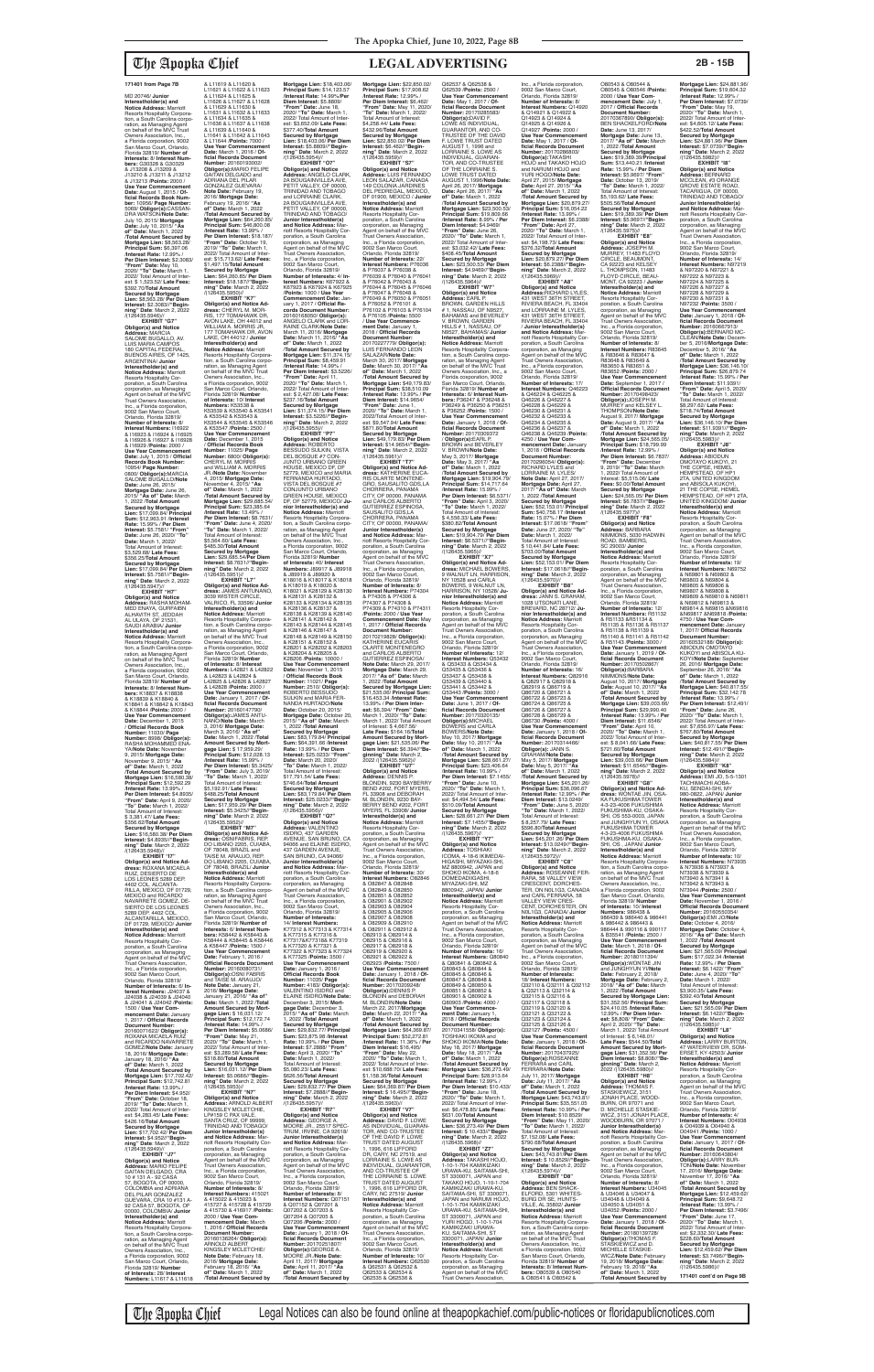MD 20746/ **Junior Interestholder(s) and Notice Address:** Marriott<br>Resorts Hospitality Corpora-<br>tion, a South Carolina corpo-<br>ration, as Managing Agent<br>on behalf of the MVC Trust<br>Owners Association, Inc., a Florida corporation, 9002 San Marco Court, Orlando, Florida 32819/ **Number of Interests:** 8/ **Interest Numbers:** G30328 & G30329 & J13208 & J13209 & J13210 & J13211 & J13212<br>8. J13213 /Points: 2000 /<br>Use Year Commencement<br>Date: August 1, 2015 / Of-<br>ficial Records Book Num-<br>ber: 10956/ Page Number:<br>5069/ Obligor(s):CASSAN-<br>DRA WATSON/Note Date: July 10, 2015/ **Mortgage Date:** July 10, 2015/ **"As of" Date:** March 1, 2022 /**Total Amount Secured by Mortgage Lien: \$8,563.28/<br><b>Principal Sum: \$**6,397.06<br>/**Interest Rate:** 12.99% / **Per Diem Interest:** \$2.3083/ **"From" Date:** May 10, 2020/ **"To" Date:** March 1, 2022/ Total Amount of Interest: \$ 1,523.52/ **Late Fees:** \$392.70/**Total Amount Secured by Mortgage Lien:** \$8,563.28/ **Per Diem Interest:** \$2.3083//**"Beginning" Date**: March 2, 2022 /(126435.5946)// **EXHIBIT "G7" Obligor(s) and Notice Address:** MARCIA SALOME BUGALLO, AV. LUIS MARIA CAMPOS 180 CAPITAL FEDERAL,<br>BUENOS AIRES, OF 1425, ARGENTINA/ **Junior Interestholder(s) and Notice Address:** Marriott Resorts Hospitality Corporation, a South Carolina

corporation, as Managing Agent on behalf of the MVC Trust Owners Association, Inc., a Florida corporation, 9002 San Marco Court, Orlando, Florida 32819/ **Number of Interests:** 8/ **Interest Numbers:** I16922 & I16923 & I16924 & I16925 & I16926 & I16927 & I16928 & I16929 /**Points:** 2000 / **Use Year Commencement Date:** July 1, 2015 / **Official Records Book Number:** 10954/ **Page Number:** 0800/ **Obligor(s):**MARCIA SALOME BUGALLO/**Note Date:** June 26, 2015/ **Mortgage Date:** June 26, 2015/ **"As of" Date:** March 1, 2022 /**Total Amount Secured by Mortgage Lien:** \$17,099.84/ **Principal Sum:** \$12,963.91 /**Interest Rate:** 15.99% / **Per Diem Interest:** \$5.7581/ **"From" Date:** June 26, 2020/ **"To" Date:** March 1, 2022/ Total Amount of Interest: \$3,529.68/ **Late Fees:** \$356.25/**Total Amount Secured by Mortgage Lien:** \$17,099.84/ **Per Diem Interest:** \$5.7581//**"Beginning" Date**: March 2, 2022

/(126435.5947)// **EXHIBIT "H7" Obligor(s) and Notice Address:** RASHA MOHAM-MED ENAYA, GURFAIBN ALHAVITH ST, JEDDAH AL ULAYA, OF 21531, SAUDI ARABIA/ **Junior Interestholder(s) and Notice Address:** Marriott Resorts Hospitality Corpora-<br>tion, a South Carolina corpo tion, a South Carolina corpo-ration, as Managing Agent on behalf of the MVC Trust Owners Association, Inc., a Florida corporation, 9002 San Marco Court, Orlando, Florida 32819/ **Number of Interests:** 8/ **Interest Num-bers:** K18837 & K18838 & K18839 & K18840 & K18841 & K18842 & K18843 & K18844 /**Points:** 2000 / **Use Year Commencement Date:** December 1, 2015 / **Official Records Book Number:** 11030/ **Page Number:** 8998/ **Obligor(s):** RASHA MOHAMMED ENA-YA/**Note Date:** November 9, 2015/ **Mortgage Date:** November 9, 2015/ **"As of" Date:** March 1, 2022 /**Total Amount Secured by Mortgage Lien:** \$16,580.38/ **Principal Sum:** \$12,592.29 /**Interest Rate:** 13.99% / **Per Diem Interest:** \$4.8935/ **"From" Date:** April 9, 2020/ **"To" Date:** March 1, 2022/ Total Amount of Interest: \$ 3,381.47/ **Late Fees:** \$356.62/**Total Amount Secured by Mortgage Lien:** \$16,580.38/ **Per Diem Interest:** \$4.8935//**"Begin-ning" Date**: March 2, 2022 /(126435.5948)// **EXHIBIT "I7" Obligor(s) and Notice Ad-dress:** ROXANA MICAELA RUIZ, DESIERTO DE LOS LEONES 5289 DEP. 4402 COL. ALCANTA-RILLA, MEXICO, DF 01729, MEXICO and RICARDO NAVARRETE GOMEZ, DE-SIERTO DE LOS LEONES 5289 DEP. 4402 COL. ALCANTARILLA, MEXICO, DF 01729, MEXICO/ **Junic Interestholder(s) and Notice Address:** Marriott Resorts Hospitality Cor-poration, a South Carolina corporation, as Managing Agent on behalf of the MVC Trust Owners Association, Inc., a Florida corporation, 9002 San Marco Court, Orlando, Florida 32819/ **Number of Interests:** 6/ **Interest Numbers:** J24037 & J24038 & J24039 & J24040 & J24041 & J24042 /**Points:** 1500 / **Use Year Com-mencement Date:** January 1, 2017 / **Official Records Document Number:** 20160071622/ **Obligor(s):** ROXANA MICAELA RUIZ and RICARDO NAVARRETE GOMEZ/**Note Date:** January 18, 2016/ **Mortgage Date:** January 18, 2016/ **"As of" Date:** March 1, 2022 /**Total Amount Secured by Mortgage Lien:** \$17,702.42/ **Principal Sum:** \$12,742.81 /**Interest Rate:** 13.99% / **Per Diem Interest:** \$4.952/ **"From" Date:** October 18, 2019/ **"To" Date:** March 1, 2022/ Total Amount of Inter-est: \$4,283.45/ **Late Fees:** \$426.16/**Total Amount Secured by Mortgage Lien:** \$17,702.42/ **Per Diem Interest:** \$4.952//**"Begin-ning" Date**: March 2, 2022 /(126435.5949)// **EXHIBIT "J7" Obligor(s) and Notice Address:** MARIO FELIPE GAITAN DELGADO, CRA 10 # 131 A - 92 CASA 57, BOGOTA, OF 00000, COLOMBIA and ADRIANA DEL PILAR GONZALEZ GUEVARA, CRA 10 #131 A-92 CASA 57, BOGOTA, OF 00000, COLOMBIA/ **Junior Interestholder(s) and Notice Address:** Marriott Resorts Hospitality Corpora-tion, a South Carolina corpo-ration, as Managing Agent on behalf of the MVC Trust Owners Association, Inc., a Florida corporation, 9002 San Marco Court, Orlando, Florida 32819/ **Number of Interests:** 28/ **Interest Numbers:** L11617 & L11618

& L11619 & L11620 & L11621 & L11622 & L11623 & L11624 & L11625 & L11626 & L11627 & L11628 & L11629 & L11630 & L11631 & L11632 & L11633 & L11634 & L11635 & L11636 & L11637 & L11638 & L11639 & L11640 & L11641 & L11642 & L11643 & L11644 /**Points:** 7000 / **Use Year Commencement Date:** March 1, 2016 / **Official Records Document Number:** 20160193002/ **Obligor(s):**MARIO FELIPE GAITAN DELGADO and ADRIANA DEL PILAR GONZALEZ GUEVARA/ **Note Date:** February 19, 2016/ **Mortgage Date:** February 19, 2016/ **"As of" Date:** March 1, 2022 /**Total Amount Secured by Mortgage Lien:** \$64,260.85/ **Principal Sum:** \$46,800.08 /**Interest Rate:** 13.99% / **Per Diem Interest:** \$18.187/ **"From" Date:** October 19, 2019/ **"To" Date:** March 1, 2022/ Total Amount of Interest: \$15,713.62/ **Late Fees:** \$1,497.15/**Total Amount Secured by Mortgage Lien:** \$64,260.85/ **Per Diem Interest:** \$18.187//**"Begin-ning" Date**: March 2, 2022 /(126435.5950)// **EXHIBIT "K7" Obligor(s) and Notice Ad-dress:** CHERYL M. MOR-RIS, 177 TOMAHAWK DR, AVON LAKE, OH 44012 and WILLIAM A. MORRIS JR,<br>177 TOMAHAWK DR, AVON<br>LAKE, OH 44012 / **Junior**<br>**Interestholder(s) and Notice Address:** Marriott Resorts Hospitahty Corporation, a South Carolina corporation, as Managing Agent<br>on behalf of the MVC Trust Owners Association, Inc., a Florida corporation, 9002 San Marco Court, Orlando,<br>Florida 32819/ **Number<br>of Interests: 10/ Interest<br><b>Numbers:** K53538 &<br>K53539 & K53540 & K53541 & K53542 & K53543 & K53544 & K53545 & K53546 & K53547 /**Points:** 2500 / **Use Year Commencement Date:** December 1, 2015 / **Official Records Book Number:** 11025/ **Page Number:** 6800/ **Obligor(s):** CHERYL M. MORRIS and WILLIAM A. MORRIS JR./**Note Date:** November 4, 2015/ **Mortgage Date:** November 4, 2015/ **"As of" Date:** March 1, 2022 /**Total Amount Secured by Mortgage Lien:** \$29,685.54/ **Principal Sum:** \$23,385.64 /**Interest Rate:** 13.49% / Per Diem Interest: \$8.7631 **"From" Date:** June 4, 2020/ **"To" Date:** March 1, 2022/ Total Amount of Interest: \$5,564.60/ **Late Fees:** \$485.30/**Total Amount Secured by Mortgage Lien:** \$29,685.54/**Per Diem Interest:** \$8.7631//**"Begin-ning" Date**: March 2, 2022 /(126435.5951)// **EXHIBIT "L7" Obligor(s) and Notice Ad-dress:** JAMES ANTUNANO, 3039 WISTER CIRCLE,<br>VALRICO, FL 33596/ **Junior<br>Interestholder(s) and<br><b>Notice Address:** Marriott Resorts Hospitality Corpora-tion, a South Carolina corporation, as Managing Agent<br>on behalf of the MVC Trust<br>Owners Association, Inc.,<br>a Florida corporation, 9002 San Marco Court, Orlando, Florida 32819/ **Number of Interests:** 8/ **Interest<br><b>Numbers:** L42821 & L42822<br>& L42823 & L42824 &<br>L42825 & L42826 & L42827 & L42828 /**Points:** 2000 / **Use Year Commencement Date:** January 1, 2017 / **Of-ficial Records Document Number:** 20160147790/ **Obligor(s):**JAMES ANTU-NANO/Note Date: March<br>3, 2016/ Mortgage Date:<br>March 3, 2016/ "As of"<br>Date: March 1, 2022 /Total<br>Amount Secured by Mort-<br>gage Lien: \$ 17,959.29/<br>Principal Sum: \$12,028.13 /**Interest Rate:** 15.99% / **Per Diem Interest:** \$5.3425/ **"From" Date:** July 3, 2019/ **"To" Date:** March 1, 2022/ Total Amount of Interest: \$5,192.91/ **Late Fees:** \$488.25/**Total Amount Secured by Mortgage Lien:** \$17,959.29/ **Per Diem Interest:** \$5.3425//**"Beginning" Date**: March 2, 2022 /(126435.5952)// **EXHIBIT "M7" Obligor(s) and Notice Ad-dress:** OSNIFABRIS, REP. DO LIBANO 2205, CUIABA, OF 78048, BRAZIL and TAISE M. ARAUJO, REP.<br>DO LIBANO 2205, CUIABA, OF 78048, BRAZIL/ **Junior Interestholder(s) and Notice Address:** Marriott Resorts Hospitality Corporation, a South Carolina corporation, as Managing Agent<br>on behalf of the MVC Trust<br>Owners Association, Inc.,<br>a Florida corporation, 9002 San Marco Court, Orlando, Florida 32819/ **Number of Interests:** 6/ **Interest Numbers:** K58442 & K58443 & K58444 & K58445 & K58446 & K58447 /**Points:** 1500 / **Use Year Commencement Date:** February 1, 2016 / **Official Records Document Number:** 20160080731/ **Obligor(s):**OSNI FABRIS<br>and TAISE M. ARAUJO/ **Note Date:** January 21, 2016/ **Mortgage Date:** January 21, 2016/ **"As of" Date:** March 1, 2022 /**Total Amount Secured by Mort-gage Lien:** \$ 16,031.12/ **Principal Sum:** \$12,172.74 /**Interest Rate:** 14.99% / **Per Diem Interest:** \$5.0686/ **"From" Date:** May 21, 2020/ **"To" Date:** March 1, 2022/ Total Amount of Interest: \$3,289.58/ **Late Fees:** \$318.80/**Total Amount Secured by Mortgage Lien:** \$16,031.12/ **Per Diem Interest:** \$5.0686//**"Begin-ning" Date**: March 2, 2022 /(126435.5953)// **EXHIBIT "N7" Obligor(s) and Notice Address:** ARNOLD ALBERT KINGSLEY MCLETCHIE,<br>LP#159 C PAX VALE, SANTA CRUZ, OF 99999 TRINIDAD AND TOBAGO/ **Junior Interestholder(s) and Notice Address:** Ma riott Resorts Hospitality Cor-poration, a South Carolina corporation, as Managing Agent on behalf of the MVC<br>Trust Owners Association, Trust Owners Association, Inc., a Florida corporation, 9002 San Marco Court, Orlando, Florida 32819/ **Number of Interests:** 8/ **Interest Numbers:** 415021 8 415022 & 415023 &<br>415727 & 415728 & 415729 415727 & 415728 & 415729 & 415730 & 416917 /**Points:** 2000 / **Use Year Commencement Date:** March 1, 2016 / **Official Records Document Number** 20160136264/ **Obligor(s):** ARNOLD ALBERT<br>KINGSLEY MCLETCHIE/ **Note Date:** February 18, 2016/ **Mortgage Date:** February 18, 2016/ **"As of" Date:** March 1, 2022 /**Total Amount Secured by** 

FL 33908 and DEBORAH<br>M. BLONDIN, 9230 BAY-M. BLONDIN, 9230 BAY-BERRY BEND #202, FORT MYERS, FL 33908/ **Junior Interestholder(s) and Notice Address:** Marriott Resorts Hospitality Corporation, a South Carolina corporation, as Managing Agent on behalf of the MVC Trust Owners Association, Inc., a Florida corporation, 9002 San Marco Court, Orlando, Florida 32819/<br>**Number of Interests:** 30/<br>**Interest Numbers:** O82846 & O82847 & O82848 & O82849 & O82850 & O82851 & O82852 & O82901 & O82902 & O82903 & O82904 & O82905 & O82906 & O82907 & O82908 & O82909 & O82910 & O82911 & O82912 & O82913 & O82914 & O82915 & O82916 & O82917 & O82918 & O82919 & O82920 & O82921 & O82922 & O82923 /**Points:** 7500 / **Use Year Commencement Date:** January 1, 2018 / **Of-ficial Records Document Number:** 20170209248/ **Obligor(s):**DENNIS P. BLONDIN and DEBORAH M. BLONDIN/**Note Date:** March 22, 2017/**Mortgage Date:** March 22, 2017/ **"As of" Date:** March 1, 2022 /**Total Amount Secured by Mortgage Lien:** \$64,369.87/ **Principal Sum:** \$52,272.81 /**Interest Rate:** 11.36% / **Per Diem Interest:** \$16,495/ **"From" Date:** May 22, 2020/ **"To" Date:** March 1, 2022/ Total Amount of Interest: \$10,688:70/ **Late Fees:** \$1,158.36/**Total Amount Secured by Mortgage Lien:** \$64,369.87/ **Per Diem Interest:** \$ 16.495//**"Begin-ning" Date**: March 2, 2022 /(126435.5963)// **EXHIBIT "V7" Obligor(s) and Notice Address:** DAVID F. LOWE AS INDIVIDUAL, GUARAN-TOR, AND CO-TRUSTEE OF THE DAVID F. LOWE<br>TRUST DATED AUGUST<br>1, 1996, 616 LIFFORD<br>DR, CARY, NC 27519, and LORRAINE S. LOWE AS<br>INDIVIDUAL, GUARANTOR, AND CO-TRUSTEE OF THE LORRAINE S. LOWE TRUST DATED AUGUST 1, 1996, 616 LIFFORD DR, CARY, NC 27519/ **Junior Interestholder(s) and Notice Address:** Marriott<br>Resorts Hospitality Cor-<br>poration, a South Carolina corporation, as Managing Agent on behalf of the MVC Trust Owners Association, Inc., a Florida corporation, 9002 San Marco Court, Orlando, Florida 32819/ **Number of Interests:** 10/ **Interest Numbers:** Q62530 & Q62531 & Q62532 & Q62533 & Q62534 & MIYAZAKI-SHI, MZ Q80843 & Q80844 & Q80845 & Q80846 & Q80847 & Q80848 & Q80849 & Q80850 & Q80851 & Q80852 &<br>Q80901 & Q80902 & Agent on behalf of the MVC Trust Owners Association,

### **Mortgage Lien:** \$18,403.06/ **Principal Sum:** \$14,123.57 /**Interest Rate:** 14.99%/**Per Diem Interest:** \$5.8809/ **"From" Date:** June 18, 2020/ **"To" Date:** March 1, 2022/ Total Amount of Inter est: \$3,652.09/ **Late Fees:** \$377.40/**Total Amount Secured by Mortgage Lien:** \$18,403.06/ **Per Diem Interest:** \$5.8809//**"Begin-ning" Date**: March 2, 2022 /(126435.5954)// **EXHIBIT "O7" Obligor(s) and Notice Address:** ANGELO CLARK, 2A BOUGAINVILLEA AVE, PETIT VALLEY, OF 00000, TRINIDAD AND TOBAGO<br>and LORRAINE CLARK,<br>2A BOUGAINVILLEA AVE,<br>PETIT VALLEY, OF 00000, TRINIDAD AND TOBAGO/ **Junior Interestholder(s) and Notice Address:** Marriott Resorts Hospitality Cor-poration, a South Carolina corporation, as Managing Agent on behalf of the MVC Trust Owners Association, Inc., a Florida corporation,<br>9002 San Marco Court,<br>Orlando, Florida 32819/<br>**Number of Interests:** 4/ **Interest Numbers:** K67922 & K67923 & K67924 & K67925 /**Points:** 1000 / **Use Year Commencement Date:** Jan-uary 1, 2017 / **Official Records Document Number:** 20160168050/ **ObIigor(s):** ANGELO CLARK and LOR-RAINE CLARK/**Note Date:** March 11, 2016/ **Mortgage Date:** March 11, 2016/ **"As of" Date:** March 1, 2022 /**Total Amount Secured by Mortgage Lien:** \$11,374.15/ **Principal Sum:** \$8,459.91 /**Interest Rate:** 14.99% / **Per Diem Interest:** \$3.5226/ **"From" Date:** April 11, 2020/ **"To" Date:** March 1, 2022/ Total Amount of Interest: \$ 2,427.08/ **Late Fees:** \$237.16/**Total Amount Secured by Mortgage Lien:** \$11,374.15/ **Per Diem Interest:** \$3.5226//**"Begin-ning" Date**: March 2, 2022 /(126435.5955)// **EXHIBIT "P7" Obligor(s) and Notice Address:** ROBERTO BESSUDO SULKIN, VISTA DEL BOSQUE #7 CON-JUNTO URBANO GREEN HOUSE, MEXICO DF, DF 52779, MEXICO and MARIA FERNANDA HURTADO, VISTA DEL BOSQUE #7 CONJUNTO URBANO GREEN HOUSE, MEXICO DF, DF 52779, MEXICO/ **Ju-nior Interestholder(s) and Notice Address:** Marriott Resorts Hospitality Corpora-tion, a South Carolina corporation, as Managing Agent<br>on behalf of the MVC Trust<br>Owners Association, Inc.,<br>a Florida corporation, 9002 San Marco Court, Orlando, Florida 32819/ **Number of Interests:** 40/ **Interest Numbers:** J89917 & J89918 & J89919 & J89920 & K18016 & K18017 & K18018 & K18019 & K18020 & K18021 & K28129 & K28130 & K28131 & K28132 & K28133 & K28134 & K28135 & K28136 & K28137 & K28138 & K28139 & K28140 & K28141 & K28142 & K28143 & K28144 & K28145 & K28146 & K28147 & K28148 & K28149 & K28150 & K28151 & K28152 & K28201 & K28202 & K28203 & K28204 & K28205 & K28206 /**Points:** 10000 / **Use Year Commencement Date:** November 1, 2015 / **Official Records Book Number:** 11021/ **Page Number:** 2510/ **Obligor(s):** ROBERTO BESSUDO SULKIN and MARIA FER-NANDA HURTADO/**Note Date:** October 20, 2015/ **Mortgage Date:** October 20, 2015/ **"As of" Date:** March 1, 2022 /**Total Amount Secured by Mortgage Lien:** \$83,179.84/ **Principal Sum:** \$64,391.66 /**Interest Rate:** 13.99% / **Per Diem Interest:** \$25.0233/ **"From" Date:** March 20, 2020/ **"To" Date:** March 1, 2022/ **Mortgage Lien: \$22,850.02/<br><b>Principal Sum: \$**17,908.62<br>/Interest Rate: 12.99% /<br>Per Diem Interest: \$6,462/ **"From" Date:** May 11, 2020/ **"To" Date:** March 1, 2022/ Total Amount of Interest:<br>\$4 258 44/ Late Fees: \$4,258.44/ **Late Fees:** \$432.96/**Total Amount Secured by Mortgage Lien:** \$22,850.02/ **Per Diem Interest:** \$6.462//**"Begin-ning" Date**: March 2, 2022 /(126435.5959)// **EXHIBIT "S7" Obligor(s) and Notice Address:** LUIS FERNANDO LEON SALAZAR, CANADA 149 COLONIA JÁRDINES<br>DEL PEDREGAL, MEXICO DEL PEDREGAL, MEXICO, DF 01900, MEXICO / **Junior Interestholder(s) and Notice Address:** Marriott Resorts Hospitality Cor-poration, a South Carolina corporation, as Managing<br>Agent on behalf of the MVC<br>Trust Owners Association,<br>Inc., a Florida corporation, 9002 San Marco Court, Orlando, Florida 32819/ **Number of Interests:** 22/<br>**Interest Numbers:** P76036<br>& P76037 & P76038 &<br>P76039 & P76040 & P76041 & P76042 & P76043 & P76044 & P76045 & P76046 & P76047 & P76048 & P76049 & P76050 & P76051 & P76052 & P76101 & P76102 & P76103 & P76104 & P76105 /**Points:** 5500 / **Use Year Commencement Date:** January 1,<br>2018 / **Official Records<br>Document Number:<br>20170227779/ <b>Obligor(s):** LUIS FERNANDO LEON SALAZAR/**Note Date:** March 30, 2017/ **Mortgage Date:** March 30, 2017/ **"As of" Date:** March 1, 2022 /**Total Amount Secured by Mortgage Lien:** \$49,179.83/ **Principal Sum:** \$38,510.09 /**Interest Rate:** 13.99% / **Per Diem Interest:** \$14.9654/ **"From" Date:** June 1, 2020/ **"To" Date:** March 1, 2022/Total Amount of Inter-est: \$9,547.94/ **Late Fees:** \$871.80/**Total Amount Secured by Mortgage Lien:** \$49,179.83/ **Per Diem Interest:** \$14.9654//**"Beginning" Date**: March 2, 2022 /(126435.5961)// **EXHIBIT "T7" Obligor(s) and Notice Ad-dress:** KATHERINE EUCA-RIS OLARTE MONTENE-GRO, SAUSALITO GDS,LA CHORRERA, PANAMA CITY, OF 00000, PANAMA and CARLOS ALBERTO GUTIERREZ ESPINOSA, SAUSALITO GDS,LA CHORRERA, PANAMA CITY, OF 00000, PANAMA/ **Junior Interestholder(s) and Notice Address:** Mar-riott Resorts Hospitality Corporation, a South Carolina corporation, as Managing Agent on behalf of the MVC Trust Owners Association, Inc., a Florida corporation, 9002 San Marco Court, Orlando, Florida 32819/ **Number of Interests:** 8/ **Interest Numbers:** P74304 & P74305 & P74306 & P74307 & P74308 & P74309 & P74310 & P74311 /**Points:** 2000 / **Use Year Commencement Date:** May 1, 2017 / **Official Records Document Number:<br>20170219828/ <b>Obligor(s):**<br>KATHERINE EUCARIS<br>OLARTE MONTENEGRO and CARLOS ALBERTO<br>GUTIERREZ ESPINOSA/ **Note Date:** March 29, 2017/ **Mortgage Date:** March 29, 2017/ **"As of" Date:** March 1, 2022 /**Total Amount Secured by Mortgage Lien:**  \$21,535.06/ **Principal Sum:** \$16,453.34 /**Interest Rate:** 13.99% / **Per Diem Inter-est:** \$6,394/ **"From" Date:** March 1, 2020/ **"To" Date:** March 1, 2022/ Total Amount of Interest: \$ 4,667.56/ **Late Fees:** \$164.16/**Total Amount Secured by Mort-gage Lien:** \$21,535.06/ **Per Diem Interest:** \$6.394//**"Beginning" Date**: March 2,<br>2022 /(126435.5962)// **EXHIBIT "U7" Obligor(s) and Notice Address:** DENNIS P. BLONDIN, 9230 BAYBERRY BEND #202, FORT MYERS,

Total Amount of Interest: \$17,791.54/ **Late Fees:** \$746.64/**Total Amount Secured by Mortgage Lien:** \$83,179.84/ **Per Diem Interest:** \$25.0233//**"Beginning" Date**: March 2, 2022 /(126435.5956)// **EXHIBIT "Q7" Obligor(s) and Notice Address:** VALENTINO ISIDRO, 437 GARDEN<br>AVENUE, SAN BRUNO, CA<br>94066 and ELAINE ISIDRO, 437 GARDEN AVENUE, SAN BRUNO, CA 94066 **Junior Interestholder(s) and Notice Address:** Ma riott Resorts Hospitality Cor-poration, a South Carolina corporation, as Managing Agent on behalf of the MVC Trust Owners Association, Inc., a Florida corporation, 9002 San Marco Court, Orlando, Florida 32819/ **Number of Interests:** 14/ **Interest Numbers:** K77312 & K77313 & K77314 & K77315 & K77316 & K77317&K77318& K77319 & K77320 & K77321 & K77322 & K77323 & K77324 & K77325 /**Points:** 3500 / **Use Year Commencement Date:** January 1, 2016 / **Official Records Book Number:** 11035/ **Page Number:** 4183/ **Obligor(s):** VALENTINO ISIDRO and ELAINE ISIDRO/**Note Date:** December 3, 2015/ **Mort-gage Date:** December 3, 2015/ **"As of" Date:** March 1, 2022 /**Total Amount Secured by Mortgage Lien:** \$29,832.77/ **Principal Sum:** \$23,875.98 /**Interest Rate:** 10.99% / **Per Diem Interest:** \$7.2888/ **"From" Date:** April 3, 2020/ **"To" Date:** March 1, 2022/ Total Amount of Interest: \$5,080.23/ **Late Fees:** \$626.56/**Total Amount Secured by Mortgage Lien:** \$29,832.77/ **Per Diem Interest:** \$7.2888//**"Begin-ning" Date**: March 2, 2022 /(126435.5957)// **EXHIBIT "R7" Obligor(s) and Notice Address:** GEORGE A. MOORE JR., 25517 SPEC-TRUM, IRVINE, CA 92618/ **Junior Interestholder(s) and Notice Address:** Mar-riott Resorts Hospitality Corporation, a South Carolina corporation, as Managing Agent on behalf of the MVC Trust Owners Association, Inc., a Florida corporation, 9002 San Marco Court, Orlando, Florida 32819/ **Number of Interests:** 8/ **Interest Numbers:** Q07151 & Q07152 & Q07201 & Q07202 & Q07203 & Q07204 & Q07205 & Q07206 /**Points:** 2000 / **Use Year Commencement Date:** January 1, 2018 / **Of-ficial Records Document Number:** 20170251807/ **Obligor(s):**GEORGE A. MOORE JR./**Note Date:** April 11, 2017/ **Mortgage Date:** April 11, 2017/ **"As of" Date:** March 1, 2022 /**Total Amount Secured by**  Q62535 & Q62536 &

## Q62537 & Q62538 & Q62539 /**Points:** 2500 / **Use Year Commencement Date:** May 1, 2017 / **Official Records Document Number:** 20170285583/ **Obligor(s):**DAVID F. LOWE AS INDIVIDUAL,<br>GUARANTOR, AND CO-<br>TRUSTEE OF THE DAVID<br>F. LOWE TRUST DATED AUGUST 1, 1996 and LORRAINE S. LOWE AS INDIVIDUAL, GUARAN-TOR, AND CO-TRUSTEE OF THE LORRAINE S. LOWE TRUST DATED AUGUST 1,1996/**Note Date:** April 26, 2017/ **Mortgage Date:** April 26, 2017/ **"As of" Date:** March 1, 2022 /**Total Amount Secured by Mortgage Lien:** \$23,500.53/ **Principal Sum:** \$19,809.66 /**Interest Rate:** 8.99% / **Per Diem Interest:** \$4.9469/<br>**"From" Date:** June 26,<br>2020/ **"To" Date:** March 1, 2022/ Total Amount of Inter est: \$3,032.42/ **Late Fees:** \$408.45/**Total Amount Secured by Mortgage Lien:** \$23,500.53/ **Per Diem Interest:** \$4.9469//**"Begin-ning" Date**: March 2, 2022 /(126435.5964)// **EXHIBIT "W7" Obligor(s) and Notice<br><b>Address:** EARL P.<br>BROWN, GARDEN HILLS<br># 1, NASSAU, OF N9527, BAHAMAS and BEVERLEY V. BROWN, GARDEN HILLS # 1, NASSAU, OF N9527, BAHAMAS/ **Junior Interestholder(s) and Notice Address:** Marriott Resorts Hospitality Corpora-tion, a South Carolina corporation, as Managing Agent on behalf of the MVC Trust Owners Association, Inc., a Florida coxporation, 9002 San Marco Court, Orlando, Florida 32819/ **Number of Interests:** 6/ **Interest Num-bers:** P36247 & P36248 & P36249 & P36250 & P36251 & P36252 /**Points:** 1500 / **Use Year Commencement Date:** January 1, 2018 / **Official Records Document Number:** 20170309372 / **Obligor(s):**EARL P. BROWN and BEVERLEY<br>U. BROWN/Note Date: V. BROWN/**Note Date:** May 3, 2017/ **Mortgage Date:** May 3, 2017/ **"As of" Date:** March 1, 2022 /**Total Amount Secured by Mortgage Lien:** \$19,904.79/ **Principal Sum: \$14,717.64**<br>**/Interest Rate: 15,99%/** /**Interest Rate:** 15.99% / **Per Diem Interest:** \$6.5371/ **"From" Date:** April 3, 2020/ **"To" Date:** March 1, 2022/ Total Amount of Interest: \$ 4,556.33/ **Late Fees:** \$380.82/**Total Amount Secured by Mortgage Lien:** \$19,904.79/ **Per Diem Interest:** \$6.5371//**"Begin-ning" Date**: March 2, 2022 /(126435.5965)// **EXHIBIT "X7" Obligor(s) and Notice Ad-dress:** MICHAEL BOWERS, 9 WALNUT LN, HARRISON, NY 10528 and CARLA BOWERS, 9 WALNUT LN, HARRISON, NY 10528/ **Junior Interestholder(s) and<br><b>Notice Address:** Marriott<br>Resorts Hospitality Cor-<br>poration, a South Carolina corporation, as Managing Agent on behalf of the MVC Trust Owners Association, Inc., a Florida corporation, 9002 San Marco Court, Orlando, Florida 32819/ **Number of Interests:** 12/ **Interest Numbers:** Q53432 & Q53433 & Q53434 & Q53435 & Q53436 & Q53437 & Q53438 & Q53439 & Q53440 & Q53441 & Q53442 & Q53443 /**Points:** 3000 / **Use Year Commencement Date:** June 1, 2017 / **Of-ficial Records Document Number:** 20170320135/ **Obligor(s):**MICHAEL<br>BOWERS and CARLA BOWERS/**Note Date:** May 10, 2017/ **Mortgage Date:** May 10, 2017/ **"As of" Date:** March 1, 2022 /**Total Amount Secured by Mortgage Lien:** \$28,661.27/ **Principal Sum:** \$23,406.64 /**Interest Rate:** 10.99% / **Per Diem Interest:** \$7.1455/ **"From" Date:** June 10,

2020/ **"To" Date:** March 1, 2022/ Total Amount of Inter est: \$4,494.54/ **Late Fees:** \$510.09/**Total Amount Secured by Mortgage Lien:** \$28,661.27/ **Per Diem Interest:** \$7.1455//**"Begin-ning" Date**: March 2, 2022 /(126435.5967)// **EXHIBIT "Y7" Obligor(s) and Notice Address:** TOSHIAKI ICOMA, 4-18-6 IKIMEDAI-HIGASHI, MIYAZAKI-SHI, MZ 8800942, JAPAN and SHOKO IKOMA, 4-18-6 DOMEDADIIGASHI, 8800942, JAPAN/ **Junior Interestholder(s) and Notice Address:** Marriott Resorts Hospitality Cor-poration, a South Carolina corporation, as Managing Agent on behalf of the MVC Trust Owners Association, Inc., a Florida corporation, 9002 San Marco Court, Orlando, Florida 32819/ **Number of Interests:** 16/ **Interest Numbers:** Q80840 & Q80841 & Q80842 & Q80901 & Q80902 & Q80903 /**Points:** 4000 / **Use Year Commence-ment Date:** January 1, ment Date: January 1,<br>2018 / Official Records **Document Number:** 20170341558/ **Obligor(s):** TOSHIAKI IKOMA and SHOKO IKOMA/**Note Date:** May 18, 2017/ **Mortgage Date:** May 18, 2017/ **"As of" Date:** March 1, 2022 /**Total Amount Secured by Mortgage Lien:** \$36,273.49/ **Principal Sum:** \$28,913.64 /**Interest Rate:** 12.99% / **Per Diem Interest:** \$10.433/ **"From" Date:** June 18, 2020/ **"To" Date:** March 1, 2022/ Total Amount of Inter-est: \$6,478.85/ **Late Fees:** \$631.00/**Total Amount Secured by Mortgage Lien:** \$36,273.49/ **Per Diem Interest:** \$ 10.433//**"Beginning" Date**: March 2, 2022 /(126435.5968)// **EXHIBIT "Z7" Obligor(s) and Notice Address:** TAKASHI HOJO, 1-10-1-704 KAMIKIZAKI URAWA-KU, SAITAMA-SHI, ST 3300071, JAPAN and TAKAKO HOJO, 1-10-1-704 KAMIKIZAKI URAWA-KU, SAITAMA-SHI, ST 3300071 JAPAN and NÁRUMI HOJO,<br>1-10-1-704 KAMIKIZAKI 1-10-1-704 KAMIKIZAKI URAWA-KU, SAITAMA-SHI, ST 3300071, JAPAN and YURI HOGO, 1-10-1-704 KAMIKIZAKI URAWA-KU, SAITAMA-SHI, ST 3300071, JAPAN/ **Junior Interestholder(s) and Notice Address:** Marriott Resorts Hospitality Corporation, a South Carolina corporation, as Managing Inc., a Florida corporation, 9002 San Marco Court,<br>Orlando, Florida 32819/<br>**Number of Interests:** 8/ **Interest Numbers:** Q14920 & Q14921 & Q14922 & Q14923 & Q14924 & Q14925 & Q14926 & Q14927 /**Points:** 2000 / **Use Year Commencement Date:** May 1, 2017 / **Official Records Document Number:** 20170286803/ **Obligor(s):**TAKASHI<br>HOJO and TAKAKO HOJO<br>and NARUMI HOJO and YURI HOGO/**Note Date:** April 27, 2015/ **Mortgage Date:** April 27, 2015/ **"As of" Date:** March 1, 2022 /**Total Amount Secured by Mortgage Lien:** \$20,879.27/ **Principal Sum:** \$16,054.22 /**Interest Rate:** 13.99% / **Per Diem Interest:** \$6.2388/ **"From" Date:** April 27, 2020/ **"To" Date:** March 1, 2022/ Total Amount of Inter-est: \$4,198.73/ **Late Fees:** \$376.32/**Total Amount Secured by Mortgage Lien:** \$20,879.27/ **Per Diem Interest:** \$6.2388//**"Begin-ning" Date**: March 2, 2022 /(126435.5969)// **EXHIBIT "A8" Obligor(s) and Notice<br><b>Address:**RICHARD LYLES,<br>431 WEST 36TH STREET,<br>RIVIERA BEACH, FL 33404<br>and LORRAINE M. LYLES, 431 WEST 36TH STREET, RIVIERA BEACH, FL 33404 / **Junior Interestholder(s) and Notice Address:** Mar-riott Resorts Hospitality Corporation, a South Carolina corporation, as Managing Agent on behalf of the MVC Trust Owners Association, Inc., a Florida corporation, 9002 San Marco Court, Sous San Marco Court,<br>Orlando, Florida 32819/<br>Number of L **Number of Interests:** 17/ **Interest Numbers:** Q46223 & Q46224 & Q46225 & Q46226 & Q46227 & Q46228 & Q46229 & Q46230 & Q46231 & Q46232 & Q46233 &<br>Q46234 & Q46235 & Q46234 & Q46235 & Q46236 & Q46237 & Q46238 & Q46239 /**Points:** 4250 / **Use Year Commencement Date:** January 1, 2018 / **Official Records Document Number:** 20170296054/ **Obligor(s):** RICHARD LYLES and LORRAINE M. LYLES/ **Note Date:** April 27, 2017/ **Mortgage Date:** April 27, 2017/ **"As of" Date:** March 1, 2022 /**Total Amount Secured by Mortgage Lien:** \$52,153.01/ **Principal Sum:** \$40,758.17 /**Interest Rate:** 15.07% / **Per Diem Interest:** \$17.0618/ **"From" Date:** June 27, 2020/ **"To" Date:** March 1, 2022/ Total Amount of Interest: \$ 10,441.84/ **Late Fees:** \$703.00/**Total Amount Secured by Mortgage Lien:** \$52,153.01/ **Per Diem Interest:** \$17.0618//**"Begin-ning" Date**: March 2, 2022 /(126435.5970)//<br>"EXHIBIT "B8 **EXHIBIT "B8" Obligor(s) and Notice Ad-dress:** JANN S. GRAHAM, 1028 UTSONATI LANE, BREVARD, NC 28712/ **Ju-nior Interestholder(s) and Notice Address:** Marriott Resorts Hospitality Corporation, a South Carolina corporation, as Managing Agent on behalf of the MVC Trust Owners Association, Inc., a Florida corporation, 9002 San Marco Court, Orlando, Florida 32819/<br>**Number of Interests:** 16/<br>**Interest Numbers:** Q82916<br>& Q82917 & Q82918 & Q82919 & Q86719 & Q86720 & Q86721 & Q86722 & Q86723 & Q86724 & Q86725 & Q86726 & Q86727 & Q86728 & Q86729 & Q86730 /**Points:** 4000 / **Use Year Commencement Date:** January 1, 2018 / **Of-ficial Records Document Number:** 20170314466/ **Obligor(s):** JANN S. GRAHAM/**Note Date:** May 5, 2017/ **Mortgage Date:** May 5, 2017/ **"As of" Date:** March 1, 2022 /**Total Amount Secured by Mortgage Lien:** \$45,201.26/ **Principal Sum:** \$36,096.67 /**Interest Rate:** 12.99% / **Per Diem Interest:** \$13.0249/ **"From" Date:** June 5, 2020/ **"To" Date:** March 1, 2022/ Total Amount of Interest: \$ 8,257.79/ **Late Fees:** \$596.80/**Total Amount Secured by Mortgage Lien:** \$45,201.26/ **Per Diem Interest:** \$13.0249//**"Beginning" Date**: March 2, 2022 /(126435.5972)// **EXHIBIT "C8" Obligor(s) and Notice Address:** ROSEANNE FER-RARA, 58 VALLEY VIEW CRESCENT, DORCHES-TER, ON N0L1G3, CANADA and CARL FERRARA, 58 VALLEY VIEW CRES-CENT, DORCHESTER, ON N0L1G3, CANADA/ **Junior Interestholder(s) and Notice Address:** Marriott Resorts Hospitality Corporation, a South Carolina corporation, as Managing Agent on behalf of the MVC Trust Owners Association, Inc., a Florida coiporation, 9002 San Marco Court, Orlando, Florida 32819/ **Number of Interests:** 18/ **Interest Numbers:** Q32110 & Q32111 & Q32112 & Q32113 & Q32114 & Q32115 & Q32116 & Q32117 & Q32118 & Q32119 & Q32120 & Q32121 & Q32122 & Q32123 & Q32124 & Q32125 & Q32126 & Q32127 /**Points:** 4500 / **Use Year Commencement Date:** January 1, 2018 / **Of-ficial Records Document Number:** 20170437925/ **Obligor(s):**ROSEANNE FERRARA and CARL FERRARA/**Note Date:** July 11, 2017/ **Mortgage Date:** July 11, 2017/ **"As of" Date:** March 1, 2022 /**Total Amount Secured by Mortgage Lien:** \$43,743.81/ **Principal Sum:** \$35,551.05 /**Interest Rate:** 10.99% / **Per Diem Interest:** \$10.8529/ **"From" Date:** May 11, 2020/ **"To" Date:** March 1, 2022/ Total Amount of Interest: \$7,152.08/ **Late Fees:** \$790.68/**Total Amount Secured by Mortgage Lien:** \$43,743.81/**Per Diem Interest:** \$ 10.8529//**"Begin-ning" Date**: March 2, 2022 /(126435.5974)// **EXHIBIT "D8" Obligor(s) and Notice Address:** BEN SHACK-ELFORD, 5301 WHITES-BURG DR SE, HUNTS-<br>VILLE AL 35802/ Junior VILLE, AL 35802/ **Junior Interestholder(s) and Notice Address:** Marriott Resorts Hospitality Corporation, a South Carolina corpo-ration, as Managing Agent on behalf of the MVC Trust Owners Association, Inc., a Florida corporation, 9002 San Marco Court, Orlando, Florida 32819/ **Number of Interests:** 8/ **Interest Numbers:** O80539 & O80540

& O80541 & O80542 &

O80543 & O80544 & O80545 & O80546 /**Points:** 2000 / **Use Year Com-mencement Date:** July 1, 2017 / **Official Records Document Number:** 20170367890/ **Obligor(s):** BEN SHACKELFORD/**Note Date:** June 13, 2017/ **Mortgage Date:** June 13, 2017/ **"As of" Date:** March 1, 2022 /**Total Amount Secured by Mortgage Lien:** \$19,389.39/**Principal Sum:** \$13,440.21 /**Interest Rate:** 15.99% / **Per Diem Interest:** \$5.9697/ **"From" Date:** October 13, 2019/ **"To" Date:** March 1, 2022/ Total Amount of Interest: \$5,193.62/ **Late Fees:** \$505.56/**Total Amount Secured by Mortgage Lien:** \$19,389.39/ **Per Diem Interest:** \$5.9697//**"Beginning" Date**: March 2, 2022 /(126435.5975)// **EXHIBIT "E8" Obligor(s) and Notice Address:** JOSEPH M. MURREY, 11483 FLOYD CIRCLE, BEAUMONT,<br>CA 92223 and KELSEY<br>L. THOMPSON, 11483<br>FLOYD CIRCLE, BEAU-MONT, CA 92223 / **Junior Interestholder(s) and Notice Address:** Marriott<br>Resorts Hospitality Cor-<br>poration, a South Carolina corporation, as Managing Agent on behalf of the MVC Trust Owners Association, Inc., a Florida corporation,<br>9002 San Marco Court,<br>Orlando, Florida 32819/<br>**Number of Interests:** 8/ **Interest Numbers:** R83645 & R83646 & R83647 & R83648 & R83649 & R83650 & R83651 & R83652 /**Points:** 2000 / **Use Year Commencement Date:** September 1, 2017 / **Official Records Document Number:** 20170498423/ **Obligor(s):**JOSEPH M. MURREY and KELSEY L. THOMPSON/**Note Date:** August 9, 2017/ **Mortgage Date:** August 9, 2017/ **"As of" Date:** March 1, 2022 /**Total Amount Secured by Mortgage Lien:** \$24,565.05/ **Principal Sum:** \$18,799.99 /**Interest Rate:** 12.99% / **Per Diem Interest:** \$6.7837/ **"From" Date:** December 9, 2019/ **"To" Date:** March 1, 2022/ Total Amount of Interest: \$5,515.06/ **Late Fees:** \$0.00/**Total Amount Secured by Mortgage Lien:** \$24,565.05/ **Per Diem Interest:** \$6.7837//**"Begin-ning" Date**: March 2, 2022 /(126435.5977)// **EXHIBIT "F8" Obligor(s) and Notice Address:** BARBARA NIMMONS, 5030 HADWIN ROAD, BAMBERG, SC 29003/ **Junior Interestholder(s) and Notice Address:** Marriott Resorts Hospitality Cor-poration, a South Carolina corporation, as Managing Agent on behalf of the MVC Trust Owners Association, Inc., a Florida corporation<br>9002 San Marco Court. 9002 San Marco Court,<br>Orlando, Florida 32819/<br>**Number of Interests:** 12/<br>**Interest Numbers:** R51132 & R51133 &R51134 & R51135 & R51136 & R51137 & R51138 & R51139 & R51140 & R51141 & R51142 & R51143 /**Points:** 3000 / **Use Year Commencement Date:** January 1, 2019 / **Of-ficial Records Document Number:** 20170502867/<br>**Obligor(s):**BARBARA<br>NIMMONS/**Note Date:**<br>August 10, 2017/ **Mortgage Date:** August 10, 2017/ **"As of" Date:** March 1, 2022 /**Total Amount Secured by Mortgage Lien:** \$39,003.66/ **Principal Sum:** \$29,990.40 /**Interest Rate:** 13.99% / **Per Diem Interest:** \$11.6546/ **"From" Date:** April 10, 2020/ **"To" Date:** March 1, 2022/ Total Amount of Inter-est: \$ 8,041.66/ **Late Fees:** \$721.60/**Total Amount** 

> /(126435.5978)// **EXHIBIT "G8" Obligor(s) and Notice Ad-dress:** WONTAE JIN, OSA-KA FUKUSHIMA TOWER 4-3-23-4006 FUKUSHIMA FUKUSHIMA-KU, OSAKA-SHI, OS 553-0003, JAPAN and JUNGHYUN YI, OSAKA FUKUSHIMA TOWER 4-3-23-4006 FUKUSHIMA FUKUSHMA-KU, OSAKA-SHI, OS , JAPAN/ **Junior Interestholder(s) and Notice Address:** Marriott Resorts Hospitality Corporation, a South Carolina corpo ration, as Managing Agent<br>on behalf of the MVC Trust Owners Association, Inc., a Florida corporation, 9002 San Marco Court, Orlando, Florida 32819/ **Number of Interests:** 10/ **Interest Numbers:** 986438 & 986439 & 986440 & 986441 & 986442 & 986443 & 986444 & 990116 & 990117 & B35541 /**Points:** 2500 / **Use Year Commencement Date:** March 1, 2018 / **Official Records Document Number:** 20180111394/ **Obligor(s):**WONTAE JIN and JUNGHYUN YI/**Note Date:** February 2, 2018/ **Mortgage Date:** February 2, 2018/ **"As of" Date:** March 1, 2022 /**Total Amount Secured by Mortgage Lien:**  \$31,352.56/ **Principal Sum:** \$24,410.05 /**Interest Rate:** 12.99% / **Per Diem Interest:** \$8,808/ **"From" Date:** April 2, 2020/ **"To" Date:** March 1, 2022/ Total Amount of Interest: \$ 6,148.01/ **Late Fees:** \$544.50/**Total Amount Secured by Mortgage Lien:** \$31,352.56/ **Per Diem Interest:** \$8.808//**"Beginning" Date**: March 2, 2022 /(126435.5980)// **EXHIBIT "H8" Obligor(s) and Notice Address:** THOMAS F. STASKIEWICZ, 3151 JONAH PLACE, WOOD-BURN, OR 97071 and D. MICHELLE STASKIE-WICZ, 3151 JONAH PLACE, WOODBURN, OR 97071 / **Junior Interestholder(s) and Notice Address:** Marriott Resorts Hospitality Cor-poration, a South Carolina corporation, as Managing Agent on behalf of the MVC Trust Owners Association, Inc., a Florida corporation, 9002 San Marco Court,<br>Orlando, Florida 32819/<br>**Number of Interests:** 8/ **Interest Numbers:** U34045 & U34046 & U34047 & U34048 & U34049 & U34050 & U34051 & U34052 /**Points:** 2000 / **Use Year Commencement Date:** January 1, 2018 / **Official Records Document Number:** 20180139728/ **Obligor(s):**THOMAS F.<br>STASKIEWICZ and D.<br>MICHELLE STASKIE-WICZ/**Note Date:** February 19, 2018/ **Mortgage Date:** February 19, 2018/ **"As of" Date:** March 1, 2022

/**Total Amount Secured by** 

The Apopka Chief Legal Notices can also be found online at theapopkachief.com/public-notices or floridapublicnotices.com

**Secured by Mortgage Lien:** \$39,003.66/ **Per Diem Interest:** \$11.6546//**"Begin-ning" Date**: March 2, 2022 **Obligor(s) and Notice Address:** ABIODUN OMOTAYO KUKOYI, 21 THE COPSE, HEMEL HEMPSTEAD, OF HP1 2TA, UNITED KINGDOM and ABISOLA KUKOYI,<br>21 THE COPSE, HEMEL HEMPSTEAD, OF HP1 2TA, UNITED KINGDOM/ **Junior Interestholder(s) and Notice Address:** Marriott Resorts Hospitality Corporation, a South Carolina corporation, as Managing<br>Agent on behalf of the MVC<br>Trust Owners Association,<br>Inc., a Florida corporation, 9002 San Marco Court, Orlando, Florida 32819/ **Number of Interests:** 19/<br>**Interest Numbers:** N69752<br>& N69801 & N69804 &<br>N69803 & N69804 & N69805 & N69806 & N69807 & N69808 & N69809 & N69810 & N69811 & N69812 & N69813 & N69814 & N69815 &N69816 &N69817 &N69818 /**Points:** 4750 / **Use Year Commencement Date:** January 1, 2017/ **Official Records Document Number:** 20160532188/ **Obligor(s):** ABIODUN OMOTAY KUKOYI and ABISOLA KU-KOYI/**Note Date:** September 26, 2016/ **Mortgage Date:** September 26, 2016/ **"As of" Date:** March 1, 2022 /**Total Amount Secured by Mortgage Lien:** \$40,817.55/ **Principal Sum:** \$32,142.78 /**Interest Rate:** 13.99% / **Per Diem Interest:** \$12,491/ **"From" Date:** June 26, 2020/ **"To" Date:** March 1, 2022/ Total Amount of Inter-est: \$7,656.97/ **Late Fees:** \$767.80/**Total Amount Secured by Mortgage Lien:** \$40,817.55/ **Per Diem Interest:** \$12.491//**"Beginning" Date**: March 2, 2022 /(126435.5984)// **EXHIBIT "K8"**

**Mortgage Lien:** \$24,881.96/ **Principal Sum:** \$19,604.32 /**Interest Rate:** 12.99% / **Per Diem Interest:** \$7.0739/ **"From" Date:** May 19, 2020/ **"To" Date:** March 1, 2022/ Total Amount of Interest: \$4,605.12/ **Late Fees:** \$422.52/**Total Amount Secured by Mortgage Lien:** \$24,881.96/ **Per Diem Interest:** \$7.0739//**"Begin-ning" Date**: March 2, 2022 /(126435.5982)// **EXHIBIT "I8" Obligor(s) and Notice Address:** BERNARD MCCLEAN, #3 ORANGE GROVE ESTATE ROAD, TACARIGUA, OF 00000,<br>TRINIDAD AND TOBAGO/<br>**Junior Interestholder(s)**<br>**and Notice Address:** Marriott Resorts Hospitality Cor-poration, a South Carolina corporation, as Managing Agent on behalf of the MVC Trust Owners Association, Inc., a Florida corporation, 9002 San Marco Court, Orlando, Florida 32819/ **Number of Interests:** 14/<br>**Interest Numbers:** N97219<br>& N97220 & N97223 &<br>N97222 & N97223 & N97224 & N97225 & N97226 & N97227 & N97228 & N97229 & N97230 & N97231 & N97232 /**Points:** 3500 / **Use Year Commencem Date:** January 1, 2018 / **Of-ficial Records Document Number:** 20160667913/<br>**Obligor(s):**BERNARD MC-<br>CLEAN/**Note Date:** Decem-<br>ber 5, 2016/**Mortgage Date:** December 5, 2016/ **"As of" Date:** March 1, 2022 /**Total Amount Secured by Mortgage Lien:** \$36,146.10/ **Principal Sum:** \$26,879.74 /**Interest Rate:** 15.99% / **Per Diem Interest:** \$11.9391/ **"From" Date:** April 5, 2020/ **"To" Date:** March 1, 2022/ Total Amount of Interest: \$8,297.62/ **Late Fees:** \$718.74/**Total Amount Secured by Mortgage Lien:** \$36,146.10/ **Per Diem Interest:** \$11.9391//**"Begin-ning" Date**: March 2, 2022 /(126435.5983)// **EXHIBIT "J8"**

**Obligor(s) and Notice Address:** EMI JO, 5-5-1301 TACHIMACHI AOBA-KU, SENDAI-SHI, MY 980-0822, JAPAN/ **Junior Interestholder(s) and Notice Address:** Marriott Resorts Hospitality Corporation, a South Carolina corporation, as Managing Agent on behalf of the MVC Trust Owners Association Inc., a Florida corporation, 9002 San Marco Court, Orlando, Florida 32819/ **Number of Interests:** 10/ **Interest Numbers:** N73935 & N73936 & N73937 & N73938 & N73939 & N73940 & N73941 & N73942 & N73943 & N73944 /**Points:** 2500 / **Use Year Commence Date:** November 1, 2016 / **Official Records Docume Number:** 2 **Obligor(s):**EMI JO/**Note Date:** October 4, 2016/ **Mortgage Date:** October 4, 2016/ **"As of" Date:** March 1, 2022 /**Total Amount Secured by Mortgage Lien: \$21,565.09/ Principal Sum:** \$17,022.34 /**Interest Rate:** 12.99% / **Per Diem Interest:** \$6.1422/ "**From**<br>**Date:** June 4, 2020/ "To" **Date:** June 4, 2020/ **"To" Date:** March 1, 2022/ Total Amount of Interest: \$3,900.35/ **Late Fees:** \$392.40/**Total Amount Secured by Mortgage Lien:** \$21,565.09/ **Per Diem Interest:** \$6.1422//**"Beginning" Date**: March 2, 2022 /(126435.5985)// **EXHIBIT "L8" Obligor(s) and Notice<br><b>Address:** LARRY BURTON,<br>47 WATERVIEW DR, SOM-ERSET, KY 42503/ **Junior Interestholder(s) and Notice Address:** Marriott Resorts Hospitality Cor-<br>poration, a South Carolina poration, a South Carolina corporation, as Managing Agent on behalf of the MVC Trust Owners Association, Inc., a Florida corporation, 9002 San Marco Court,<br>Orlando, Florida 32819/<br>**Number of Interests:** 4/ **Interest Numbers:** O04938 & O04939 & O04940 & O04941 /**Points:** 1000 / Use Year Comme **Date:** January 1, 2017 / **Of-ficial Records Document Number:** 20160643804/ **Obligor(s):**LARRY BUR-TON/**Note Date:** November 17, 2016/ **Mortgage Date:** November 17, 2016/ **"As of" Date:** March 1, 2022 /**Total Amount Secured by Mortgage Lien:** \$12,459.62/ **Principal Sum:** \$9,648.72 /**Interest Rate:** 13.99% / **Per Diem Interest:** \$3.7496/ **"From" Date:** June 17, 2020/ **"To" Date:** March 1, 2022/ Total Amount of Inter-est: \$2,332.30/ **Late Fees:** \$228.60/**Total Amount Secured by Mortgage Lien:** \$12,459.62/ **Per Diem Interest:** \$3.7496//**"Beginning" Date**: March 2, 2022 /(126435.5986)// **171401 cont'd on Page 9B**

### **171401 from Page 7B**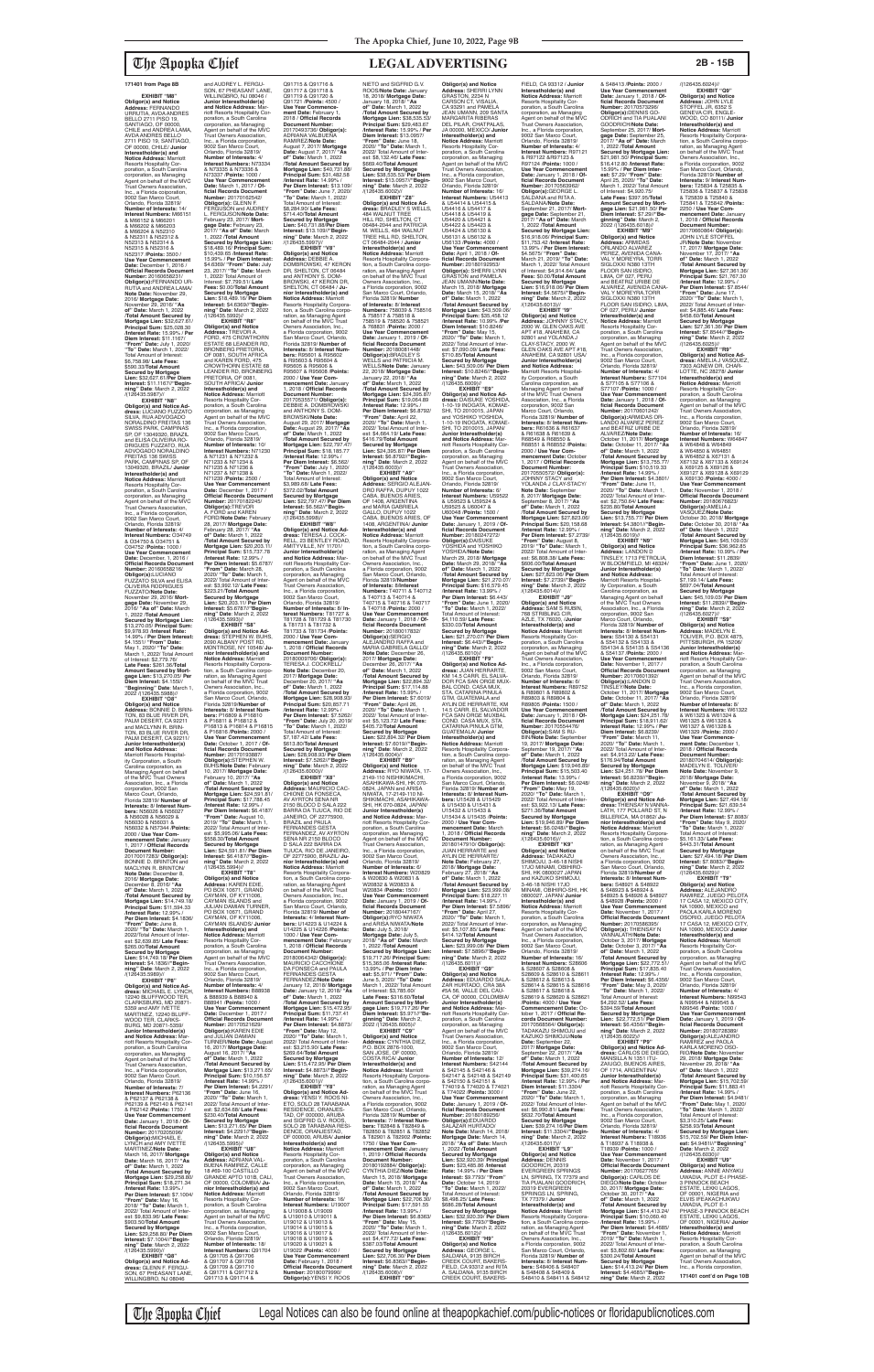**EXHIBIT** "M8 **Obligor(s) and Notice Address:** FERNANDO URRUTIA, AVDA ANDRES BELLO 2711 PISO 19,<br>SANTIAGO, OF 00000,<br>CHILE and ANDREA LAMA,<br>AVDA ANDRES BELLO 2711 PISO 19, SANTIAGO, OF 00000, CHILE/ **Junior Interestholder(s) and Notice Address:** Marriott Resorts Hospitality Cor-poration, a South Carolina corporation, as Managing Agent on behalf of the MVC Trust Owners Association, Inc., a Florida coiporation, 9002 San Marco Court, Orlando, Florida 32819/ **Number of Interests:** 14/ **Interest Numbers:** M66151 & M66152 & M66201 & M66202 & M66203 & M66204 & N52310 & N52311 & N52312 & N52313 & N52314 & N52315 & N52316 & N52317 /**Points:** 3500 / **Use Year Commencement Date:** December 1, 2016 / **Official Records Document Number:** 20160658231/ **Obligor(s):**FERNANDO UR-RUTIA and ANDREA LAMA/ **Note Date:** November 29, 2016/ **Mortgage Date:** November 29, 2016/ **"As of" Date:** March 1, 2022 /**Total Amount Secured by Mortgage Lien:** \$32,627.61/ **Principal Sum:** \$25,028.30 /**Interest Rate:** 15.99% / **Per Diem Interest:** \$11.1167/ **"From" Date:** July 1, 2020/ **"To" Date:** March 1, 2022/ Total Amount of Interest: \$6,758.98/ **Late Fees:** \$590.33/**Total Amount Secured by Mortgage Lien:** \$32,627.61/**Per Diem Interest:** \$11.1167//**"Begin-ning" Date**: March 2, 2022 /(126435.5987)// **EXHIBIT "N8" Obligor(s) and Notice Ad-dress:** LUCIANO FUZZATO SILVA, RUA ADVOGADO<br>NORALDINO FREITAS 136 SWISS PARK, CAMPINAS SP, OF 13049320, BRAZIL and ELISA OLIVEIRA RO-DRIGUES FUZZATO, RUA ADVOGADO NORALDINO<br>EREITAS 136 SWISS FREITAS 136 SWISS PARK, CAMPINAS SP, OF 13049320, BRAZIL/ **Junior Interestholder(s) and Notice Address:** Marriott<br>Resorts Hospitality Cor-<br>poration, a South Carolina corporation, as Managing Agent on behalf of the MVC Trust Owners Association, Inc., a Florida corporation, 9002 San Marco Court, Orlando, Florida 32819/ **Number of Interests:** 4/ **Interest Numbers:** O34749 & O34750 & O34751 & O34752 /**Points:** 1000 / **Use Year Commencement Date:** December, 1, 2016 / **Official Records Document Number:** 20160658216/<br>**Obligor(s):**LUCIANO<br>FUZZATO SILVA and ELISA OLIVEIRA RODRIGUES FUZZATO/**Note Date:** November 29, 2016/ **Mort-**

**gage Date:** November 29, 2016/ **"As of" Date:** March 1, 2022 /**Total Amount** 

\$9,978.93 /**Interest Rate:**

May 1, 2020/ **"To" Date:**

**EXHIBIT "O8" Obligor(s) and Notice Address:** BONNIE D. BRIN-TON, 83 BLUE RIVER DR, PALM DESERT, CA 92211<sup>1</sup><br>and MACLYNN R. BRINand MACLYNN R. BRIN-TON, 83 BLUE RIVER DR, PALM DESERT, CA 92211/ **Junior Interestholder(s) and Notice Address:** Marriott Resorts Hospital-ity Corporation, a South Carolina corporation, as

Managing Agent on behalf of the MVC Trust Owners Association, Inc., a Florida corporation, 9002 San Marco Court, Orlando, Florida 32819/ **Number of Interests:** 8/ **Interest Numbers:** N56026 & N56027 & N56028 & N56029 & N56030 & N56031 & N56032 & N57344 /**Points:** 2000 / **Use Year Commencement Date:** January 1, 2017 / **Official Records Document Number:** 20170017283/ **Obligor(s):** BONNIE D. BRINTON and MACLYNN R. BRINTON/ **Note Date:** December 8, 2016/ **Mortgage Date:** December 8, 2016/ **"As of" Date:** March 1, 2022 /**Total Amount Secured by Mortgage Lien:** \$14,749.18/ **Principal Sum:** \$11,594.33 /**Interest Rate:** 12.99% / **Per Diem Interest:** \$4.1836/ **"From" Date:** June 8, 2020/ **"To" Date:** March 1, 2022/Total Amount of Inter-est: \$2,639.85/ **Late Fees:** \$265.00/**Total Amount Secured by Mortgage Lien:** \$14,749.18/ **Per Diem Interest:** \$4.1836//**"Beginning" Date**: March 2, 2022 /(126435.5989)// **EXHIBIT "P8" Obligor(s) and Notice Ad-dress:** MICHAEL E. LYNCH, 12240 BLUFFWOOD TER, CLARKSBURG, MD 20871- 5359 and AMY IVETTE MARTINEZ, 12240 BLUFF-WOOD TER, CLARKS-BURG, MD 20871-5359/ **Junior Interestholder(s)**  and Notice Address: riott Resorts Hospitality Corporation, a South Carolina corporation, as Managing Agent on behalf of the MVC Trust Owners Association, Inc., a Florida corporation, 9002 San Marco Court, Orlando, Florida 32819/ **Number of Interests:** 7/ **Interest Numbers:** P62136 & P62137 & P62138 & P62139 & P62140 & P62141 & P62142 /**Points:** 1750 / **Use Year Commence Date:** January 1, 2018 / **Official Records Document Number:** 20170205096/ **Obligor(s):**MICHAEL E. LYNCH and AMY IVETTE MARTINEZ/**Note Date:** March 16, 2017/ **Mortgage Date:** March 16, 2017/ **"As of" Date:** March 1, 2022 /**Total Amount Secured by Mortgage Lien:** \$29,258.80/ **Principal Sum:** \$18,271.34 /**Interest Rate:** 13.99% / **Per Diem Interest:** \$7.1004/ **"From" Date:** May 16, 2018/ **"To" Date:** March 1, 2022/ Total Amount of Inter-est: \$9,833.96/ **Late Fees:** \$903.50/**Total Amount Secured by Mortgage Lien:** \$29,258.80/ **Per Diem Interest:** \$7.1004//**"Begin-ning" Date**: March 2, 2022 /(126435.5990)// **EXHIBIT "Q8" Obligor(s) and Notice Ad-dress:** GLENN F. FERGU-SON, 67 PHEASANT LANE, WILLINGBRO, NJ 08046

and AUDREY L. FERGU-SON, 67 PHEASANT LANE, WILLINGBRO, NJ 08046 **Junior Interestholder(s) and Notice Address:** Marriott Resorts Hospitality Corporation, a South Carolina corporation, as Managing Agent on behalf of the MVC Trust Owners Association, Inc., a Florida corporation,

**Secured by Mortgage Lien:**  \$13,270.05/ **Principal Sum:** 14.99% / **Per Diem Interest:** \$4.1551/ **"From" Date:** March 1, 2022/ Total Amount of Interest: \$2,779.76/ **Late Fees:** \$261.36/**Total Amount Secured by Mort-gage Lien:** \$13,270.05/ **Per Diem Interest:** \$4.155l// **"Beginning" Date**: March 1, 2022 /(126435.5988)// 9002 San Marco Court,<br>Orlando, Florida 32819/<br>**Number of Interests**: 4/<br>**Interest Numbers**: N73334<br>& N73335 & N73336 &<br>N73337 /**Points:** 1000 / **Use Year Commencement Date:** March 1, 2017 / **Official Records Document<br><b>Number:** 20170162542/<br>**Obligor(s):** GLENN F.<br>FERGUSON and AUDREY L. FERGUSON/**Note Date:** February 23, 2017/ **Mort-gage Date:** February 23, 2017/ **"As of" Date:** March 1, 2022 /**Total Amount Secured by Mortgage Lien:**  \$18,489.16/ **Principal Sum:** \$10,439.65 /**Interest Rate:** 15.99% / **Per Diem Interest:** \$4.6369/ **"From" Date:** July 23, 2017/ **"To" Date:** March 1, 2022/ Total Amount of Interest: \$7,799.51/ **Late Fees:** \$0.00/**Total Amount Secured by Mortgage Lien:** \$18,489.16/ **Per Diem Interest:** \$4.6369//**"Begin-ning" Date**: March 2, 2022 /(126435.5992)// **EXHIBIT "R8" Obligor(s) and Notice Address:** TREVOR A. FORD, 475 CROWTHORN ESTATE 68 LEANDER RD, BRONBERG PRETORIA, OF 0081, SOUTH AFRICA<br>and KAREN FORD. 475 and KAREN FORD, 475 CROWTHORN ESTATE 68 LEANDER RD, BRONBERG PRETORIA, OF 0081, SOUTH AFRICA/ **Junior Interestholder(s) and<br><b>Notice Address:** Marriott<br>Resorts Hospitality Corporation, a South Carolina corporation, as Managing Agent on behalf of the MVC Trust Owners Association, Inc., a Florida corporation, 9002 San Marco Court, Orlando, Florida 32819/ **Number of Interests:** 10/ **Interest Numbers:** N71230 & N71231 & N71232 & N71233 & N71234 & N71235 & N71236 & N71237 & N71238 & N71239 /**Points:** 2500 / **Use Year Commencement Date:** December 1, 2017 / **Official Records Document Number:** 20170182245/ **Obligor(s):**TREVOR A. FORD and KAREN FORD/**Note Date:** February 28, 2017/ **Mortgage Date:** February 28, 2017/ **"As of" Date:** March 1, 2022 /**Total Amount Secured by Mortgage Lien:** \$20,203.11/ **Principal Sum:** \$15,737.78 /**Interest Rate:** 12.99% / **Per Diem Interest:** \$5.6787/ **"From" Date:** March 28, 2020/ **"To" Date:** March 1, 2022/ Total Amount of Inter-est: \$3,992.12/ **Late Fees:** \$223.21/**Total Amount Secured by Mortgage Lien:** \$20,203.11/ **Per Diem Interest:** \$5.6787//**"Begin-ning" Date**: March 2, 2022 /(126435.5993)// **EXHIBIT "S8" Obligor(s) and Notice Ad-<br><b>dress:** STEPHEN W. BUHS,<br>2090 ALBANY POST RD,<br>MONTROSE, NY 10548/ **Junior Interestholder(s) and Notice Address:** Marriott<br>Resorts Hospitality Corpora-<br>tion, a South Carolina corporation, as Managing Agent<br>on behalf of the MVC Trust Owners Association, Inc., a Florida corporation, 9002 San Marco Court, Orlando, Florida 32819/**Number of Interests:** 8/ **Interest Num-bers:** P16809 & P16810 & P16811 & P16812 & P16813 & P16814 & P16815 & P16816 /**Points:** 2000 / **Use Year Commencement Date:** October 1, 2017 / **Of-ficial Records Document Number:** 20170193887/ **Obligor(s):**STEPHEN W. BUHS/**Note Date:** February 10, 2017/ **Mortgage Date:** February 10, 2017/ **"As of" Date:** March 1, 2022 /**Total Amount Secured by Mortgage Lien:** \$24,591.81/ **Principal Sum:** \$17,788.45 /**Interest Rate:** 12.99% / **Per Diem Interest:** \$6.4187/ **"From" Date:** August 10, 2019/ **"To" Date:** March 1, 2022/ Total Amount of Inter-est: \$5,995.06/ **Late Fees:** \$558.30/**Total Amount Secured by Mortgage Lien:** \$24,591.81/ **Per Diem Interest:** \$6.4187//"**Begin-<br><b>ning" Date**: March 2, 2022<br>/(126435.5994)// **EXHIBIT "T8" Obligor(s) and Notice Address:** KAREN EDIE, PO BOX 10671, GRAND CAYMAN, OF KY11006, CAYMAN ISLANDS and JULIAN DAMIAN TURNER, PO BOX 10671, GRAND CAYMAN, OF KY11006, CAYMAN ISLANDS/ **Junior Interestholder(s) and<br><b>Notice Address:** Marriott<br>Resorts Hospitality Corporation, a South Carolina corporation, as Managing Agent on behalf of the MVC Trust Owners Association, Inc., a Florida corporation, 9002 San Marco Court, Orlando, Florida 32819/ **Number of Interests:** 4/ **Interest Numbers:** B88938 & B88939 & B88940 & B88941 /**Points:** 1000 / Use Year Commencement **Date:** December 1, 2017 / **Official Records Document Number:** 20170521629/ **Obligor(s):**KAREN EDIE<br>and JULIAN DAMIAN TURNER/**Note Date:** August 16, 2017/ **Mortgage Date:** August 16, 2017/ **"As of" Date:** March 1, 2022 /**Total Amount Secured by Mortgage Lien:** \$13,271.65/ **Principal Sum:** \$10,156.57 /**Interest Rate:** 14.99% / **Per Diem Interest:** \$4.2291/ **"From" Date:** June 16, 2020/ **"To" Date:** March 1, 2022/ Total Amount of Interest: \$2,634.68/ **Late Fees:** \$230.40/**Total Amount Secured by Mortgage Lien:** \$13,271.65/ **Per Diem Interest:** \$4.2291//**"Begin-ning" Date**: March 2, 2022 /(126435.5995)// **EXHIBIT "U8" Obligor(s) and Notice Address:** ADRIANA VAL-BUENA RAMIREZ, CALLE<br>18 #69-100 CASTILLO 18 #69-100 CASTILLO GRANDE APTO 101B, CALI, OF 00000, COLOMBIA/ **Junior Interestholder(s) and Notice Address:** Marriott Resorts Hospitality Cor-poration, a South Carolina corporation, as Managing Agent on behalf of the MVC Trust Owners Association, Inc., a Florida corporation, 9002 San Marco Court, Orlando, Florida 32819/ **Number of Interests:** 18/ **Interest Numbers:** Q91704 & Q91705 & Q91706 & Q91707 & Q91708 & Q91709 & Q91710 & Q91711 & Q91712 & Q91713 & Q91714 &

**Obligor(s) and Notice Address:** SHERRI LYNN GRASTON, 2234 N CARSON CT, VISALIA, CA 93291 and PAMELA JEAN UMANN, 209 SANTA MARGARITA RIBERAS DEL PILAR, CHATPALAS, JA 00000, MEXICO/ **Junior Interestholder(s) and Notice Address:** Marriott Resorts Hospitality Corporation, a South Carolina corporation, as Managing Agent on behalf of the MVC Trust Owners Association, Inc., a Florida corporation, 9002 San Marco Court, Orlando, Florida 32819/ **Number of Interests:** 16/ **Interest Numbers:** U54413<br>& U54414 & U54415 &<br>U54416 & U54417 & U54418 & U54419 & U54420 & U54421 & U54422 & U54423 & U54424 & U56130 & U56131 & U56132 & U56133 /**Points:** 4000 / **Use Year Commencement Date:** April 1, 2018 / **Of-ficial Records Document Number:** 20180192953/ **Obligor(s):** SHERRI LYNN<br>GRASTON and PAMELA JEAN UMANN/**Note Date:** March 15, 2018/ **Mortgage Date:** March 15, 2018/ **"As of" Date:** March 1, 2022 /**Total Amount Secured by Mortgage Lien:** \$43,509.06/ **Principal Sum:** \$35,458.12 /**Interest Rate:** 10.99% /**Per Diem Interest:** \$10.8246/ **"From" Date:** May 15, 2020/ **"To" Date:** March 1, 2022/ Total Amount of Inter-est: \$7,090.09/ **Late Fees:** \$710.85/**Total Amount Secured by Mortgage Lien:** \$43,509.06/ **Per Diem Interest:** \$10.8246//**"Begin-ning" Date**: March 2, 2022 /(126435.6009)// **EXHIBIT "E9" Obligor(s) and Notice Ad-dress:** DAISUKE YOSHIDA, 1-10-19 INOGATA, KOMAE-SHI, TO 2010015, JAPAN and YOSHIKO YOSHIDA, 1-10-19 INOGATA, KOMAE-SHI, TO 2010015, JAPAN/ **Junior Interestholder(s) and Notice Address:** Marriott Resorts Hospitality Corporation, a South Carolina corporation, as Managing Agent on behalf of the MVC Trust Owners Association, Inc., a Florida corporation, 9002 San Marco Court, Orlando, Florida 32819/ **Number of Interests:** 6/<br>**Interest Numbers:** U59522<br>& U59523 & U59524 & U59525 & U60047 & U60048 /**Points:** 1500 / **Use Year Commencement Date:** January 1, 2019 / **Official Records Document<br><b>Number:** 20180247272/<br>**Obligor(s**):DAISUKE<br>YOSHIDA/**Note Date:**<br>YOSHIDA/**Note Date:** March 29, 2018/ **Mortgage Date:** March 29, 2018/ **"As of" Date:** March 1, 2022 /**Total Amount Secured by Mortgage Lien:** \$21,270.07/ **Principal Sum:** \$16,579.45 /**Interest Rate:** 13.99% / **Per Diem Interest:** \$6.443/ **"From" Date:** June 1, 2020/ **"To" Date:** March 1, 2022/ Total Amount of Interest: \$4,110.59/ **Late Fees:** \$330.03/**Total Amount Secured by Mortgage Lien:** \$21,270.07/ **Per Diem Interest:** \$6.443//**"Begin-ning" Date**: March 2, 2022 /(126435.6010)// **EXHIBIT "F9" Obligor(s) and Notice Ad-dress:** JUAN HERRARTE, KM 14.5 CARR. EL SALVA-DOR FCA SAN ORGE MUX-BAL COND. CASA MUX, STA. CATARINA PINULA GTM, GUATEMALA and AYLIN DE HERRARTE, KM 14.5 CARR. EL SALVADOR FCA SAN ORGE MUXBAL COND. CASA MUX, STA. CATARINA PINULA GTM,<br>GUATEMALA/ **Junior** GUATEMALA/ **Junior Interestholder(s) and Notice Address:** Marriott Resorts Hospitality Corporation, a South Carolina corporation, as Managing Agent<br>on behalf of the MVC Trust Owners Association, Inc. a Florida corporation, 9002 San Marco Court, Orlando, Florida 32819/ **Number of Interests: 8/ Interest Numbers: 1115428 & 1115429 bers:** U15428 & U15429 & U15430 & U15431 & U15432 & U15433 & U15434 & U15435 /**Points:** 2000 / **Use Year Commencement Date:** March 1, 2018 / **Official Records Document Nun** 20180147910/ **Obligor(s):** JUAN HERRARTE and AYLIN DE HERRARTE/<br>Note Date: February 27 **Note Date:** February 27, 2018/ **Mortgage Date:** February 27, 2018/ **"As of" Date:** March 1, 2022 /**Total Amount Secured by Mortgage Lien:** \$23,999.08/ **Principal Sum:** \$18,227.11 /**Interest Rate:** 14.99% / **Per Diem Interest:** \$7.5896/ **"From" Date:** April 27, 2020/ **"To" Date:** March 1, 2022/ Total Amount of Inter est: \$5,107.85/ **Late Fees:** \$414.12/**Total Amount Secured by Mortgage Lien:** \$23,999.08/ **Per Diem Interest:** \$7.5896//**"Begin-ning" Date**: March 2, 2022 /(126435.6011)// **EXHIBIT "G9" Obligor(s) and Notice Address:** EDUARDO SALA-ZAR HURTADO, CRA 38A #5A 56, VALLE DEL CAU-CA, OF 00000, COLOMBIA/ **Junior Interestholder(s) and Notice Address:** Marriott Resorts Hospitality Cor-poration, a South Carolina corporation, as Managing Agent on behalf of the MVC Trust Owners Association, Inc., a Florida corporation, 9002 San Marco Court, Orlando, Florida 32819/ **Number of Interests:** 12/ **Interest Numbers:** S42144 & S42145 & S42146 & S42147 & S42148 & S42149 & S42150 & S42151 & T74019 & T74020 & T74021 & T74022 /**Points:** 3000 / **Use Year Commencement Date:** January 1, 2019 / **Official Records Document Number:** 20180189256/ **Obligor(s):**EDUARDO<br>SALAZAR HURTADO/ **Note Date:** March 14, 2018/ **Mortgage Date:** March 14, 2018/ **"As of" Date:** March 1, 2022 /**Total Amount Secured by Mortgage Lien:** \$32,920.39/ **Principal Sum:** \$23,485.86 /**Interest Rate:** 14.99% / **Per Diem Interest:** \$9.7793/ **"From" Date:** October 14, 2019/ **"To" Date:** March 1, 2022/ Total Amount of Interest: \$8,498.25/ **Late Fees:** \$686.28/**Total Amount Secured by Mortgage Lien:** \$32,920.39/ **Per Diem Interest:** \$9.7793//**"Beginning" Date**: March 2, 2022 /(126435.6012)// **EXHIBIT "H9" Obligor(s) and Notice Address:** GEORGE L. SALDANA, 9135 BIRCH CREEK COURT, BAKERS-FIELD, CA 93312 and RITA<br>A SALDANA 9135 BIRCH A. SALDANA, 9135 BIRCH<br>CREEK COURT, BAKERS-

FIELD, CA 93312 / **Junior Interestholder(s) and Notice Address:** Marriott Resorts Hospitality Cor-poration, a South Carolina corporation, as Managing Agent on behalf of the MVC Trust Owners Association, Inc., a Florida corporation, 9002 San Marco Court, Orlando, Florida 32819/ **Number of Interests:** 4/ **Interest Numbers:** R97121<br>& R97122 &R97123 &<br>R97124 /**Points:** 1000 / **Use Year Commencement Date:** January 1, 2018 / **Of**ficial Records Document<br>Number: 20170563962/<br>Obligor(s): GEORGE L.<br>SALDANA and RITA A.<br>SALDANA/Note Date:<br>September 21, 2017/ Mort-<br>Geptember 21, 2017/ Mort-<br>2017/ "As of" Date: March<br>1, 2022 /Total Amount **Secured by Mortgage Lien:**  \$16,918.06/ **Principal Sum:** \$11,753.42 /**Interest Rate:** 13.99% / **Per Diem Interest:** \$4.5675/ **"From" Date:** March 21, 2019/ **"To" Date:** March 1, 2022/ Total Amount of Interest: \$4,914.64/ **Late Fees:** \$0.00/**Total Amount Secured by Mortgage Lien:** \$16,918.06/ **Per Diem Interest:** \$4.5675//**"Begin-ning" Date**: March 2, 2022 /(126435.6013)// **EXHIBIT "I9" Obligor(s) and Notice<br><b>Address:** JOHNNY STACY,<br>2000 W. GLEN OAKS AVE APT #18, ANAHEIM, CA 92801 and YOLANDA J CLAY-STACY, 2000 W. GLEN OAKS AVE APT #18, ANAHEIM, CA 92801 USA/ **Junior Interestholder(s) and Notice Address:** Marriott Resorts Hospitality Corporation, a South Carolina corporation, as Managing Agent on behalf of the MVC Trust Owners Association, Inc., a Florida corporation, 9002 San Marco Court, Orlando, Florida 32819/ **Number of Interests:** 8/ **Interest Num-bers:** R61636 & R61637 & R61638 & R61639 & R68549 & R68550 & R68551 & R68552 /**Points:** 2000 / **Use Year Commencement Date: Octobe**<br>I, 2017 / Official Records 1, 2017 / **Official Records Document Number:** 20170550572/ **Obligor(s):** JOHNNY STACY and YOLANDA J CLAY-STACY/ **Note Date:** September 8, 2017/ **Mortgage Date:** September 8, 2017/ **"As of" Date:** March 1, 2022 /**Total Amount Secured by Mortgage Lien:** \$27,823.06/ **Principal Sum:** \$20,158.68 /**Interest Rate:** 12.99% / **Per Diem Interest:** \$7.2739/ **"From" Date:** August 8, 2019/ **"To" Date:**: March 1, 2022/ Total Amount of Interest: \$6,808.38/ **Late Fees:** \$606.00/**Total Amount Secured by Mortgage Lien:** \$27,823.06/ **Per Diem Interest:** \$7.2739//**"Beginning" Date**: March 2, 2022  $/(126435.6014)/\frac{1}{2}$ FXHIRIT ".IQ" **EXHIBIT "J9" Obligor(s) and Notice Address:** SAM S RUBIN, 768 STRIBLING CIR, AZLE, TX 76020, /**Junior Interestholder(s) and<br><b>Notice Address:** Marriott<br>Resorts Hospitality Cor-<br>poration, a South Carolina

Q91715 & Q91716 & Q91717 & Q91718 & Q91719 & Q91720 & Q91721 /**Points:** 4500 / **Use Year Commencement Date:** February 1, 2018 / **Official Records Document Number:** 20170493736/ **Obligor(s):** ADRIANA VALBUENA RAMIREZ/**Note Date:** August 7, 2017/ **Mortgage Date:** August 7, 2017/ **"As of" Date:** March 1, 2022 /**Total Amount Secured by Mortgage Lien:** \$40,731.88/ **Principal Sum:** \$31,482.58 /**Interest Rate:** 14.99% / **Per Diem Interest:** \$13.109/ **"From" Date:** June 7, 2020/ **"To" Date:** March 1, 2022/ Total Amount of Interest: \$8,284.90/ **Late Fees:** \$714.40/**Total Amount Secured by Mortgage Lien:** \$40,731.88/**Per Diem Interest:** \$13.109//**"Begin-ning" Date**: March 2, 2022 /(126435.5997)// **EXHIBIT "V8"<br><b>Address:** DeBBIE A.<br>**Address:** DEBBIE A.<br>DOMBROWSKI, 47 KERON<br>DR, SHELTON, CT 06484<br>and ANTHONY S. DOM-BROWSKI, 47 KERON DR, SHELTON, CT 06484 / **Ju-nior Interestholder(s) and Notice Address:** Marriott Resorts Hospitality Corpora-tion, a South Carolina corporation, as Managing Agent<br>Owners Association, Inc.,<br>Owners Association, Inc.,<br>a Florida corporation, 9002<br>San Marco Court, Orlando,<br>Florida 32819/ **Number of Interests:** 8/ **Interest Numbers:** R95601 & R95602<br>& R95603 & R95604 & & R95603 & R95604 & R95605 & R95606 & R95607 & R95608 /**Points:** 2000 / **Use Year Commencement Date:** January 1, 2018 / **Official Records Document Number:<br>20170535571/ Obligor(s):**<br>DEBBIE A. DOMBROWSKI<br>and ANTHONY S. DOM-<br>BROWSKI/**Note Date:** August 29, 2017/ **Mortgage Date:** August 29, 2017/ **"As of" Date:** March 1, 2022 /**Total Amount Secured by Mortgage Lien:** \$22,797.47/ **Principal Sum:** \$18,185.77 /**Interest Rate:** 12.99% / **Per Diem Interest:** \$6.562/ **"From" Date:** July 1, 2020/ **"To" Date:** March 1, 2022/ Total Amount of Interest:<br>\$3,989,68/Late Fees: \$3,989.68/ **Late Fees:** \$372.02/**Total Amount Secured by Mortgage Lien:** \$22,797.47/ **Per Diem Interest:** \$6.562//**"Begin-ning" Date**: March 2, 2022 /(126435.5998)// **EXHIBIT "W8" Obligor(s) and Notice Ad-<br><b>dress:** TERESA J. COCK-<br>RELL, 23 BENTLEY ROAD,<br>AMITYVILLE, NY 11701/ **Junior Interestholder(s) and Notice Address:** Mar-riott Resorts Hospitality Corporation, a South Carolina corporation, as Managing Agent on behalf of the MVC Trust Owners Association, Inc., a Florida corporation,<br>9002 San Marco Court,<br>Orlando, Florida 32819/<br>**Number of Interests:** 8/ **Interest Numbers:** T81727 & T81728 & T81729 & T81730 & T81731 & T81732 & T81733 & T81734 /**Points:** 2000 / **Use Year Commencement Date:** January 1, 2018 / **Official Records Document Number:** 20180009706/ **Obligor(s):** TERESA J. COCKRELL/ **Note Date:** December 20, 2017/ **Mortgage Date:** December 20, 2017/ **"As of" Date:** March 1, 2022 /**Total Amount Secured by Mortgage Lien:** \$28,908.93/ **Principal Sum:** \$20,857.71 /**Interest Rate:** 12.99% / **Per Diem Interest:** \$7.5262/ **"From" Date:** July 20, 2019/ **"To" Date:** March 1, 2022/ Total Amount of Interest: \$7,187.42/ **Late Fees:** \$613.80/**Total Amount Secured by Mortgage Lien:** \$28,908.93/ **Per Diem Interest:** \$7.5262//**"Begin-ning" Date**: March 2, 2022 /(126435.6000)// **EXHIBIT** "X8 **Obligor(s) and Notice Address:** MAURICIO CAC-CHIONE DA FONSECA AV AYRTON SENA NR 2150 BLOCO D SALA 222 BARRA DA TIJUCA, RIO DE JANEIRO, OF 22775900, BRAZIL and PAULA FERNANDES GESTA FERNANDEZ, AV AYRTON SENA NR 2150 BLOCO D SALA 222 BARRA DA TIJUCA, RIO DE JANEIRO, OF 22775900, BRAZIL/ **Junior Interestholder(s) and Notice Address:** Marriott Resorts Hospitality Corporation, a South Carolina corporation, as Managing Agent<br>on behalf of the MVC Trust Owners Association, Inc., a Florida corporation, 9002 San Marco Court, Orlando, Florida 32819/ **Number of Interests:** 4/ **Interest Numbers:** U14223 & U14224 & U14225 & U14226 /**Points:** 1000 / **Use Year Commencement Date:** February 1, 2018 / **Official Records Document Number:** 20180064342/ **Obligor(s):** MAURICIO CACCHIONE DA FONSECA and PAULA FERNANDES GESTA FERNANDEZ/**Note Date:** January 12, 2018/ **Mortgage Date:** January 12, 2018/ **"As of" Date:** March 1, 2022 /**Total Amount Secured by Mortgage Lien:** \$15,472.95/ **Principal Sum:** \$11,737.41 /**Interest Rate:** 14.99% / **Per Diem Interest:** \$4.8873/ **"From" Date:** May 12, 2020/ **"To" Date:** March 1, 2022/ Total Amount of Inter-est: \$3,215.90/ **Late Fees:** \$269.64/**Total Amount Secured by Mortgage Lien:** \$15,472.95/ **Per Diem Interest:** \$4.8873//**"Beginning" Date**: March 2, 2022 /(126435.6001)// **EXHIBIT "Y8" Obligor(s) and Notice Address:** YENSI Y. ROOS NI-ETO, SOLO 28 TARABANA RESIDENCE, ORANJES-TAD, OF 000000, ARUBA<br>and SIGFRID G.V. ROOS, SOLO 28 TARABANA RESI-DENCE, ORANJESTAD, OF 000000, ARUBA/ **Junior Interestholder(s) and Notice Address:** Marriott Resorts Hospitality Corporation, a South Carolina corporation, as Managing Agent on behalf of the MVC Trust Owners Association, Inc., a Florida corporation, 9002 San Marco Court, Orlando, Florida 32819/<br>Number of Interests: 16 **Number of Interests:** 16/ **Interest Numbers:** U19007 & U19008 & U19009 & U19010 & U19011 & U19012 & U19013 & U19014 & U19015 & U19016 & U19017 & U19018 & U19019 & U19020 & U19021 & U19022 /**Points:** 4000 / **Use Year Commencement Date:** February 1, 2018 / **Official Records Document Number:** 20180079990/ **Obligor(s):**YENSI Y. ROOS NIETO and SIGFRID G.V. ROOS/**Note Date:** January 18, 2018/ **Mortgage Date:** January 18, 2018/ **"As of" Date:** March 1, 2022 /**Total Amount Secured by Mortgage Lien:** \$38,535.53/ **Principal Sum:** \$29,483.67 /**Interest Rate:** 15.99% / **Per Diem Interest:** \$13.0957/ **"From" Date:** June 18, 2020/ **"To" Date:** March 1, 2022/ Total Amount of Inter-est: \$8,132.46/ **Late Fees:** \$669.40/**Total Amount Secured by Mortgage Lien:** \$38,535.53/ **Per Diem Interest:** \$13.0957//**"Begin-<br><b>ning" Date**: March 2, 2022<br>/(126435.6002)// **EXHIBIT "Z8" Obligor(s) and Notice Ad-dress:** BRADLEY S WELLS, 484 WALNUT TREE HILL RD, SHELTON, CT 06484-2044 and PATRICIA M. WELLS, 484 WALNUT TREE HILL RD, SHELTON, CT 06484-2044 / **Junior Interestholder(s) and Notice Address:** Marriott<br>Resorts Hospitality Corpora-<br>tion, a South Carolina corporation, as Managing Agent<br>on behalf of the MVC Trust Owners Association, Inc., a Florida corporation, 9002 San Marco Court, Orlando, Florida 32819/ **Number of Interests:** 8/ **Interest Numbers:** 758039 & 758516 & 758517 & 758518 & 758519 & 758520 & 758521 & 768831 /**Points:** 2000 / **Use Year Commencement Date:** January 1, 2019 / **Of-ficial Records Document Number:** 20180081448/ **Obligor(s):**BRADLEY S WELLS and PATRICIA M. WELLS/**Note Date:** January 22, 2018/ **Mortgage Date:** January 22, 2018/ **"As of" Date:** March 1, 2022 /**Total Amount Secured by Mortgage Lien:** \$24,395.87/ **Principal Sum:** \$19,064.89 /**Interest Rate:** 12.99% / **Per Diem Interest:** \$6.8792/ **"From" Date:** April 22, 2020/ **"To" Date:** March 1, 2022/ Total Amount of Interest: \$4,664.19/ **Late Fees:** \$416.79/**Total Amount Secured by Mortgage Lien:** \$24,395.87/ **Per Diem Interest:** \$6.8792//**"Begin-ning" Date**: March 2, 2022 /(126435.6003)// **EXHIBIT "A9" Obligor(s) and Notice Address:** SERGIO ALEJAN-DRO RAFFA, DUPUY 1022 CABA, BUENOS ARIES, OF 1408, ARGENTINA and MARIA GABRIELA GALLO, DUPUY 1022 CABA, BUENOS ARIES, OF 1408, ARGENTINA/ **Junior Interestholder(s) and Notice Address:** Marriott Resorts Hospitality Corpora-tion, a South Carolina corporation, as Managing Agent<br>on behalf of the MVC Trust<br>Owners Association, Inc.,<br>a Florida corporation, 9002 San Marco Court, Orlando, Florida 32819/**Number of Interests:** 8/**Interest Numbers:** T40711 & T40712 & T40713 & T40714 & T40715 & T40716 & T40717 & T40718 /**Points:** 2000 / **Use Year Commencement Date:** January 1, 2018 / **Of-ficial Records Document Number:** 20180017832/ **Obligor(s):**SERGIO ALEJANDRO RAFFA and MARIA GABRIELA GALLO/ **Note Date:** December 26, 2017/ **Mortgage Date:** December 26, 2017/ **"As of" Date:** March 1, 2022 /**Total Amount Secured by Mortgage Lien:** \$22,894.32/ **Principal Sum:** \$17,114.88 /**Interest Rate:** 15.99% / **Per Diem Interest:** \$7.6019/ **"From" Date:** April 26, 2020/ **"To" Date:** March 1, 2022/ Total Amount of Inter-est: \$5,123.72/ **Late Fees:** \$405.72/**Total Amount Secured by Mortgage Lien:** \$22,894.32/ **Per Diem Interest:** \$7.6019//**"Begin-ning" Date**: March 2, 2022 /(126435.6004)// **EXHIBIT "B9" Obligor(s) and Notice Address:** RYO NIWATA, 17- 2149-110 NISHIKIMACHI, ASAHIKAWA-SHI, HK 070- 0824, JAPAN and ARISA NIWATA, 17-2149-110 NI-SHIKIMACHI, ASAHIKAWA-SHI, HK 070-0824, JAPAN/ **Junior Interestholder(s) and Notice Address:** Marriott Resorts Hospitality Corporation, a South Carolina corporation, as Managing Agent on behalf of the MVC Trust Owners Association, Inc., a Florida corporation, 9002 San Marco Court, Orlando, Florida 32819/ **Number of Interests:** 6/ **Interest Numbers:** W20829 & W20830 & W20831 & W20832 & W20833 & W20834 /**Points:** 1500 / **Use Year Commencement Date:** January 1, 2019 / **Of-ficial Records Document Number:** 20180447167/ **Obligor(s):**RYO NIWATA and ARISA NIWATA/**Note Date:** July 5, 2018/ **Mortgage Date:** July 5, 2018/ **"As of" Date:** March 1, 2022 /**Total Amount Secured by Mortgage Lien:**  \$19,717.26/ **Principal Sum:** \$15,365.06 /**Interest Rate:** 13.99% / **Per Diem Interest:** \$5,971/ **"From" Date:** June 5, 2020/ **"To" Date:** March 1, 2022/ Total Amount of Interest: \$3,785.60/ **Late Fees:** \$316.60/**Total Amount Secured by Mort-gage Lien:** \$19,717.26/ **Per Diem Interest:** \$5.971//**"Be-ginning" Date**: March 2, 2022 /(126435.6005)//<br>"EXHIBIT "C9" **EXHIBIT "C9" Obligor(s) and Notice Address:** CYNTHIA DIEZ, P.O. BOX 2876-1000, SAN JOSE, OF 00000, COSTA RICA/ **Junior Interestholder(s) and<br><b>Notice Address:** Marriott<br>Resorts Hospitality Corporation, a South Carolina corpo-ration, as Managing Agent on behalf of the MVC Trust Owners Association, Inc., a Florida corporation, 9002 San Marco Court, Orlando, Florida 32819/ **Number of Interests:** 7/ **Interest Numbers:** T82848 & T82849 & T82850 & T82851 & T82852 & T82901 & T82902 /**Points:** 1750 / **Use Year Commencement Date:** January 1, 2019 / **Official Records Document Number:** 20180192884/ **Obligor(s):** CYNTHIA DIEZ/**Note Date:** March 15, 2018/ **Mortgage Date:** March 15, 2018/ **"As of" Date:** March 1, 2022 /**Total Amount Secured by Mortgage Lien:** \$22,706.30/ **Principal Sum:** \$17,591.55 /**Interest Rate:** 13.99% / **Per Diem Interest:** \$6.8363/ **"From" Date:** May 15, 2020/ **"To" Date:** March 1, 2022/ Total Amount of Inter-est: \$4,477.72/ **Late Fees:** \$387.03/**Total Amount Secured by Mortgage Lien:** \$22,706.30/ **Per Diem Interest:** \$6.8363//**"Beginning" Date**: March 2, 2022 /(126435.6008)// **EXHIBIT "D9"**

**Official Records Document Number:** 20170601392/ **Obligor(s):**LANDON D TINSLEY/**Note Date:** October 11, 2017/ **Mortgage Date:** October 11, 2017/ **"As of" Date:** March 1, 2022 /**Total Amount Secured by Mortgage Lien:** \$24,251.78/ **Principal Sum:** \$18,911.62/ **Interest Rate: 12.99% / Per Diem Interest \$6.8239/ Diem Interest:** \$6.8239/ **"From" Date:** March 11, 2020/ **"To" Date:** March 1, 2022/ Total Amount of Inter-est: \$4,913.22/ **Late Fees:** \$176.94/**Total Amount Secured by Mortgage Lien:** \$24,251.78/ **Per Diem ning" Date**: March 2, 2022 Total Amount of Interest: \$7,199.14/ **Late Fees:** \$697.04/**Total Amount Secured by Mortgage Lien:** \$45,109.03/ **Per Diem Interest:** \$11.2839//**"Beginning" Date**: March 2, 2022 /(126435.6027)// **EXHIBIT "S9" Obligor(s) and Notice Address:** MADELYN E. TOLIVER, P.O. BOX 4875, PITTSBURGH, PA 15206/ **Junior Interestholder(s) and Notice Address:** Mar-<br>poration, a South Carolina<br>poration, as Managing<br>Agent on behalf of the MVC<br>Trust Owners Association, Inc., a Florida corporation, 9002 San Marco Court, Orlando, Florida 32819/ **Number of Interests: Interest Numbers:** W61322 & W61323 & W61324 & W61325 & W61326 & W61327 & W61328 & W61329 /**Points:** 2000 / **Use Year Commencement Date:** December 1, 2018 / **Official Records Document Number:** 20180704614/ **Obligor(s):** MADELYN E. TOLIVER/ **Note Date:** Nove 2018/ **Mortgage Date:** November 9, 2018/ **"As of" Date:** March 1, 2022<br>Total Amount Secured b /**Total Amount Secured by Mortgage Lien:** \$27,494.18/ **Principal Sum:** \$21,639.54 /**Interest Rate:** 12.99% / **Per Diem Interest:** \$7.8083/ **"From" Date:** May 9, 2020/ **"To" Date:** March 1, 2022/ Total Amount of Interest: \$5,161.33/ **Late Fees:** \$443.31/**Total Amount Secured by Mortgage Lien:** \$27,494.18/ **Per Diem Interest:** \$7.8083//**"Begin-ning" Date**: March 2, 2022 /(126435.6029)// **EXHIBIT "T9" Obligor(s) and Notice Address:** ALEJANDRO RAMIREZ, JUEGO PELOTA 17 CASA 12, MEXICO CITY, NA 10900, MEXICO and PAOLA KARLA MORENO OSORIO, JUEGO PELOTA 17 CASA 12, MEXICO CITY, NA 10900, MEXICO/ **Junior Interestholder(s) and Notice Address:** Marriott Resorts Hospitality Corporation, a South Carolina corporation, as Managing Scriptriation, as managing<br>Agent on behalf of the MVC<br>Trust Owners Association Trust Owners Association, Inc., a Florida corporation, 9002 San Marco Court, Orlando, Florida 32819/ **Number of Interests:** 4/ **Interest Numbers:** N99543 & N99544 & N99545 & N99546 /**Points:** 1000 / **Use Year Commencen Date:** January 1, 2019 / **Official Records Document Number:** 20180728389/<br>**Obligor(s):**ALEJANDRO<br>RAMIREZ and PAOLA KARLA MORENO OSO RIO/**Note Date:** November 29, 2018/ **Mortgage Date:** November 29, 2018/ **"As of" Date:** March 1, 2022 /**Total Amount Secured by Mortgage Lien:** \$15,702.59/ **Principal Sum:** \$11,883.41 /**Interest Rate:** 14.99% / **Per Diem Interest:** \$4.9481/ **"From" Date:** May 1, 2020/ **"To" Date:** March 1, 2022/ Total Amount of Interest: \$3,310.25/ **Late Fees:** \$258.93/**Total Amoun Secured by Mortgage Lien:**  \$15,702.59/ **Per Diem Interest:** \$4.9481l//**"Beginning" Date**: March 2, 2022 /(126435.6030)// **EXHIBIT "U9" Obligor(s) and Notice Address:** ANNIE ANYAKU UWADIA, PLOT E-l PHASE-3 PINNOCK BEACH ESTATE, LEKKI LAGOS, OF 00001, NIGERIA and ELVIS IFEAKACHUKWU UWADIA, PLOT E-1 PHASE-3 PINNOCK BEACH ESTATE, LEKKI LAGOS, OF 00001, NIGERIA/ **Junior Interestholder(s) and Notice Address:** Marriott Resorts Hospitality Cor-poration, a South Carolina corporation, as Managing Agent on behalf of the MVC Trust Owners Association, Inc., a Florida corporation, **171401 cont'd on Page 10B**

corporation, as Managing Agent on behalf of the MVC Trust Owners Association, Inc., a Florida corporation, 9002 San Marco Court, Orlando, Florida 32819/ **Number of Interests:** 6/ **Interest Numbers:** R89752 & R89801 & R89802 & R89803 & R89804 & R89805 /**Points:** 1500 / **Use Year Commencement Date:** January 1, 2018 / **Official Records Document Number:** 20170554476/ **Obligor(s):**SAM S RU-BIN/**Note Date:** September 19, 2017/ **Mortgage Date:** September 19, 2017/ **"As of" Date:** March 1, 2022 /**Total Amount Secured by Mortgage Lien:** \$19,946.89/ **Principal Sum:** \$15,503.40 /**Interest Rate:** 13.99% / **Per Diem Interest:** \$6.0248/ **"From" Date:** May 19, 2020/ **"To" Date:** March 1, 2022/ Total Amount of Interest: \$3,922.13/ **Late Fees:** \$271.36/**Total Amount Secured by Mortgage Lien:** \$19,946.89/ **Per Diem Interest:** \$6.0248//**"Begin-ning" Date**: March 2, 2022 /(126435.6016)// **EXHIBIT "K9" Obligor(s) and Notice Address:** TADAKAZU SHIMOJU, 3-46-18 NISHI 17JO MINAMI, OBIHIRO-SHI, HK 0800027 JAPAN and KAZUKO SHIMOJU, 3-46-18 NISHI 17JO MINAMI, OBIHIRO-SHI, HK 0800027, JAPAN/ **Junior Interestholder(s) and Notice Address:** Marriott Resorts Hospitality Cor-poration, a South Carolina corporation, as Managing Agent on behalf of the MVC Trust Owners Association, Inc., a Florida corporation, 9002 San Marco Court, Orlando, Florida 32819/ **Number of Interests:** 16/ **Interest Numbers:** S28606 & S28607 & S28608 & S28609 & S28610 & S28611 & S28612 & S28613 & S28614 & S28615 & S28616 & S28617 & S28618 & S28619 & S28620 & S28621 /**Points:** 4000 / **Use Year Commencement Date:** Oc-tober 1, 2017 / **Official Records Document Number:** 20170568564/ **Obligor(s):** TADAKAZU SHIMOJU and KAZUKO SHIMOJU/**Note Date:** September 22, 2017/ **Mortgage Date:** September 22, 2017/ **"As of" Date:** March 1, 2022 /**Total Amount Secured by Mortgage Lien:** \$39,274.16/ **Principal Sum:** \$31,400.65 /**Interest Rate:** 12.99% / **Per Diem Interest:** \$11.3304/ **"From" Date:** June 22, 2020/ **"To" Date:** March 1, 2022/ Total Amount of Interest: \$6,990.81/ **Late Fees:** \$632.70/**Total Amount Secured by Mortgage Lien:** \$39,274.16/**Per Diem Interest:** \$11.3304//**"Begin-ning" Date**: March 2, 2022 /(126435.6017)// **EXHIBIT "L9" Obligor(s) and Notice Address:** DENNIS GOODRICH, 20319 EVERGREEN SPRINGS LN, SPRING, TX 77379 and TIA PUALANI GOODRICH, 20319 EVERGREEN SPRINGS LN, SPRING, TX 77379 / **Junior Interestholder(s) and Notice Address:** Marriott Resorts Hospitality Corpora-tion, a South Carolina corporation, as Managing Agent<br>on behalf of the MVC Trust<br>Owners Association, Inc.,<br>a Florida corporation, 9002 San Marco Court, Orlando, Florida 32819/ **Number of Interests:** 8/ **Interest Numbers:** S48406 & S48407 & S48408 & S48409 &

S48410 & S48411 & S48412 /(126435.6020)// **EXHIBIT "O9" Obligor(s) and Notice Ad-dress:** THIENSAY N VANNA-LATH, 177 POLLARD ST, N BILLERICA, MA 01862/ **Junior Interestholder(s) and Notice Address:** Marriott<br>Resorts Hospitality Corpora-<br>tion, a South Carolina corporation, as Managing Agent<br>on behalf of the MVC Trust Owners Association, Inc., a Florida corporation, 9002<br>San Marco Court, Orlando San Marco Court, Orlando, Florida 32819/**Number of Interests:** 8/ **Interest Numbers:** S48921 & S48922 & S48923 & \$48924 & \$48925 & \$48926 & \$48927 & \$48928 /**Points:** 2000 / **Use Year Commencement Date:** November 1, 2017 / **Official Records Document Number:** 20170586395/ **Obligor(s):** THIENSAY N VANNALATH/**Note Date:** October 3, 2017/ **Mortgage Date:** October 3, 2017/ **"As of" Date:** March 1, 2022 /**Total Amount Secured by Mortgage Lien:** \$22,772.51/ **Principal Sum:** \$17,835.40 /**Interest Rate:** 12.99% / **Per Diem Interest:** \$6.4356/ **"From" Date:** May 3, 2020/ **"To" Date:** March 1, 2022/ Total Amount of Interest: \$4,292.52/ **Late Fees:** \$394.59/**Total Amount Secured by Mortgage Lien:** \$22,772,51/ **Per Diem Interest:** \$6.4356//**"Beginning" Date**: March 2, 2022 /(126435.6022)// **EXHIBIT "P9" Obligor(s) and Notice Ad-dress:** CARLOS DE DIEGO, MANSILLA N 1351 ITU-ZAIUGO, BUENOS AIRES,<br>OF 1714, ARGENTINA/ **Junior Interestholder(s) and Notice Address:** Marriott Resorts Hospitality Corporation, a South Carolina corporation, as Managing Agent on behalf of the MVC Trust Owners Association Inc., a Florida corporation, 9002 San Marco Court, Orlando, Florida 32819/<br>**Number of Interests:** 4/<br>**Interest Numbers:** T18936 & T18937 & T18938 & T18939 /**Points:** 1000 / **Use Year Commencement Date:** November 1, 2017 / **Official Records Document Number:** 20170627765/ **Obligor(s):** CARLOS DE DIEGO/**Note Date:** October 30, 2017/ **Mortgage Date:** October 30, 2017/ **"As of" Date:** March 1, 2022 /**Total Amount Secured by Mortgage Lien:** \$14,413.24/ **Principal Sum:** \$10,060.40 /**Interest Rate:** 15.99% / **Per Diem Interest:** \$4.4685/ **"From" Date: November**<br>2019/ "To" Date: March 1, 2019/ **"To" Date:** March 1, 2022/ Total Amount of Inter-est: \$3,802.60/ **Late Fees:** \$300.24/**Total Amount Secured by Mortgage Lien:** \$14,413.24/ **Per Diem Interest:** \$4.4685//**"Begin-ning" Date**: March 2, 2022

**Interest:** \$6.8239//**"Begin-**

The Apopka Chief Legal Notices can also be found online at theapopkachief.com/public-notices or floridapublicnotices.com

& S48413 /**Points:** 2000 / **Use Year Commencement Date:** January 1, 2018 / **Official Records Document Number:** 20170573296/ **Obligor(s):**DENNIS GO-ODRICH and TIA PUALANI GOODRICH/**Note Date:** September 25, 2017/ **Mortgage Date:** September 25, 2017/ **"As of" Date:** March 1, 2022 /**Total Amount Secured by Mortgage Lien:**  \$21,981.50/ **Principal Sum:** \$16,412.80 /**Interest Rate:** 15.99% / **Per Diem Inter-est:** \$7.29/ **"From" Date:** April 25, 2020/ **"To" Date:** March 1, 2022/ Total Amount of Interest: \$4,920.75/ **Late Fees:** \$397.95/**Total Amount Secured by Mort-gage Lien:** \$21,981.50/ **Per Diem Interest:** \$7.29//**"Beginning" Date**: March 2,<br>2022 /(126435.6018)// **EXHIBIT "M9" Obligor(s) and Notice Address:** ARMIDAS ORLANDO ALVAREZ PEREZ, AVENIDA CANA-VAL Y MOREYRA, TORR SIGLOXXI N380 13TH FLOOR SAN ISIDRO,<br>LIMA, OF 027, PERU<br>and BEATRIZ URIBE DE ALVAREZ, AVENIDA CANA-VAL Y MOREYRA,TORR SIGLOXXI N380 13TH FLOOR SAN ISIDRO, LIMA, OF 027, PERU/ **Junior Interestholder(s) and Notice Address:** Marriott<br>Resorts Hospitality Cor-<br>poration, a South Carolina corporation, as Managing Agent on behalf of the MVC Trust Owners Association, Inc., a Florida corporation, 9002 San Marco Court, Orlando, Florida 32819/ **Number of Interests:** 4/ **Interest Numbers:** S77104 & S77105 & S77106 &<br>S77107 /Points: 1000 /<br>Use Year Commencement<br>Date: January 1, 2018 / Of-<br>ficial Records Document<br>Number: 20170601242/<br>Obligor(s):ARMIDAS OR-<br>LANDO ALVAREZ PEREZ<br>and BEATRIZ URIBE DE ALVAREZ/**Note Date:** October 11, 2017/ **Mortgage Date:** October 11, 2017/ **"As of" Date:** March 1, 2022 /**Total Amount Secured by Mortgage Lien:** \$13,755.77/ **Principal Sum:** \$10,519.33 /**Interest Rate:** 14.99% / **Per Diem Interest:** \$4.3801/ **"From" Date:** June 11, 2020/ **"To" Date:** March 1, 2022/ Total Amount of Interest: \$2,750.64/ **Late Fees:** \$235.80/**Total Amount Secured by Mortgage Lien:** \$13,755.77/ **Per Diem Interest:** \$4.3801//**"Begin-ning" Date**: March 2, 2022 /(126435.6019)// **EXHIBIT "N9" Obligor(s) and Notice Address:** LANDON D TINSLEY, 1713 PETROLIA, W BLOOMFIELD, MI 48324/ **Junior Interestholder(s) and Notice Address:** Marriott Resorts Hospital-<br>ity Corporation, a South ity Corporation, a South Carolina corporation, as Managing Agent on behalf of the MVC Trust Owners Association, Inc., a Florida corporation, 9002 San Marco Court, Orlando, Florida 32819/ **Number of Interests:** 8/ **Interest Num-bers:** S54130 & S54131 & S54132 & S54133 & S54134 & S54135 & S54136 & S54137 /**Points:** 2000 / **Use Year Commencement Date:** November 1, 2017 / /(126435.6024)// **EXHIBIT "Q9" Obligor(s) and Notice Address:** JOHN LYLE STOFFEL JR, 6352 S GENEVA CIR, ENGLE-WOOD, CO 80111/ **Junior Interestholder(s) and Notice Address:** Marriott Resorts Hospitality Corporation, a South Carolina corporation, as Managing Agent<br>on behalf of the MVC Trust<br>Owners Association, Inc.,<br>a Florida corporation, 9002 San Marco Court, Orlando, Florida 32819/ **Number of Interests:** 9/ **Interest Numbers:** T25834 & T25835 & T25836 & T25837 & T25838 & T25839 & T25840 & T25841 & T25842 /**Points:** 2250 / **Use Year Commencement Date:** January 1, 2018 / **Official Records Document Number:** 20170660864/ **Obligor(s):** JOHN LYLE STOFFEL JR/Note Date: Novembe 17, 2017/ **Mortgage Date:** November 17, 2017/ **"As of" Date:** March 1, 2022 /**Total Amount Secured by Mortgage Lien:** \$27,361.36/ **Principal Sum:** \$21,767.30 /**Interest Rate:** 12.99% / **Per Diem Interest:** \$7.8544/ **"From" Date:** June 17, 2020/ **"To" Date:** March 1, 2022/ Total Amount of Inter-est: \$4,885.46/ **Late Fees:** \$458.60/**Total Amount Secured by Mortgage Lien:** \$27,361.36/ **Per Diem Interest:** \$7.8544//**"Begin-ning" Date**: March 2, 2022 /(126435.6025)// **Obligor(s) and Notice Ad-dress:** AMELIA J VASQUEZ, 7303 AGNEW DR, CHAR-LOTTE, NC 28278/ **Junior Interestholder(s) and Notice Address:** Marriott<br>Resorts Hospitality Cor-<br>poration, a South Carolina<br>corporation, as Managing<br>Agent on behalf of the MVC<br>Trust Owners Association, Inc., a Florida corporation, 9002 San Marco Court, Orlando, Florida 32819/ **Number of Interests: Interest Numbers:** W64847 & W64848 & W64849 & W64850 & W64851<br>& W64852 & X67131 & & W64852 & X67131 & X67132 & X67133 & X69124 & X69125 & X69126 & X69127 & X69128 & X69129 & X69130 /**Points:** 4000 / **Use Year Commencement Date:** November 1, 2018 / **Official Records Document Number:** 20180676823/ **Obligor(s):**AMELIA J VASQUEZ/**Note Date:** October 30, 2018/Mortgac **Date:** October 30, 2018/ **"As of" Date:** March 1, 2022 /**Total Amount Secured by Mortgage Lien:** \$45,109.03/ **Principal Sum:** \$36,962.85 /**Interest Rate:** 10.99% / **Per Diem Interest:** \$11.2839/ **"From" Date:** June 1, 2020/ **"To" Date:** March 1, 2022/

**EXHIBIT "R9"**

### **171401 from Page 8B**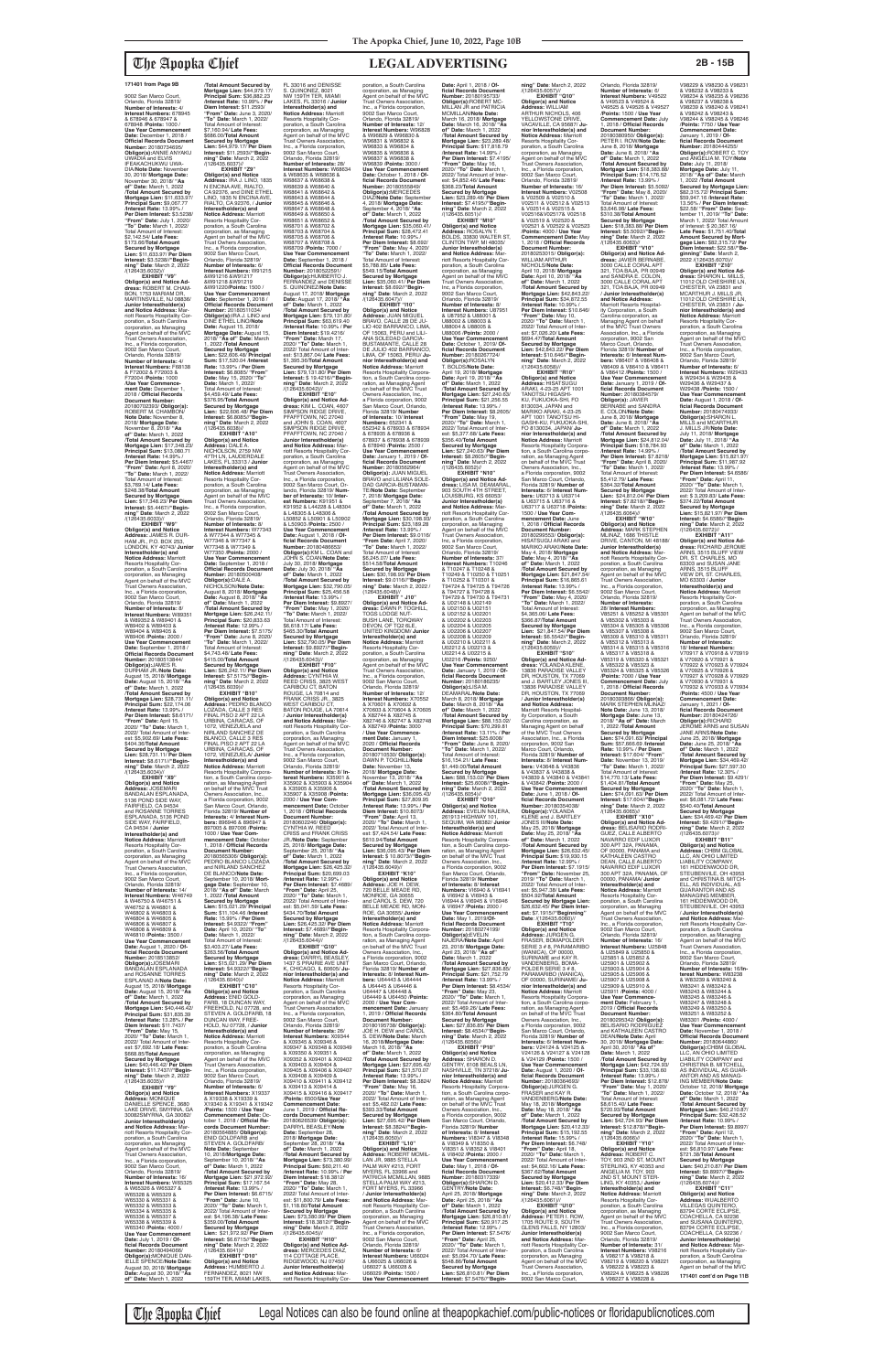9002 San Marco Court, Orlando, Florida 32819/ **Number of Interests:** 4/ **Interest Numbers:** 678945 & 678946 & 678947 & 678948 /**Points:** 1000 / **Use Year Commencement Date:** December 1, 2018 / **Official Records Document Number:** 20180734695/<br>**Obligor(s):**ANNIE ANYAKU<br>UWADIA and ELVIS<br>IFEAKACHUKWU UWA-DIA/Note Date: Novembe 30, 2018/ **Mortgage Date:** November 30, 2018/ **"As of" Date:** March 1, 2022 /**Total Amount Secured by Mortgage Lien:** \$11,633.97/ **Principal Sum:** \$9,067.77 /**Interest Rate:** 13.99% / **Per Diem Interest:** \$3.5238/ **"From" Date:** July 1, 2020/ **"To" Date:** March 1, 2022/ Total Amount of Interest: \$2,142.54/ **Late Fees:** \$173.66/**Total Amount Secured by Mortgage Lien:** \$11,633.97/ **Per Diem Interest:** \$3.5238//**"Begin-ning" Date**: March 2, 2022 /(126435.6032)// **EXHIBIT "V9"**

**Obligor(s) and Notice Ad-dress:** ROBERT M. CHAM-BON, 1753 MARIAM DR, MARTINSVILLE, NJ 08836/ **Junior Interestholder(s) and Notice Address:** Mar-<br>poration, a South Carolina<br>poration, as Managing<br>Agent on behalf of the MVC<br>Trust Owners Association, Inc., a Florida corporation, noi, a'r ionad corporainc<br>9002 San Marco Court,<br>Orlando, Florida 32819/ Orlando, Florida 32819/ **Number of Interests:** 4/ **Interest Numbers:** F68138 & F72002 & F72003 & F72004 /**Points:** 1000 /**Use Year Commence-ment Date:** December 1, 2018 / **Official Records Document Number:** 20180702393/ **Obligor(s):** ROBERT M. CHAMBON/ **Note Date:** November 8, 2018/ **Mortgage Date:** November 8, 2018/ **"As of" Date:** March 1, 2022 /**Total Amount Secured by Mortgage Lien:** \$17,348.23/ **Principal Sum:** \$13,080.71 /**Interest Rate:** 14.99% / **Per Diem Interest:** \$5.4467/ **"From" Date:** April 8, 2020/ **"To" Date:** March 1, 2022/ Total Amount of Interest: \$3,769.14/ **Late Fees:** \$248.38/**Total Amount Secured by Mortgage Lien:** \$17,348.23/ **Per Diem Interest:** \$5.4467//**"Beginning" Date**: March 2, 2022 /(126435.6033)// **EXHIBIT "W9" Obligor(s) and Notice Address:** JAMES R. DUR-HAM JR., P.O. BOX 253, **LONDON, KY 40743/ Junior Interestholder(s) and<br><b>Notice Address:** Marriott<br>Resorts Hospitality Corporation, a South Carolina corporation, as Managing

Agent on behalf of the MVC Trust Owners Association, Inc., a Florida corporation, 9002 San Marco Court, Orlando, Florida 32819/ **Number of Interests:** 8/ **Interest Numbers:** W89351 & W89352 & W89401 & W89402 & W89403 & W89404 & W89405 & W89406 /**Points:** 2000 / **Use Year Commencemen Date:** September 1, 2018 / **Official Records Document Number:** 20180513844/ **Obligor(s):**JAMES R. DURHAM JR./**Note Date:** August 15, 2018/ **Mortgage Date:** August 15, 2018/ **"As of" Date:** March 1, 2022 /**Total Amount Secured by Mortgage Lien:** \$28,731.11/ **Principal Sum:** \$22,174.06 /**Interest Rate:** 13.99% / **Per Diem Interest:** \$8.6171/ **"From" Date:** April 15, 2020/ **"To" Date:** March 1, 2022/ Total Amount of Inter-est: \$5,902.69/ **Late Fees:** \$404.36/**Total Amount Secured by Mortgage Lien:** \$28,731.11/ **Per Diem Interest:** \$8.6171//**"Begin-ning" Date**: March 2, 2022

/(126435.6034)//

**EXHIBIT "X9" Obligor(s) and Notice Address:** JOSEMARI BANDALAN ESPLANADA, 5136 POND SIDE WAY, FAIRFIELD, CA 94534 and ROSANNE TORRES ESPLANADA, 5136 POND SIDE WAY, FAIRFIELD, CA 94534 / **Junior Interestholder(s) and Notice Address:** Marriott Resorts Hospitality Corporation, a South Carolina corporation, as Managing<br>Agent on behalf of the MVC Agent on behalf of the MVC Trust Owners Association, Inc., a Florida corporation, 9002 San Marco Court, Orlando, Florida 32819/ **Number of Interests:** 14/ **Interest Numbers:** W46749 & W46750 & W46751 & W46752 & W46801 & W46802 & W46803 & W46804 & W46805 & W46806 & W46807 & W46808 & W46809 & W46810 /**Points:** 3500 / **Use Year Commencement Date:** August 1, 2020 / **Official Records Document Number:** 2018513852/<br>**Obligor(s):**JOSEMARI<br>BANDALAN ESPLANADA and ROSANNE TORRES ESPLANAD A/**Note Date:** August 15, 2018/ **Mortgage Date:** August 15, 2018/ **"As of" Date:** March 1, 2022 /**Total Amount Secured by Mortgage Lien:** \$40,446.42/ **Principal Sum:** \$31,835.39 /**Interest Rate:** 13.28% / **Per Diem Interest:** \$11.7437/ **"From" Date:** May 15, 2020/ **"To" Date:** March 1, 2022/ Total Amount of Inter-est: \$7,692.18/ **Late Fees:** \$668.85/**Total Amount Secured by Mortgage Lien:** \$40,446.42/ **Per Diem Interest:** \$11.7437//**"Begin-ning" Date**: March 2, 2022 /(126435.6035)// **EXHIBIT "Y9" Obligor(s) and Notice Address:** MONIQUE<br>DANIELLE SPENCE, 3680<br>LAKE DRIVE, SMYRNA, GA 30082SMYRNA, GA 30082/ **Junior Interestholder(s) and Notice Address: Ma** riott Resorts Hospitality Cor-poration, a South Carolina corporation, as Managing Agent on behalf of the MVC Trust Owners Association, Inc., a Florida corporation, 9002 San Marco Court, Orlando, Florida 32819/ **Number of Interests:** 16/ **Interest Numbers:** W65325 & W65326 & W65327 & W65328 & W65329 & W65330 & W65331 & W65332 & W65333 & W65334 & W65335 & W65336 & W65337 & W65338 & W65339 & W65340 /**Points:** 4000 / **Use Year Commencement Date:** July 1, 2019 / **Official Records Document Number:** 20180494066/ **ObIigor(s):**MONIQUE DAN-IELLE SPENCE/**Note Date:** August 30, 2018/ **Mortgage Date:** August 30, 2018/ **"As of" Date:** March 1, 2022

9002 San Marco Court,<br>Orlando, Florida 32819/<br>**Number of Interests:** 8/ **Interest Numbers: X35901** X35902 & X35903 & X35904 & X35905 & X35906 & X35907 & X35908 /**Points:** 2000 / **Use Year Com-mencement Date:** October 1, 2018 / **Official Records Document Number:** 20180602246/ **Obligor(s):** CYNTHIA W. REED CRISS and FRANK CRISS JR./**Note Date:** September 25, 2018/ **Mortgage Date:** September 25, 2018/ **"As of" Date:** March 1, 2022 /**Total Amount Secured by Mortgage Lien:** \$26,425.32/ **Principal Sum:** \$20,699.03 /**Interest Rate:** 12.99% / **Per Diem Interest:** \$7.4689/ **"From" Date:** April 25, 2020/ **"To" Date:** March 1, 2022/ Total Amount of Inter-est: \$5,041.59/ **Late Fees:** \$434.70/**Total Amount Secured by Mortgage Lien:** \$26,425.32/ **Per Diem Interest:** \$7.4689//**"Begin-ning" Date**: March 2, 2022 /(126435.6044)// **EXHIBIT "G10" Obligor(s) and Notice Ad-dress:** DARRYL BEASLEY, 1437 S PRAIRIE AVE UNIT K, CHICAGO, IL 60605/ **Ju-nior Interestholder(s) and Notice Address:** Marriott Resorts Hospitality Cor-poration, a South Carolina corporation, as Managing Agent on behalf of the MVC Trust Owners Association, Inc., a Florida corporation, 9002 San Marco Court, Orlando, Florida 32819/ **Number of Interests:** 26/ **Interest Numbers:** X09344 & X09345 & X09346 & X09347 & X09348 & X09349 & X09350 & X09351 & X09352 & X09401 & X09402 & X09403 & X09404 & X09405 & X09406 & X09407 & X09408 & X09409 & X09410 & X09411 & X09412 & X09413 & X09414 & X09415 & X09416 & X09417 /**Points:** 6500/**Use Year Commencement Date:** June 1, 2019 / **Official Records Document Number:** 20180626539/ **Obligor(s):** DARRYL BEASLEY/**Note Date:** September 28, 2018/ **Mortgage Date:** September 28, 2018/ **"As of" Date:** March 1, 2022 /**Total Amount Secured by Mortgage Lien:** \$73,380.99/ **Principal Sum:** \$60,211.40 /**Interest Rate:** 10.99% / **Per Diem Interest:** \$18.3812/ **"From" Date:** May 28, 2020/ **"To" Date:** March 1, 2022/ Total Amount of Inter est: \$11,800.79/ **Late Fees:** \$1,118.80/**Total Amount Secured by Mortgage Lien:** \$73,380.99/ **Per Diem Interest:** \$18.3812//**"Begin-ning" Date**: March 2, 2022 /(126435.6045)// **EXHIBIT "H10" Obligor(s) and Notice Ad-dress:** MERCEDES DIAZ, 114 COTTAGE PLACE, RIDGEWOOD, NJ 07450/ **Junior Interestholder(s)**<br>**and Notice Address:** Mar-<br>riott Resorts Hospitality Cor-

/**Total Amount Secured by Mortgage Lien:** \$44,979.17/ **Principal Sum:** \$36,882.23 /**Interest Rate:** 10.99% / **Per Diem Interest:** \$11.2593/ **"From" Date:** June 3, 2020/ **"To" Date:** March 1, 2022/ Total Amount of Interest: \$7,160.94/ **Late Fees:** \$686.00/**Total Amount Secured by Mortgage Lien:** \$44,979.17/ **Per Diem Interest:** \$11.2593//**"Begin-ning" Date**: March 2, 2022 /(126435.6037)// **EXHIBIT "Z9" Obligor(s) and Notice Address:** IRA J. LINO, 1835 N ENCINA AVE, RIALTO,<br>CA 92376, and DINE ETHEL<br>LINO, 1835 N ENCINA AVE, RIALTO, CA 92376, / **Junior Interestholder(s) and Notice Address:** Marriott Resorts Hospitality Cor-poration, a South Carolina corporation, as Managing Agent on behalf of the MVC Trust Owhers Association, Inc., a Florida corporation, 9002 San Marco Court,<br>Orlando, Florida 32819/<br>**Number of Interests:** 6/ **Interest Numbers:** W91215 &W91216 &W91217 &W91218 &W91219<br>&W91218 &W91219 &W91220/**Points:** 1500 / **Use Year Commencement Date:** September 1, 2018 / **Official Records Document Number:** 20180511034/ **Obligor(s):**IRA J. LINO and DINE ETHEL LINO/**Note Date:** August 15, 2018/ **Mortgage Date:** August 15, 2018/ **"As of" Date:** March 1, 2022 /**Total Amount Secured by Mortgage Lien:** \$22,606.48/ **Principal Sum:** \$17,520.04 /**Interest Rate:** 13.99% / **Per Diem Interest:** \$6.8085/ **"From" Date:** May 15, 2020/ **"To" Date:** March 1, 2022/ Total Amount of Interest: \$4,459.49/ **Late Fees:** \$376.95/**Total Amount Secured by Mortgage Lien:** \$22,606.48/ **Per Diem Interest:** \$6.8085//**"Beginning" Date**: March 2, 2022 /(126435.6038)// **EXHIBIT "A10" Obligor(s) and Notice Address:** DALE A. NICHOLSON, 2759 NW 47TH LN, LAUDERDALE<br>LAKES, FL 33313 / **Junior<br>Interestholder(s) and<br><b>Notice Address:** Marriott Resorts Hospitality Cor-poration, a South Carolina corporation, as Managing Agent on behalf of the MVC Trust Owners Association, Inc., a Florida corporation, 9002 San Marco Court, Orlando, Florida 32819/ **Number of Interests:** 8/ **Interest Numbers:** W77343 & W77344 & W77345 & W77346 & W77347 & W77348 & W77349 & W77350 /**Points:** 2000 / Use Year Commenc **Date:** September 1, 2018 / **Official Records Document Number:** 20180500408/ **Obligor(s):**DALE A. NICHOLSON/**Note Date:** August 8, 2018/ **Mortgage Date:** August 8, 2018/ **"As of" Date:** March 1, 2022 /**Total Amount Secured by Mortgage Lien:** \$26,242.11/ **Principal Sum:** \$20,833.63 /**Interest Rate:** 12.99% / **Per Diem Interest:** \$7.5175/ **"From" Date:** June 8, 2020/ **"To" Date:** March 1, 2022/ Total Amount of Interest: \$4,743.48/ **Late Fees:** \$415.00/**Total Amount Secured by Mortgage Lien:** \$26,242.11/ **Per Diem Interest:** \$7.5175//**"Begin-ning" Date**: March 2, 2022 /(126435.6039)// **EXHIBIT "B10" Obligor(s) and Notice Address:** PEDRO BLANCO LOZADA, CALLE 3 RES FINAL PISO 2 APT 22 LA URBINA, CARACAS, OF 1072, VENEZUELA and NIRLAND SANCHEZ DE BLANCO, CALLE 3 RES FINAL PISO 2 APT 22 LA URBINA, CARACAS, OF 1072, VENEZUELA/ **Junior Interestholder(s) and<br><b>Notice Address:** Marriott<br>Resorts Hospitality Corporation, a South Carolina c ration, as Managing Agent<br>on behalf of the MVC Trust Owners Association, Inc., a Florida corporation, 9002 San Marco Court, Orlando, Florida 32819/ **Number of Interests:** 4/ **Interest Num-bers:** 896946 & 896947 & 897005 & 897006 /**Points:** 1000 / **Use Year Com-mencement Date:** October 1, 2018 / **Official Records Document Number:** 20180565306/ **Obligor(s):** PEDRO BLANCO LOZADA and NIRLAND SANCHEZ DE BLANCO/**Note Date:** September 10, 2018/ **Mortgage Date:** September 10, 2018/ **"As of" Date:** March 1, 2022 /**Total Amount Secured by Mortgage Lien:** \$15,021.29/ **Principal Sum:** \$11,104.46 /**Interest Rate:** 15.99% / **Per Diem Interest:** \$4.9322/ **"From" Date:** April 10, 2020/ **"To" Date:** March 1, 2022/ Total Amount of Interest: \$3,403.27/ **Late Fees:** \$263.56/**Total Amount Secured by Mortgage Lien:** \$15,021.29/ **Per Diem Interest:** \$4.9322//**"Begin-ning" Date**: March 2, 2022 /(126435.6040)// **EXHIBIT** "C10"<br>Obligor(s) and Notice **Obligor(s) and Notice<br><b>Address:** ENID GOLD-<br>FARB, 18 DUNCAN WAY,<br>FREEHOLD, NJ 07728, and<br>STEVEN A. GOLDFARB, 18 DUNCAN WAY, FREE-HOLD, NJ 07728, / **Junior Interestholder(s) and Notice Address:** Marriott<br>Resorts Hospitality Cor-<br>poration, a South Carolina corporation, as Managing Agent on behalf of the MVC Trust Owners Association, Inc., a Florida corporation, 9002 San Marco Court, Orlando, Florida 32819/ **Number of Interests: 6 Interest Numbers: X19337<br>& X19338 & X19339 &** & X19338 & X19339 & X19340 & X19341 & X19342 /**Points:** 1500 / **Use Year Commencement Date:** October 1, 2018 / **Official Records Document Number:** 20180564885/ **Obligor(s):** ENID GOLDFARB and STEVEN A. GOLDFARB/ **Note Date:** September 10, 2018/**Mortgage Date:** September 10, 2018/ **"As of" Date:** March 1, 2022 /**Total Amount Secured by Mortgage Lien:** \$21,972.92/ **Principal Sum:** \$17,167.54 /**Interest Rate:** 13.99% / **Per Diem Interest:** \$6.6715/ **"From" Date:** June 10, 2020/ **"To" Date:** March 1, 2022/ Total Amount of Inter-est: \$4,196.38/ **Late Fees:** \$359.00/**Total Amount Secured by Mortgage Lien:** \$21,972.92/ **Per Diem Interest:** \$6.6715//**"Begin-ning" Date**: March 2, 2022 /(126435.6041)// **EXHIBIT "D10" Obligor(s) and Notice Address:** HUMBERTO J.<br>FERNANDEZ, 8021 NW<br>159TH TER, MIAMI LAKES, FL 33016 and DENISSE S. QUINONEZ, 8021 NW 159TH TER, MIAMI LAKES, FL 33016 / **Junior Interestholder(s) and Notice Address:** Marriott Resorts Hospitality Cor-poration, a South Carolina corporation, as Managing Agent on behalf of the MVC Trust Owners Association, Inc., a Florida corporation, 9002 San Marco Court,<br>Orlando, Florida 32819/<br>**Number of Interests:** 28/ **Interest Numbers:** W68634 & W68635 & W68636 & W68637 & W68638 & W68639 & W68640 & W68641 & W68642 & W68643 & W68644 & W68645 & W68646 & W68647 & W68648 & W68649 & W68650 & W68651 & W68652 & W68701 & W68702 & W68703 & W68704 & W68705 & W68706 & W68707 & W68708 & W68709 /**Points:** 7000 / **Use Year Commencement Date:** September 1, 2018 / **Official Records Document Number:** 20180522591/ **Obligor(s):**HUMBERTO J. FERNANDEZ and DENISSE S. QUINONEZ/**Note Date:** August 17, 2018/ **Mortgage Date:** August 17, 2018/ **"As of" Date:** March 1, 2022 /**Total Amount Secured by Mortgage Lien:** \$79,131.80/ **Principal Sum:** \$63,619.40 /**Interest Rate:** 10.99% / **Per Diem Interest:** \$19.4216/ **"From" Date:** March 17, 2020/ **"To" Date:** March 1, 2022/ Total Amount of Interest: \$13,867.04/ **Late Fees:** \$1,395.36/**Total Amount Secured by Mortgage Lien:** \$79,131.80/ **Per Diem Interest:** \$ 19.4216//**"Begin-ning" Date**: March 2, 2022 /(126435.6042)// **EXHIBIT "E10" Obligor(s) and Notice Ad-dress:** KIM L. COAN, 4607 SIMPSON RIDGE DRIVE, PFAFFTOWN, NC 27040 and JOHN S. COAN, 4607 SIMPSON RIDGE DRIVE, PFAFFTOWN, NC 27040 / **Junior Interestholder(s) and Notice Address:** Marriott Resorts Hospitality Cor-<br>poration, a South Carolina poration, a South Carolina corporation, as Managing Agent on behalf of the MVC Trust Owners Association, Inc., a Florida corporation, 9002 San Marco Court, Orlando, Florida 32819/ **Num-ber of Interests:** 10/ **Inter-est Numbers:** K91951 & K91952 & L44228 & L48304 & L48305 & L48306 & L50852 & L50901 & L50902 & L50903 /**Points:** 2500 / **Use Year Commencement Date:** August 1, 2018 / **Of-ficial Records Document Number:** 20180486653/ **Obligor(s):**KM L. COAN and JOHN S. COAN/**Note Date:** July 30, 2018/ **Mortgage Date:** July 30, 2018/ **"As of" Date:** March 1, 2022 /**Total Amount Secured by Mortgage Lien:** \$32,790.05/ **Principal Sum:** \$25,456.58 /**Interest Rate:** 13.99% / **Per Diem Interest:** \$9.8927/ **"From" Date:** May 1, 2020/ **"To" Date:** March 1, 2022/ Total Amount of Interest: \$6,618.17/ **Late Fees:** \$465.30/**Total Amount Secured by Mortgage Lien:** \$32,790.05/ **Per Diem Interest:** \$9.8927//**"Begin-ning" Date**: March 2, 2022 /(126435.6043)// **EXHIBIT "F10" Obligor(s) and Notice Address:** CYNTHIA W. REED CRISS, 3825 WEST CARIBOU CT, BATON ROUGE, LA 70814 and FRANK CRISS JR., 3825 WEST CARIBOU CT, BATON ROUGE, LA 70814 / **Junior Interestholder(s) and Notice Address:** Marriott Resorts Hospitality Cor-poration, a South Carolina corporation, as Managing Agent on behalf of the MVC Trust Owners Association, Inc., a Florida corporation,

poration, a South Carolina corporation, as Managing Agent on behalf of the MVC Trust Owners Association, Inc., a Florida corporation, 9002 San Marco Court, Orlando, Florida 32819/<br>**Number of Interests:** 12/<br>**Interest Numbers:** W96828<br>& W96829 & W96830 & W96831 & W96832 & W96833 & W96834 & W96835 & W96836 & W96837 & W96838 & W96839 /**Points:** 3000 / **Use Year Commencement Date:** October 1, 2018 / **Of-ficial Records Document Number:** 20180555849/ **Obligor(s):**MERCEDES DIAZ/**Note Date:** September 4, 2018/ **Mortgage Date:** September 4, 2018/ **"As of" Date:** March 1, 2022 /**Total Amount Secured by Mortgage Lien:** \$35,060.41/ **Principal Sum:** \$28,472.41 /**Interest Rate:** 10.99% / **Per Diem Interest:** \$8.692/ **"From" Date:** May 4, 2020/ **"To" Date:** March 1, 2022/ Total Amount of Interest: \$5,788.85/ **Late Fees:** \$549.15/**Total Amount Secured by Mortgage Lien:** \$35,060.41/ **Per Diem Interest:** \$8.692//**"Begin-ning" Date**: March 2, 2022 /(126435.6047)// **EXHIBIT "I10" Obligor(s) and Notice Address:** JUAN MIGUEL BRAVO, CALLE 28 DE JU-LIO 402 BARRANCO, LIMA, OF 15063, PERU and LILI-ANA SOLEDAD GARCIA-BUSTAMANTE, CALLE 28 DE JULIO 402 BARRANCO, LIMA, OF 15063, PERU/ **Ju-nior Interestholder(s) and Notice Address:** Marriott Resorts Hospitality Corporation, a South Carolina corporation, as Managing Agent on behalf of the MVC Trust Owners Association, Inc., a Florida corporation, 9002 San Marco Court, Orlando, Florida 32819/ **Number of Interests:** 10/ **Interest Numbers:** 652341 &<br>652342 & 678933 & 678934<br>& 678935 & 678936 &<br>678937 & 678938 & 678939 & 678940 /**Points:** 2500 / **Use Year Commencement Date:** January 1, 2019 / **Of-ficial Records Document Number:** 20180562964/ **Obligor(s):** JUAN MIGUEL BRAVO and LILIANA SOLE-DAD GARCIA-BUSTAMAN-TE/**Note Date:** September 7, 2018/ **Mortgage Date:** September 7, 2018/ **"As of" Date:** March 1, 2022 /**Total Amount Secured by Mortgage Lien:** \$30,198.93/ **Principal Sum:** \$23,189.28 /**Interest Rate:** 13.99% / **Per Diem Interest:** \$9.0116/ **"From Date:** April 7, 2020/ **"To" Date:** March 1, 2022/ Total Amount of Interest:<br>\$6.245.07/ Late Fees: \$6,245.07/ **Late Fees:** \$514.58/**Total Amount Secured by Mortgage Lien:** \$30,198.93/ **Per Diem Interest:** \$9.0116//**"Begin-ning" Date:** March 2, 2022 / (126435.6048)// **EXHIBIT " J10" Obligor(s) and Notice Ad-dress:** DAWN P. TOGHILL, TOGS LODGE NUT-BUSH LANE, TORQWAY DEVON, OF TQ2 6LE,<br>UNITED KINGDOM/ **Junior**<br>**Interestholder(s) and<br><b>Notice Address:** Marriott Resorts Hospitality Cor-poration, a South Carolina corporation, as Managing<br>Agent on behalf of the MVC<br>Trust Owners Association,<br>Inc., a Florida corporation, 9002 San Marco Court, Orlando, Florida 32819/ **Number of Interests:** 12/<br>**Interest Numbers:** X70552<br>& X70601 & X70602 & & X70601 & X70602 &<br>X70603 & X70604 & X70605 & X82744 & X82745 & X82746 & X82747 & X82748 & X82749 /**Points:** 3000 / **Use Year Commence-ment Date:** January 1, 2020 / **Official Records Document Number:** 20180710530/ **Obligor(s):** DAWN P. TOGHILL/**Note Date:** November 13, 2018/ **Mortgage Date:** November 13, 2018/ **"As of" Date:** March 1, 2022 /**Total Amount Secured by Mortgage Lien:** \$36,095.43/ **Principal Sum:** \$27,809.95 /**Interest Rate:** 13.99% / **Per Diem Interest:** \$10.8073/ **"From" Date:** April 13, 2020/ **"To" Date:** March 1, 2022/ Total Amount of Int est: \$7,424.54/ **Late Fees:** \$610.94/**Total Amount Secured by Mortgage Lien:** \$36,095.43/ **Per Diem Interest:** \$ 10.8073//**"Beginning" Date**: March 2, 2022 /(126435.6049)// **EXHIBIT "K10" Obligor(s) and Notice Address:** JOE H. DEW,<br>720 BELLE MEADE RD, MONROE, GA 30655 and CAROL S. DEW, 720 BELLE MEADE RD, MON-ROE, GA 30655/ **Junior Interestholder(s) and Notice Address:** Marriott Resorts Hospitality Corpora-tion, a South Carolina corpo-ration, as Managing Agent on behalf of the MVC Trust Owners Association, Inc., a Florida corporation, 9002 San Marco Court, Orlando,<br>Florida 32819/ **Number of**<br>**Interests:** 8/ **Interest Numbers:** U64443 & U64444 & U64445 & U64446 &<br>Ugaaaz & Ugaaar & U64447 & U64448 & U64449 & U64450 /**Points:** 2000 / **Use Year Com-mencement Date:** January 1, 2019 / **Official Records Document Number:** 20180195738/ **Obligor(s):** JOE H. DEW and CAROL S. DEW/**Note Date:** March 16, 2018/**Mortgage Date:** March 16, 2018/ **"As of" Date:** March 1, 2022 /**Total Amount Secured by Mortgage Lien:** \$27,695.42/ **Principal Sum:** \$21,570.07 /**Interest Rate:** 13.99% / **Per Diem Interest:** \$8.3824/ **"From" Date:** May 16, 2020/ **"To" Date:** March 1, 2022/ Total Amount of Inter-est: \$5,482.02/ **Late Fees:** \$393.33/**Total Amount Secured by Mortgage Lien:** \$27,695.42/ **Per Diem Interest:** \$8.3824//**"Beginning" Date**: March 2, 2022 /(126435.6050)// **EXHIBIT "L10" Obligor(s) and Notice Address:** ROBERT MCMIL-LAN JR, 9885 STELLA PALM WAY #213, FORT MYERS, FL 33966 and PATRICIA MCMILLAN, 9885 STELLA PALM WAY #213, FORT MYERS, FL 33966 / **Junior Interestholder(s) and Notice Address:** Ma riott Resorts Hospitality Cor-poration, a South Carolina corporation, as Managing Agent on behalf of the MVC Trust Owners Association, Inc., a Florida corporation, 9002 San Marco Court, Orlando, Florida 32819/ **Number of Interests:** 6/ **Interest Numbers:** U66024 & U66025 & U66026 & U66027 & U66028 & U66029 /**Points:** 1500 / **Use Year Commencement** 

**Date:** April 1, 2018 / **Of-ficial Records Document Number:** 20180195733/ **Obligor(s):**ROBERT MC-MILLAN JR and PATRICIA MCMILLAN/**Note Date:** March 16, 2018/ **Mortgage Date:** March 16, 2018/ **"As of" Date:** March 1, 2022 /**Total Amount Secured by Mortgage Lien:** \$23,289.48/ **Principal Sum:** \$17,818.79 /**Interest Rate:** 14.99% / **Per Diem Interest:** \$7.4195/ **"From" Date:** May 16, 2020/ **"To" Date:** March 1, 2022/ Total Amount of Inter-est: \$4,852.46/ **Late Fees:** \$368.23/**Total Amount Secured by Mortgage Lien:** \$23,289.48/ **Per Diem Interest:** \$7.4195//**"Begin-ning" Date**: March 2, 2022 /(126435.6051)// **EXHIBIT "M10" Obligor(s) and Notice<br><b>Address:** ROSALYN T.<br>BOLDS, 33830 WALTER ST, CLINTON TWP, ML48035/ **Junior Interestholder(s) and Notice Address:** Marriott Resorts Hospitality Cor-poration, a South Carolina corporation, as Managing Agent on behalf of the MVC Trust Owners Association, Inc, a Florida corporation, 9002 San Marco Court, Orlando, Florida 32819/ **Number of Interests:** 8/ **Interest Numbers:** U87951 & U87952 & U88001 & U88002 & U88003 & U88004 & U88005 & U88006 /**Points:** 2000 / **Use Year Commencement Date:** October 1, 2019/ **Of-ficial Records Document Number:** 20180267724/ **Obligor(s):**ROSALYN T. BOLDS/**Note Date:** April 19, 2018/ **Mortgage Date:** April 19, 2018/ **"As of" Date:** March 1, 2022 /**Total Amount Secured by Mortgage Lien:** \$27,240.63/ **Principal Sum:** \$21,256.55 /**Interest Rate:** 13.99% / **Per Diem Interest:** \$8.2605/ **"From" Date:** May 19, 2020/ **"To" Date:** March 1, 2022/ Total Amount of Inter-est: \$5,377.68/ **Late Fees:** \$356.40/**Total Amount Secured by Mortgage Lien:** \$27,240.63/ **Per Diem Interest:** \$8.2605//**"Begin-ning" Date**: March 2, 2022 /(126435.6052)// **EXHIBIT "N10" Obligor(s) and Notice Ad-dress:** LISA M. DEAMARAL, 903 SOUTH 4TH STREET, LOUISBURG, KS 66053/ **Junior Interestholder(s) and Notice Address:** Marriott Resorts Hospitality Corporation, a South Carolina corporation, as Managing<br>Agent on behalf of the MVC<br>Trust Owners Association,<br>Inc, a Florida corporation, 9002 San Marco Court, Orlando, Florida 32819/ **Number of Interests:** 37/<br>**Interest Numbers:** T10246<br>& T10247 & T10248 &<br>T10249 & T10250 & T10251 & T10252 & T10301 & T94724 & T94725 & T94726 & T94727 & T94728 & T94729 & T94730 & T94731 & U02148 & U02149 & U02150 & U02151 & U02152 & U02201 & U02202 & U02203 & U02204 & U02205 & U02206 & U02207 & U02208 & U02209 & U02210 & U02211 & U02212 & U02213 & U02214 & U02215 & U02216 /**Points:** 9250/ **Use Year Commencement Date:** January 1, 2019 / **Of-ficial Records Document Number:** 20180186235/ **Obligor(s):**LISA M. DEAMARAL/**Note Date:** March 8, 2018/ **Mortgage Date:** March 8, 2018/ **"As of" Date:** March 1, 2022 /**Total Amount Secured by Mortgage Lien:** \$88,153.02/ **Principal Sum:** \$70,299.81 /**Interest Rate:** 13.11% / **Per Diem Interest:** \$25.6008/ **"From" Date:** June 8, 2020/ **"To" Date:** March 1, 2022/ Total Amount of Inte \$16,154.21/ **Late Fees:** \$1,449.00/**Total Amount Secured by Mortgage Lien:** \$88,153.02/ **Per Diem Interest:** \$25.6008//**"Begin-ning" Date**: March 2, 2022 /(126435.6054)// **EXHIBIT "O10" Obligor(s) and Notice Address:** EVELIN NAJERA, 261913 HIGHWAY 101, SEQUIM, WA 98382/ **Junior Interestholder(s) and Notice Address:** Marriott Resorts Hospitality Corporation, a South Carolina corporation, as Managing Agent<br>on behalf of the MVC Trust Owners Association, Inc.,<br>a Florida corporation, 9002<br>San Marco Court, Orlando,<br>Florida 32819/ **Number of Interests:** 8/ **Interest Numbers:** VI6940 & V16941 & VI6942 & VI6943 & VI6944 & VI6945 & V16946 & VI6947 /**Points:** 2000 / **Use Year Commencement Date:** May 1, 2019/**Of-ficial Records Document Number:** 20180274199/<br>**Obligor(s):**EVELIN<br>NAJERA/**Note Date:** April 23, 2018/ **Mortgage Date:** April 23, 2018/ **"As of" Date:** March 1, 2022 /**Total Amount Secured by Mortgage Lien:** \$27,836.85/ **Principal Sum:** \$21,752.79 /**Interest Rate:** 13.99% / **Per Diem Interest:** \$8.4534/ **"From" Date:** May 23, 2020/ **"To" Date:** March 1, 2022/ Total Amount of Inter-est: \$5,469.26/ **Late Fees:** \$364.80/**Total Amount Secured by Mortgage Lien:** \$27,836.85/ **Per Diem Interest:** \$8.4534//**"Begin-ning" Date**: March 2, 2022 /(126435.6056)// **EXHIBIT "P10" Obligor(s) and Notice Address:** SHARON D. GENTRY, 6108 BEALS LN, NASHVILLE, TN 37218/ **Ju-nior Interestholder(s) and Notice Address:** Marriott Resorts Hospitality Corpora-tion, a South Carolina corporation, as Managing Agent<br>on behalf of the MVC Trust<br>Owners Association, Inc., a Florida corporation, 9002 San Marco Court, Orlando, Florida 32819/ **Number of Interests:** 8/ **Interest**<br>**Numbers:** VI8347 & VI8348<br>& VI8349 & V18350 & VI8351 & VI8352 & VI8401 & VI8402 /**Points:** 2000 / **Use Year Commencement Date:** May 1, 2018 / **Official Records Document Number:** 20180317339/ **Obligor(s):**SHARON D. GENTRY/**Note Date:** April 25, 2018/ **Mortgage Date:** April 25, 2018/ **"As of" Date:** March 1, 2022 /**Total Amount Secured by Mortgage Lien:** \$26,810.81/ **Principal Sum:** \$20,917.25 /**Interest Rate:** 12.99% / **Per Diem Interest:** \$7.5476/ **"From" Date:** April 25, 2020/ **"To" Date:** March 1, 2022/ Total Amount of Inter est: \$5,094.70/ **Late Fees:** \$548.86/**Total Amount Secured by Mortgage Lien:** \$26,810.81/ **Per Diem Interest:** \$7.5476//**"Begin-**

**ning" Date**: March 2, 2022 /(126435.6057)// **EXHIBIT "Q10" Obligor(s) and Notice Address:** WILLIAM<br>ARTHUR NICHOLS, 406 YELLOWSTONE DRIVE, VACAVILLE, CA 95687/ **Ju-nior Interestholder(s) and Notice Address:** Marriott Resorts Hospitality Cor-poration, a South Carolina corporation, as Managing<br>Agent on behalf of the MVC<br>Trust Owners Association,<br>Inc., a Florida corporation, 9002 San Marco Court, Orlando, Florida 32819/ **Number of Interests:** 16/<br>**Interest Numbers:** V02508<br>& V02509 & V02510 &<br>V02511 & V02512 & V02513 & V02514 & V02515 & V02516&V02517& V02518 & V02519 & V02520 & V02521 & V02522 & V02523 /**Points:** 4000 / **Use Year Commencement Date:** May 1, 2018 / **Official Records Document Number:** 20180253015/ **Obligor(s):** WILLIAM ARTHUR NICHOLS/**Note Date:** April 10, 2018/ **Mortgage Date:** April 10, 2018/ **"As of" Date:** March 1, 2022 /**Total Amount Secured by Mortgage Lien:** \$42,843.22/ **Principal Sum:** \$34,872.55 /**Interest Rate:** 10.99% / **Per Diem Interest:** \$10.646/ **"From" Date:** May 10, 2020/ **"To" Date:** March 1, 2022/ Total Amount of Inter-est: \$7,026.20/ **Late Fees:** \$694.47/**Total Amount Secured by Mortgage Lien:** \$42,843.22/ **Per Diem Interest:** \$10.646//**"Begin-ning" Date**: March 2, 2022 /(126435.6058)// **EXHIBIT "R10" Obligor(s) and Notice Address:** HISATSUGU ARAKI, 4-23-25 APT 1001 TANOTSU HIGASHI-KU, FUKUOKA-SHI, FO 8130034, JAPAN and MARIKO ARAKI, 4-23-25 APT 1001 TANOTSU HI-GASHI-KU, FUKUOKA-SHI, FO 8130034, JAPAN/ **Ju-nior Interestholder(s) and Notice Address:** Marriott Resorts Hospitality Corpora-tion, a South Carolina corporation, as Managing Agent<br>on behalf of the MVC Trust<br>Owners Association, Inc.,<br>a Florida corporation, 9002 San Marco Court, Orlando, Florida 32819/ **Number of Interests:** 6/ **Interest Num-bers:** U63713 & U63714 & U63715 & U63716 & U63717 & U63718 /**Points:** 1500 / **Use Year Comnencement Date: June<br>2018 / Official Records** 1, 2018 / **Official Records Document Number:** 20180299553/ **Obligor(s):** HISATSUGU ARAKI and MARIKO ARAKI/**Note Date:** May 4, 2018/ **Mortgage Date:** May 4, 2018/ **"As of" Date:** March 1, 2022 /**Total Amount Secured by Mortgage Lien:** \$21,847.54/ **Principal Sum:** \$16,865.61 /**Interest Rate:** 13.99% / **Per Diem Interest:** \$6.5542/ **"From" Date:** May 4, 2020/ **"To" Date:** March 1, 2022/ Total Amount of Interest: \$4,365.06/ **Late Fees:** \$366.87/**Total Amount Secured by Mortgage Lien:** \$21,847.54/ **Per Diem Interest:** \$6.5542//**"Begin-ning" Date**: March 2, 2022 /(126435.6059)// **EXHIBIT "S10" Obligor(s) and Notice Ad-<br><b>dress:** YOLANDA KLENE,<br>13836 PARADISE VALLEY<br>DR, HOUSTON, TX 77069 and J. BARTLEY JONES III, 13836 PARADISE VALLEY DR, HOUSTON, TX 77069 / **Junior Interestholder(s) and Notice Address:**

Marriott Resorts Hospitality Corporation, a South Carolina corporation, as Managing Agent on behalf of the MVC Trust Owners Association, Inc., a Florida corporation, 9002 San Marco Court, Orlando, Florida 32819/ **Number of Interests:** 8/ **Interest Num-bers:** V43648 & V43836 & V43837 & V43838 & V43839 & V43840 & V43

& V43842 /**Points:** 2000 / **Use Year Commencement Date:** June 1, 2018 / **Of-ficial Records Document Number:** 20180354038/ **Obligor(s):**YOLANDA KLENE and J. BARTLEY JONES III/**Note Date:** May 25, 2018/ **Mortgage Date:** May 25, 2018/ **"As of" Date:** March 1, 2022 /**Total Amount Secured by Mortgage Lien:** \$26,632.45/ **Principal Sum:** \$19,930.15 /**Interest Rate:** 12.99% / **Per Diem Interest:** \$7.1915/ **"From" Date:** November 25, 2019/ **"To" Date:** March 1, 2022/ Total Amount of Inter-est: \$5,947.38/ **Late Fees:** \$504.92/**Total Amount Secured by Mortgage Lien:**  \$26,632.45/ **Per Diem Inter-est:** \$7.1915//**"Beginning" Date**: /(126435.6060)// **EXHIBIT "T10" Obligor(s) and Notice<br><b>Address:** JURGEN G.<br>FRASER, BOMAPOLDER<br>SERIE 3 # 8, PARAMARIBO (WANICA), OF 00000,<br>SURINAME and KAY R. VANDENBERG, BOMA-POLDER SERIE 3 # 8, PARAMARIBO (WANICA), OF 00000, SURINAME/ **Junior Interestholder(s) and Notice Address:** Marriott Resorts Hospitality Corpora-tion, a South Carolina corpo-ration, as Managing Agent on behalf of the MVC Trust Owners Association, Inc., a Florida corporation, 9002 San Marco Court, Orlando,<br>Florida 32819/ **Number of**<br>**Interests:** 6/ **Interest Numbers:** V24124 & V24125 & V24126 & V24127 & V24128 & V24129 /**Points:** 1500 / **Use Year Commencement Date:** August 1, 2020 / **Of-ficial Records Document Number:** 20180364693/ **Obligor(s):**JURGEN G. FRASER and KAY R. VANDENBERG/**Note Date:** May 18, 2018/ **Mortgage Date:** May 18, 2018/ **"As of" Date:** March 1, 2022 /**Total Amount Secured by Mortgage Lien:** \$20,412.33/ **Principal Sum:** \$15,192.55 /**Interest Rate:** 15.99% / **Per Diem Interest:** \$6.748/ **"From" Date:** April 18, 2020/ **"To" Date:** March 1, 2022/ Total Amount of Interest: \$4,602.16/ **Late Fees:** \$367.62/**Total Amount Secured by Mortgage Lien:** \$20,412.33/ **Per Diem Interest:** \$6.748//**"Begin-ning" Date**: March 2, 2022 /(126435.6061)// **EXHIBIT "U10" Obligor(s) and Notice Address:** PETER I. ROW, 1705 ROUTE 9, SOUTH GLENS FALLS, NY 12803/ **Junior Interestholder(s)**<br>**and Notice Address:** Mar-<br>riott Resorts Hospitality Corporation, a South Carolina corporation, as Managing Agent on behalf of the MVC Trust Owners Association, Inc., a Florida corporation, 9002 San Marco Court,

The Apopka Chief Legal Notices can also be found online at theapopkachief.com/public-notices or floridapublicnotices.com

Orlando, Florida 32819/ **Number of Interests:** 6/<br>**Interest Numbers**: V49522<br>& V49523 & V49524 & V49525 & V49526 & V49527 /**Points:** 1500 / **Use Year Commencement Date:** July 1, 2018 / **Official Records Document Number:** 20180380950/ **Obligor(s):** PETER I. ROW/**Note Date:** June 8, 2018/ **Mortgage Date:** June 8, 2018/ **"As of" Date:** March 1, 2022 /**Total Amount Secured by Mortgage Lien:** \$18,383.88/ **Principal Sum:** \$14,176.52 /**Interest Rate:** 13.99% / **Per Diem Interest:** \$5.5092/ **"From" Date:** May 8, 2020/ **"To" Date:** March 1, 2022/ Total Amount of Interest: \$3,646.98/ **Late Fees:** \$310.38/**Total Amount Secured by Mortgage Lien:** \$18,383.88/ **Per Diem Interest:** \$5.5092//**"Begin-ning" Date**: March 2, 2022 /(126435.6063)// **EXHIBIT "V10" Obligor(s) and Notice Ad-dress:** JAVIER BERNABE, 3000 CALLE CORAL APT 321, TOA BAJA, PR 00949 and SANDRA E. COLON,<br>3000 CALLE CORAL APT 321, TOA BAJA, PR 00949 / **Junior Interestholder(s) and Notice Address:** Marriott Resorts Hospitality Corporation, a South Carolina corporation, as Managing Agent on behalf of the MVC Trust Owners Association, Inc., a Florida corporation, 9002 San Marco Court, Orlando, Florida 32819/ **Number of Interests:** 6/ **Interest Num-bers:** V86407 & V86408 & V86409 & V86410 & V86411 & V86412 /**Points:** 1500 / **Use Year Commencement Date:** January 1, 2019 / **Official Records Document<br><b>Number:** 20180384579/<br>**Obligor(s):** JAVIER<br>BERNABE and SANDRA E. COLON/**Note Date:** June 8, 2018/ **Mortgage Date:** June 8, 2018/ **"As of" Date:** March 1, 2022 /**Total Amount Secured by Mortgage Lien:** \$24,812.04/ **Principal Sum:** \$18,784.93 /**Interest Rate:** 14.99% / **Per Diem Interest:** \$7.8218/ **"From" Date:** April 8, 2020/ **"To" Date:** March 1, 2022/ Total Amount of Interest: \$5,412.79/ **Late Fees:** \$364.32/**Total Amount Secured by Mortgage Lien:** \$24,812.04/ **Per Diem Interest:** \$7.8218//**"Begin-ning" Date**: March 2, 2022 /(126435.6064)// **EXHIBIT "W10" Obligor(s) and Notice<br><b>Address:** MARK STEPHEN<br>MLINAZ, 1686 THISTLE<br>DRIVE, CANTON, MI 48188/ **Junior Interestholder(s) and Notice Address:** Marriott Resorts Hospitality Cor-poration, a South Carolina corporation, as Managing Agent on behalf of the MVC Trust Owners Association, Inc., a Florida corporation<br>9002 San Marco Court. 9002 San Marco Court,<br>Orlando, Florida 32819/<br>**Number of Interests:** 28/ **Interest Numbers:** V85251 & V85252 & V85301 & V85302 & V85303 & V98229 & V98230 & V98231 & V98232 & V98233 & V98234 & V98235 & V98236 & V98237 & V98238 & V98239 & V98240 & V98241 & V98242 & V98243 & V98244 & V98245 & V98246 /**Points:** 7750 / **Use Year Commencement Date:** January 1, 2019 / **Of-**

V85304 & V85305 & V85306 & V85307 & V85308 & V85309 & V85310 & V85311 & V85312 & V85313 & V85314 & V85315 & V85316 & V85317 & V85318 & V85319 & V85320 & V85321 & V85322 & V85323 & V85324 & V85325 & V85326 /**Points:** 7000 / **Use Year Commencement Date:** July 1, 2018 / **Official Records Document Number:** 20180393866/ **Obligor(s):** MARK STEPHEN MLINAZ/ **Note Date:** June 13, 2018/ **Mortgage Date:** June 13, 2018/ **"As of" Date:** March 1, 2022 /**Total Amount Secured by Mortgage Lien:** \$74,091.63/ **Principal Sum:** \$57,666.69 /**Interest Rate:** 10.99% / **Per Diem Interest:** \$17.604/ **"From" Date:** November 13, 2019/<br>"**To" Date:** March 1, 2022/<br>Total Amount of Interest: \$14,770.13/ **Late Fees:** \$1,404.81/**Total Amount Secured by Mortgage Lien:** \$74,091.63/ **Per Diem Interest:** \$17.604//**"Begin-ning" Date**: March 2, 2022 /(126435.6065)//<br>**EXHIBIT "X10" EXHIBIT "X10" Obligor(s) and Notice Ad-dress:** BELISARIO RODRI-GUEZ, CALLE ALBERTO NAVARRO EDIF LUXOR 300 APT 32A, PANAMA, OF 00000, PANAMA and KATHALEEN CASTRO<br>DEAN, CALLE ALBERTO DEAN, CALLE ALBERTO<br>NAVARRO EDIF LUXOR<br>300 APT 32A, PANAMA, OF<br>00000, PANAMA/ **Junior Interestholder(s) and Notice Address:** Marriott Resorts Hospitality Cor-poration, a South Carolina corporation, as Managing Agent on behalf of the MVC Trust Owners Association, Inc., a Florida corporation<br>9002 San Marco Court. 9002 San Marco Court,<br>Orlando, Florida 32819/<br>**Number of Interests:** 16/ **Interest Numbers:** U25848 & U25849 & U25850 & U25851 & U25852 & U25901 & U25902 & U25903 & U25904 & U25905 & U25906 & U25907 & U25908 & U25909 & U25910 & U25911 /**Points:** 4000 / Use Year Commence **ment Date:** February 1, 2019 / **Official Records Document Number:** 20180295342/ **Obligor(s):** BELISARIO RODRIGUEZ and KATHALEEN CASTRO DEAN/**Note Date:** April 30, 2018/ **Mortgage Date:** April 30, 2018/ **"As of" Date:** March 1, 2022 /**Total Amount Secured by Mortgage Lien:** \$42,724.93/ **Principal Sum:** \$33,138.60 /**Interest Rate:** 13.99% / **Per Diem Interest:** \$12.878/ **"From" Date:** May 1, 2020/ **"To" Date:** March 1, 2022/ Total Amount of Interest: \$8,615.40/ **Late Fees:** \$720.93/**Total Amount Secured by Mortgage Lien:** \$42,724.93/ **Per Diem Interest:** \$12.878//**"Beginning" Date**: March 2, 2022 /(126435.6066)// **EXHIBIT "Y10" Obligor(s) and Notice Address:** ROBERT C. TOY, 903 2ND ST, MOUNT STERLING, KY 40353 and ANGELIA M. TOY, 903 2ND ST, MOUNT STER-LING, KY 40353,/ **Junior Interestholder(s) and Notice Address:** Marriott Resorts Hospitality Cor-poration, a South Carolina corporation, as Managing Agent on behalf of the MVC Trust Owners Association, Inc., a Florida corporation, 9002 San Marco Court,<br>Orlando, Florida 32819/<br>**Number of Interests:** 31/ **Interest Numbers:** V98216 & V98217 & V98218 & V98219 & V98220 & V98221 & V98222 & V98223 & V98224 & V98225 & V98226 & V98227 & V98228 & **ficial Records Document Number:** 20180444255/ **Obligor(s):**ROBERT C. TOY and ANGELIA M. TOY/**Note Date:** July 11, 2018/ **Mortgage Date:** July 11, 2018/ **"As of" Date:** March 1, 2022 /**Total Amount Secured by Mortgage Lien:**  \$82,315.72/ **Principal Sum:** \$59,947.16 /**Interest Rate:** 13.56% / **Per Diem Interest:** \$22.58/ **"From" Date:** Sep-tember 11, 2019/ **"To" Date:** March 1, 2022/ Total Amount of Interest: \$ 20,367.16/ **Late Fees:** \$1,751.40/**Total Amount Secured by Mortgage Lien:** \$82,315.72/ **Per Diem Interest:** \$22.58//**"Beginning" Date**: March 2, 2022 /(126435.6070)// **EXHIBIT "Z10" Obligor(s) and Notice Ad-dress:** SHARON L. MILLS, 11012 OLD CHESHIRE LN, CHESTER, VA 23831 and MCARTHUR J. MILLS JR, 11012 OLD CHESHIRE LN, CHESTER, VA 23831 / **Junior Interestholder(s) and Notice Address:** Marriott Resorts Hospitality Cor-poration, a South Carolina corporation, as Managing Agent on behalf of the MVC Trust Owners Association, Inc., a Florida corporation, 9002 San Marco Court, Orlando, Florida 32819/ **Number of Interests:** 6/ **Interest Numbers:** W29433 & W29434 & W29435 & W29436 & W29437 & W29438 /**Points:** 1500 / **Use Year Commencement Date:** August 1, 2018 / **Of-ficial Records Document Number:** 20180474933/ **Obligor(s):**SHARON L. MILLS and MCARTHUR J. MILLS JR/**Note Date:** July 11, 2018/ **Mortgage Date:** July 11, 2018/ **"As of" Date:** March 1, 2022 /**Total Amount Secured by Mortgage Lien:** \$15,821.97/ **Principal Sum:** \$11,987.92 /**Interest Rate:** 13.99% / **Per Diem Interest:** \$4.6586/ **"From" Date:** April 11, 2020/ **"To" Date:** March 1, 2022/ Total Amount of Inter-est: \$ 3,209.83/ **Late Fees:** \$374.22/**Total Amount Secured by Mortgage Lien:** \$15,821.97/ **Per Diem Interest:** \$4.6586//**"Beginning" Date**: March 2, 2022 /(126435.6072)// **EXHIBIT "A11" Obligor(s) and Notice Ad-dress:** RICHARD JEROME ARNS, 3515 BLUFF VIEW DR, ST. CHARLES, MO<br>63303 and SUSAN JANE<br>ARNS, 3515 BLUFF VIEW DR, ST. CHARLES, MO 63303 / **Junior Interestholder(s) and Notice Address:** Marriott Resorts Hospitality Cor-poration, a South Carolina corporation, as Managing Agent on behalf of the MVC Trust Owners Association, Inc., a Florida corporation, 9002 San Marco Court, Orlando, Florida 32819/ **Number of Interests:** 18/ **Interest Numbers:** V70917 & V70918 & V70919 & V70920 & V70921 & V70922 & V70923 & V70924 & V70925 & V70926 & V70927 & V70928 & V70929 & V70930 & V70931 & V70932 & V70933 & V70934 /**Points:** 4500 / **Use Year Commencement Date:** January 1, 2021 / **Official Records Document Number:** 20180424726/ **Obligor(s):**RICHARD<br>JEROME ARNS and SUSAN JANE ARNS/**Note Date:** June 25, 2018/ **Mortgage Date:** June 25, 2018/ **"As of" Date:** March 1, 2022 /**Total Amount Secured by Mortgage Lien:** \$34,469.42/ **Principal Sum:** \$27,597.30 /**Interest Rate:** 12.30% / **Per Diem Interest: \$9.429 "From" Date:** May 25, 2020/ **"To" Date:** March 1, 2022/ Total Amount of Int est: \$6,081.72/ **Late Fees:** \$540.40/**Total Amount Secured by Mortgage Lien:** \$34,469.42/ **Per Diem Interest:** \$9.4291//**"Beginning" Date**: March 2, 2022 /(126435.6073)// **EXHIBIT "B11" Obligor(s) and Notice Address:** CHBM GLOBAL LLC, AN OHIO LIMITED LIABILITY COMPANY,<br>161 HIDDENWOOD DR,<br>STEUBENVILE, OH 43953<br>and CHRISTINA B. MITCH-ELL, AS INDIVIDUAL, AS GUARANTOR AND AS MANAGING MEMBER,<br>161 HIDDENWOOD DR,<br>STEUBENVILE, OH 43953 / **Junior Interestholder(s) and Notice Address:** Mar-riott Resorts Hospitality Corporation, a South Carolina corporation, as Managing Agent on behalf of the MVC Trust Owners Association, Inc., a Florida corporation, 9002 San Marco Court, Orlando, Florida 32819/ **Number of Interests:** 16/**In-terest Numbers:** W83238 & W83239 & W83240 & W83241 & W83242 & W83243 & W83244 & W83245 & W83246 & W83247 & W83248 & W83249 & W83250 & W83251 & W83252 & W83301 /**Points:** 4000 / **Use Year Commencement Date:** November 1, 2018 / **Official Records Document Number:** 20180644860/ **Obligor(s):**CHBM GLOBAL LLC, AN OHIO LIMITED<br>LIABILITY COMPANY and CHRISTINA B. MITCHELL, AS INDIVIDUAL, AS GUAR-ANTOR AND AS MANAG-ING MEMBER/**Note Date:** October 12, 2018/ **Mortgage Date:** October 12, 2018/ **"As of" Date:** March 1, 2022 /**Total Amount Secured by Mortgage Lien:** \$40,210.87/ **Principal Sum:** \$32,428.52 /**Interest Rate:** 10.99% / **Per Diem Interest:** \$9.8997/ **"From" Date:** April 12, 2020/ **"To" Date:** March 1, 2022/ Total Amount of Inter-est: \$6,810.97/ **Late Fees:** \$721.38/**Total Amount Secured by Mortgage Lien:** \$40,210.87/ **Per Diem Interest:** \$9.8997//**"Begin-ning" Date**: March 2, 2022 /(126435.6074)// **EXHIBIT "C11" Obligor(s) and Notice Address:** WUALBERTO<br>VILLEGAS QUINTERO,<br>83794 CORTE ECLIPSE,<br>COACHELLA, CA 92236 and SUSANA QUINTERO,<br>83794 CORTE ECLIPSE, COACHELLA, CA 92236 **Junior Interestholder(s) and Notice Address:** Marriott Resorts Hospitality Corporation, a South Carolina corporation, as Managing Agent on behalf of the MVC **171401 cont'd on Page 11B**

### **171401 from Page 9B**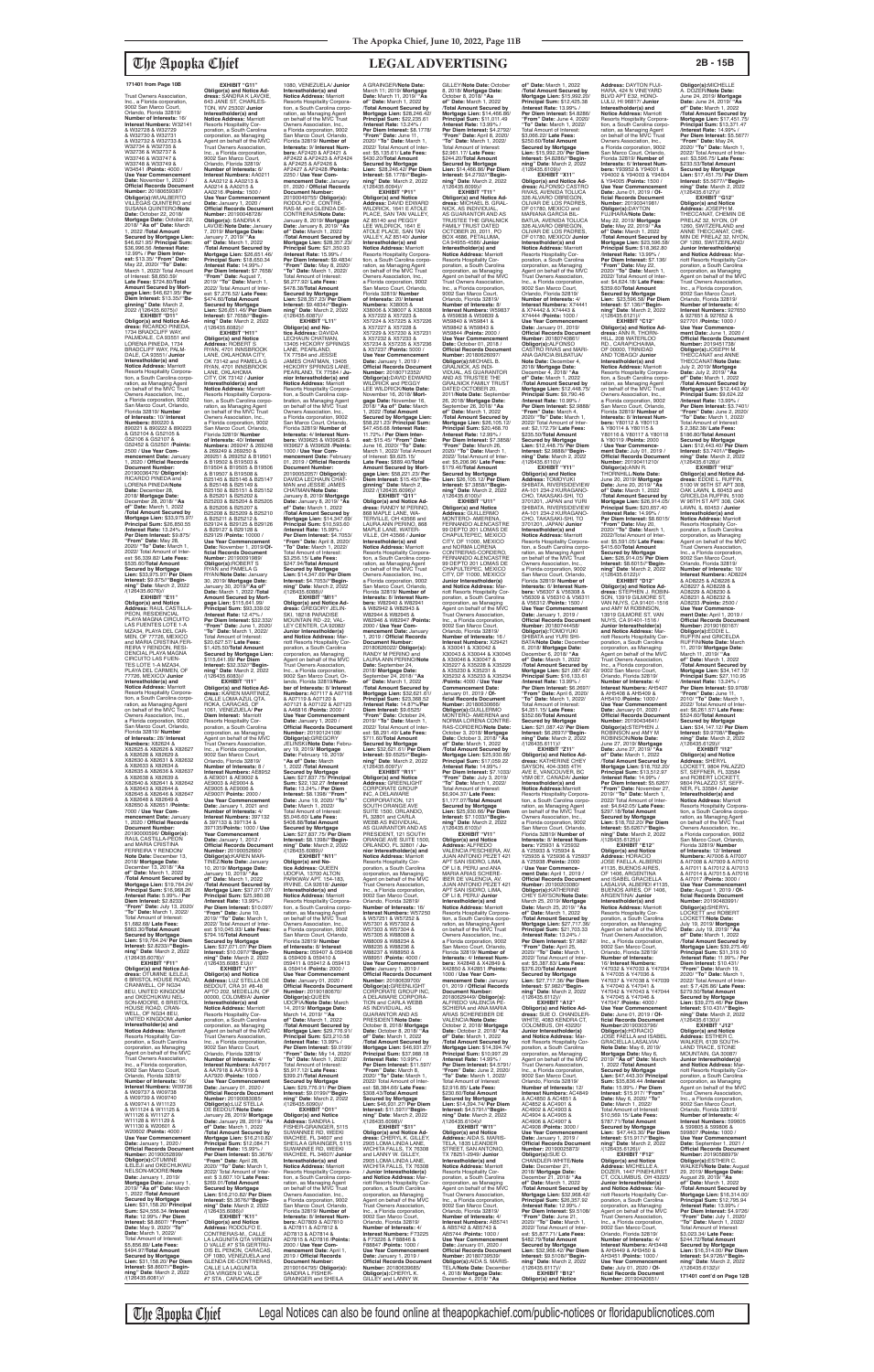Trust Owners Association, Inc., a Florida corporation, 9002 San Marco Court, Orlando, Florida 32819/ **Number of Interests:** 16/ **Interest Numbers:** W32141 & W32728 & W32729 & W32730 & W32731 & W32732 & W32733 & W32734 & W32735 & W32736 & W32737 & W33746 & W33747 & W33748 & W33749 & W34541 /**Points:** 4000 / **Use Year Commencement Date:** November 1, 2020 / **Official Records Document**<br> **Number: 20180659387/ Number:** 20180659387/ **Obligor(s):**WUALBERTO VILLEGAS QUINTERO and SUSANA QUINTERO/**Note Date:** October 22, 2018/ **Mortgage Date:** October 22, 2018/ **"As of" Date:** March 1, 2022 /**Total Amount Secured by Mortgage Lien:**  \$46,621.95/ **Principal Sum:** \$36,996.56 /**Interest Rate:** 12.99% / **Per Diem Interest:** \$13.35/ "**From" Date:**<br>May 22, 2020/ "**To" Date:**<br>March 1, 2022/ Total Amount<br>of Interest: \$8,650.59/ **Late Fees:** \$724.80/**Total Amount Secured by Mort-gage Lien:** \$46,621.95/ **Per Diem Interest:** \$13.35//**"Be-ginning" Date**: March 2, 2022 /(126435.6075)// **EXHIBIT "D11" Obligor(s) and Notice Ad-dress:** RICARDO PINEDA, 1734 BRADCLIFF WAY, PALMDALE, CA 93551 and LORENA PINEDA, 1734

BRADCLIFF WAY, PALM-DALE, CA 93551/ **Junior Interestholder(s) and Notice Address:** Marriott Resorts Hospitality Corpora-tion, a South Carolina corporation, as Managing Agent<br>Owners Association, Inc.,<br>Owners Association, Inc.,<br>a Florida corporation, 9002<br>San Marco Court, Orlando,<br>Florida 32819/ **Number of Interests:** 10/ **Interest Numbers:** 890220 & 890221 & 890222 & 890223 & G52104 & G52105 & G52106 & G52107 & G52452 & G52501 /**Points:** 2500 / **Use Year Commencement Date:** January 1, 2020 / **Official Records Document Number:** 20190036476/ **Obligor(s):** RICARDO PINEDA and LORENA PINEDA/**Note Date:** December 28, 2018/ **Mortgage Date:** December 28, 2018/ **"As of" Date:** March 1, 2022 /**Total Amount Secured by Mortgage Lien:** \$33,975.97/ **Principal Sum:** \$26,850.55 /**Interest Rate:** 13.24% / **Per Diem Interest:** \$9.875/ **"From" Date:** May 28, 2020/ **"To" Date:** March 1, 2022/ Total Amount of Inter est: \$6,339.82/ **Late Fees:** \$535.60/**Total Amount Secured by Mortgage Lien:** \$33,975.97/ **Per Diem Interest:** \$9.875//**"Beginning" Date**: March 2, 2022

**EXHIBIT "G11" Obligor(s) and Notice Ad-dress:** SANDRA K LAVOIE, 643 JANE ST, CHARLES-TON, WV 25302/ **Junior Interestholder(s) and<br><b>Notice Address:** Marriott<br>Resorts Hospitality Corporation, a South Carolina corporation, as Managing Agent on behalf of the MVC Trust Owners Association, Inc., a Florida corporation, 9002 San Marco Court, Orlando, Florida 32819/ **Number of Interests:** 6/ **Interest Numbers:** AA0211 & AA0212 & AA0213 & AA0214 & AA0215 & AA0216 /**Points:** 1500 / **Use Year Commencement Date:** January 1, 2020 / **Official Records Document Number:** 20190048728/ **Obligor(s):** SANDRA K LAVOIE/**Note Date:** January 7, 2019/ **Mortgage Date:** January 7, 2019/ **"As of" Date:** March 1, 2022 /**Total Amount Secured by Mortgage Lien:** \$26,651.46/ **Principal Sum:** \$18,650.34 /**Interest Rate:** 14.99% / **Per Diem Interest:** \$7.7658/ **"From" Date:** August 7, 2019/ **"To" Date:** March 1, 2022/ Total Amount of Interest: \$7,276.52/ **Late Fees:** \$474.60/**Total Amount Secured by Mortgage Lien:** \$26,651.46/ **Per Diem Interest:** \$7.7658//**"Begin-ning" Date**: March 2, 2022 /(126435.6082)// **EXHIBIT "H11" Obligor(s) and Notice Address:** ROBERT S RYAN, 4701 INNSBROOK LANE, OKLAHOMA CITY, OK 73142 and PAMELA G RYAN, 4701 INNSBROOK LANE, OKLAHOMA CITY, OK 73142 / **Junior Interestholder(s) and<br><b>Notice Address:** Marriott<br>Resorts Hospitality Corpora-<br>tion, a South Carolina corporation, as Managing Agent<br>on behalf of the MVC Trust Owners Association, Inc., a Florida corporation, 9002 San Marco Court, Orlando, Florida 32819/ **Number of Interests:** 40/ **Interest Numbers:** 269247 & 269248 & 269249 & 269250 &<br>269251 & 269252 & B19501 269251 & 269252 & B19501 & B19502 & B19503 & B19504 & B19505 & B19506 & B19507 & B19508 & B25145 & B25146 & B25147 & B25148 & B25149 & B25150 & B25151 & B25152 & B25201 & B25202 & B25203 & B25204 & B25205 & B25206 & B25207 & B25208 & B25209 & B25210 & B25211 & B25212 & B29124 & B29125 & B29126 & B29127 & B29128 & B29129 /**Points:** 10000 / **Use Year Commencement Date:** November 1, 2019/**Of-ficial Records Document Number:** 20190091989/ **Obligor(s):**ROBERT S RYAN and PAMELA G RYAN/**Note Date:** January 30, 2019/ **Mortgage Date:** January 30, 2019/**"As of" Date:** March 1, 2022 /**Total Amount Secured by Mort-gage Lien:** \$115,641.99/ **Principal Sum:** \$93,339.02 /**Interest Rate:** 12.47% / **Per Diem Interest:** \$32.332/ **"From" Date:** June 1, 2020/ **"To" Date:** March 1, 2022/ Total Amount of Interest: \$20,627.57/ **Late Fees:** \$1,425.50/**Total Amount Secured by Mortgage Lien:**  \$115,641.99/ **Per Diem Interest:** \$32.332//**"Begin-ning" Date**: March 2, 2022 /(126435.6083)// **EXHIBIT "I11" Obligor(s) and Notice Ad-dress:** KAREN MARTINEZ, CALLE LOMA AZUL QTA. ROKA, CARACAS, OF 1061, VENEZUELA/ **Per Diem Interest:** Marriott<br>Resorts Hospitality Cor-<br>poration, a South Carolina<br>corporation, as Managing<br>Agent on behalf of the MVC<br>Trust Owners Association, Inc., a Florida corporation, 9002 San Marco Court, Orlando, Florida 32819/ **Number of Interests:** 8 / **Interest Numbers:** AE8952 & AE9001 & AE9002 & AE9003 & AE9004 & AE9005 & AE9006 & AE9007/ **Points:** 2000 / **Use Year Commencement Date:** January 1, 2021 and **Number of Interests:** 4/ **Interest Numbers:** 397132 & 397133 & 397134 & 397135/**Points:** 1000 / **Use Year Commencement Date:** January 1, 2012 / **Official Records Document Number:** 20190052660/ **Obligor(s):**KAREN MAR-TINEZ/**Note Date:** January 10, 2019/ **Mortgage Date:** January 10, 2019/ **"As of" Date:** March 1, 2022 /**Total Amount Secured by Mortgage Lien:** \$37,071.07/ **Principal Sum:** \$25,980.98 /**Interest Rate:** 13.99% / **Per Diem Interest:** \$10.097/ **"From" Date:** June 10, 2019/ **"To" Date:** March 1, 2022/ Total Amount of Inter-est: \$10,045.93/ **Late Fees:** \$794.16/**Total Amount Secured by Mortgage Lien:** \$37,071.07/ **Per Diem Interest:** \$10.097//**"Beginning" Date**: March 2, 2022 /(126435.6085 EU)// **EXHIBIT "J11" Obligor(s) and Notice Address:** LUZ STELLA DE BEDOUT, CRA 31 #8-48 APTO 202, MEDELLIN, OF<br>00000. COLOMBIA/ Junior 00000, COLOMBIA/ **Junior Interestholder(s) and Notice Address:** Marriott Resorts Hospitality Cor-<br>poration, a South Carolina poration, a South Carolina corporation, as Managing Agent on behalf of the MVC Trust Owners Association, Inc., a Florida corporation, 9002 San Marco Court,<br>Orlando, Florida 32819/ Orlando, Florida 32819/<br>**Number of Interests:** 4/<br>**Interest Numbers:** AA7917 & AA7918 & AA7919 & AA7920 /**Points:** 1000 / **Use Year Commencement Date:** January 01, 2020 / **Official Records Document Number:** 20190083085/ **Obligor(s):**LUZ STELLA DE BEDOUT/**Note Date:** January 28, 2019/ **Mortgage Date:** January 28, 2019/ **"As of" Date:** March 1, 2022 /**Total Amount Secured by**  Mortgage Lien: \$16,210 **Principal Sum:** \$12,084.71 /**Interest Rate:** 15.99% / **Per Diem Interest:** \$5.3676/ **"From" Date:** April 28, 2020/ **"To" Date:** March 1, 2022/ Total Amount of Inter-est: \$ 3,607.10/ **Late Fees:** \$269.01/**Total Amount Secured by Mortgage Lien:** \$16,210.82/ **Per Diem Interest:** \$5.3676//**"Begin-ning" Date**: March 2, 2022 /(126435.6086)// **EXHIBIT "K11" Obligor(s) and Notice Address:** RODOLFO E. CONTRERAS-M., CALLE LA LAGUNITA QTA VIRGEN D VALLE #7 STA GERTRU-DIS EL PENON, CARACAS, OF 1080, VENEZUELA and GLENDA DE-CONTRERAS, CALLE LA LAGUNITA QTA VIRGEN D VALLE<br>#7 STA , CARACAS, OF

/(126435.6076)// **EXHIBIT "E11" Obligor(s) and Notice Address:** RAUL CASTILLA-PEON, RESIDENCIAL PLAYA MAGNA CIRCUITO LAS FUENTES LOTE 1-A<br>MZA34, PLAYA DEL CAR-<br>MEN, OF 77726, MEXICO<br>and MARIA CRISTINA FER-<br>REIRA Y RENDON, RESI-DENCIAL PLAYA MAGNA CIRCUITO LAS FUEN-<br>TES LOTE 1-A MZA34 TES LOTE 1-A MZA34, PLAYA DEL CARMEN, OF 77726, MEXICO/ **Junior Interestholder(s) and Notice Address:** Marriott Resorts Hospitality Corpora-<br>tion, a South Carolina corpo tion, a South Carolina corpo-ration, as Managing Agent on behalf of the MVC Trust Owners Association, Inc., a Florida corporation, 9002 San Marco Court, Orlando, Florida 32819/ **Number of Interests:** 28/ **Interest Numbers:** X82624 &<br>X82625 & X82626 & X82627 & X82628 & X82629 & X82630 & X82631 & X82632 & X82633 & X82634 & X82635 & X82636 & X82637 & X82638 & X82639 & X82640 & X82641 & X82642 & X82643 & X82644 & X82645 & X82646 & X82647 & X82648 & X82649 & X82650 & X82651 /**Points:** 7000 / **Use Year Com-mencement Date:** January 1, 2020 / **Official Records Document Number:** 20190000596/ **Obligor(s):** RAUL CASTILLA-PEON and MARIA CRISTINA FERREIRA Y RENDON/ **Note Date:** December 13, 2018/ **Mortgage Date:** December 13, 2018/ **"As of" Date:** March 1, 2022 /**Total Amount Secured by Mortgage Lien:** \$19,764.24/ **Principal Sum:** \$16,968.26 /**Interest Rate:** 5.99% / **Per Diem Interest:** \$2.8233/ **"From" Date:** July 13, 2020/ **"To" Date:** March 1, 2022/ Total Amount of Interest: \$1,682.68/ **Late Fees:** \$863.30/**Total Amount Secured by Mortgage Lien:** \$19,764.24/ **Per Diem Interest:** \$2.8233//**"Begin-ning" Date**: March 2, 2022 /(126435.6078)// **EXHIBIT "F11" Obligor(s) and Notice Ad-dress:** OTUMINE ILELEJI, 6 BRISTOL HOUSE ROAD, CRANWELL, OF NG34 8EU, UNITED KINGDOM and OKECHUKWU NEL-SON-MOORE, 6 BRISTOL HOUSE ROAD, CRAN-WELL, OF NG34 8EU, UNITED KINGDOM/ **Junior Interestholder(s) and Notice Address:** Marriott Resorts Hospitality Corporation, a South Carolina corporation, as Managing Agent on behalf of the MVC Trust Owners Association, Inc., a Florida corporation, 9002 San Marco Court, Orlando, Florida 32819/ **Number of Interests:** 16/ **Interest Numbers:** W09736 & W09737 & W09738 & W09739 & W09740 & W09741 & W11123 & W11124 & W11125 & W11126 & W11127 & W11128 & W11129 & W11130 & W20601 & W20602 /**Points:** 4000 / **Use Year Commencement Date:** January 1, 2020 / **Official Records Documer Number: 201900 Obligor(s):**OTUMINE ILELEJI and OKECHUKWU NELSON-MOORE/**Note Date:** January 1, 2019/ **Mortgage Date:** January 1, 2019/ **"As of" Date:** March 1, 2022 /**Total Amount Secured by Mortgage Lien:** \$31,158.20/ **Principal Sum:** \$24,556.34 /**Interest Rate:** 12.99% / **Per Diem Interest:** \$8.8607/ **"From" Date:** May 9, 2020/ **"To" Date:** March 1, 2022/ Total Amount of Interest: \$5,856.89/ **Late Fees:** \$494.97/**Total Amount Secured by Mortgage Lien:** \$31,158.20/ **Per Diem Interest:** \$8.8607//**"Begin-ning" Date**: March 2, 2022 /(126435.6081)//

1080, VENEZUELA/ **Junior Interestholder(s) and Notice Address:** Marriott Resorts Hospitality Corpora-<br>tion, a South Carolina corpo tion, a South Carolina corpo-ration, as Managing Agent on behalf of the MVC Trust Owners Association, Inc., a Florida corporation, 9002 San Marco Court, Orlando, Florida 32819/ **Number of Interests:** 9/ **Interest Num-bers:** AF2420 & AF2421 & AF2422 & AF2423 & AF2424 & AF2425 & AF2426 & AF2427 & AF2428 /**Points:** 2250 / **Use Year Commencement Date:** January 01, 2020 / **Official Records Document Number:** 20190049755/ **Obligor(s):** RODOLFO E. CONTRE-RAS-M. and GLENDA DE-CONTRERAS/**Note Date:** January 8, 2019/ **Mortgage Date:** January 8, 2019/ **"As of" Date:** March 1, 2022 /**Total Amount Secured by Mortgage Lien:** \$28,357.23/ **Principal Sum:** \$21,350.93 /**Interest Rate:** 15.99% / **Per Diem Interest:** \$9.4834/ **"From" Date:** May 8, 2020/ **"To" Date:** March 1, 2022/ Total Amount of Interest: \$6,277.92/ **Late Fees:** \$478.38/**Total Amount Secured by Mortgage Lien:** \$28,357.23/ **Per Diem Interest:** \$9.4834//**"Beginning" Date**: March 2, 2022 /(126435.6087)//<br>**EXHIBIT** "L11" **EXHIBIT "L11" Obligor(s) and No-tice Address:** DAVIDA LECHAUN CHATMAN, 13405 HICKORY SPRINGS LANE, PEARLAND,<br>TX 77584 and JESSIE<br>JAMES CHATMAN, 13405 HICKORY SPRINGS LANE, PEARLAND, TX 77584 / **Junior Interestholder(s) and Notice Address:** Marriott Resorts Hospitality Corpora-tion, a South Carolina coipbration, as Managing Agent on behalf of the MVC Trust Owners Association, Inc., a Florida corporation, 9002 San Marco Court, Orlando, Florida 32819/ **Number of Interests:** 4/ **Interest Num-bers:** W39625 & W39626 & W39627 & W39628 /**Points:** 1000 / **Use Year Com-mencement Date:** February 01, 2019 / **Official Records Document Number:** 20190052057/ **Obligor(s):** DAVIDA LECHAUN CHAT-MAN and JESSIE JAMES CHATMAN/**Note Date:** January 8, 2019/ **Mortgage Date:** January 8, 2019/ **"As of" Date:** March 1, 2022 /**Total Amount Secured by Mortgage Lien:** \$14,347.69/ **Principal Sum:** \$10,593.60 /**Interest Rate:** 15.99% / **Per Diem Interest:** \$4.7053/ **"From" Date:** April 8, 2020/ **"To" Date:** March 1, 2022/ Total Amount of Interest: \$3,256.15/ **Late Fees:** \$247.94/**Total Amount Secured by Mortgage Lien:** \$14,347.69/ **Per Diem Interest:** \$4.7053//**"Beginning" Date**: March 2, 2022 /(126435.6088)// **EXHIBIT "M11" Obligor(s) and Notice Ad-dress:** GREGORY JELIN-SKI, 18218 PARADISE MOUNTAIN RD -22, VAL-LEY CENTER, CA 92082/ **Junior Interestholder(s) and Notice Address:** Marriott Resorts Hospitality Corporation, a South Carolina corporation, as Managing Agent on behalf of the MVC Trust Owners Association, Inc., a Florida corporation, 9002 San Marco Court, Orlando, Florida 32819/**Number of Interests:** 8/ **Interest Numbers:** A07117 & A07118 & A07119 & A07120 & A07121 & A07122 & A07123 & A46816 /**Points:** 2000 / **Use Year Commencement Date:** January 1, 2020 / **Official Records Document Number:** 20190124108/ **Obligor(s):**GREGORY JELINSKI/**Note Date:** February 19, 2019/ **Mortgage Date:** February 19, 2019/ **"As of" Date:** March 1, 2022 /**Total Amount Secured by Mortgage Lien:** \$27,837.75/ **Principal Sum:** \$22,132.27 /**Interest Rate:** 13.24% / **Per Diem Interest:** \$8.1398/ **"From" Date:** June 19, 2020/ **"To" Date:** March 1, 2022/ Total Amount of Interest: \$5,046.60/ **Late Fees:** \$408.88/**Total Amount Secured by Mortgage Lien:** \$27,837.75/ **Per Diem Interest:** \$8.1398//**"Begin-ning" Date**: March 2, 2022 /(126435.6089)//<br>"EXHIBIT "N11 **EXHIBIT "N11" Obligor(s) and No-tice Address:** QUEEN UDOFIA, 13700 ALTON PARKWAV APT. 154-183, IRVINE, CA 92618/ **Junior Interestholder(s) and Notice Address:** Marriott Resorts Hospitality Corporation, a South Carolina corpo-ration, as Managing Agent on behalf of the MVC Trust Owners Association, Inc., a Florida corporation, 9002 San Marco Court, Orlando, Florida 32819/ **Number of Interests:** 8/ **Interest Numbers:** 059407 & 059408 & 059409 & 059410 & 059411 & 059412 & 059413 & 059414 /**Points:** 2000 / **Use Year Commencement Date:** January 01, 2020 / **Official Records Document<br><b>Number:** 20190180670/<br>**Obligor(s):QUEEN**<br>UDOFIA/Note Date: March<br>14, 2019/ Mortgage Date:<br>March 14, 2019/ '**"As of" Date:** March 1, 2022 /**Total Amount Secured by Mortgage Lien:** \$29,776.91/ **Principal Sum:** \$23,210.58 /**Interest Rate:** 13.99% / **Per Diem Interest:** \$9.0199/ **"From" Date:** Miy 14, 2020/ **"To" Date:** March 1, 2022/ Total Amount of Interest: \$5,917.12/ **Late Fees:** \$399.21/**Total Amount Secured by Mortgage Lien:** \$29,776.91/ **Per Diem Interest:** \$9.0199//**"Begin-ning" Date**: March 2, 2022 /(126435.6090)// **EXHIBIT "O11" Obligor(s) and Notice Address:** SANDRA L FISHER-GRAINGER, 5115<br>SUWANNEE RD, WEEKI<br>WACHEE, FL 34607 and<br>SHEILA A GRAINGER, 5115<br>SUWANNEE RD, WEEKI WACHEE, FL 34607/ **Junio Interestholder(s) and<br><b>Notice Address:** Marriott<br>Resorts Hospitality Corporation, a South Carolina corpo-ration, as Managing Agent on behalf of the MVC Trust Owners Association, Inc.,<br>a Florida corporation, 9002<br>San Marco Court, Orlando,<br>Florida 32819/ **Number of Interests:** 8/ **Interest Numbers:** AD7809 & AD7810 & AD7811 & AD7812 & AD7813 & AD7814 & AD7815 & AD7816 /**Points:** 2000 / **Use Year Com-mencement Date:** April 1, 2019 / **Official Records Document Number:<br>20190164795/ <b>Obligor(s):**<br>SANDRA L FISHER-<br>GRAINGER and SHEILA A GRAINGER/**Note Date:** March 11; 2019/ **Mortgage Date:** March 11, 2019/ **"As of" Date:** March 1, 2022 /**Total Amount Secured by Mortgage Lien:** \$28,246.42/ **Principal Sum:** \$22,235.61 /**Interest Rate:** 13.24% / **Per Diem Interest:** \$8.1778/ **"From" Date:** June 11, 2020/ **"To" Date:** March 1, 2022/ Total Amount of Inter-est: \$5,135.61/ **Late Fees:** \$430.20/**Total Amount Secured by Mortgage Lien:** \$28,246.42/ **Per Diem Interest:** \$8.1778//**"Begin-ning" Date**: March 2, 2022 /(126435.6094)// **EXHIBIT "P11" Obligor(s) and Notice Address:** DAVID EDWARD WILDRICK, 1641 E ATOLE PLACE, SAN TAN VALLEY AZ 85140 and PEGGY LEE WILDRICK, 1641 E ATOLE PLACE, SAN TAN VALLEY, AZ 85140/ **Junior Interestholder(s) and Notice Address:** Marriott Resorts Hospitality Corpora-tion, a South Carolina corporation, as Managing Agent on behalf of the MVC Trust Owners Association, Inc., a Florida corporation, 9002 San Marco Court, Orlando, Florida 32819/ **Number of Interests:** 20/ **Interest Numbers:** X38005 & X38006 & X38007 & X38008 & X57222 & X57223 & X57224 & X57225 & X57226 & X57227 & X57228 & X57229 & X57230 & X57231 & X57232 & X57233 & X57234 & X57235 & X57236 & X57237 /**Points:** 5000 / **Use Year Commencement Date:** January 1, 2019 / **Official Records Document Number:** 20180712352/ **Obligor(s):**DAVID EDWARD WILDRICK and PEGGY LEE WILDRICK/**Note Date:** November 16, 2018/ **Mortgage Date:** November 16, 2018/ **"As of" Date:** March 1, 2022 /**Total Amount Secured by Mortgage Lien:**  \$58,221.23/ **Principal Sum:** \$47,456.68 /**Interest Rate:** 11.72% / **Per Diem Inter-est:** \$15.45/ **"From" Date:** June 16, 2020/ **"To" Date:** March 1, 2022/ Total Amount of Interest: \$9,625.15/ **Late Fees:** \$889.40/**Total Amount Secured by Mort-gage Lien:** \$58,221.23/ **Per Diem Interest:** \$15.45//**"Beginning" Date**: March 2, 2022 /(126435.6096)// **EXHIBIT "Q11" Obligor(s) and Notice Ad-dress:** RANDY M PERINO, 868 MAPLE LANE, WA-TERVILLE, OH 43566 and LAURA ANN PERINO, 868 MAPLE LANE, WATER-VILLE, OH 43566 / **Junior Interestholder(s) and Notice Address:** Marriott Resorts Hospitality Corpora-tion, a South Carolina corpo-ration, as Managing Agent on behalf of the MVC Trust **Owners Association, Inc.** a Florida corporation, 9002 San Marco Court, Orlando, Florida 32819/ **Number of Interests:** 8/ **Interest Numbers:** W82940 & W82941 & W82942 & W82943 & W82944 & W82945 & W82946 & W82947 /**Points:** 2000 / **Use Year Com-mencement Date:** January 1, 2019 / **Official Records Document Number:** 20180626022/ **Obligor(s):** RANDY M PERINO and LAURA ANN PERINO/**Note Date:** September 24, 2018/ **Mortgage Date:** September 24, 2018/ **"As of" Date:** March 1, 2022 /**Total Amount Secured by Mortgage Lien:** \$32,621.61/ **Principal Sum:** \$23,368.52 /**Interest Rate:** 14.87%/**Per Diem Interest:** \$9.6525/ **"From" Date:** October 24, 2019/ **"To" Date:** March 1, 2022/ Total Amount of Interest: \$8,291.49/ **Late Fees:** \$711.60/**Total Amount Secured by Mortgage Lien:** \$32,621.61/ **Per Diem Interest:** \$9.6525//**"Begin-ning" Date**: March 2, 2022 /(126435.6097)// **EXHIBIT "R11" Obligor(s) and Notice Address:** GREENLIGHT CORPORATE GROUP INC, A DELAWARE CORPORATION, 121 SOUTH ORANGE AVE SUITE 1500, ORLANDO, FL 32801 and CARLA WEBB AS INDIVIDUAL,<br>AS GUARANTOR AND AS PRESIDENT, 121 SOUTH ORANGE AVE SUITE 1500, ORLANDO, FL 32801 / **Junior Interestholder(s) and Notice Address:** Marriott<br>Resorts Hospitality Cor-<br>poration, a South Carolina corporation, as Managing Agent on behalf of the MVC Trust Owners Association, Inc., a Florida corporation, 9002 San Marco Court, Orlando, Florida 32819/ **Number of Interests:** 16/ **Interest Numbers:** W57250 & W57251 & W57252 & W57301 & W57302 & W57303 & W57304 & W57305 & W88008 & W88009 & W88234 & W88235 & W88236 & W88237 & W88950 & W88951 /**Points:** 4000 / **Use Year Commencement Date:** January 1, 2019 / **Official Records Docur Number:** 20180639700/ **Obligor(s):**GREENLIGHT CORPORATE GROUP INC, A DELAWARE CORPORA-TION and CARLA WEBB AS INDIVIDUAL, AS GUARANTOR AND AS PRESIDENT/**Note Date:** October 8, 2018/ **Mortgage Date:** October 8, 2018/ **"As of" Date:** March 1, 2022 /**Total Amount Secured by Mortgage Lien:** \$46,931.27/ **Principal Sum:** \$37,988.18 /**Interest Rate:** 10.99% / **Per Diem Interest:** \$11.597/ **"From" Date:** March 8, 2020/ **"To" Date:** March 1, 2022/ Total Amount of Interest: \$8,384.66/ **Late Fees:** \$308.43/**Total Amount Secured by Mortgage Lien:** \$46,931.27/ **Per Diem Interest:** \$11.597//**"Begin-ning" Date**: March 2, 2022 /(126435.6098)//<br>"EXHIBIT "S11" **EXHIBIT "S11" Obligor(s) and Notice Ad-dress:** CHERYL K. GILLEY, 2905 LOMA LINDA LANE, WICHITA FALLS, TX 76308 and LANNY W. GILLEY, 2905 LOMA LINDA LANE, WICHITA FALLS, TX 76308 / **Junior Interestholder(s) and Notice Address: Ma** riott Resorts Hospitality Corporation, a South Carolina corporation, as Managing Agent on behalf of the MVC Trust Owners Association, Inc., a Florida corporation, 9002 San Marco Court, Orlando, Florida 32819/ **Number of Interests:** 4/ **Interest Numbers:** F73225 & F73226 & F88846 & F88847 /**Points:** 1000 / **Use Year Commencement Date:** January 1, 2019 / **Official Records Document Number:** 20180639685/ **Obligor(s):**CHERYL K. GILLEY and LANNY W.

**Official Records Document<br><b>Number:** 20190434641/<br>**Obligor(s):**STEPHEN J.<br>ROBINSON and AMY M<br>ROBINSON/**Note Date:**<br>June 27, 2019/ **Mortgage Date:** June 27, 2019/ **"As of" Date:** March 1, 2022 /**Total Amount Secured by Mortgage Lien:** \$18,702.20/ **Principal Sum:** \$13,512.97 /**Interest Rate:** 14.99% / **Per Diem Interest:** \$5.6267/ **"From" Date:** November 27, 2019/ **"To" Date:** March 1, 2022/ Total Amount of Interest: \$4,642.05/ **Late Fees:** \$297.18/**Total Amount Secured by Mortgage Lien:** \$18,702.20/ **Per Diem Interest:** \$5.6267//**"Beginning" Date**: March 2, 2022 /(126435.6125)// **EXHIBIT "E12" Obligor(s) and Notice Address:** HORACIO JOSE FAELLA, ALBERDI #1135, BUENOS AIRES,<br>OF 1406, ARGENTINA<br>and ISABEL GRACIELLA LASALVIA, ALBERDI #1135, BUENOS AIRES, OF 1406, ARGENTINA/ **Junior Interestholder(s) and Notice Address:** Marriott Resorts Hospitality Corporation, a South Carolina corporation, as Managing Agent on behalf of the MVC Trust Owners Association, Inc., a Florida corporation, 9002 San Marco Court, Orlando, Florida 32819/<br>Number of Interests: **Number of Interests:** 16/ **Interest Numbers:** Y47032 & Y47033 & Y47034 & Y47035 & Y47036 & Y47037 & Y47038 & Y47039 & Y47040 & Y47041 & Y47042 & Y47043 & Y47044 & Y47045 & Y47046 & Y47047 /**Points:** 4000 / **Use Year Commencement Date:** June 01, 2019 / **Official Records Document Number:**20190303796/ **Obligor(s):**HORACIO JOSE FAELLA and ISABEL GRACIELLA LASALVIA/ **Note Date:** May 6, 2019/ **Mortgage Date:** May 6, 2019/ **"As of" Date:** March 1, 2022 /**Total Amount Secured by Mortgage Lien:** \$47,443.30/ **Principal Sum:** \$35,836.44 /**Interest Rate:** 15.99% / **Per Diem Interest:** \$15.917/ **"From" Date:** May 6, 2020/ **"To" Date:** March 1, 2022/ Total Amount of Interest: \$10,569.15/ **Late Fees:** \$787.71/**Total Amount Secured by Mortgage Lien:** \$47,443.30/ **Per Diem Interest:** \$15.917//**"Begin-ning" Date**: March 2, 2022 /(126435.6126)// **EXHIBIT "F12" Obligor(s) and Notice Address:** MICHELLE A.<br>DOZER, 1447 PINEHURST<br>CT, COLUMBUS, OH 43223/ **Junior Interestholder(s) and Notice Address:** Marriott Resorts Hospitality Cor-poration, a South Carolina corporation, as Managing Agent on behalf of the MVC Trust Owners Association, Inc., a Florida corporation, 9002 San Marco Court, Orlando, Florida 32819/ **Number of Interests:** 4/ **Interest Numbers:** AH3448 & AH3449 & AH3450 & AH3451 /**Points:** 1000 / **Use Year Commencement Date:** July 01, 2020 / **Of-ficial Records Document ning" Date**: March 2, 2022 /(126435.6129)// **EXHIBIT "I12" Obligor(s) and Notice Address:** SHERYL LOCKETT, 9804 PALAZZO ST, SEFFNER, FL 33584 ROBERT 9804 PALAZZO ST, SEFF-NER, FL 33584 / **Junior Interestholder(s) and Notice Address:** Marriott Resorts Hospitality Corporation, a South Carolina corporation, as Managing Agent on behalf of the MVC Trust Owners Association, Inc., a Florida corporation, 9002 San Marco Court, Orlando, Florida 32819/ **Number of Interests:** 12/ **Interest Numbers:** AI7006 & AI7007 & AI7008 & AI7009 & AI7010 & AI7011 & AI7012 & AI7013 & AI7014 & AI7015 & AI7016 & AI7017 /**Points:** 3000 / **Use Year Commencement Date:** August 1, 2019 / **Of-ficial Records Document Number:** 20190483991/ **Obligor(s):**SHERYL<br>LOCKETT and ROBERT LOCKETT/**Note Date:** July 19, 2019/ **Mortgage Date:** July 19, 2019/ **"As of" Date:** March 1, 2022 /**Total Amount Secured by Mortgage Lien:** \$39,275.46/ **Principal Sum:** \$31,319.10 /**Interest Rate:** 11.99% / **Per Diem Interest:** \$10.431/ **"From" Date: Ma** 2020/ **"To" Date:** March 1, 2022/ Total Amount of Interest: \$ 7,426.86/ **Late Fees:** \$279.50/**Total Amount Secured by Mortgage Lien:** \$39,275.46/ **Per Diem Interest:** \$10.431//**"Begin-ning" Date**: March 2, 2022 /(126435.6130)// **EXHIBIT "J12" Obligor(s) and Notice Address:** ESTHER C. WALKER, 6139 SOUTH LAND TRACE, STONE MOUNTAIN, GA 30087/ **Junior Interestholder(s) and Notice Address:** Marriott Resorts Hospitality Corporation, a South Carolina corporation, as Managing Agent on behalf of the MVC Trust Owners Association, Inc., a Florida corporation, 9002 San Marco Court, Orlando, Florida 32819/ **Number of Interests:** 4/ **Interest Numbers:** 599605 & 599805 & 599806 & 599807 /**Points:** 1000 / Use Year Commencem **Date:** September 1, 2021 / **Official Records Document Number:** 20190588979/ **Obligor(s):**ESTHER C. WALKER/**Note Date:** August 29, 2019/ **Mortgage Date:** August 29, 2019/ **"As of" Date:** March 1, 2022 /**Total Amount Secured by Mortgage Lien:** \$16,314.00/ **Principal Sum:** \$12,795.94 /**Interest Rate:** 13.99% / Per Diem Interest: \$4.9726 **"From" Date:** July 1, 2020/ **"To" Date:** March 1, 2022/ Total Amount of Interest: \$3,023.34/ **Late Fees:** \$244.72/**Total Amount Secured by Mortgage Lien:** \$16,314.00/ **Per Diem Interest:** \$4.9726//**"Beginning" Date**: March 2, 2022 /(126435.6132)//

GILLEY/**Note Date:** October 8, 2018/ **Mortgage Date:** October 8, 2018/ **"As of" Date:** March 1, 2022 /**Total Amount Secured by Mortgage Lien:** \$14,466.86/ **Principal Sum:** \$11,011.49 /**Interest Rate:** 13.99% / **Per Diem Interest:** \$4.2792/ **"From" Date:** April 8, 2020/ **"To" Date:** March 1, 2022/ Total Amount of Interest: \$2,961.17/ **Late Fees:** \$244.20/**Total Amount Secured by Mortgage Lien:** \$14,466.86/ **Per Diem Interest:** \$4.2792//**"Beginning" Date**: March 2, 2022 /(126435.6099)// **EXHIBIT "T11" Obligor(s) and Notice Ad-dress:** MICHAEL B. GRAL-NICK, AS INDIVIDUAL, AS GUARANTOR AND AS TRUSTEE THE GRALNICK FAMILY TRUST DATED OCTOBER 20, 2011, PO BOX 4686, PETALUMA, CA 94955-4586/ **Junior Interestholder(s) and Notice Address:** Marriott Resorts Hospitality Corporation, a South Carolina corporation, as Managing Agent on behalf of the MVC Trust Owners Association, Inc., a Florida corporation, 9002 San Marco Court, Orlando, Florida 32819/ **Number of Interests:** 8/ **Interest Numbers:** W59837 & W59838 & W59839 & W59840 & W59841 & W59842 & W59843 & W59844 /**Points:** 2000 / **Use Year Commencement Date:** October 01, 2018 / **Official Records Docume**<br>**Number:** 20180626097/ **Number:** 20180626097/<br>**Obligor(s):**MICHAEL B.<br>GRALNICK, AS INDI-<br>VIDUAL, AS GUARANTOR AND AS TRUSTEE THE GRALNICK FAMILY TRUST DATED OCTOBER 20, 2011/**Note Date:** September 26, 2018/ **Mortgage Date:** September 26, 2018/ **"As of" Date:** March 1, 2022 /**Total Amount Secured by Mortgage Lien:** \$26,105.12/ **Principal Sum:** \$20,468.70 /**Interest Rate:** 12.99% / **Per Diem Interest:** \$7.3858/ **"From" Date:** March 26, 2020/ **"To" Date:** March 1, 2022/ Total Amount of Interest: \$5,206.96/ **Late Fees:** \$179.46/**Total Amount Secured by Mortgage Lien:** \$26,105.12/ **Per Diem Interest:** \$7.3858//**"Begin-ning" Date**: March 2, 2022 /(126435.6100)// **EXHIBIT "U11" Obligor(s) and Notice Address:** GUILLERMO MONTERO- AMERENA,<br>FERNANDO ALENCASTRE FERNANDO ALENCASTRE<br>99 DEPTO 201 LOMAS DE<br>CHAPULTEPEC, MEXICO<br>CITY, DF 11000, MEXICO and NORMA LORENA CONTRERAS-CORDERO, FERNANDO ALENCASTRE 99 DEPTO 201 LOMAS DE CHAPULTEPEC, MEXICO CITY, DF 11000, MEXICO/ **Junior Interestholder(s) and Notice Address: Mariott Resorts Hospitality Comparent** riott Resorts Hospitality Cor-poration, a South Carolina corporation, as Managing Agent on behalf of the MVC Trust Owners Association, Inc., a Florida corporation, 9002 San Marco Court, Orlando, Florida 32819/ **Number of Interests:** 16 / **Interest Numbers:** X29421 & X30041 & X30042 & X30043 & X30044 & X30045 & X30046 & X30047 & X35227 & X35228 & X35229 & X35230 & X35231 & X35232 & X35233 & X35234 /**Points:** 4000 / **Use Year Commencement Date:** January 01, 2019 / **Of-ficial Records Document Number:** 20180630666/<br>**Obligor(s):**GUILLERMO<br>MONTERO- AMERENA and NORMA LORENA CONTRE-RAS-CORDERO/**Note Date:** October 3, 2018/ **Mortgage Date:** October 3, 2018/ **"As of" Date:** March 1, 2022 /**Total Amount Secured by Mortgage Lien:** \$25,930.66/ **Principal Sum:** \$17,059.22 /**Interest Rate:** 14.99% / **Per Diem Interest:** \$7.1033/ **"From" Date:** July 3, 2019/ **"To" Date:** March 1, 2022/ Total Amount of Interest: \$6,904.37/ **Late Fees:** \$1,177.07/**Total Amount Secured by Mortgage Lien:** \$25,930.66/ **Per Diem Interest:** \$7.1033//**"Begin-ning" Date**: March 2, 2022 /(126435.6103)// **EXHIBIT "V11" Obligor(s) and Notice Address:** ALFREDO VALENCIA PESCHIERA, AV. JUAN ANTONIO PEZET 421 APT SAN ISIDRO, LIMA, OF LI 8, PERU and ANA MARIA ARIAS SCHERE-**IBER DE VALENCIA, AV.** JUAN ANTONIO PEZET 421 APT SAN ISIDRO, LIMA, OF LI 8, PERU/ **Junior Interestholder(s) and Notice Address:** Marriott Resorts Hospitality Corporation, a South Carolina corporation, as Managing Agent on behalf of the MVC Trust Owners Association, Inc., a Florida corporation, 9002 San Marco Court, Orlando, Florida 32819/ **Number of Interests:** 4/ **Interest Num-bers:** X42848 & X42849 & X42850 & X42851 /**Points:** 1000 / **Use Year Commencement Date:** January 01, 2019 / **Official Records Document Number:** 20180629449/ **Obligor(s):** ALFREDO VALENCIA SCHIERA and ANA MARIA ARIAS SCHEREIBER DE VALENCIA/**Note Date:** October 2, 2018/ **Mortgage Date:** October 2, 2018/ **"As of" Date:** March 1, 2022 /**Total Amount Secured by Mortgage Lien:** \$14,394.74/ **Principal Sum:** \$10,997.29 /**Interest Rate:** 14.99% / **Per Diem Interest:** \$4.5791/ **"From" Date:** June 2, 2020/ **"To" Date:** March 1, 2022/ Total Amount of Interest:<br>\$2.916.85/Late Fees: \$2,916.85/ **Late Fees:** \$230.60/**Total Amount Secured by Mortgage Lien:** \$14,394.74/ **Per Diem Interest:** \$4.5791//**"Begin-ning" Date**: March 2, 2022 /(126435.6104)//<br>"EXHIBIT "W11 **EXHIBIT "W11" Obligor(s) and Notice Address:** AIDA S. MARIS-TELA, 1835 LEANDER STREET, SAN ANTONIO, TX 78251-2949/ **Junior Interestholder(s) and Notice Address:** Marriott Resorts Hospitality Cor poration, a South Carolina corporation, as Managing Agent on behalf of the MVC Trust Owners Association, Inc., a Florida corporation, 9002 San Marco Court, Orlando, Florida 32819/ **Number of Interests:** 4/ **Interest Numbers:** AB5741 & AB5742 & AB5743 & AB5744 /**Points:** 1000 / **Use Year Commencement Date:** January 01, 2020 / **Official Records Document Number:** 20180739539/ **Obligor(s):**AIDA S. MARIS-TELA/**Note Date:** December 4, 2018/ **Mortgage Date:** December 4, 2018/ **"As** 

**of" Date:** March 1, 2022 /**Total Amount Secured by Mortgage Lien:** \$15,992.20/ **Principal Sum:** \$12,425.38 /**Interest Rate:** 13.99% / **Per Diem Interest:** \$4.8286/ **"From" Date:** June 4, 2020/ **"To" Date:** March 1, 2022/ Total Amount of Interest: \$3,066.22/ **Late Fees:** \$250.60/**Total Amount Secured by Mortgage Lien:** \$15,992.20/ **Per Diem Interest:** \$4.8286//**"Begin-ning" Date**: March 2, 2022 /(126435.6109)// **EXHIBIT "X11"<br><b>Obligor(s) and Notice Ad-**<br>**dress:** ALFONSO CASTRO<br>RIVAS, AVENIDA TOLUCA<br>326 ALVARO OBREGON,<br>OLIVAR DE LOS PADRES, DF 01780, MEXICO and MARIANA GARCIA BIL-BATUA, AVENIDA TOLUCA 326 ALVARO OBREGON, OLIVAR DE LOS PADRES, DF 01780, MEXICO/ **Junior Interestholder(s) and Notice Address:** Marriott<br>Resorts Hospitality Cor-<br>poration, a South Carolina corporation, as Managing Agent on behalf of the MVC Trust Owners Association, Inc., a Florida corporation, 9002 San Marco Court, Orlando, Florida 32819/ **Number of Interests:** 4/ **Interest Numbers:** X74441 & X74442 & X74443 & X74444 /**Points:** 1000 / **Use Year Commencement Date:** January 01, 2019/ **Official Records Docume Number:** 20180740861/ **Obligor(s):**ALFONSO CASTRO RIVAS and MARI-ANA GARCIA BILBATUA/ **Note Date:** December 4, 2018/ **Mortgage Date:** December 4, 2018/ **"As of" Date:** March 1, 2022 /**Total Amount Secured by Mortgage Lien:** \$12,448.75/ **Principal Sum:** \$9,790.46 /**Interest Rate:** 10.99% / **Per Diem Interest:** \$2.9888/ **"From" Date:** March 4, 2020/ **"To" Date:** March 1, 2022/ Total Amount of Inter-est: \$2,172.79/ **Late Fees:** \$235.50/**Total Amount Secured by Mortgage Lien:** \$12,448.75/ **Per Diem Interest:** \$2.9888//**"Begin-ning" Date**: March 2, 2022 /(126435.6110)// **EXHIBIT "Y11" Obligor(s) and Notice<br><b>Address:** TOMOYUKI<br>SHIBATA, RIVERSIDEVIEW<br>#A-101 234-2 KURAGANO-CHO, TAKASAKI-SHI, TO 3701201, JAPAN and YURI SHIBATA, RIVERSIDEVIEW #A-101 234-2 KURAGANO-CHO, TAKASAKI-SHI, TO 3701201, JAPAN/ **Junior Interestholder(s) and Notice Address:** Marriott Resorts Hospitality Corporation, a South Carolina corporation, as Managing Agent on behalf of the MVC Trust Owners Association, Inc., a Florida corporation, 9002 San Marco Court, Orlando, Florida 32819/ **Number of Interests:** 6/ **Interest Num-bers:** V56307 & V56308 & V56309 & V56310 & V56311 & V56312 /**Points:** 1500 / **Use Year Commencement Date:** January 1, 2019 / **Official Records Document Number:** 20180744458/ **Obligor(s):**TOMOYUKI SHIBATA and YURI SHI-BATA/**Note Date:** December 6, 2018/ **Mortgage Date:** December 6, 2018/ **"As of" Date:** March 1, 2022 /**Total Amount Secured by Mortgage Lien:** \$21,087.42/ **Principal Sum:** \$16,133.61 /**Interest Rate:** 13.99% / **Per Diem Interest:** \$6.2697/ **"From" Date:** April 6, 2020/ **"To" Date:** March 1, 2022/ Total Amount of Interest: \$4,351.15/ **Late Fees:** \$352.66/**Total Amount Secured by Mortgage Lien:** \$21,087.42/ **Per Diem Interest:** \$6.2697//**"Begin-ning" Date**: March 2, 2022 /(126435.6111)//

**EXHIBIT "Z11" Obligor(s) and Notice Ad-<br>dress: KATHERINE CHEY dress:** KATHERINE CHEY SAYSON, 404-3365 4TH AVE E, VANCOUVER, BC V5M 0E7, CANADA/ **Junior Interestholder(s) and Notice Address:**Marriott<br>Resorts Hospitality Corpora-<br>tion, a South Carolina corporation, as Managing Agent<br>on behalf of the MVC Trust Owners Association, Inc., a Florida corporation, 9002 San Marco Court, Orlando, Florida 32819/ **Number of Interests:** 8/ **Interest Num-bers:** Y25931 & Y25932 & Y25933 & Y25934 & Y25935 & Y25936 & Y25937 & Y25938 /**Points:** 2000 / **Use Year Commencement Date:** April 1, 2019 / **Official Records Document Number:** 20190203080/ **Obligor(s):**KATHERINE CHEY SAYSON/**Note Date:** March 25, 2019/ **Mortgage Date:** March 25, 2019/ **"As of" Date:** March 1, 2022 /**Total Amount Secured by Mortgage Lien:** \$27,717.36/ **Principal Sum:** \$21,703.33 /**Interest Rate:** 13.24% / **Per Diem Interest:** \$7.982/ **"From" Date:** April 25, 2020/ **"To" Date:** March 1, 2022/ Total Amount of Inter-est: \$5,387.83/ **Late Fees:** \$376.20/**Total Amount Secured by Mortgage Lien:** \$27,717.36/ **Per Diem Interest:** \$7.982//**"Begin-ning" Date**: March 2, 2022 /(126435.6112)// **EXHIBIT "A12" Obligor(s) and Notice Ad-dress:** SUE O. CHANDLER-WHITE, 4083 KENDRA CT COLOMBUS, OH 43220/ **Junior Interestholder(s) and Notice Address:** Ma riott Resorts Hospitality Corporation, a South Carolina corporation, as Managing Agent on behalf of the MVC Trust Owners Association, Inc., a Florida corporation, 9002 San Marco Court, Orlando, Florida 32819/ **Number of Interests:** 12/ **Interest Numbers:** AC4849<br>& AC4850 & AC4851 &<br>AC4852 & AC4901 & AC4902 & AC4903 & AC4904 & AC4905 & AC4906 & AC4907 & AC4908 /**Points:** 3000 / **Use Year Commencement Date:** January 1, 2019 / **Official Records Document Number:** 20190025873/ **Obligor(s):**SUE O. CHANDLER-WHITE/**Note Date:** December 21, 2018/ **Mortgage Date:** December 21, 2018/ **"As of" Date:** March 1, 2022 /**Total Amount Secured by Mortgage Lien:** \$32,968.42/ **Principal Sum:** \$26,357.92 /**Interest Rate:** 12.99% / **Per Diem Interest:** \$9.5108/ **"From" Date:** June 21, 2020/ **"To" Date:** March 1, 2022/ Total Amount of Inter-est: \$5,877.71/ **Late Fees:** \$482.79/**Total Amount Secured by Mortgage Lien:** \$32,968.42/ **Per Diem Interest:** \$9.5108//**"Beginning" Date**: March 2, 2022 /(126435.6117)// **EXHIBIT "B12" Obligor(s) and Notice** 

**Address:** DAYTON FUJI-HARA, 424 N VINEYARD BLVD APT E32, HONO-LULU, HI 96817/ **Junior Interestholder(s) and Notice Address:** Marriott<br>Resorts Hospitality Corpora-<br>tion, a South Carolina corporation, as Managing Agent<br>on behalf of the MVC Trust Owners Association, Inc., a Florida corporation, 9002 San Marco Court, Orlando, Florida 32819/ **Number of Interests:** 6/ **Interest Num-bers:** Y93952 & Y94001 & Y94002 & Y94003 & Y94004 & Y94005 /**Points:** 1500 / **Use Year Commencement Date:** June 01, 2019 / **Of-ficial Records Document Number:** 20190341981/ **Obligor(s):**DAYTON FUJIHARA/**Note Date:** May 22, 2019/ **Mortgage Date:** May 22, 2019/ **"As of" Date:** March 1, 2022 /**Total Amount Secured by Mortgage Lien:** \$23,596.58/ **Principal Sum:** \$18,362.80 /**Interest Rate:** 13.99% / **Per Diem Interest:** \$7.136/ **"From" Date:** May 22, 2020/ **"To" Date:** March 1, 2022/ Total Amount of Interest: \$4,624.18/ **Late Fees:** \$359.60/**Total Amount Secured by Mortgage Lien:** \$23,596.58/ **Per Diem Interest:** \$7.136//**"Beginning" Date**: March 2, 2022 /(126435.6121)//<br>**EXHIBIT** "C12" **EXHIBIT "C12" Obligor(s) and Notice Ad-dress:** ANN R. THORN-HILL, 208 WATERLOO RD., CARAPICHAIMA, OF 00000, TRINIDAD AND TOBAGO/ **Junior Interestholder(s) and Notice Address:** Marriott Resorts Hospitality Corpora-<br>tion, a South Carolina corpotion, a South Carolina corpo-ration, as Managing Agent on behalf of the MVC Trust Owners Association, Inc., a Florida corporation, 9002 San Marco Court, Orlando, Florida 32819/ **Number of Interests:** 8/ **Interest Num-bers:** Y80112 & Y80113 & Y80114 & Y80115 & Y80116 & Y80117 & Y80118 & Y80119 /**Points:** 2000 / **Use Year Commence-ment Date:** July 01, 2019 / **Official Records Document Number:** 20190411210/ **Obligor(s):**ANN R. THORNHILL/**Note Date:** June 20, 2019/ **Mortgage Date:** June 20, 2019/ **"As of" Date:** March 1, 2022 /**Total Amount Secured by Mortgage Lien:** \$26,914.05/ **Principal Sum:** \$20,657.40 /**Interest Rate:** 14.99% / **Per Diem Interest:** \$8.6015/ **"From" Date:** May 20, 2020/ **"To" Date:** March 1, 2022/Total Amount of Inter-est: \$5,591.05/ **Late Fees:** \$415.60/**Total Amount Secured by Mortgage Lien:** \$26,914.05/ **Per Diem Interest:** \$8.6015//**"Begin-ning" Date**: March 2, 2022 /(126435.6122)// **EXHIBIT "D12" Obligor(s) and Notice Ad-dress:** STEPHEN J. ROBIN-SON, 13919 GILMORE ST, VAN NUYS, CA 91401-1516 and AMY M ROBINSON, 13919 GILMORE ST, VAN NUYS, CA 91401-1516 / **Junior Interestholder(s) and Notice Address:** Marriott Resorts Hospitality Cor-poration, a South Carolina corporation, as Managing Agent on behalf of the MVC Trust Owners Association, Inc., a Florida corporation, 9002 San Marco Court, Orlando, Florida 32819/ **Number of Interests:** 4/ **Obligor(s):**MICHELLE A. DOZER/**Note Date:** June 24, 2019/ **Mortgage Date:** June 24, 2019/ **"As** 

AH5410 /**Points:** 1000 / **Use Year Commencement Date:** January 01, 2020 /

**Number:** 20190420651/

The Apopka Chief Legal Notices can also be found online at theapopkachief.com/public-notices or floridapublicnotices.com

**Interest Numbers:** AH5407 & AH5408 & AH5409 & **of" Date:** March 1, 2022 /**Total Amount Secured by Mortgage Lien:** \$17,451.75/ **Principal Sum:** \$13,371.47 /**Interest Rate:** 14.99% / **Per Diem Interest:** \$5.5677/ **"From" Date:** May 24, 2020/ **"To" Date:** March 1, 2022/ Total Amount of Interest: \$3,596.75/ **Late Fees:** \$233.53/**Total Amount Secured by Mortgage Lien:** \$17,451.75/ **Per Diem Interest:** \$5.5677//**"Begin-ning" Date**: March 2, 2022 /(126435.6127)// **EXHIBIT "G12" Obligor(s) and Notice Address:** JOSEPH M. THECCANAT, CHEMIN DE PRELAZ 32, NYON, OF 1260, SWITZERLAND and ANNE THECCANAT, CHE-MIN DE PRELAZ 32, NYON, OF 1260, SWITZERLAND **Junior Interestholder(s) and Notice Address:** Mar-riott Resorts Hospitality Corporation, a South Carolina corporation, as Managing Agent on behalf of the MVC Trust Owners Association, Inc., a Florida corporation, 9002 San Marco Court, Orlando, Florida 32819/ **Number of Interests:** 4/ **Interest Numbers:** 927650 & 927651 & 927652 & 927701 /**Points:** 1000 / **Use Year Commencement Date:** June 1, 2020 / **Official Records Document Number:** 2019451738/ **Obligor(s):**JOSEPH M. THECCANAT and ANNE THECCANAT/**Note Date:** July 2, 2019/ **Mortgage Date:** July 2, 2019/ **"As of" Date:** March 1, 2022 /**Total Amount Secured by Mortgage Lien:** \$12,443.40/ **Principal Sum:** \$9,624.22 /**Interest Rate:** 13.99% / **Per Diem Interest:** \$3.7401/ **"From" Date:** June 2, 2020/ **"To" Date:** March 1, 2022/ Total Amount of Interest: \$ 2,382.38/ **Late Fees:** \$186.80/**Total Amount Secured by Mortgage Lien:** \$12,443.40/ **Per Diem Interest:** \$3.7401//**"Begin-ning" Date**: March 2, 2022 /(126435.6128)// **EXHIBIT "H12" Obligor(s) and Notice Address:** EDDIE L. RUFFIN, 5100 W 96TH ST APT 308, OAK LAWN, IL 60453 and GRICELDA RUFFIN, 5100 W 96TH ST APT 308, OAK LAWN, IL 60453 / **Junior Interestholder(s) and Notice Address:** Marriott Resorts Hospitality Corporation, a South Carolina corporation, as Managing Agent on behalf of the MVC Trust Owners Association, Inc., a Florida corporation, 9002 San Marco Court, Orlando, Florida 32819/ **Number of Interests:** 10/ **Interest Numbers:** AD8224 & AD8225 & AD8226 & AD8227 & AD8228 & AD8229 & AD8230 & AD8231 & AD8232 & AD8233 /**Points:** 2500 / **Use Year Commencement Date:** April 1, 2019 / **Official Records Document Number:** 20190160167/ **Obligor(s):**EDDIE L. RUFFIN and GRICELDA RUFFIN/**Note Date:** March 11, 2019/ **Mortgage Date:** March 11, 2019/ **"As of" Date:** March 1, 2022 /**Total Amount Secured by Mortgage Lien:** \$34,147.12/ **Principal Sum:** \$27,110.95 /**Interest Rate:** 13.24% / **Per Diem Interest:** \$9.9708/ **"From" Date:** June 11, 2010/ **"To" Date:** March 1, 2022/ Total Amount of Inter-est: \$6,261.57/ **Late Fees:** \$524.60/**Total Amount Secured by Mortgage Lien:** \$34,147.12/ **Per Diem** 

**Interest:** \$9.9708//**"Begin-**

### **171401 from Page 10B**

**171401 cont'd on Page 12B**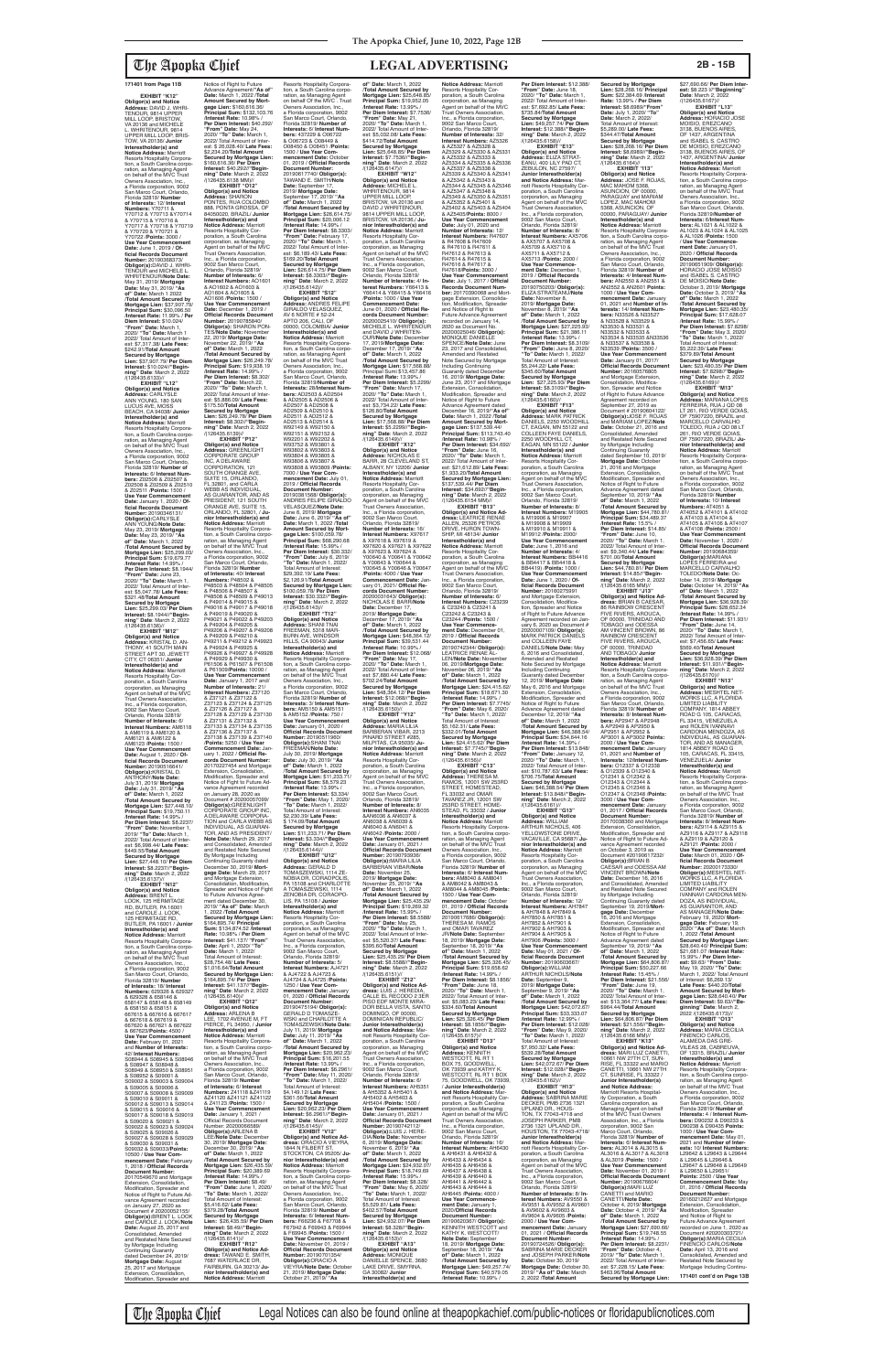**EXHIBIT "K12" Obligor(s) and Notice Address:** DAVID J. WHRI-TENOUR, 9814 UPPER MILL LOOP, BRISTOW, VA 20136 and MICHELE L. WHRITENOUR, 9814 UPPER MILL LOOP, BRIS-TOW, VA 20136/ **Junior Interestholder(s) and<br><b>Notice Address:** Marriott<br>Resorts Hospitality Corporation, a South Carolina corpo-ration, as Managing Agent on behalf of the MVC Trust Owners Association, Inc., a Florida corporation, 9002 San Marco Court, Orlando, Florida 32819/ **Number of Interests:** 12/ **Interest Numbers:** Y70711 & Y70712 & Y70713 &Y70714 & Y70715 & Y70716 & Y70717 & Y70718 & Y70719 & Y70720 & Y70721 & Y70722 /**Points:** 3000 / **Use Year Commencement Date:** June 1, 2019 / **Of-ficial Records Document Number:** 20190368373/ **Obligor(s):**DAVID J. WHRI-TENOUR and MICHELE L. WHRITENOUR/**Note Date:** May 31, 2019/ **Mortgage Date:** May 31, 2019/ **"As of" Date:** March 1 2022 /**Total Amount Secured by Mortgage Lien:** \$37,907.79/ **Principal Sum:** \$30,096.50 /**Interest Rate:** 11.99% / **Per Diem Interest:** \$10.024/ **"From" Date:** March 1, 2020/ **"To" Date:** March 1 2022/ Total Amount of Inter-est: \$7,317.38/ **Late Fees:** \$242.91/**Total Amount Secured by Mortgage Lien:** \$37,907.79/ **Per Diem Interest:** \$10.024//**"Begin-ning" Date**: March 2, 2022 /(126435.6133)//<br>"EXHIBIT "L12

**EXHIBIT "L12" Obligor(s) and Notice Address:** CARLYSLE ANN YOUNG, 180 SAN LUCUS AVE, MOSS BEACH, CA 94038/ **Junior Interestholder(s) and<br><b>Notice Address:** Marriott<br>Resorts Hospitality Corporation, a South Carolina corporation, as Managing Agent<br>on behalf of the MVC Trust Owners Association, Inc.,<br>a Florida corporation, 9002<br>San Marco Court, Orlando,<br>Florida 32819/ **Number of Interests:** 6/ **Interest Numbers:** Z02506 & Z02507 & Z02508 & Z02509 & Z02510 & Z02511 /**Points:** 1500 / Use Year Commenceme **Date:** January 1, 2020 / **Of-ficial Records Document Number:** 20190346131/ **Obligor(s):CARLYSLE**<br>ANN YOUNG/Note Date: ANN YOUNG/**Note Date:** May 23, 2019/ **Mortgage Date:** May 23, 2019/ **"As of" Date:** March 1, 2022 /**Total Amount Secured by Mortgage Lien:** \$25,299.03/ **Principal Sum:** \$19,679.77 /**Interest Rate:** 14.99% / **Per Diem Interest:** \$8.1944/ **"From" Date:** June 23, 2020/ **"To" Date:** March 1, 2022/ Total Amount of Inter-est: \$5,047.78/ **Late Fees:** \$321.48/**Total Amount Secured by Mortgage Lien:** \$25,299.03/ **Per Diem Interest:** \$8.1944//**"Begin-ning" Date**: March 2, 2022 /(126435.6136)//

**EXHIBIT "M12" Obligor(s) and Notice Address:** KRISTAL D. AN-THONY, 41 SOUTH MAIN STREET APT 30, JEWETT CITY, CT 06351/ **Junior Interestholder(s) and<br><b>Notice Address:** Marriott<br>Resorts Hospitality Corporation, a South Carolina corporation, as Managing Agent on behalf of the MVC Trust Owners Association, Inc., a Florida corporation, 9002 San Marco Court, Orlando, Florida 32819/ **Number of Interests:** 6/ **Interest Numbers:** AM6118 & AM6119 & AM6120 & AM6121 & AM6122 & AM6123 /**Points:** 1500 / **Use Year Commencement Date:** August 1, 2020 / **Of-ficial Records Document Number:** 20190516641/ **Obligor(s):**KRISTAL D.

Notice of Right to Future<br>Advance Agreement/"As of Advance Agreement/**"As of" Date:** March 1, 2022 /**Total Amount Secured by Mortgage Lien:** \$160,616.36/ **Principal Sum:** \$132,103.76 /**Interest Rate:** 10.98% / **Per Diem Interest:** \$40.292/ **"From" Date:** May 24, 2020/ **"To" Date:** March 1, 2022/ Total Amount of Inter-est: \$ 26,028.40/ **Late Fees:** \$2,234.20/**Total Amount Secured by Mortgage Lien:**  \$160,616.36/ **Per Diem Interest:** \$40.292//"**Begin-<br><b>ning" Date**: March 2, 2022<br>/(126435.6138 MM)// **EXHIBIT "O12" Obligor(s) and Notice Address:** SHARON PONTES, RUA COLOMBO 888, PONTA GROSSA, OF 84050020, BRAZIL/ **Junior Interestholder(s) and Notice Address:** Marriott<br>Resorts Hospitality Cor-<br>poration, a South Carolina corporation, as Managing Agent on behalf of the MVC Trust Owners Association, Inc., a Florida corporation, 9002 San Marco Court, Orlando, Florida 32819/ **Number of Interests:** 6/ **Interest Numbers:** AO1601 & AO1602 & AO1603 & AO1604 & AO1605 & AO1606 /**Points:** 1500 / **Use Year Commencement Date:** December 1, 2019 / **Official Records Document Number:** 20190785840/ **Obligor(s):** SHARON PON-TES/**Note Date:** November 22, 2019/ **Mortgage Date:** November 22, 2019/ **"As of" Date:** March 1, 2022 /**Total Amount Secured by Mortgage Lien:** \$26,249.78/ **Principal Sum:** \$19,938.19 /**Interest Rate:** 14.99% / **Per Diem Interest:** \$8.302/ **"From" Date:** March 22, 2020/ **"To" Date:** March 1, 2022/ Total Amount of Inter-est: \$5,886.09/ **Late Fees:** \$175.50/**Total Amount Secured by Mortgage Lien:** \$26,249.78/ **Per Diem Interest:** \$8.302//"**Begin-**<br>**ning" Date**: March 2, 2022<br>/(126435.6139)// **EXHIBIT "P12" Obligor(s) and Notice Address:** GREENLIGHT CORPORATE GROUP INC, A DELAWARE CORPORATION, 121 SOUTH ORANGE AVE SUITE 15, ORLANDO,<br>FL 32801, and CARLA<br>WEBB AS INDIVIDUAL, AS GUARANTOR, AND AS PRESIDENT, 121 SOUTH ORANGE AVE, SUITE 15, ORLANDO, FL 32801, / **Junior Interestholder(s) and Notice Address:** Marriott<br>Resorts Hospitality Corpora-<br>tion, a South Carolina corpo-<br>ration, as Managing Agent<br>on behalf of the MVC Trust<br>Owners Association, Inc., a Florida corporation, 9002 San Marco Court, Orlando, Florida 32819/ **Number of Interests:** 40/ **Interest Numbers:** P48502 & P48503 & P48504 & P48505 & P48506 & P48507 & P48508 & P48509 & P49013<br>& P49014 & P49015 & & P49014 & P49015 & P49016 & P49017 & P49018 & P49019 & P49020 & P49021 & P49022 & P49203 & P49204 & P49205 & P49206 & P49207 & P49208 & P49209 & P49210 & P49211 & P49212 & P49923 & P49924 & P49925 & P49926 & P49927 & P49928 & P49929 & P49930 & P61506 & P61507 & P61508 & P61509/**Points:** 10000 / **Use Year Commencement Date:** January 1, 2017 and/ **Number of Interests:** 21/ **Interest Numbers:** Z37120 & Z37121 & Z37122 & Z37123 & Z37124 & Z37125 & Z37126 & Z37127 & Z37128 & Z37129 & Z37130 & Z37131 & Z37132 & Z37133 & Z37134 & Z37135

ANTHONY/**Note Date:** July 31, 2019/ **Mortgage Date:** July 31, 2019/ **"As of" Date:** March 1, 2022 /**Total Amount Secured by Mortgage Lien:** \$27,448.10/ **Principal Sum:** \$19,750.11 /**Interest Rate:** 14.99% / **Per Diem Interest:** \$8.2237/ **"From" Date:** November 1, 2019/ **"To" Date:** March 1, 2022/ Total Amount of Inter-est: \$6,998.44/ **Late Fees:** \$449.55/**Total Amount Secured by Mortgage Lien: \$27,448.10/ Per Diem<br><b>Interest: \$**8.2237//"**Begin-<br>ning" Date**: March 2, 2022<br>/(126435.6137)// **EXHIBIT "N12" Obligor(s) and Notice Address:** BRENT L. LOOK, 125 HERMITAGE RD, BUTLER, PA 16001 and CAROLE J. LOOK, 125 HERMITAGE RD, BUTLER, PA 16001 / **Junior Interestholder(s) and Notice Address:** Marriott Resorts Hospitality Corporation, a South Carolina corporation, as Managing Agent on behalf of the MVC Trust Owners Association, Inc., a Florida corporation, 9002 San Marco Court, Orlando, Florida 32819/ **Number of Interests:** 18/ **Interest Numbers:** 629326 & 629327 & 629328 & 658146 & 658147 & 658148 & 658149 & 658150 & 658151 & 667615 & 667616 & 667617 & 667618 & 667619 & 667620 & 667621 & 667622 & 667623/**Points:** 4500 / Use Year Commencement **Date:** February 01, 2021 and **Number of Interests:** 42/ **Interest Numbers:** S08944 & S08945 & S08946 & S08947 & S08948 & S08949 & S08950 & S08951 & S08952 & S09001 & S09002 & S09003 & S09004 & S09005 & S09006 & S09007 & S09008 & S09009 & S09010 & S09011 & S09012 & S09013 & S09014 & S09015 & S09016 & S09017 & S09018 & S09019 & S09020 & S09021 & S09022 & S09023 & S09024 & S09025 & S09026 & S09027 & S09028 & S09029 & S09030 & S09031 & S09032 & S09033/**Points:** 10500 / **Use Year Commencement Date:** February 1, 2018 / **Official Records Document Number:** 20170549670 and Mortgage ension, Consolidation Modification, Spreader and Notice of Right to Future Advance Agreement recorded on January 27, 2020 as Document # 20200052155/ **Obligor(s):**BRENT L. LOOK and CAROLE J. LOOK/**Note Date:** August 25, 2017 and Consolidated, Amended and Restated Note Secured by Mortgage Including Continuing Guaranty dated December 24, 2019/<br>**Mortgage Date:** August<br>25, 2017 and Mortgage<br>Extension, Consolidation, Modification, Spreader and

& Z37136 & Z37137 & Z37138 & Z37139 & Z37140 /**Points:** 5250 / **Use Year Commencement Date:** Jan-uary 1, 2022 / **Official Records Document Number:**

20170227454 and Mortgage Extension, Consolidation, Modification, Spreader and Notice of Fight to Future Advance Agreement recorded on January 28, 2020 as<br>Document # 20200057099/ Document # 20200057099/<br>**Obligor(s)**:GREENLIGHT<br>CORPORATE GROUP INC,<br>A DELAWARE CORPORA-<br>TION and CARLA WEBB AS INDIVIDUAL, AS GUARAN-TOR, AND AS PRESIDENT/ **Note Date:** March 29, 2017 and Consolidated, Amended and Restated Note Secured By Mortgage Including Continuing Guaranty dated December 30, 2019/ **Mort-gage Date:** March 29, 2017 and Mortgage Extension, Consolidation, Modification, Spreader and Notice of Fight to Future Advance Agree ment dated December 30, 2019/ **"As of" Date:** March 1, 2022 /**Total Amount Secured by Mortgage Lien:**  \$164,895.74/ **Principal Sum:** \$134,874.52 /**Interest Rate:** 10.98% / **Per Diem Interest:** \$41.137/ **"From" Date:** April 1, 2020/ **"To" Date:** March 1, 2022/ Total Amount of Interest: \$28,754.48/ **Late Fees:** \$1,016.64/**Total Amount Secured by Mortgage Lien:**  \$164,895.74/ **Per Diem Interest:** \$41.137//**"Begin-ning" Date**: March 2, 2022  $\frac{7(126435.6140)}{2}$ EXHIBIT "Q12" **EXHIBIT "Q12" Obligor(s) and Notice Address:** ARLENA B LEE, 1702 AVENUE M, FT PIERCE, FL 34950, / **Junior Interestholder(s) and Notice Address:** Marriott<br>Resorts Hospitality Corpora-<br>tion, a South Carolina corporation, as Managing Agent<br>on behalf of the MVC Trust Owners Association, Inc., a Florida corporation, 9002 San Marco Court, Orlando, Florida 32819/ **Number of Interests:** 6/ **Interest Numbers:** Z41118 &Z41119 &Z41120 &Z41121 &Z41122 & Z41123 /**Points:** 1500 / **Use Year Commencement Date:** January 1, 2021 / Official Records Document Number: 2020006 **Obligor(s):**ARLENA B LEE/**Note Date:** December 30, 2019/ **Mortgage Date:** December 30, 2019/ **"As of" Date:** March 1, 2022 /**Total Amount Secured by Mortgage Lien:** \$26,435.59/ **Principal Sum:** \$20,389.69 /**Interest Rate:** 14.99% / **Per Diem Interest:** \$8.49/ **"From" Date:** June 1, 2020/ **"To" Date:** March 1, 2022/ Total Amount of Interest: \$5,416.62/ **Late Fees:** \$379.28/**Total Amount Secured by Mortgage Lien:** \$26,435.59/ **Per Diem Interest:** \$8.49//**"Begin-ning" Date**: March 2, 2022 /(126435.6141)// **EXHIBIT "R12" Obligor(s) and Notice dress:** TAWAND E. SMITH, 7687 WATERLACE DR, FAIRBURN, GA 30213/ **Junior Interestholder(s) and Notice Address:** Marriott

Resorts Hospitality Corporation, a South Carolina corpo-ration, as Managing Agent on behalf Of the MVC . Trust Owners Association, Inc., a Florida corporation, 9002 San Marco Court, Orlando, Florida 32819/ **Number of Interests:** 6/ **Interest Num-bers:** 437229 & O06722 & O06723 & O08449 & O08450 & O08451 /**Points:** 1500 / **Use Year Com-mencement Date:** October 01, 2019 / **Official Records Document Number:** 20190617740/ **Obligor(s):** TAWAND E. SMITH/**Note Date:** September 17, 2019/ **Mortgage Date:** September 17, 2019/ **"As of" Date:** March 1, 2022 /**Total Amount Secured by Mortgage Lien:** \$26,614.75/ **Principal Sum:** \$20,006.12 /**Interest Rate:** 14.99% / **Per Diem Interest:** \$8.3303/ **"From" Date:** February 17, 2020/ **"To" Date:** March 1, 2022/ Total Amount of Inter-est: \$6,189.43/ **Late Fees:** \$169.20/**Total Amount Secured by Mortgage Lien:** \$26,614.75/ **Per Diem Interest:** \$8.3303//**"Begin-ning" Date**: March 2, 2022 /(126435.6142)// **EXHIBIT "S12" Obligor(s) and Notice Address:** ANDRES FELIPE GIRALDO VELASQUEZ, AV 6 NORTE # 52-24 APTO 206, CALI, OF 00000, COLOMBIA/ **Junior Interestholder(s) and Notice Address:** Marriott Resorts Hospitality Corpora-tion, a South Carolina corporation, as Managing Agent<br>on behalf of the MVC Trust<br>Owners Association, Inc.,<br>a Florida corporation, 9002 San Marco Court, Orlando, Florida 32819/**Number of Interests:** 28/**Interest Numbers:** AD2503 & AD2504 & AD2505 & AD2506 & AD2507 & AD2508 & AD2509 & AD2510 & AD2511 & AD2512 & AD2513 & AD2514 & W92149 & W92150 & W92151 & W92152 & W92201 & W92202 & W93752 & W93801 & W93802 & W93803 & W93804 & W93805 & W93806 & W93807 & W93808 & W93809 /**Points:** 7000 / **Use Year Commencement Date:** July 01, 2019 / **Official Records Document Number:** 20190381568/ **Obligor(s):** ANDRES FELIPE GIRALDO VELASQUEZ/**Note Date:** June 6, 2019/ **Mortgage Date:** June 6, 2019/ **"As of" Date:** March 1, 2022 /**Total Amount Secured by Mort-gage Lien:** \$100,059.78/ **Principal Sum:** \$68,290.68 /**Interest Rate:** 15.99% / **Per Diem Interest:** \$30.332/ **"From" Date:** July 6, 2019/ **"To" Date:** March 1, 2022/ Total Amount of Interest: \$29,392.19/ **Late Fees:** \$2,126.91/**Total Amount Secured by Mortgage Lien:**  \$100,059.78/ **Per Diem Interest:** \$30.332//**"Begin-ning" Date**: March 2, 2022 /(126435.6143)// **EXHIBIT "T12" Obligor(s) and Notice Address:** SHANI TNAI FREEMAN, 5318 MAR-BURN AVE, WINDSOR HILLS, CA 90043/ **Junior Interestholder(s) and Notice Address:** Marriott Resorts Hospitality Corpora-tion, a South Carolina corpo-ration, as Managing Agent on behalf of the MVC Trust Owners Association, Inc., a Florida corporation, 9002 San Marco Court, Orlando, Florida 32819/ **Number of Interests:** 3/ **Interest Numbers:** AM5150 & AM5151 & AM5152 /**Points:** 750 / **Use Year Commencement Date:** January 01, 2020 / **Official Records Document Number:** 20190511960/ **Obligor(s):**SHANI TNAI FREEMAN/**Note Date:** July 30, 2019/ **Mortgage Date:** July 30, 2019/ **"As of" Date:** March 1, 2022 /**Total Amount Secured by Mortgage Lien:** \$11,233.71/ **Principal Sum:** \$8,579.23 /**Interest Rate:** 13.99% / **Per Diem Interest:** \$3.334/ **"From" Date:** May 1, 2020/ **"To" Date:** March 1, 2022/ Total Amount of Interest: \$2,230.39/ **Late Fees:** \$ 174.09/**Total Amount Secured by Mortgage Lien:** \$11,233.71/ **Per Diem Interest:** \$3.334//**"Beginning" Date**: March 2, 2022 /(126435.6144)// **EXHIBIT "U12" Obligor(s) and Notice Address:** GERALD D TOMASZEWSKI, 1114 ZE-NOBIA DR, CORAOPOLIS, PA 15108 and CHARLOTTE A TOMASZEWSKI, 1114 ZENOBIA DR, CORAOPO-LIS, PA 15108 / **Junior Interestholder(s) and Notice Address:** Marriott Resorts Hospitality Cor-poration, a South Carolina corporation, as Managing Agent on behalf of the MVC Trust Owners Association, India Owners Association,<br>Inc., a Florida corporation, 9002 San Marco Court, Orlando, Florida 32819/ **Number of Interests:** 5/ **Interest Numbers:** AJ4721 & AJ4722 & AJ4723 & AJ4724 & AJ4725 /**Points:** 1250 / **Use Year Commencement Date:** January 01, 2020 / **Official Records Document Number:** 20190475194/ **Obligor(s):** GERALD D TOMASZE-WSKI and CHARLOTTE A TOMASZEWSKI/**Note Date:** July 11, 2019/ **Mortgage Date:** July 11, 2019/ **"As of" Date:** March 1, 2022 /**Total Amount Secured by Mortgage Lien:** \$20,962.23/ **Principal Sum:** \$16,201.55 /**Interest Rate:** 13.99% / **Per Diem Interest:** \$6.2961/ **"From" Date:** May 11, 2020/ **"To" Date:** March 1, 2022/ Total Amount of Interest: \$4,149.12/ **Late Fees:** \$361.56/**Total Amount Secured by Mortgage Lien:** \$20,962.23/ **Per Diem Interest:** \$6.2961//**"Begin-ning" Date**: March 2, 2022 /(126435.6145)// **EXHIBIT "V12" Obligor(s) and Notice Ad-dress:** ORACIO A VIEYRA, 1844 N FILBERT ST, STOCKTON, CA 95205/ **Junior Interestholder(s) and Notice Address:** Marriott Resorts Hospitality Corpora-<br>tion, a South Carolina corpo tion, a South Carolina corpo-ration, as Managing Agent on behalf of the MVC Trust Owners Association, Inc., a Florida corporation, 9002 San Marco Court, Orlando Florida 32819/ **Number of Interests:** 6/ **Interest Numbers:** F66236 & F67708 & F67942 & F69943 & F69944 & F69945 /**Points:** 1500 / **Use Year Commencement Date:** November 01, 2019 / **Official Records Docume Number:** 20190701354/ **Obligor(s):**ORACIO A VIEYRA/**Note Date:** October 21, 2019/ **Mortgage Date:** October 21, 2019/ **"As of" Date:** March 1, 2022 /**Total Amount Secured by Mortgage Lien:** \$25,648.85/ **Principal Sum:** \$19,952.05 /**Interest Rate:** 13.99% / **Per Diem Interest:** \$7.7536/ **"From" Date:** May 21, 2020/ **"To" Date:** March 1, 2022/ Total Amount of Interest: \$5,032.08/ **Late Fees:** \$414.72/**Total Amount Secured by Mortgage Lien:** \$25,648.85/ **Per Diem Interest:** \$7.7536//**"Begin-ning" Date**: March 2, 2022 /(126435.6147)// **EXHIBIT "W12" Obligor(s) and Notice Address:** MICHELE L. WHRITENOUR, 9814 UPPER MILL LOOP,<br>BRISTOW, VA 20136 and<br>DAVID J WHRITENOUR,<br>9814 UPPER MILL LOOP, BRISTOW, VA 20136,/ **Junior Interestholder(s) and Notice Address:** Marriott Resorts Hospitality Corporation, a South Carolina corporation, as Managing Agent on behalf of the MVC Trust Owners Association, Inc., a Florida corporation, 9002 San Marco Court, Orlando, Florida 32819/ **Number of Interests:** 4/ **Interest Numbers:** Y66413 & Y66414 & Y66415 & Y66416 /**Points:** 1000 / **Use Year Commencement Date:** June 01, 2020 / **Official Re-cords Document Number:** 20200025410/ **Obligor(s):** MICHELE L. WHRITENOUR and DAVID J WHRITEN-OUR/**Note Date:** December 17, 2019/**Mortgage Date:** December 17, 2019/ **"As of" Date:** March 1, 2022 /**Total Amount Secured by Mortgage Lien:** \$17,568.88/ Principal Sumi \$13,457.86 /**Interest Rate:** 13.99% / **Per Diem Interest:** \$5.2299/ **"From" Date:** March 17, 2020/ **"To" Date:** March 1, 2022/ Total Amount of Interest: \$3,734.22/ **Late Fees:** \$126.80/**Total Amount Secured by Mortgage Lien:** \$17,568.88/ **Per Diem Interest:** \$5.2299//**"Begin-ning" Date**: March 2, 2022 /(126435.6149)// **EXHIBIT "X12" Obligor(s) and Notice<br>Address: NICHOLAS F Address:** NICHOLAS E BARR, 28 CLEVELAND ST, ALBANY, NY 12206/ **Junior Interestholder(s) and Notice Address:** Marriott Resorts Hospitality Corporation, a South Carolina corporation, as Managing Agent on behalf of the MVC Trust Owners Association Inc., a Florida corporation, 9002 San Marco Court, Orlando, Florida 32819/ **Number of Interests:** 16/ **Interest Numbers:** X97617 & X97618 & X97619 & X97620 & X97621 & X97622 & X97623 & X97624 & Y00640 & Y00641 & Y00642 & Y00643 & Y00644 & Y00645 & Y00646 & Y00647 /**Points:** 4000 / **Use Year Commencement Date:** Jan-uary 01, 2021/ **Official Records Document Number:** 20200031643/ **Obligor(s):** NICHOLAS E BARR/**Note Date:** December 17, 2019/ **Mortgage Date:** December 17, 2019/ **"As of" Date:** March 1, 2022 /**Total Amount Secured by Mortgage Lien:** \$48,364.12/ **Principal Sum:** \$39,531.44 /**Interest Rate:** 10.99% / **Per Diem Interest:** \$12.068/ **"From" Date:** May 17, 2020/ **"To" Date:** March 1, 2022/ Total Amount of Interest: \$7,880.44/ **Late Fees:** \$702.24/**Total Amount Secured by Mortgage Lien:** \$48,364.12/ **Per Diem Interest:** \$12.068//**"Begin-ning" Date**: March 2, 2022 /(126435.6150)// **EXHIBIT "Y12" Obligor(s) and Notice Address:** MARIA LILIA BARBERAN VIBAR, 2213 PINARD STREET #285, MILPITAS, CA 95035/ **Ju-nior Interestholder(s) and Notice Address:** Marriott Resorts Hospitality Corporation, a South Carolina corporation, as Managing Agent on behalf of the MVC Trust Owners Association, Inc., a Florida corporation, 9002 San Marco Court, Orlando, Florida 32819/ **Number of Interests:** 8/ **Interest Numbers:** AN6035 &AN6036 & AN6037 & AN6038 & AN6039 & AN6040 & AN6041 & AN6042 /**Points:** 2000 / **Use Year Commencement Date:** January 01, 2021 / **Official Records Docum Number:** 20190793936/ **Obligor(s):**MARIA LILIA BARBERAN VIBAR/**Note Date:** November 25, 2019/ **Mortgage Date:** November 25, 2019/ **"As of" Date:** March 1, 2022 /**Total Amount Secured by Mortgage Lien:** \$25,435.29/ **Principal Sum:** \$19,269.32 /**Interest Rate:** 15.99% / **Per Diem Interest:** \$8.5588/ **"From" Date:** May 25, 2020/ **"To" Date:** March 1, 2022/ Total Amount of Inter-est: \$5,520.37/ **Late Fees:** \$395.60/**Total Amount Secured by Mortgage Lien:** \$25,435.29/ **Per Diem Interest:** \$8.5588//**"Begin-ning" Date**: March 2, 2022 /(126435.6151)// **EXHIBIT "Z12" Obligor(s) and Notice Ad-dress:** LUIS J. HEREDIA, CALLE EL RECODO 2 3ER PISO EDF MONTE MIRA-DOR BELLA VISTA, SANTO DOMINGO, OF 00000, DOMINICAN REPUBLIC/ **Junior Interestholder(s) and Notice Address: Mar**riott Resorts Hospitality Cor-poration, a South Carolina corporation, as Managing Agent on behalf of the MVC Trust Owners Association, Inc., a Florida corporation, 9002 San Marco Court, Orlando, Florida 32819/ **Number of Interests:** 6/ **Interest Numbers:** AH5351 & AH5352 & AH5401 & AH5402 & AH5403 & AH5404 /**Points:** 1500 / **Use Year Commencement Date:** January 01, 2021 / **Official Records Documen Number:** 20190742112/ **Obligor(s):**LUIS J. HERE-DIA/**Note Date:** November 6, 2019/ **Mortgage Date:** November 6, 2019/ **"As of" Date:** March 1, 2022 /**Total Amount Secured by Mortgage Lien:** \$24,932.07/ **Principal Sum:** \$18,749.69 /**Interest Rate:** 15.99% / **Per Diem Interest:** \$8.328/ **"From" Date:** May 6, 2020/ **"To" Date:** March 1, 2022/ Total Amount of Interest: \$5,529.81/ **Late Fees:** \$402.57/**Total Amount Secured by Mortgage Lien:** \$24,932.07/ **Per Diem Interest:** \$8.328//**"Begin-ning" Date**: March 2, 2022 /(126435.6153)// **EXHIBIT "A13" Obligor(s) and Notice Address:** MONIQUE<br>DANIELLE SPENCE, 3680 LAKE DRIVE, SMYRNA,<br>GA 30082/ **Junior** GA 30082/ **Junior Interestholder(s) and** 

**Notice Address:** Marriott Resorts Hospitality Cor-poration, a South Carolina corporation, as Managing Agent on behalf of the MVC Trust Owners Association, Inc., a Florida corporation, 9002 San Marco Court, Orlando, Florida 32819/ **Number of Interests:** 32/ **Interest Numbers:** AZ5326 & AZ5327 & AZ5328 & AZ5329 & AZ5330 & AZ5331 & AZ5332 & AZ5333 & AZ5334 & AZ5335 & AZ5336 & AZ5337 & AZ5338 & AZ5339 & AZ5340 & AZ5341 & AZ5342 & AZ5343 & AZ5344 & AZ5345 & AZ5346 & AZ5347 & AZ5348 & AZ5349 & AZ5350 & AZ5351 & AZ5352 & AZ5401 & AZ5402 & AZ5403 & AZ5404 & AZ5405/**Points:** 8000 / **Use Year Commencement Date:** July 01, 2020 and **Number of Interests:** 12/ **Interest Numbers:** R47607 & R47608 & R47609 & R47610 & R47611 & R47612 & R47613 & R47614 & R47615 & R47616 & R47617 & R47618/**Points:** 3000 / **Use Year Commencement Date:** July 1, 2017 / **Official Records Document Number:** 20170390068 and Mort-gage Extension, Consolida-tion, Modification, Spreader and Notice of Right to Future Advance Agreement recorded on January 14, 2020 as Document No.<br>20200025046/ **Obligor(s):**<br>MONIQUE DANIELLE SPENCE/**Note Date:** June 23, 2017 and Consolidated, Amended and Restated Note Secured by Mortgage Including Continuing Including Continuing<br>Guaranty dated Dece 16, 2019/ **Mortgage Date:** June 23, 2017 and Mortgage Extension, Consolidation Modification, Spreader and Notice of Right to Future Advance Agreement dated December 16, 2019/**"As of" Date:** March 1, 2022 /**Total Amount Secured by Mortgage Lien:** \$137,539.44/ **Principal Sum:** \$113,743.40 /**Interest Rate:** 10.98% / **Per Diem Interest:** \$34.692/ **"From" Date:** June 16, 2020/ **"To" Date:** March 1, 2022/ Total Amount of Inter-est: \$21,612.89/ **Late Fees:** \$1,933.20/**Total Amount Secured by Mortgage Lien:**  \$137,539.44/ **Per Diem Interest:** \$34.692//**"Beginning" Date**: March 2, 2022 /(126435.6154 MM)// **EXHIBIT "B13" Obligor(s) and Notice Ad-dress:** LEATRICE RENAE ALLEN, 25326 PETROS DRIVE, HURON TOWN-<br>SHIP, MI 48134/ **Junior** SHIP, MI 48134/ **Junior Interestholder(s) and Notice Address:** Marriott Resorts Hospitality Corporation, a South Carolina corporation, as Managing Agent on behalf of the MVC Trust Owners Association, Inc., a Florida corporation, 9002 San Marco Court, Orlando, Florida 32819/ **Number of Interests:** 6/ **Interest Numbers:** C23239 & C23240 & C23241 & C23242 & C23243 & C23244 /**Points:** 1500 / **Use Year Commencement Date:** December 01, 2019 / **Official Records Doment Num** 20190742344/ **Obligor(s):** LEATRICE RENAE AL-LEN/**Note Date:** November 06, 2019/**Mortgage Date:** November 06, 2019/ **"As of" Date:** March 1, 2022 /**Total Amount Secured by Mortgage Lien:** \$24,415.62/ **Principal Sum:** \$18,671.30 /**Interest Rate:** 14.99% / **Per Diem Interest:** \$7.7745/ **"From" Date:** May 6, 2020/ **"To" Date:** March 1, 2022/ Total Amount of Interest: \$5,162.31/ **Late Fees:** \$332.01/**Total Amount Secured by Mortgage Lien:** \$24,415.62/ **Per Diem Interest:** \$7.7745//**"Begin-ning" Date**: March 2, 2022 /(126435.6156)//<br>**EXHIBIT** "C13" **EXHIBIT "C13" Obligor(s) and Notice Address:** THERESA M. RAMOS, 12001 SW 253RD STREET, HOMESTEAD, FL 33032 and OMAR TAVAREZ JR, 12001 SW 253RD STREET, HOME-STEAD, FL 33032 / **Junior Interestholder(s) and Notice Address:** Marriott Resorts Hospitality Corporation, a South Carolina corpo-ration, as Managing Agent on behalf of the MVC Trust Owners Association, Inc., a Florida corporation, 9002 San Marco Court, Orlando, Florida 32819/ **Number of Interests:** 6/ **Interest Num-bers:** AM8040 & AM8041 & AM8042 & AM8043 & AM8044 & AM8045 /**Points:** 1500 / **Use Year Commencement Date:** October 01, 2019 / **Official Records Document Number:** 20190617686/ **Obligor(s):** THERESA M. RAMOS and OMAR TAVAREZ JR/**Note Date:** September 18, 2019/ **Mortgage Date:** September 18, 2019/ **"As of" Date:** March 1, 2022 /**Total Amount Secured by Mortgage Lien:** \$25,326.45/ **Principal Sum:** \$19,658.62 /**Interest Rate:** 14.99% / **Per Diem Interest:** \$8.1856/ **"From" Date:** June 18, 2020/ **"To" Date:** March 1, 2022/ Total Amount of Inter est: \$5,083.23/ **Late Fees:** \$334.60/**Total Amount Secured by Mortgage Lien:** \$25,326.45/ **Per Diem Interest:** \$8.1856//**"Beginning" Date**: March 2, 2022 /(126435.6157)// **EXHIBIT "D13" Obligor(s) and Notice Address:** KENNITH<br>WESTCOTT, RL RT 1 BOX 75, GOODWELL OK 73939 and KATHY K.<br>WESTCOTT, RL RT 1 BOX<br>75, GOODWELL, OK 73939, / **Junior Interestholder(s) and Notice Address:** Marriott Resorts Hospitality Corporation, a South Carolina corporation, as Managing Agent on behalf of the MVC Trust Owners Association, Inc., a Florida corporation, 9002 San Marco Court, Orlando, Florida 32819/ **Number of Interests:** 16/ **Interest Numbers:** AH6430 & AH6431 & AH6432 & AH6433 & AH6434 & AH6435 & AH6436 & AH6437 & AH6438 & AH6439 & AH6440 & AH6441 & AH6442 & AH6443 & AH6444 & AH6445 /**Points:** 4000 / Use Year Commence-<br>ment Date: January 1,<br>Document Number:<br>20190620367/ Obligor(s):<br>20190620367/ Obligor(s):<br>KENNITH WESTCOTT and KATHY K. WESTCOTT/<br>Note Date: September<br>18, 2019/ Mortgage Date:<br>September 18, 2019/ "As<br>September 18, 2019/ "As<br>Total Amount Secured by<br>Mortgage Lien: \$49,257.74/<br>Principal Sum: \$40,579.05<br>Thricipal Sum: \$40,579.05 **Mortgage Lien:** \$46,388.54/ **Principal Sum:** \$34,644.16 /**Interest Rate:** 14.39% / **Per Diem Interest:** \$13.848/ **"From" Date:** January 12, 2020/ **"To" Date:** March 1, 2022/ Total Amount of Inter-est: \$10,787.63/ **Late Fees:** \$706.75/**Total Amount Secured by Mortgage Lien:** \$46,388.54/ **Per Diem Interest:** \$13.848//**"Begin-ning" Date**: March 2, 2022 /(126435.6161)// **EXHIBIT "G13" Obligor(s) and Notice Address:** WILLIAM ARTHUR NICHOLS, 406 YELLOWSTONE DRIVE, VACAVILLE, CA 95687/ **Junior Interestholder(s) and Notice Address:** Marriott Resorts Hospitality Corporation, a South Carolina corporation, as Managing Agent on behalf of the MVC Trust Owners Association, Inc., a Florida corporation, 9002 San Marco Court, Orlando, Florida 32819/ **Number of Interests:** 12/ **Interest Numbers:** AH7847 & AH7848 & AH7849 & AH7850 & AH7851 & AH7852 & AH7901 & AH7902 & AH7903 & AH7904 & AH7905 & AH7906 /**Points:** 3000 / Use Year Commence **Date:** May 01, 2021 / **Of-ficial Records Document Number:** 20190603667/ **Obligor(s):**WILLIAM ARTHUR NICHOLS/**Note Date:** September 9, 2019/ **Mortgage Date:** September 9, 2019/ **"As of" Date:** March 1, 2022 /**Total Amount Secured by Mortgage Lien:** \$42,072.67/ **Principal Sum:** \$33,333.07 /**Interest Rate:** 12.99% / **Per Diem Interest:** \$12.028/ **"From" Date:** May 9, 2020/ **"To" Date:** March 1, 2022/ Total Amount of Interest: \$7,950.32/ **Late Fees:** \$539.28/**Total Amount Secured by Mortgage Lien:** \$42,072.67/ **Per Diem Interest:** \$12.028//**"Begin-ning" Date**: March 2, 2022 /(126435.6162)// **EXHIBIT "H13" Obligor(s) and Notice Address:** SABRINA MARIE DECKER, PMB 2736 1321 UPLAND DR., HOUS-TON, TX 77043-4718 and JOSEPH PARKER, PMB<br>2736 1321 UPLAND DR., HOUSTON, TX 77043-4718/ **Junior Interestholder(s)<br><b>and Notice Address:** Mar-<br>riott Resorts Hospitality Corporation, a South Carolina corporation, as Managing Agent on behalf of the MVC Trust Owners Association, Inc., a Florida corporation, 9002 San Marco Co Orlando, Florida 32819/ **Number of Interests:** 8/ **Interest Numbers:** AV9550 & AV9551 & AV9552 & AV9601 & AV9602 & AV9603 & AV9604 & AV9605 /**Points:** 2000 / **Use Year Com-mencement Date:** January 01, 2021 / **Official Records Document Number:** 20190724526/ **Obligor(s):** SABRINA MARIE DECKER and JOSEPH PARKER/**Note Date:** October 30, 2019/ **Mortgage Date:** October 30, 2019/ **"As of" Date:** March 2, 2022 /**Total Amount** 

**Per Diem Interest:** \$12.388/ **"From" Date:** June 18, 2020/ **"To" Date:** March 1, 2022/ Total Amount of Inter-est: \$7,692.85/ **Late Fees:** \$735.84/**Total Amount Secured by Mortgage Lien:** \$49,257.74/ **Per Diem Interest:** \$12.388//**"Begin-ning" Date**: March 2, 2022 /(126435.6158)// **EXHIBIT "E13" Obligor(s) and Notice Address:** ELIZA STRAT-EANU, 400 LILY PAD CT, ZEBULON, NC 27597/ **Junior Interestholder(s) and Notice Address:** Marriott Resorts Hospitality Corporation, a South Carolina corporation, as Managing Agent on behalf of the MVC Trust Owners Association, Inc., a Florida corporation, 9002 San Marco Court, Orlando, Florida 32819/ **Number of Interests:** 8/ **Interest Numbers:** AX5706 & AX5707 & AX5708 & AX5709 & AX5710 & AX5711 & AX5712 & AX5713 /**Points:** 2000 / **Use Year Commence-ment Date:** December 1, 2019 / **Official Records Document Number:** 20190750203/ **Obligor(s):** ELIZA STRATEANU/**Note Date: November 8,<br>2019/ <b>Mortgage Date:**<br>November 8, 2019/ **"As**<br>**of" Date:** March 1, 2022 /**Total Amount Secured by Mortgage Lien:** \$27,225.93/ **Principal Sum:** \$21,386.11 /**Interest Rate:** 13.99% / **Per Diem Interest:** \$8.3109/ **"From" Date:** June 8, 2020/ **"To" Date:** March 1, 2022/ Total Amount of Interest: \$5,244.22/ **Late Fees:** \$345.60/**Total Amount Secured by Mortgage Lien:** \$27,225.93/ **Per Diem Interest:** \$8.3109//**"Begin-ning" Date**: March 2, 2022 /(126435.6160)// **EXHIBIT "F13" Obligor(s) and Notice Address:** MARK PATRICK DANIELS, 2250 WOODHILL CT, EAGAN, MN 55122 and COLLEEN FAYE DANIELS, 2250 WOODHILL CT, EAGAN, MN 55122 / **Junior Interestholder(s) and Notice Address:** Marriott<br>Resorts Hospitality Cor-<br>poration, a South Carolina<br>corporation, as Managing<br>Agent on behalf of the MVC<br>Trust Owners Association, Inc., a Florida corporation, 9002 San Marco Court, Orlando, Florida 32819/ **Number of Interests:** 8/ **Interest Numbers:** M19905<br>& M19906 & M19907 & M19908 & M19909<br>& M19910 & M19911 & & M19910 & M19911 & M19912 /**Points:** 2000/ **Use Year Commencement Date:** June 1, 2016 and **Number of Interests:** 4/ **Interest Numbers:** BB4416 & BB4417 & BB4418 & BB4419) /**Points:** 1000 / Use Year Commenceme **Date:** June 1, 2020 / **Of-ficial Records Document Number:** 20160275991 and Mortgage Extension, Consolidation, Modification, Spreader and Notice of Right to Future Advance Agreement recorded on January 6, 2020 as Document # 20200007109/ **Obligor(s):** MARK PATRICK DANIELS and COLLEEN FAYE DANIELS/**Note Date:** May 6, 2016 and Consolidated, Amended and Restated Note Secured by Mortgage Including Continuing Guaranty dated December 12, 2019/ **Mortgage Date:** May 6, 2016 and Mortgage Extension, Consolidation, Modification, Spreader and Notice of Right to Future Advance Agreement dated December 12, 2019/ **"As of" Date:** March 1, 2022 /**Total Amount Secured by**  & AP2949 & AP2950 & AP2951 & AP2952 & AP3001 & AP3002 **Points:**

**Secured by Mortgage Lien:** \$28,268.16/ **Principal Sum:** \$22,384.69 /**Interest Rate:** 13.99% / **Per Diem Interest:** \$8.6989/**"From" Date:** July 1, 2020/ **"To" Date:** March 2, 2022/ Total Amount of Interest: \$5,289.00/ **Late Fees:** \$344.47/**Total Amount Secured by Mortgage Lien:** \$28,268.16/ **Per Diem Interest:** \$8,6989//**"Beginning" Date**: March 2, 2022 /(126435.6164)// **EXHIBIT "I13" Obligor(s) and Notice Address:** JOSE F. ROJAS, MAC MAHOM 5368. ASUNCION, OF 00000, PARAGUAY and MARIAM LOPEZ, MAC MAHOM 5368, ASUNCION, OF 00000, PARAGUAY/ **Junior Interestholder(s) and Notice Address:** Marriott<br>Resorts Hospitality Corpora-<br>tion, a South Carolina corporation, as Managing Agent<br>on behalf of the MVC Trust Owners Association, Inc., a Florida corporation, 9002 San Marco Court, Orlando, Florida 32819/ **Number of Interests:** 4/ **Interest Num-bers:** AN2550 & AN2551 & AN2552 & AN2601 **Points:** 1000 / **Use Year Com-mencement Date:** January 01, 2021 and **Number of Interests:** 14/ **Interest Numbers:** N33526 & N33527 & N33528 & N33529 & N33530 & N33531 &<br>N33532 & N33533 & N33532 & N33533 & N33534 & N33535 &N33536 & N33537 & N33538 & N33539 /**Points:** 3500 / **Use Year Commencement Date:** January 01, 2017/ **Official Records Document Number:** 20160576805 and Mortgage Extension, Consolidation, Modification, Spreader and Notice of Right to Future Advance Agreement recorded on September 27, 2019 as Document # 20190604122/ **Obligor(s):**JOSE F. ROJAS and MARIAM LOPEZ/**Note Date:** October 21, 2016 and Consolidated, Amended and Restated Note Secured by Mortgage Including Continuing Guaranty dated September 10, 2019 **Mortgage Date:** October<br>21, 2016 and Mortgage<br>Extension, Consolidation, Modification, Spreader and Notice of Right to Future Advance Agreement dated September 10, 2019/ **"As of" Date:** March 1, 2022 /**Total Amount Secured by Mortgage Lien:** \$44,780.81/ **Principal Sum:** \$34,489.37 /**Interest Rate:** 15.5% / **Per Diem Interest:** \$14.85/ **"From" Date:** June 10, 2020/ **"To" Date:** March 1, 2022/ Total Amount of Inter-est: \$9,340.44/ **Late Fees:** \$701.00/**Total Amount Secured by Mortgage Lien:** \$44,780.81/ **Per Diem Interest:** \$14.85//**"Begin-ning" Date**: March 2, 2022 /(126435.6165 MM)// **EXHIBIT "J13" Obligor(s) and Notice Ad-dress:** BRIAN B CAESAR, 86 RAINBOW CRESCENT FIVE RIVERS, AROUCA, OF 00000, TRINIDAD AND TOBAGO and ODESSA AM VINCENT BROWN, 86 RAINBOW CRESCENT FIVE RIVERS, AROUCA OF 00000, TRINIDAD AND TOBAGO/ **Junior Interestholder(s) and Notice Address:** Marriott<br>Resorts Hospitality Corpora-<br>tion, a South Carolina corporation, as Managing Agent<br>on behalf of the MVC Trust Owners Association, Inc., a Florida corporation, 9002 San Marco Court, Orlando, Florida 32819/ **Number of Interests:** 8/ **Interest Num-bers:** AP2947 & AP2948

2000 / **Use Year Commencement Date:** January 01, 2021 and **Number of Interests:** 12/**Interest Numbers:** O12337 & O12338 & O12339 & O12340 &

O12341 & O12342 & O12343 & O12344 & O12345 & O12346 & O12347 & O12348 /**Points:** 3000 / **Use Year Com-mencement Date:** January 01, 2017 / **Official Records Document Number:** 20170038360 and Mortgage Extension, Consolidation, Modification, Spreader and Notice of Right to Future Advance Agreement recorded on October 3, 2019 as Document #20190617232/ **Obligor(s):**BRIAN B CAESAR and ODESSA AM VINCENT BROWN/**Note Date:** December 16, 2016 and Consolidated, Amended and Restated Note Secured by Mortgage Including Continuing Guaranty dated September 19, 2019/**Mortgage Date:** December 16, 2016 and Mortgage Extension, Consolidation, Modification, Spreader and<br>Advance Agreement dated<br>September 19, 2019/ **"As<br>of" Date:** March 1, 2022<br>**//Total Amount Secured by Mortgage Lien:** \$64,806.87/ **Principal Sum:** \$50,227.66 /**Interest Rate:** 15.45% / **Per Diem Interest:** \$21.556/ **"From" Date:** June 19, 2020/ **"To" Date:** March 1, 2022/ Total Amount of Inter est: \$13,364.77/ **Late Fees:** \$964.44/**Total Amount Secured by Mortgage Lien:** \$64,806.87/ **Per Diem Interest:** \$21.556//**"Beginning" Date**: March 2, 2022 /(126435.6166 MM)// **EXHIBIT "K13" Obligor(s) and Notice Ad-dress:** MARI LUZ CANETTI, 10661 NW 27TH CT, SUN-RISE, FL 33322 and MARIO CANETTI, 10661 NW 27TH CT, SUNRISE, FL 33322 / **Junior Interestholder(s) and Notice Address:** Marriott Resorts Hospitality Corporation, a South Carolina corporation, as Managing Agent on behalf of the MVC Trust Owners Association, Inc., a Florida corporation, 9002 San Marco Court, Orlando, Florida 32819/ **Number of Interests:** 6/ **Interest Num-bers:** AL3014 & AL3015 & AL3016 & AL3017 & AL3018 & AL3019 /**Points:** 1500 / **Use Year Commencement Date:** November 01, 2019 / **Official Records Document Number:** 20190676604/ **Obligor(s):**MARI LUZ CANETTI and MARIO CANETTI/**Note Date:** October 4, 2019/ **Mortgage Date:** October 4, 2019/ **"As of" Date:** March 1, 2022 /**Total Amount Secured by Mortgage Lien:** \$27,690.66/ **Principal Sum:** \$19,748.55 /**Interest Rate:** 14.99% / **Per Diem Interest:** \$8.2231/ **"From" Date:** October 4, 2019/ **"To" Date:** March 1, 2022/ Total Amount of Inte est: \$7,228.15/ **Late Fees:** \$463.96/**Total Amoun Secured by Mortgage Lien:** 

\$27,690.66/ **Per Diem Interest:** \$8.223 l//**"Beginning" Date**: March 2, 2022 /(126435.61 **EXHIBIT "L13" Obligor(s) and Notice Address:** HORACIO JOSE MOISIO, EREZCANO 3138, BUENOS AIRES, OF 1437, ARGENTINA and ISABEL S. CASTRO<br>DE MOISIO, EREZCANO 3138, BUENOS AIRES, OF 1437, ARGENTINA/ **Junior Interestholder(s) and Notice Address:** Marriott Resorts Hospitality Corpora-<br>tion, a South Carolina corpo tion, a South Carolina corpo-ration, as Managing Agent on behalf of the MVC Trust Owners Association, Inc., a Florida corporation, 9002 San Marco Court, Orlando, Florida 32819/**Number of Interests:** 6/**Interest Numbers:** AL1021 & AL1022 & AL1023 & AL1024 & AL1025 & AL1026 /**Points:** 1500 / **Use Year Commence-ment Date:** January 01, 2020 / **Official Records Document Number:** 20190651909/ **Obligor(s):** HORACIO JOSE MOISIO and ISABEL S. CASTRO DE MOISIO/**Note Date:** October 3, 2019/ **Mortgage Date:** October 3, 2019/ **"As of" Date:** March 1, 2022 /**Total Amount Secured by Mortgage Lien:** \$23,480.35/ **Principal Sum:** \$17,628.07 /**Interest Rate:** 15.99% / **Per Diem Interest:** \$7.8298/ **"From" Date:** May 3, 2020/ **"To" Date:** March 1, 2022/ Total Amount of Interest: \$5,222.39/ **Late Fees:** \$379.89/**Total Amount Secured by Mortgage Lien:** \$23,480.35/ **Per Diem Interest:** \$7.8298//**"Begin-ning" Date**: March 2, 2022 /(126435.6169)// **EXHIBIT "M13"<br>
<b>Obligor(s) and Notice**<br> **Address:** MARIANA LOPES<br>
FERREIRA, RUA J QD 08<br>LT 261, RIO VERDE GOIAS,<br>OF 75907220, BRAZIL and MARCELLO CARVALHO TOLEDO, RUA J QD 08 LT 261, RIO VERDE GOIAS, OF 75907220, BRAZIL/ **Junior Interestholder(s) and Notice Address:** Marriott Resorts Hospitality Corporation, a South Carolina corpo-ration, as Managing Agent on behalf of the MVC Trust Owners Association, Inc., a Florida corporation, 9002 San Marco Court, Orlando, Florida 32819/ **Number of Interests:** 10/ **Interest Numbers:** AT4051 & AT4052 & AT4101 & AT4102 & AT4103 & AT4104 & AT4105 & AT4106 & AT4107 & AT4108 /**Points:** 2500 / **Use Year Commencement Date:** November 1, 2020 / **Official Records Document Number:** 20190684359/ **Obligor(s):**MARIANA<br>LOPES FERREIRA and MARCELLO CARVALHO TOLEDO/**Note Date:** Oc-tober 14, 2019/ **Mortgage Date:** October 14, 2019/ **"As of" Date:** March 1, 2022 /**Total Amount Secured by Mortgage Lien:** \$36,928.39/ **Principal Sum:** \$28,652.34 /**Interest Rate:** 14.99% / **Per Diem Interest:** \$11.931/ **"From" Date:** June 14, 2020/ **"To" Date:** March 1, 2022/ Total Amount of Interest: \$7,456.65/ **Late Fees:** \$569.40/**Total Amount Secured by Mortgage Lien:** \$36,928.39/ **Per Diem Interest:** \$11.931//**"Begin-ning" Date**: March 2, 2022 /(126435.6170)// **EXHIBIT "N13" Obligor(s) and Notice Address:** MESHTEL NET-WORKS LLC, A FLORIDA LIMITED LIABILITY COMPANY, 1814 ABBEY

ROAD G 105, CARACAS, FL 33415, VENEZUELA and ROLEN IVANNAVI CARDONA MENDOZA, AS INDIVIDUAL, AS GUARAN-TOR, AND AS MANAGER, 1814 ABBEY ROAD G 105, CARACAS, FL 33415, VENEZUELA/ **Junior Interestholder(s) and Notice Address:** Marriott Resorts Hospitality Corpora-tion, a South Carolina corporation, as Managing Agent<br>on behalf of the MVC Trust Owners Association, Inc., a Florida corporation, 9002 San Marco Court, Orlando, Florida 32819/ **Number of Interests:** 8/ **Interest Numbers:** AZ9114 & AZ9115 & AZ9116 & AZ9117 & AZ9118 & AZ9119 & AZ9120 & AZ9121 /**Points:** 2000 / **Use Year Commencement Date:** March 01, 2020 / **Official Records Document<br><b>Number:** 20200173330/<br>**Obligor(s):**MESHTEL NET-<br>WORKS LLC, A FLORIDA<br>LIMITED LIABILITY<br>COMPANY and ROLEN IVANNAVI CARDONA MEN-DOZA, AS INDIVIDUAL,<br>AS GUARANTOR, AND AS MANAGER/**Note D** February 19, 2020/ **Mort-gage Date:** February 19, 2020/ **"As of" Date:** March 1, 2022 /**Total Amount Secured by Mortgage Lien:**  \$28,640.40/ **Principal Sum:** \$21,681.07 /**Interest Rate:** 15.99% / **Per Diem Interest:** \$9.63/ **"From" Date:** May 19, 2020/ **"To" Date:** March 1, 2022/ Total Amount of Interest: \$6,269.13/ **Late Fees:** \$440.20/**Total Amount Secured by Mortgage Lien:** \$28,640.40/ **Per Diem Interest:** \$9.63//**"Beginning" Date**: March 2, 2022 /(126435.6173)// **EXHIBIT "O13" Obligor(s) and Notice Address:** MARIA CECILIA FINENCIO CARLOS,<br>ALAMEDA DAS GRE-VILEAS 28, CABREUVA, OF 13315, BRAZIL/ **Junior Interestholder(s) and Notice Address:** Marriott Resorts Hospitality Corpora-tion, a South Carolina corpo-ration, as Managing Agent on behalf of the MVC Trust Owners Association, Inc. a Florida corporation, 9002 San Marco Court, Orlando, Florida 32819/ **Number of Interests:** 4 / **Interest Numbers:** D90232 & D90233 & D90238 & D90435 **Points:** 1000 / **Use Year Commencement Date:** May 01, 2021 and **Number of Interests:** 10/ **Interest Numbers:** L29642 & L29643 & L29644 & L29645 & L29646 & L29647 & L29648 & L29649 & L29650 & L29651/ **Points:** 2500 / **Use Year Commencement Date:** May 01, 2016 / **Official Records Document Number:** 20160212627 and Mortgage Extension, Consolidation, Modification, Spreader and Notice of Right to Future Advance Agreement recorded on June 1, 2020 as Document #20200303721/ **ObIigor(s):**MARIA CECILIA FINENCIO CARLOS/**Note Date:** April 13, 2016 and Consolidated, Amended and Restated Note Secured by Mortgage Including Continu-

### **171401 from Page 11B**

**171401 cont'd on Page 13B**

The Apopka Chief Legal Notices can also be found online at theapopkachief.com/public-notices or floridapublicnotices.com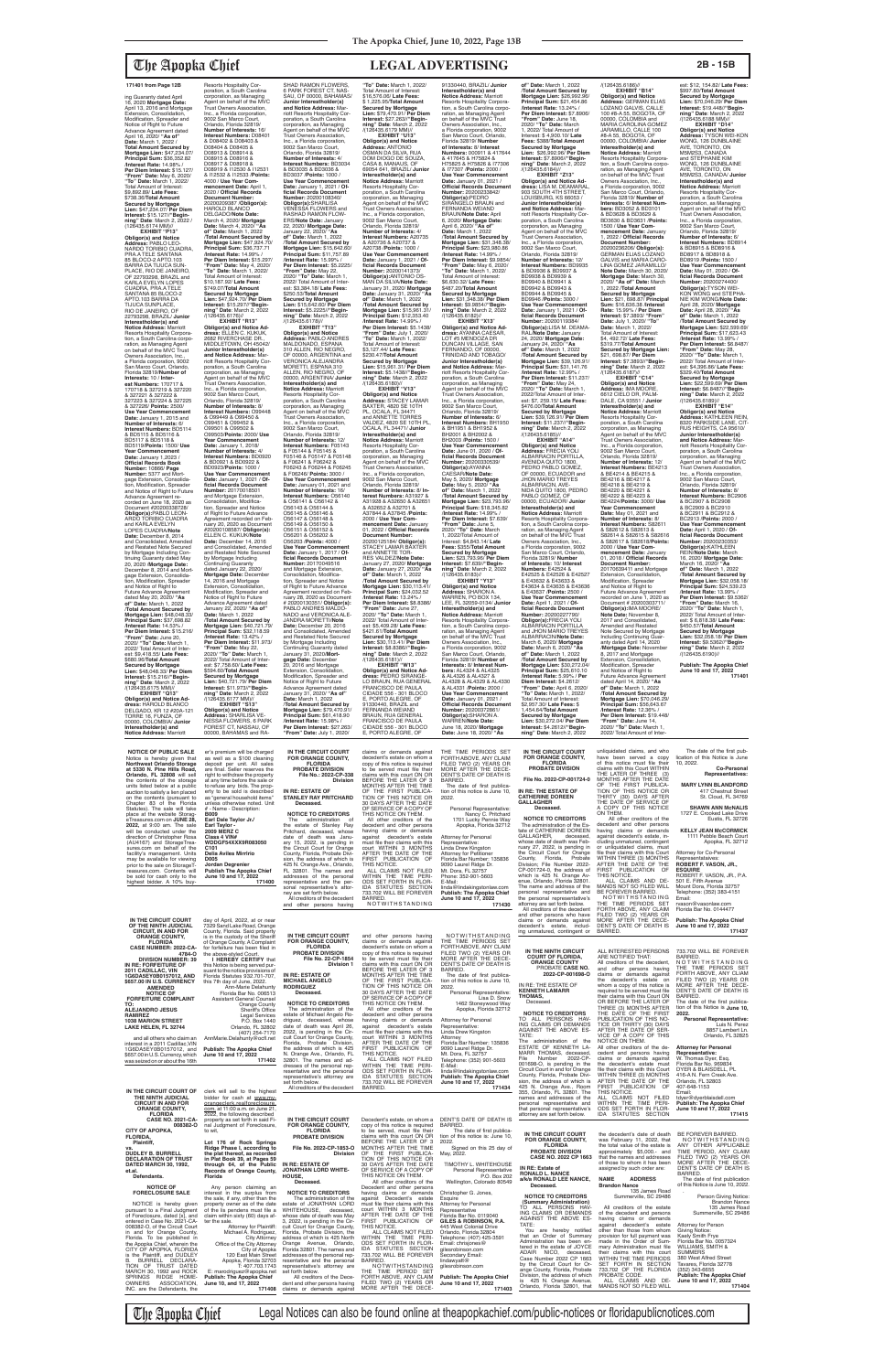ing Guaranty dated April 16, 2020 **Mortgage Date:** April 13, 2016 and Mortgage Extension, Consolidation, Modification, Spreader and Notice of Right to Future Advance Agreement dated April 16, 2020/ **"As of" Date:** March 1, 2022 / **Total Amount Secured by Mortgage Lien:** \$47,234.07/ **Principal Sum:** \$36,352.82 /**Interest Rate:** 14.98% / **Per Diem Interest:** \$15.127/<br>"**From" Date:** May 6, 2020/<br>"To" Date: March 1, 2022/<br>Total Amount of Interest:<br>\$9,892.89/ **Late Fees:**<br>\$738.36/**Total Amount Secured by Mortgage Lien:** \$47,234.07/ **Per Diem Interest:** \$15.127//**"Begin-ning" Date**: March 2, 2022 / (126435.6174 MM)// **EXHIBIT "P13"**

**Obligor(s) and Notice Address:** PABLO LEO-NARDO TORIBIO CUADRA, PRA.A TELE SANTANA 85 BLOCO-2 APTO.103 BARRA DA TIJUCA SUN-PLACE, RIO DE JANEIRO, OF 22793298, BRAZIL and KARLA EVELYN LOPES CUADRA, PRA.A TELE SANTANA 85 BLOCO-2 APTO.103 BARRA DA TIJUCA SUNPLACE, RIO DE JANEIRO, OF 22793298, BRAZIL/ **Junior Interestholder(s) and Notice Address:** Marriott Resorts Hospitality Corporation, a South Carolina corporation, as Managing Agent<br>on behalf of the MVC Trust<br>Owners Association, Inc., a Florida corporation, 9002 San Marco Court, Orlando, Florida 32819/**Number of Interests:** 10 / **Inter-est Numbers:** 170717 & 170718 & 327219 & 327220 & 327221 & 327222 & 327223 & 327224 & 327225 & 327226/ **Points:** 2500/ **Use Year Commencement Date:** January 1, 2015 and **Number of Interests:** 6/ **Interest Numbers:** BD5114 & BD5115 & BD5116 & BD5117 & BD5118 & BD5119/**Points:** 1500/ **Use Year Commencement Date:** January 1,2023 / **Official Records Book Number:** 10866/ **Page Number:** 5377 and Mortgage Extension, Consolida-tion, Modification, Spreader and Notice of Right to Future Advance Agreement re-corded on June 18, 2020 as Document #20200338728/ **Obligor(s):**PABLO LEON-ARDO TORIBIO CUADRA and KARLA EVELYN LOPES CUADRA/**Note Date:** December 8, 2014 and Consolidated, Amended<br>by Mortgage Including Con-<br>tinuing Guaranty dated May<br>20, 2020 /**Mortgage Date:**<br>December 8, 2014 and Mortgage Extension, Consolida-tion, Modification, Spreader and Notice of Right to Future Advance Agreement dated May 20, 2020/ **"As of" Date:** March 1, 2022 /**Total Amount Secured by Mortgage Lien:** \$48,048.33/ **Principal Sum:** \$37,698.82 /**Interest Rate:** 14.53% / **Per Diem Interest:** \$15.216/ **"From" Date:** June 20, 2020/ **"To" Date:** March 1, 2022/ Total Amount of Inter-est: \$9,418.55/ **Late Fees:** \$680.96/**Total Amount Secured by Mortgage Lien:** \$48,048.33/ **Per Diem Interest:** \$15.216//**"Beginning" Date**: March 2, 2022 /(126435.6175 MM)//

**EXHIBIT "Q13" Obligor(s) and Notice Ad-dress:** HAROLD BLANCO DELGADO, KR 12 #20A-121 TORRE 16, FUNZA, OF 00000, COLOMBIA/ **Junior Interestholder(s) and Notice Address:** Marriott

Resorts Hospitality Cor-poration, a South Carolina corporation, as Managing Agent on behalf of the MVC Trust Owners Association, Inc., a Florida corporation, 9002 San Marco Court, Orlando, Florida 32819/ **Number of Interests:** 16/ **Interest Numbers:** D08401 & D08402 & D08403 & D08404 & D08405 & D08913 & D08914 & D08915 & D08916 & D08917 & D08918 & D08919 & I12530 & I12531 & I12532 & I12533 /**Points:** 4000 / **Use Year Commencement Date:** April 1,<br>2020 / **Official Records<br>Document Number:<br>20200209387 /<b>Obligor(s):**<br>HAROLD BLANCO DELGADO/**Note Date:** March 4, 2020/ **Mortgage Date:** March 4, 2020/ **"As of" Date:** March 1, 2022 /**Total Amount Secured by Mortgage Lien:** \$47,924.70/ **Principal Sum:** \$36,737.71 /**Interest Rate:** 14.99% / **Per Diem Interest:** \$15.297/ **"From" Date:** May 4, 2020/ **"To" Date:** March 1, 2022/ Total Amount of Interest: \$10,187.92/ **Late Fees:** \$749.07/**Total Amount Secured by Mortgage Lien:** \$47,924.70/ **Per Diem Interest:** \$15.297//**"Begin-ning" Date**: March 2, 2022 /(126435.6176)//<br>**EXHIBIT "R13" EXHIBIT "R13" Obligor(s) and Notice Ad-dress:** ELLEN C. KUKUK, 2682 RIVERCHASE DR., MIDDLETOWN, OH 45042/ **Junior Interestholder(s) and Notice Address:** Marriott Resorts Hospitality Corporation, a South Carolina corporation, as Managing Agent on behalf of the MVC Trust Owners Association, Inc., a Florida corporation, 9002 San Marco Court, Orlando, Florida 32819/ **Number of Interests:** 8/ **Interest Numbers:** O99448 & O99449 & O99450 & O99451 & O99452 & O99501 & O99502 & O99503/**Points:** 2000/ **Use Year Commencement Date:** January 1, 2018/ **Number of Interests:** 4/ **Interest Numbers:** BD0920 & BD0921 & BD0922 & BD0923/**Points:** 1000 / **Use Year Commencement Date:** January 1, 2021 / **Of-ficial Records Document Number:** 20170018501 and Mortgage Extension Consolidation, Modifica-tion, Spreader and Notice of Right to Future Advance Agreement recorded on Feb-ruary 20, 2020 as Document #20200108587/ **Obligor(s):** ELLEN C. KUKUK/**Note Date:** December 14, 2016 and Consolidated, Amended and Restated Note Secured by Mortgage Including Continuing Guaranty dated January 22, 2020/ **Mortgage Date:** December 14, 2016 and Mortgage Extension, Consolidation, Modification, Spreader and Notice of Right to Future Advance Agreement dated January 22, 2020/ **"As of" Date:** March 1, 2022 /**Total Amount Secured by Mortgage Lien:** \$40,721.79/ **Principal Sum:** \$32,118.59 /**Interest Rate:** 13.42% / **Per Diem Interest:** \$11.973/ **"From" Date:** May 22, 2020/ **"To" Date:** March 1, 2022/ Total Amount of Inter-est: \$7,758.60/ **Late Fees:** \$594.60/**Total Amount Secured by Mortgage Lien:** \$40,721.79/ **Per Diem Interest:** \$11.973//**"Begin-ning" Date**: March 2, 2022 /(126435.6177 MM)// **EXHIBIT "S13" Obligor(s) and Notice Address:** SHARLISA VE-NESSA FLOWERS, 6 PARK FOREST CT, NASSAU, OF

SHAD RAMON FLOWERS,<br>6 PARK FOREST CT, NAS-<br>SAU, OF 00000, BAHAMAS/ **Junior Interestholder(s) and Notice Address:** Marriott Resorts Hospitality Cor-poration, a South Carolina corporation, as Managing Agent on behalf of the MVC Trust Owners Association, Inc., a Florida corporation, 9002 San Marco Court,<br>Orlando, Florida 32819/<br>**Number of Interests:** 4/ **Interest Numbers:** BD3034 & BD3035 & BD3036 & BD3037 /**Points:** 1000 / **Use Year Commencement Date:** January 1, 2021 / **Of-ficial Records Document Number:** 20200108340/<br>**Obligor(s):**SHARLISA<br>VENESSA FLOWERS and RASHAD RAMON FLOW-<br>FRS/Note Date: January ERS/**Note Date:** January 22, 2020/ **Mortgage Date:** January 22, 2020/ **"As of" Date:** March 1, 2022 /**Total Amount Secured by Mortgage Lien:** \$15,642.60/ **Principal Sum:** \$11,757.89 /**Interest Rate:** 15.99% / **Per Diem Interest:** \$5.2225/ **"From" Date:** May 22, 2020/ **"To" Date:** March 1, 2022/ Total Amount of Inter-est: \$3,384.18/ **Late Fees:** \$250.53/**Total Amount Secured by Mortgage Lien:** \$15,642.60/ **Per Diem Interest:** \$5.2225//**"Beginning" Date**: March 2, 2022 /(126435.6178)// **EXHIBIT "T13" Obligor(s) and Notice Address:** PABLO ANDRES MALDONADO, ESPANA 310 ALLEN, RIO NEGRO,<br>OF 00000, ARGENTINA and VERONICA ALEJANDRA MORETTI, ESPANA 310 ALLEN, RIO NEGRO, OF 00000, ARGENTINA/ Junio **Interestholder(s) and<br><b>Notice Address:** Marriott<br>Resorts Hospitality Corporation, a South Carolina corporation, as Managing Agent on behalf of the MVC Trust Owners Association, Inc., a Florida corporation, 9002 San Marco Court, Orlando, Florida 32819/ **Number of Interests:** 12/ **Interest Numbers:** F05143 & F05144 & F05145 &<br>F05146 & F05147 & F05148 F05146 & F05147 & F05148 & F06241 & F06242 & F06243 & F06244 & F06245 & F06246/ **Points:** 3000 / **Use Year Commencement Date:** January 01, 2021 and **Number of Interests:** 16/ **Interest Numbers:** O56140<br>& O56141 & O56142 &<br>O56143 & O56144 & O56145 & O56146 & O56147 & O56148 &<br>O56149 & O56150 & O56149 & O56150 & O56151 & O56152 & O56201 & O56202 & O56203 /**Points:** 4000 / **Use Year Commencement Date:** January 1, 2017 / **Official Records Document<br><b>Number:** 20170049516<br>and Mortgage Extension,<br>Consolidation, Modification, Spreader and Notice of Right to Future Advance Agreement recorded on Feb-ruary 28, 2020 as Document # 20200130351/ **Obligor(s):** PABLO ANDRES MALDO-NADO and VERONICA ALE-JANDRA MORETTI/**Note Date:** December 20, 2016 and Consolidated, Amended and Restated Note Secured by Mortgage Including Continuing Guaranty dated<br>January 31, 2020/**Mort-<br><b>gage Date:** December<br>20, 2016 and Mortgage Extension, Consolidation, Modification, Spreader and Notice of Right to Future Advance Agreement dated January 31, 2020/ **"As of" Date:** March 1, 2022 /**Total Amount Secured by Mortgage Lien:** \$79,470.91/ **Principal Sum:** \$61,418.90 /**Interest Rate:** 15.98% / **Per Diem Interest:** \$27.263/ **"From" Date:** July 1, 2020/ **"To" Date:** March 1, 2022/ Total Amount of Interest: \$16,576.06/ **Late Fees:** \$ 1,225.95/**Total Amount Secured by Mortgage Lien:** \$79,470.91/ **Per Diem Interest:** \$27.263//**"Begin-ning" Date**: March 2, 2022 /(126435.6179 MM)// **EXHIBIT "U13" Obligor(s) and Notice Address:** ANTONIO<br>OSMAN DA SILVA, RUA DOM DIOGO DE SOUZA, CASA 8, MANAUS, OF 69054 641, BRAZIL/ **Junior Interestholder(s) and Notice Address:** Marriott<br>Resorts Hospitality Cor-<br>poration, a South Carolina corporation, as Managing Agent on behalf of the MVC Trust Owners Association, Inc., a Florida corporation, 9002 San Marco Court, Orlando, Florida 32819/ **Number of Interests:** 4/ **Interest Numbers:** A20735 & A20736 & A20737 & A20738 /**Points:** 1000 / **Use Year Commencement Date:** January 1, 2021 / **Of-ficial Records Document Number:** 20200141373/ Obligor(s):ANTONIO OS-<br>MAN DA SILVA/Note Date:<br>January 31, 2020/ Mortgage<br>Date: January 31, 2020/ "As<br>The : March 1, 2022<br>Total Amount Secured by<br>Mortgage Lien: \$15,961.31/<br>Principal Sum: \$12,353.40<br>Anterest Rate: 14.99%/ **Per Diem Interest:** \$5.1438/ **"From" Date:** July 1, 2020/ **"To" Date:** March 1, 2022/ Total Amount of Interest: \$3,127.44/ **Late Fees:** \$230.47/**Total Amount Secured by Mortgage Lien:** \$15,961.31/ **Per Diem Interest:** \$5.1438//**"Beginning" Date**: March 2, 2022  $\frac{1}{26435.6180}$ //<br>**EXHIBIT** "V13" **EXHIBIT "V13" Obligor(s) and Notice Address:** STACEY LAMAR BAXTER, 4820 SE 10TH PL, OCALA, FL 34471 and ANNETTE TORRES<br>VALDEZ, 4820 SE 10TH PL, OCALA, FL 34471/ **Junior Interestholder(s) and Notice Address:** Marriott Resorts Hospitality Corporation, a South Carolina corporation, as Managing Agent on behalf of the MVC Trust Owners Association, Inc., a Florida corporation, 9002 San Marco Court,<br>Orlando, Florida 32819/<br>**Number of Interests**: 8/ **In-<br>terest Numbers**: A31927 &<br>A31928 & A32650 & A32651<br>& A32652 & A32701 & A37844 & A37845 /**Points:** 2000 / **Use Year Com-mencement Date:** January 01, 2022 / **Official Records Document Number:** 20200125184/ **Obligor(s):** STACEY LAMAR BAXTER<br>and ANNETTE TOR-<br>RES VALDEZ/**Note Date:**<br>January 27, 2020/ **Mortgage<br>Date:** January 27, 2020/ **"As<br>of" Date:** March 1, 2022 /**Total Amount Secured by Mortgage Lien:** \$30,113.41/ **Principal Sum:** \$24,032.52 /**Interest Rate:** 13.24% / **Per Diem Interest:** \$8.8386/ **"From" Date:** June 27, 2020/ **"To" Date:** March 1, 2022/ Total Amount of Inter-est: \$5,409.28/ **Late Fees:** \$421.61/**Total Amount Secured by Mortgage Lien:** \$30,113.41/ **Per Diem Interest:** \$8.8386//**"Begin-ning" Date**: March 2, 2022 /(126435.6181)// **EXHIBIT "W13" Obligor(s) and Notice Ad-dress:** PEDRO SIRANGE-LO BRAUN, RUA GENERAL FRANCISCO DE PAULA CIDADE 556 - 301 BLOCO E, PORTO ALEGRE, OF 91330440, BRAZIL and FERNANDA WEIAND BRAUN, RUA GENERAL FRANCISCO DE PAULA CIDADE 556 - 301 BLOCO E, PORTO ALEGRE, OF

00000, BAHAMAS and RA-

est: \$12, 154.82/ **Late Fees:** \$997.80/**Total Amount Secured by Mortgage Lien:** \$70,046.29/ **Per Diem Interest:** \$19.448//**"Begin-ning" Date**: March 2, 2022 /(126435.6188 MM)// **EXHIBIT "D14" Obligor(s) and Notice Address:** TYSON WEI-KON WONG, 126 DUNBLAINE AVE, TORONTO, ON M5M2S3, CANADA and STEPHANIE KIM WONG, 126 DUNBLAINE AVE, TORONTO, ON M5M2S3, CANADA/ Junio **Interestholder(s) and Notice Address:** Marriott Resorts Hospitality Corporation, a South Carolina corporation, as Managing Agent on behalf of the MVC Trust Owners Association, Inc., a Florida corporation, 9002 San Marco Court, Orlando, Florida 32819/ **Number of Interests:** 6/ **Interest Numbers:** BD8914 & BD8915 & BD8916 & BD8917 & BD8918 & BD8919 /**Points:** 1500 / **Use Year Commencement Date:** May 01, 2020 / **Official Records Document Number:** 20200274400/ **Obligor(s):**TYSON WEI-KON WONG and STEPHA-NIE KIM WONG/**Note Date:** April 28, 2020/ **Mortgage Date:** April 28, 2020/ **"As of" Date:** March 1, 2022 /**Total Amount Secured by Mortgage Lien:** \$22,599.69/ **Principal Sum:** \$17,623.43 /**Interest Rate:** 13.99% / **Per Diem Interest:** \$6.8487/ **"From" Date:** May 28, 2020/ **"To" Date:** March 1, 2022/ Total Amount of Inter-est: \$4,396.86/ **Late Fees:** \$329.40/**Total Amount Secured by Mortgage Lien:** \$22,599.69/ **Per Diem Interest:** \$6.8487//**"Begin-ning" Date**: March 2, 2022 /(126435.6189)// **EXHIBIT "E14" Obligor(s) and Notice<br><b>Address:** KATHLEEN REIN,<br>8320 PARKSIDE LANE, CIT-<br>RUS HEIGHTS, CA 95610/

91330440, BRAZIL/ **Junior Interestholder(s) and Notice Address:** Marriott Resorts Hospitality Corporation, a South Carolina corporation, as Managing Agent on behalf of the MVC Trust Owners Association, Inc., a Florida corporation, 9002 San Marco Court, Orlando, Florida 32819/ **Number of Interests:** 8/ **Interest**<br>**Numbers:** 000911 & 417644<br>& 417645 & H75824 & H75825 & H75826 & I77306 & I77307 /**Points:** 2000 / **Use Year Commencement Date:** January 01, 2021 / **Official Records Document<br><b>Number:** 20200233842/<br>**Obligor(s):**PEDRO<br>SIRANGELO BRAUN and FERNANDA WEIAND BRAUN/**Note Date:** April 6, 2020/ **Mortgage Date:** April 6, 2020/ **"As of" Date:** March 1, 2022 /**Total Amount Secured by Mortgage Lien:** \$31,348.38/ **Principal Sum:** \$23,980.86 /**Interest Rate:** 14.99% / **Per Diem Interest:** \$9.9854/ **"From" Date:** May 6, 2020/ **"To" Date:** March 1, 2022/ Total Amount of Interest: \$6,630.32/ **Late Fees:** \$487.20/**Total Amount Secured by Mortgage Lien:** \$31,348.38/ **Per Diem Interest:** \$9.9854//**"Beginning" Date**: March 2, 2022 /(126435.6182)//<br>"EXHIBIT "X13 **EXHIBIT "X13**" **Obligor(s) and Notice Ad-dress:** AYANNA CAESAR, LOT #5 MENDOZA DR DUNCAN VILLAGE, SAN FERNANDO, OF 00000,<br>TRINIDAD AND TOBAGO/ **Junior Interestholder(s) and Notice Address:** Marriott Resorts Hospitality Corporation, a South Carolina corporation, as Managing Agent on behalf of the MVC Trust Owners Association, Inc., a Florida corporation, 9002 San Marco Court, Orlando, Florida 32819/ **Number of Interests:** 6/ **Interest Numbers:** BH1950 & BH1951 & BH1952 & BH2001 & BH2002 & BH2003 /**Points:** 1500 / **Use Year Commencement Date:** June 01, 2020 / **Official Records Document Number:** 20200330539/ **Obligor(s):**AYANNA CAESAR/**Note Date:** May 5, 2020/ **Mortgage Date:** May 5, 2020/ **"As of" Date:** March 1, 2022 /**Total Amount Secured by Mortgage Lien:** \$23,793.96/ **Principal Sum:** \$18,345.82 /**Interest Rate:** 14.99% / **Per Diem Interest:** \$7.639/ **"From" Date:** June 5, 2020/ **"To" Date:** March 1, 2022/Total Amount of Interest: \$4,843.14/ **Late Fees:** \$355/**Total Amount Secured by Mortgage Lien: \$23,793.96/ Per Diem<br><b>Interest: \$**7.639//**"Begin-<br><b>ning" Date**: March 2, 2022<br>/(126435.6183)// **EXHIBIT "Y13" Obligor(s) and Notice Address:** SHARON A. WARREN, PO BOX 134, LEE, FL 32059-0134/ **Junior Interestholder(s) and Notice Address:** Marriott Resorts Hospitality Corpora-tion, a South Carolina corporation, as Managing Agent on behalf of the MVC Trust Owners Association, Inc., a Florida corporation, 9002 San Marco Court, Orlando, Florida 32819/ **Number of Interests:** 8/ **Interest Numbers:** AL4324 & AL4325 & AL4326 & AL4327 & AL4328 & AL4329 & AL4330 & AL4331 /**Points:** 2000 / **Use Year Commencement Date:** January 01, 2021 / **Official Records Docume Number:** 20200372861/ **Obligor(s):**SHARON A. WARREN/**Note Date:** June 18, 2020/ **Mortgage Date:** June 18, 2020/ **"As** 

**of" Date:** March 1, 2022 /**Total Amount Secured by Mortgage Lien:** \$26,992.96/ **Principal Sum:** \$21,454.86 /**Interest Rate:** 13.24% /

/(126435.6186)// **EXHIBIT "B14"**

unliquidated claims, and who have been served a copy<br>of this notice must file their

**Obligor(s) and Notice Address:** GERMAN ELIAS LOZANO GALVIS, CALLE 100 #8-A 55, BOGOTA, OF<br>00000. COLOMBIA and 00000, COLOMBIA and MARIA CAROLINA GOMEZ JARAMILLO, CALLE 100 #8-A 55, BOGOTA, OF 00000, COLOMBIA/ **Junior Interestholder(s) and<br><b>Notice Address:** Marriott<br>Resorts Hospitality Corporation, a South Carolina corpo-ration, as Managing Agent on behalf of the MVC Trust Owners Association, Inc.,<br>a Florida corporation, 9002<br>San Marco Court, Orlando,<br>Florida 32819/ **Number of Interests:** 6/ **Interest Numbers:** BD3052 & BD3101 & BD3628 & BD3629 & BD3630 & BD3631 /**Points:** 1500 / **Use Year Commencement Date:** January 1, 2022 / **Official Records Document Number:** 20200236206/ **Obligor(s):** GERMAN ELIAS LOZANO GALVIS and MARIA CARO-LINA GOMEZ JARAMILLO/ **Note Date:** March 30, 2020/ **Mortgage Date:** March 30, 2020/ **"As of" Date:** March 1, 2022 /**Total Amount Secured by Mortgage Lien:** \$21, 698.87/ **Principal Sum:** \$16,636.38 /**Interest Rate:** 15.99% / **Per Diem Interest:** \$7.3893/ **"From" Date:** July 1, 2020/ **"To" Date:** March 1, 2022/ Total Amount of Interest: \$4, 492.72/ **Late Fees:**  $$319.77$ /**Total Amoun Secured by Mortgage Lien:**  \$21, 698.87/ **Per Diem Interest:** \$7.3893//**"Begin-ning" Date**: March 2, 2022 /(126435.6187)// **EXHIBIT "C14" Obligor(s) and Notice Address:** IMA MOORE, 6612 CIELO DR, PALM-DALE, CA 93551 / **Junior Interestholder(s) and Notice Address:** Marriott<br>Resorts Hospitality Cor-<br>poration, a South Carolina<br>corporation, as Managing<br>Agent on behalf of the MVC<br>Trust Owners Association, Inc., a Florida corporation, 9002 San Marco Court, Orlando, Florida 32819/ **Number of Interests:** 12/ **Interest Numbers:** BE4213 & BE4214 & BE4215 & BE4216 & BE4217 & BE4218 & BE4219 & BE4220 & BE4221 & BE4222 & BE4223 & BE4224/**Points:** 3000/ **Use Year Commencement Date:** May 01, 2021 and **Number of Interests:** 8/ **Interest Numbers:** S82611 & S82612 & S82613 & S82614 & S82615 & S82616 & S82617 & S82618/**Points:** 2000 / **Use Year Commencement Date:** January 01, 2018 / **Official Records Document Number:** 20170639411 and Mortgage Extension, Consolidation Modification, Spreader and Notice of Right to Future Advance Agreement recorded on June 1, 2020 as Document # 20200303711/ **Obligor(s):**IMA MOORE/ **Note Date:** November 8, 2017 and Consolidated, Amended and Restated Note Secured by Mortgage Including Continuing Guar-anty dated April 14, 2020 /**Mortgage Date:** November<br>8, 2017 and Mortgage<br>Extension, Consolidation,<br>Modification, Spreader and Notice of Right to Future Advance Agreement dated April 14, 2020/ **"As of" Date:** March 1, 2022 /**Total Amount Secured by Mortgage Lien: \$70,046.**<br>**Principal Sum: \$56,643. Principal Sum:** \$56,643.67 /**Interest Rate:** 12.36% / **Per Diem Interest:** \$19.448/ **"From" Date:** June 14, 2020/ **"To" Date:** March 1, 2022/ Total Amount of Inter-

> The date of the first publication of this Notice is June 10, 2022.

**Junior Interestholder(s) and Notice Address:** Marriott Resorts Hospitality Corporation, a South Carolina corporation, as Managing Agent on behalf of the MVC Trust Owners Association, Inc., a Florida corporation, 9002 San Marco Court, Orlando, Florida 32819/ **Number of Interests:** 8/ **Interest Numbers:** BC2906 & BC2907 & BC2908 & BC2909 & BC2910 & BC2911 & BC2912 & BC2913 /**Points:** 2000 / **Use Year Commencement Date:** April 1, 2020 / **Official Records Document Number:** 20200230353/ **Obligor(s):**KATHLEEN REIN/**Note Date:** March 16, 2020/ **Mortgage Date:** March 16, 2020/ **"As of" Date:** March 1, 2022 /**Total Amount Secured by Mortgage Lien:** \$32,058.18/ **Principal Sum:** \$24,539.23 /**Interest Rate:** 13.99% / **Per Diem Interest:** \$9.5362/ **"From" Date:** March 16, 2020/ **"To" Date:** March 1, 2022/ Total Amount of Interest: \$ 6,818.38/ **Late Fees:** \$450.57/**Total Amount Secured by Mortgage Lien:** \$32,058.18/ **Per Diem Interest:** \$9.5362//**"Beginning" Date**: March 2, 2022 /(126435.6190)// **Publish: The Apopka Chief June 10 and 17, 2022 171401**

**171401 from Page 12B**

**NOTICE OF PUBLIC SALE** Notice is hereby given that **Northwest Orlando Storage at 5330 N. Pine Hills Road, Orlando, FL 32808** will sell er's premium will be charged as well as a \$100 cleaning<br>deposit per unit. All sales<br>are final. Seller reserves the right to withdraw the property

**Per Diem Interest:** \$7.8906/ **"From" Date:** June 18, 2020/ **"To" Date:** March 1, 2022/ Total Amount of Interest: \$ 4,900.10/ **Late Fees:** \$388/**Total Amount Secured by Mortgage Lien:** \$26,992.96/ **Per Diem Interest:** \$7.8906//**"Begin-ning" Date**: March 2, 2022 /(126435.6184)// **EXHIBIT "Z13" Obligor(s) and Notice Ad-dress:** LISA M. DEAMARAL, 903 SOUTH 4TH STREET, LOUISBURG, KS 66053 / **Junior Interestholder(s) and Notice Address:** Mar-riott Resorts Hospitality Cor-poration, a South Carolina corporation, as Managing Agent on behalf of the MVC Trust Owners Association, Inc., a Florida corporation, 9002 San Marco Court,<br>Orlando, Florida 32819/<br>**Number of Interests:** 12/ **Interest Numbers:** BD9935 & BD9936 & BD9937 & BD9938 & BD9939 & BD9940 & BD9941 & BD9942 & BD9943 & BD9944 & BD9945 & BD9946 /**Points:** 3000 / **Use Year Commencement**<br> **Date:** January 1, 2021 / Of-Date: January 1, 2021 / Of-<br>ficial Records Document<br>Number: 20200119384/<br>Obligor(s):LISA M. DEAMA-<br>RAL/Note Date: January<br>24, 2020/ Mortgage Date:<br>January 24, 2020/ "As<br>Of" Date: March 1, 2022<br>/Total Amount Secured by **Mortgage Lien:** \$39,126.91/ **Principal Sum:** \$31,141.76 /**Interest Rate:** 12.99% / **Per Diem Interest:** \$11.237/ **"From" Date:** May 24, 2020/ **"To" Date:** March 1, 2022/Total Amount of Inter-est: \$7, 259.15/ **Late Fees:** \$476.00/**Total Amount Secured by Mortgage Lien:** \$39,126.91/ **Per Diem Interest:** \$11.237//**"Begin-ning" Date**: March 2, 2022 /(126435.6185)//<br>"EXHIBIT "A14" **EXHIBIT "A14" Obligor(s) and Notice Address:** FRECIA YOLI ALBARRACIN PORTILLA, AVENIDA QUITO 1800, PEDRO PABLO GOMEZ,<br>OF 00000, ECUADOR and JHON MARIO TREYES ALBARRACIN, AVE-<br>NIDA QUITO 1800, PEDRO NIDA QUITO 1800, PEDRO PABLO GOMEZ, OF 00000, ECUADOR/ **Junior Interestholder(s) and Notice Address:** Marriott<br>Resorts Hospitality Corpora-<br>tion, a South Carolina corpo-<br>ration, as Managing Agent<br>on behalf of the MVC Trust<br>Owners Association, Inc., a Florida corporation, 9002 San Marco Court, Orlando, Florida 32819/ **Number of Interests:** 10/ **Interest Numbers:** E42524 & E42525 & E42526 & E42527 & E43632 & E43633 & E43634 & E43635 & E43636 & E43637 /**Points:** 2500 / Use Year Commencement **Date:** April 1, 2021 / **Of-ficial Records Document Number:** 20200227790/ **Obligor(s):**FRECIA YOLI ALBARRACIN PORTILLA and JHON MARIO TREYES ALBARRACIN/**Note Date:** March 6, 2020/ **Mortgage Date:** March 6, 2020/ **"As of" Date:** March 1, 2022 /**Total Amount Secured by Mortgage Lien:** \$30,272.04/ **Principal Sum:** \$25,610.10 /**Interest Rate:** 5.99% / **Per Diem Interest:** \$4.2612/ **"From" Date:** April 6, 2020/ **"To" Date:** March 1, 2022/ Total Amount of Interest: \$2,957.30/ **Late Fees:** \$ 1,454.64/**Total Amount Secured by Mortgage Lien:** \$30,272.04/ **Per Diem Interest:** \$4.2612//**"Begin-ning" Date**: March 2, 2022 THE TIME PERIODS SET FORTH ABOVE, ANY CLAIM FILED TWO (2) YEARS OR MORE AFTER THE DECE-**IN THE CIRCUIT COURT FOR ORANGE COUNTY, FLORIDA PROBATE DIVISION**

| at 5330 N. Pine Hills Road.<br>Orlando, FL 32808 will sell          | are final. Seller reserves the<br>right to withdraw the property   | PROBATE DIVISION<br>File No.: 2022-CP-338                       | to be served must file their<br>claims with this court ON OR    | MORE AFTER THE DECE-<br>DENT'S DATE OF DEATH IS                | <b>PROBATE DIVISION</b>                                         | claims with this Court WITHIN<br>THE LATER OF THREE (3)            | Co-Personal<br>Representatives:                                   |
|---------------------------------------------------------------------|--------------------------------------------------------------------|-----------------------------------------------------------------|-----------------------------------------------------------------|----------------------------------------------------------------|-----------------------------------------------------------------|--------------------------------------------------------------------|-------------------------------------------------------------------|
| the contents of the storage<br>units listed below at a public       | at any time before the sale or<br>to refuse any bids. The prop-    | Division                                                        | BEFORE THE LATER OF 3<br>MONTHS AFTER THE TIME                  | BARRED.<br>The date of first publica-                          | File No. 2022-CP-001724-0                                       | MONTHS AFTER THE DATE<br>OF THE FIRST PUBLICA-                     | <b>MARY LYNN BLANDFORD</b>                                        |
| auction to satisfy a lien placed<br>on the contents (pursuant to    | erty to be sold is described<br>as "general household items"       | IN RE: ESTATE OF<br><b>STANLEY RAY PRITCHARD</b>                | OF THE FIRST PUBLICA-<br>TION OF THIS NOTICE OR                 | tion of this notice is June 10,<br>2022.                       | IN RE: THE ESTATE OF<br><b>CATHERINE DOREEN</b>                 | TION OF THIS NOTICE OR<br>THIRTY (30) DAYS AFTER                   | 417 Chestnut Street<br>St. Cloud. FL 34769                        |
| Chapter 83 of the Florida<br>Statutes). The sale will take          | unless otherwise noted. Unit<br># - Name - Description:            | Deceased.                                                       | 30 DAYS AFTER THE DATE<br>OF SERVICE OF A COPY OF               | Personal Representative:                                       | <b>GALLAGHER</b><br>Deceased.                                   | THE DATE OF SERVICE OF<br>A COPY OF THIS NOTICE                    | <b>SHAWN ANN McNALIS</b>                                          |
| place at the website Storag-<br>eTreasures.com on JUNE 28.          | <b>B009</b><br>Earl Dale Taylor Jr./                               | <b>NOTICE TO CREDITORS</b><br>The<br>administration of          | THIS NOTICE ON THEM.<br>All other creditors of the              | Nancy C. Pritchard<br>1701 Lucky Pennie Way                    | <b>NOTICE TO CREDITORS</b>                                      | ON THEM.<br>All other creditors of the                             | 1727 E. Crooked Lake Drive<br>Eustis, FL 32726                    |
| 2022, at 9:00 am. The sale                                          | Earl Taylor -<br><b>2009 MERZ C</b>                                | the estate of Stanley Ray                                       | decedent and other persons<br>having claims or demands          | Apopka, Florida 32712                                          | The administration of the Es-<br>tate of CATHERINE DOREEN       | decedent and other persons<br>having claims or demands             | <b>KELLY JEAN McCORMICK</b>                                       |
| will be conducted under the<br>direction of Christopher Rosa        | Class 4 VIN#                                                       | Pritchard, deceased, whose<br>date of death was Janu-           | against decedent's estate                                       | Attorney for Personal                                          | GALLAGHER,<br>deceased,                                         | against decedent's estate, in-                                     | 1111 Pebble Beach Court                                           |
| (AU4167) and StorageTrea-<br>sures.com on behalf of the             | WDDGF54XXX9R083050<br>C101                                         | ary 15, 2022, is pending in<br>the Circuit Court for Orange     | must file their claims with this<br>court WITHIN 3 MONTHS       | Representative:<br>Linda Drew Kingston                         | whose date of death was Feb-<br>ruary 27, 2022, is pending in   | cluding unmatured, contingent<br>or unliquidated claims, must      | Apopka, FL 32712                                                  |
| facility's management. Units<br>may be available for viewing        | Delia Aviles Mirrlrio<br>D005                                      | County, Florida, Probate Divi-<br>sion, the address of which is | AFTER THE DATE OF THE<br>FIRST PUBLICATION OF                   | <b>Attorney for Petitioner</b><br>Florida Bar Number: 135836   | the Circuit Court for Orange<br>County, Florida, Probate        | file their claims with this Court<br>WITHIN THREE (3) MONTHS       | Attorney for Co-Personal<br>Representataives:                     |
| prior to the sale on StorageT-<br>reasures.com. Contents will       | Jordan Degrenier<br><b>Publish The Apopka Chief</b>                | 425 N. Orange Ave., Orlando,<br>FL 32801. The names and         | THIS NOTICE.<br>ALL CLAIMS NOT FILED                            | 9090 Laurel Ridge Dr.<br>Mt. Dora, FL 32757                    | Division; File Number 2022-<br>CP-001724-0, the address of      | AFTER THE DATE OF THE<br>FIRST PUBLICATION<br>OF                   | ROBERT F. VASON, JR.,<br><b>ESQUIRE</b>                           |
| be sold for cash only to the<br>highest bidder. A 10% buy-          | June 10 and 17, 2022<br>171400                                     | addresses of the personal<br>representative and the per-        | WITHIN THE TIME PERI-<br>ODS SET FORTH IN FLOR-                 | Phone: 352-901-5603<br>E-Mail:                                 | which is 425 N. Orange Av-<br>enue, Orlando, Florida 32801.     | THIS NOTICE.<br>ALL CLAIMS AND DE-                                 | ROBERT F. VASON, JR., P.A.<br>501 E. Fifth Avenue                 |
|                                                                     |                                                                    | sonal representative's attor-                                   | IDA STATUTES SECTION<br>733.702 WILL BE FOREVER                 | linda@lindakingstonlaw.com<br><b>Publish: The Apopka Chief</b> | The name and address of the<br>personal representative and      | MANDS NOT SO FILED WILL<br>BE FOREVER BARRED.                      | Mount Dora, Florida 32757<br>Telephone: (352) 383-4151            |
|                                                                     |                                                                    | ney are set forth below.<br>All creditors of the decedent       | BARRED.                                                         | June 10 and 17, 2022                                           | the personal representative's                                   | NOTWITHSTANDING                                                    | Email:                                                            |
|                                                                     |                                                                    | and other persons having                                        | NOTWITHSTANDING                                                 | 171430                                                         | attorney are set forth below.<br>All creditors of the decedent  | THE TIME PERIODS SET<br>FORTH ABOVE, ANY CLAIM                     | rvason@vasonlaw.com<br>Florida Bar No. 0144477                    |
| IN THE CIRCUIT COURT                                                | day of April, 2022, at or near                                     |                                                                 |                                                                 |                                                                | and other persons who have<br>claims or demands against         | FILED TWO (2) YEARS OR<br>MORE AFTER THE DECE-                     | <b>Publish: The Apopka Chief</b>                                  |
| OF THE NINTH JUDICIAL<br><b>CIRCUIT, IN AND FOR</b>                 | 7329 Sand Lake Road, Orange<br>County, Florida. Said property      |                                                                 |                                                                 |                                                                | includ-<br>decedent's estate,<br>ing unmatured, contingent or   | DENT'S DATE OF DEATH IS<br><b>BARRED</b>                           | June 10 and 17, 2022<br>171437                                    |
| <b>ORANGE COUNTY,</b><br><b>FLORIDA</b>                             | is in the custody of the Sheriff<br>of Orange County. A Complaint  | IN THE CIRCUIT COURT<br>FOR ORANGE COUNTY,                      | and other persons having<br>claims or demands against           | NOTWITHSTANDING<br>THE TIME PERIODS SET                        |                                                                 |                                                                    |                                                                   |
| CASE NUMBER: 2022-CA-<br>4784-O                                     | for forfeiture has been filed in<br>the above-styled Court.        | <b>FLORIDA</b><br><b>PROBATE DIVISION</b>                       | decedent's estate on whom a<br>copy of this notice is required  | FORTH ABOVE, ANY CLAIM<br>FILED TWO (2) YEARS OR               | IN THE NINTH CIRCUIT                                            | ALL INTERESTED PERSONS                                             | 733.702 WILL BE FOREVER                                           |
| <b>DIVISION NUMBER: 39</b><br>IN RE: FORFEITURE OF                  | I HEREBY CERTIFY that<br>this Notice is being served pur-          | File No. 22-CP-1854<br><b>Division 1</b>                        | to be served must file their<br>claims with this court ON OR    | MORE AFTER THE DECE-<br>DENT'S DATE OF DEATH IS                | <b>COURT OF FLORIDA,</b><br><b>ORANGE COUNTY</b>                | ARE NOTIFIED THAT:<br>All creditors of the decedent,               | <b>BARRED</b><br>NOTWITHSTANDING                                  |
| 2011 CADILLAC, VIN<br>1G6DA5EY0B0157012, AND                        | suant to the notice provisions of<br>Florida Statutes 932.701-707, | IN RE: ESTATE OF                                                | BEFORE THE LATER OF 3<br>MONTHS AFTER THE TIME                  | BARRED.<br>The date of first publica-                          | PROBATE CASE NO.<br>2022-CP-001698-O                            | and other persons having<br>claims or demands against              | THE TIME PERIODS SET<br>FORTH ABOVE, ANY CLIAM                    |
| \$657.00 IN U.S. CURRENCY                                           | this 7th day of June, 2022.                                        | <b>MICHAEL ANGELO</b><br><b>RODRIGUEZ</b>                       | OF THE FIRST PUBLICA-<br>TION OF THIS NOTICE OR                 | tion of this notice is June 10,<br>2022.                       | IN RE: THE ESTATE OF                                            | the decedent's estate on<br>whom a copy of this notice is          | FILED TWO (2) YEARS OR<br>MORE AFTER THE DECE-                    |
| <b>AMENDED</b><br><b>NOTICE OF</b>                                  | Ann-Marie Delahunty<br>Florida Bar No. 006513                      | Deceased.                                                       | 30 DAYS AFTER THE DATE<br>OF SERVICE OF A COPY OF               | Personal Representative:<br>Lisa D. Snow                       | <b>KENNETH LAMARR</b><br>THOMAS.                                | required to be served must file<br>their claims with this Court ON | DENT'S DATE OF DEATH IS<br>BARRED.                                |
| <b>FORFEITURE COMPLAINT</b><br>TO:                                  | <b>Assistant General Counsel</b><br>Orange County                  | <b>NOTICE TO CREDITORS</b>                                      | THIS NOTICE ON THEM.                                            | 1462 Stoneywood Way                                            | Deceased.                                                       | OR BEFORE THE LATER OF<br>THREE (3) MONTHS AFTER                   | The date of the first publica-<br>tion of this Notice is June 10, |
| <b>ALEJANDRO JESUS</b><br><b>RAMIREZ</b>                            | <b>Sheriff's Office</b><br><b>Legal Services</b>                   | The administration of the<br>estate of Michael Angelo Ro-       | All other creditors of the<br>decedent and other persons        | Apopka, Florida 32712                                          | <b>NOTICE TO CREDITORS</b><br>TO ALL PERSONS HAV-               | THE DATE OF THE FIRST<br>PUBLICATION OF THIS NO-                   | 2022.<br><b>Personal Representative:</b>                          |
| <b>1038 MARION STREET</b><br>LAKE HELEN, FL 32744                   | P.O. Box 1440<br>Orlando, FL 32802                                 | driguez, deceased, whose<br>date of death was April 26,         | having claims or demands<br>against decedent's estate           | Attorney for Personal<br>Representative:                       | ING CLAIMS OR DEMANDS<br>AGAINST THE ABOVE ES-                  | TICE OR THIRTY (30) DAYS                                           | Luis N. Perez<br>8857 Lambert Ln.                                 |
| and all others who claim an                                         | (407) 254-7170<br>AnnMarie.Delahunty@ocfl.net                      | 2022, is pending in the Cir-<br>cuit Court for Orange County,   | must file their claims with this<br>court WITHIN 3 MONTHS       | Linda Drew Kingston<br>Attorney                                | TATE:                                                           | AFTER THE DATE OF SER-<br>VICE OF A COPY OF THIS                   | Orlando, FL 32825                                                 |
| interest in a 2011 Cadillac, VIN<br>1G6DA5EY0B0157012, and          | <b>Publish: The Apopka Chief</b>                                   | Florida, Probate Division,<br>the address of which is 425       | AFTER THE DATE OF THE<br>FIRST PUBLICATION OF                   | Florida Bar Number: 135836<br>9090 Laurel Ridge Dr.            | The administration of the<br>ESTATE OF KENNETH LA-              | NOTICE ON THEM.<br>All other creditors of the de-                  | <b>Attorney for Personal</b>                                      |
| \$657.00 in U.S. Currency, which<br>was seized on or about the 16th | June 10 and 17, 2022<br>171402                                     | N. Orange Ave., Orlando, FL<br>32801. The names and ad-         | THIS NOTICE.<br>ALL CLAIMS NOT FILED                            | Mt. Dora, FL 32757<br>Telephone: (352) 901-5603                | MARR THOMAS, deceased,<br>2022-CP-<br>Number<br>File            | cedent and persons having<br>claims or demands against             | Representative:<br>W. Thomas Dyer, Esq.                           |
|                                                                     |                                                                    | dresses of the personal rep-<br>resentative and the personal    | WITHIN THE TIME PERI-<br>ODS SET FORTH IN FLOR-                 | E-Mail:<br>linda@lindakingstonlaw.com                          | 001698-O, is pending in the<br>Circuit Court in and for Orange  | the decedent's estate must<br>file their claims with this Court    | Florida Bar No. 969834<br>DYER & BLAISDELL, PL                    |
|                                                                     |                                                                    | representative's attorney are<br>set forth below.               | IDA STATUTES SECTION<br>733.702 WILL BE FOREVER                 | <b>Publish: The Apopka Chief</b><br>June 10 and 17, 2022       | County, Florida, Probate Divi-<br>sion, the address of which is | WITHIN THREE (3) MONTHS<br>AFTER THE DATE OF THE                   | 416-A N. Fern Creek Ave.<br>Orlando, FL 32803                     |
| IN THE CIRCUIT COURT OF                                             | clerk will sell to the highest                                     | All creditors of the decedent                                   | BARRED.                                                         | 171434                                                         | 425 N. Orange Ave., Room<br>355, Orlando, FL 32801. The         | FIRST PUBLICATION OF<br>THIS NOTICE.                               | 407-648-1153<br>Email:                                            |
| THE NINTH JUDICIAL<br><b>CIRCUIT IN AND FOR</b>                     | bidder for cash at www.my-<br>orangeclerk.realforeclosure.         |                                                                 |                                                                 |                                                                | names and addresses of the<br>personal representative and       | ALL CLAIMS NOT FILED<br>WITHIN THE TIME PERI-                      | tdyer@dyerblaisdell.com<br>Publish: The Apopka Chief              |
| <b>ORANGE COUNTY,</b><br><b>FLORIDA</b>                             | com, at 11:00 a.m. on June 21,<br>2022, the following described    |                                                                 |                                                                 |                                                                | that personal representative's<br>attorney are set forth below. | ODS SET FORTH IN FLOR-<br>IDA STATUTES SECTION                     | June 10 and 17, 2022<br>171415                                    |
| <b>CASE NO. 2021-CA-</b><br>008382-O                                | property as set forth in said Fi-<br>nal Judgment of Foreclosure,  | IN THE CIRCUIT COURT<br><b>FOR ORANGE COUNTY,</b>               | Decedent's estate, on whom a<br>copy of this notice is required | DENT'S DATE OF DEATH IS<br><b>BARRED</b>                       |                                                                 |                                                                    |                                                                   |
| <b>CITY OF APOPKA,</b><br><b>FLORIDA,</b>                           | to wit.                                                            | <b>FLORIDA</b><br><b>PROBATE DIVISION</b>                       | to be served, must file their<br>claims with this court ON OR   | The date of first publica-<br>tion of this notice is: June 10, | IN THE CIRCUIT COURT                                            | the decedent's date of death                                       | BE FOREVER BARRED.                                                |
| Plaintiff,                                                          | Lot 176 of Rock Springs                                            |                                                                 | BEFORE THE LATER OF 3                                           | 2022.                                                          | FOR ORANGE COUNTY,<br><b>FLORIDA</b>                            | was February 11, 2022, that<br>the total value of the estate is    | NOTWITHSTANDING<br>ANY OTHER APPLICABLE                           |
| VS.<br><b>DUDLEY B. BURRELL</b>                                     | Ridge Phase I, according to<br>the plat thereof, as recorded       | File No. 2022-CP-1853-O<br>Division                             | MONTHS AFTER THE TIME<br>OF THE FIRST PUBLICA-                  | Signed on this 25 day of<br>May, 2022.                         | <b>PROBATE DIVISION</b><br><b>CASE NO. 2022 CP 1663</b>         | approximately \$5,000 .- and<br>that the names and addresses       | TIME PERIOD, ANY CLAIM<br>FILED TWO (2) YEARS OR                  |
| <b>DECLARATION OF TRUST</b><br>DATED MARCH 30, 1992,                | in Plat Book 39, at Pages 59<br>through 64, of the Public          | IN RE: ESTATE OF                                                | TION OF THIS NOTICE OR<br>30 DAYS AFTER THE DATE                | TIMOTHY L. WHITEHOUSE                                          | IN RE: Estate of                                                | of those to whom it has been<br>assigned by such order are:        | MORE AFTER THE DECE-<br>DENT'S DATE OF DEATH IS                   |
| et.al.<br>Defendants.                                               | Records of Orange County,<br>Florida                               | JONATHAN LORD WHITE-<br>HOUSE,                                  | OF SERVICE OF A COPY OF<br>THIS NOTICE ON THEM.                 | Personal Representative<br>P.O. Box 202                        | <b>RONALD L. NANCE</b><br>a/k/a RONALD LEE NANCE,               | <b>ADDRESS</b><br><b>NAME</b>                                      | BARRED.<br>The date of first publication                          |
| <b>NOTICE OF</b>                                                    | Any person claiming an                                             | Deceased.                                                       | All other creditors of the<br>Decedent and other persons        | Wellington, Colorado 80549                                     | Deceased.                                                       | <b>Brandon Nance</b>                                               | of this Notice is June 10, 2022.                                  |
| <b>FORECLOSURE SALE</b>                                             | interest in the surplus from<br>the sale, if any, other than the   | <b>NOTICE TO CREDITORS</b><br>The administration of the         | having claims or demands<br>against Decedent's estate           | Christopher G. Jones,<br>Esquire                               | <b>NOTICE TO CREDITORS</b>                                      | 135 James Road<br>Summerville, SC 29486                            | Person Giving Notice:                                             |
| NOTICE is hereby given<br>pursuant to a Final Judgment              | property owner as of the date<br>of the lis pendens must file a    | estate of JONATHAN LORD<br>WHITEHOUSE, deceased,                | must file their claims with this<br>court WITHIN 3 MONTHS       | Attorney for Personal<br>Representative                        | (Summary Administration)<br>TO ALL PERSONS HAV-                 | All creditors of the estate                                        | <b>Brandon Nance</b><br>135 James Road                            |
| of Foreclosure, dated [x], and<br>entered in Case No. 2021-CA-      | claim within sixty (60) days af-<br>ter the sale.                  | whose date of death was May<br>3, 2022, is pending in the Cir-  | AFTER THE DATE OF THE<br>FIRST PUBLICATION OF                   | Florida Bar No. 0119040<br>GILES & ROBINSON, P.A.              | ING CLAIMS OR DEMANDS<br>AGAINST THE ABOVE ES-                  | of the decedent and persons<br>having claims or demands            | Summerville, SC 29486                                             |
| 008382-O, of the Circuit Court<br>in and for Orange County,         | Attorney for Plaintiff:<br>Michael A. Rodriguez,                   | cuit Court for Orange County,<br>Florida, Probate Division, the | THIS NOTICE.<br>ALL CLAIMS NOT FILED                            | 445 West Colonial Drive<br>Orlando, Florida 32804              | TATE:<br>You are hereby notified                                | against decedent's estate<br>other than those from whom            | Attorney for Person<br><b>Giving Notice:</b>                      |
| Florida. To be published in<br>the Apopka Chief, wherein the        | <b>City Attorney</b>                                               | address of which is 425 North                                   | WITHIN THE TIME PERI-<br>ODS SET FORTH IN FLOR-                 | Telephone: (407) 425-3591<br>Email: chrisiones@                | that an Order of Summary<br>Administration has been en-         | provision for full payment was<br>made in the Order of Sum-        | Kaely Smith Frye<br>Florida Bar No. 0057324                       |
| CITY OF APOPKA, FLORIDA                                             | Office of the City Attorney<br>City of Apopka                      | Orange Avenue, Orlando,<br>Florida 32801. The names and         | IDA STATUTES SECTION                                            | gilesrobinson.com                                              | tered in the estate of JOYCE<br>ADAIR NICO, deceased,           | mary Administration must file<br>their claims with this court      | WILLIAMS, SMITH &<br><b>SUMMERS</b>                               |
| is the Plaintiff, and DUDLEY<br>B. BURRELL DECLARA-                 | 120 East Main Street<br>Apopka, Florida 32703                      | addresses of the personal rep-<br>resentative and the personal  | 733.702 WILL BE FOREVER<br>BARRED.                              | Secondary Email:<br>lindawyatt@                                | Case Number 2022 CP 1663<br>by the Circuit Court for Or-        | WITHIN THE TIME PERIODS<br>SET FORTH IN SECTION                    | 380 West Alfred Street<br>Tavares, Florida 32778                  |
| TION OF TRUST DATED<br>MARCH 30, 1992 and ROCK                      | T: 407.703.1743<br>E: marodriguez@apopka.net                       | representative's attorney are<br>set forth below.               | NOTWITHSTANDING<br>THE TIME PERIOD SET                          | gilesrobinson.com                                              | ange County, Florida, Probate<br>Division, the address of which | 733.702 OF THE FLORIDA<br>PROBATE CODE.                            | (352) 343-6655<br><b>Publish: The Apopka Chief</b>                |
| SPRINGS RIDGE HOME-<br>OWNERS<br>ASSOCIATION,                       | <b>Publish: The Apopka Chief</b><br>June 10, and 17, 2022          | All creditors of the Dece-<br>dent and other persons having     | FORTH ABOVE, ANY CLAIM<br>FILED TWO (2) YEARS OR                | <b>Publish: The Apopka Chief</b><br>June 10 and 17, 2022       | is 425 N. Orange Avenue,                                        | ALL CLAIMS AND DE-                                                 | June 10 and 17, 2022                                              |
| INC. are the Defendants, the                                        | 171408                                                             | claims or demands against                                       | MORE AFTER THE DECE-                                            | 171403                                                         | Orlando, Florida 32801, that                                    | MANDS NOT SO FILED WILL                                            | 171404                                                            |

The Apopka Chief Legal Notices can also be found online at theapopkachief.com/public-notices or floridapublicnotices.com

**IN THE CIRCUIT COURT FOR ORANGE COUNTY, FLORIDA PROBATE DIVISION File No.: 2022-CP-338** claims or demands against decedent's estate on whom a<br>copy of this notice is required<br>to be served must file their claims with this court ON OR

**Co-Personal Representatives:**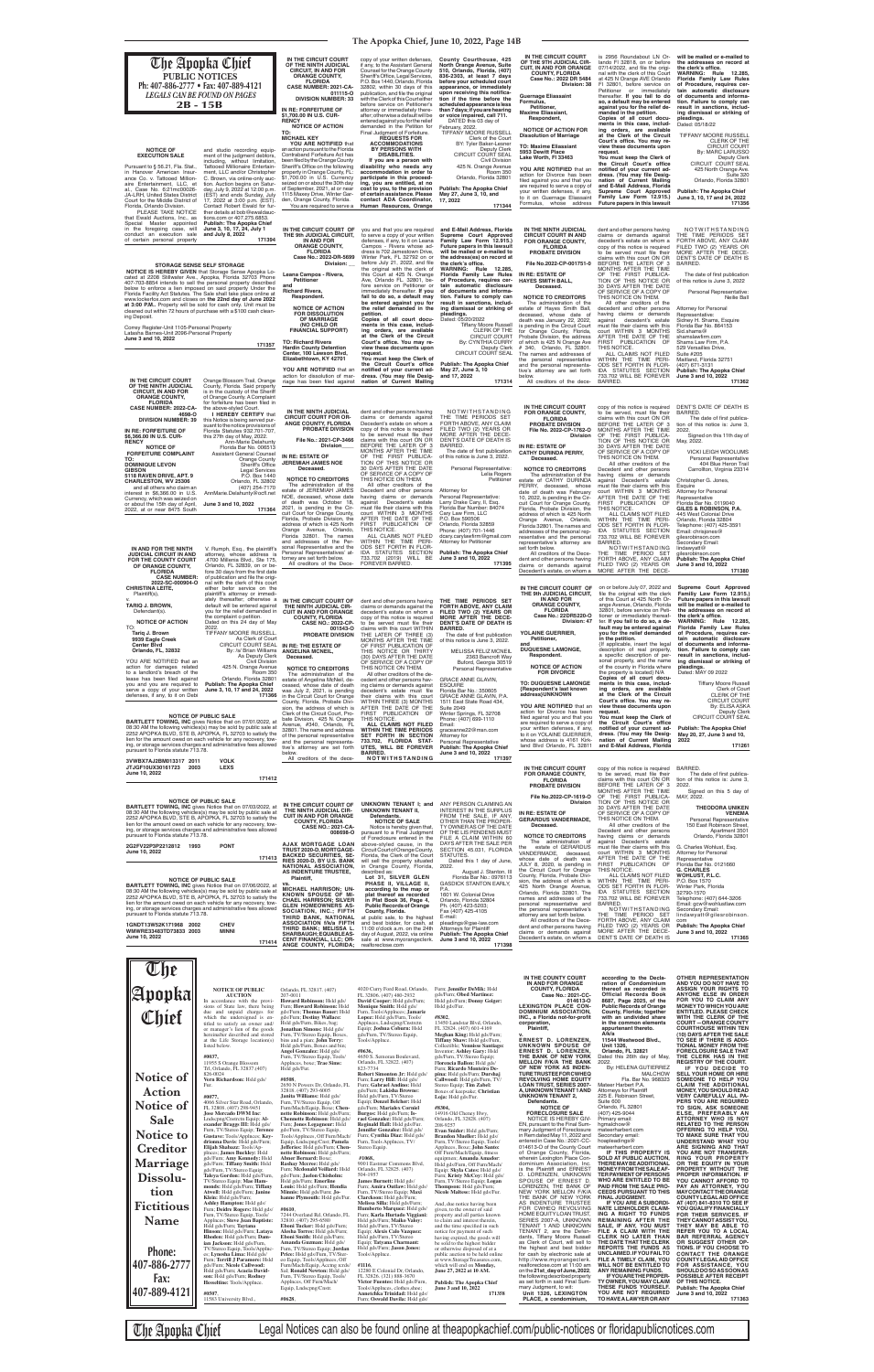### **The Apopka Chief, June 10, 2022, Page 14B**

**thereof as recorded in Official Records Book 8687, Page 2025, of the Public Records of Orange County, Florida; together with an undivided share in the common elements appurtenant thereto. A/k/a 11544 Westwood Blvd., Unit 1326, Orlando, FL 32821** Dated this 26th day of May, 2022. By: HELENA GUTIERREZ MALCHOW MALCHOW<br>Fla. Bar No. 968323<br>Mateer Harbert P.A. Mateer Harbert P.A. Attorneys for Plaintiff 225 E. Robinson Street, Suite 600 Orlando, FL 32801 (407) 425-9044 Primary email: hgmalchow@ mateerharbert.com Secondary email: hoapleadings@ mateerharbert.com<br>**IF THIS PROPERTY IS IF THIS PROPERTY IS SOLD AT PUBLIC AUCTION, THERE MAY BE ADDITIONAL MONEY FROM THE SALE AF-TER PAYMENT OF PERSONS WHO ARE ENTITLED TO BE PAID FROM THE SALE PRO-CEEDS PURSUANT TO THIS FINAL JUDGMENT. IF YOU ARE A SUBORDI-NATE LIENHOLDER CLAIM-ING A RIGHT TO FUNDS REMAINING AFTER THE SALE, IF ANY, YOU MUST FILE A CLAIM WITH THE CLERK NO LATER THAN THE DATE THAT THE CLERK REPORTS THE FUNDS AS UNCLAIMED. IF YOU FAIL TO FILE A TIMELY CLAIM, YOU WILL NOT BE ENTITLED TO ANY REMAINING FUNDS. IF YOU ARE THE PROPER-TY OWNER, YOU MAY CLAIM THESE FUNDS YOURSELF. YOU ARE NOT REQUIRED TO HAVE A LAWYER OR ANY**  ANYONE FLSE IN ORDER **ANYONE ELSE IN ORDER FOR YOU TO CLAIM ANY MONEY TO WHICH YOU ARE ENTITLED. PLEASE CHECK**  WITH THE CLERK OF THE<br>COURT—ORANGE COUNTY<br>COURTHOUSE WITHIN TEN<br>(10) DAYS AFTER THE SALE<br>TO SEE IF THERE IS ADDI-<br>TIONAL MONEY FROM THE<br>FORECLOSURE SALE THAT **THE CLERK HAS IN THE REGISTRY OF THE COURT. IF YOU DECIDE TO SELL YOUR HOME OR HIRE SOMEONE TO HELP YOU CLAIM THE ADDITIONAL<br>MONEY,YOU SHOULD READ<br>VERY CAREFULLY ALL PA-<br>PERS YOU ARE REQUIRED<br>TO SIGN, ASK SOMEONE<br>TO SIGN, ASK SOMEONE<br>ELSE, PREFERABLY AN<br>RELATED TO THE PERSON<br>OFFERING TO HELP YOU,<br>TO MAKE SURE THAT YOU**<br>UNDE **ARE SIGNING AND THAT YOU ARE NOT TRANSFER-RING YOUR PROPERTY OR THE EQUITY IN YOUR PROPERTY WITHOUT THE PROPER INFORMATION. IF YOU CANNOT AFFORD TO PAY AN ATTORNEY, YOU MAY CONTACT THE ORANGE COUNTY LEGAL AID OFFICE AT (407) 841-8310 TO SEE IF YOU QUALIFY FINANCIALLY FOR THEIR SERVICES. IF THEY CANNOT ASSIST YOU, THEY MAY BE ABLE TO REFER YOU TO A LOCAL BAR REFERRAL AGENCY OR SUGGEST OTHER OP-TIONS. IF YOU CHOOSE TO CONTACT THE ORANGE COUNTY LEGAL AID OFFICE FOR ASSISTANCE, YOU SHOULD DO SO AS SOON AS POSSIBLE AFTER RECEIPT OF THIS NOTICE. Publish: The Apopka Chief June 3 and 10, 2022 171363**

BARRED.

**COUNTY, FLORIDA Case No.: 2021-CC-014613-O LEXINGTON PLACE CON-DOMINIUM ASSOCIATION, INC., a Florida not-for-profi t corporation, Plaintiff,** <sup>V.</sup><br>ERNEST D. LORENZEN,<br>UNKNOWN SPOUSE OF<br>THE BANK OF NEW YORK<br>MELLON F/K/A THE BANK<br>MELLON F/K/A THE BANK<br>OF NEW YORK AS INDEN-<br>TURETRUSTEEFORCWHEQ **REVOLVING HOME EQUITY LOAN TRUST, SERIES 2007- A, UNKNOWN TENANT 1 AND UNKNOWN TENANT 2, Defendants. NOTICE OF FORECLOSURE SALE** NOTICE IS HEREBY GIV-EN, pursuant to the Final Sum-mary Judgment of Foreclosure in Rem dated May 11, 2022 and entered in Case No.:2021-CC-<br>014613-0 of the County Court<br>of Orange County, Florida,<br>wherein Lexington Place Conne<br>dominium Association, Inc.<br>is the Plaintiff and ERNEST<br>D. LORENZEN, UNKNOWN<br>SPOUSE OF ERNEST D.<br>LORENZEN, T NEW YORK MELLON F/K/A<br>THE BANK OF NEW YORK<br>AS INDENTURE TRUSTEE<br>FOR CWHEQ REVOLVING HOME EQUITY LOAN TRUST,<br>TENANT 1 AND UNKNOWN<br>TENANT 1, AND UNKNOWN<br>TENANT 1, are the Defen-<br>dants, Tiffany Moore Russell<br>as Clerk of Court, will sell to the highest and best bidder for cash by electronic sale at http://www.myorangeclerk. realforeclose.com at 11:00 am on the **21st\_day of June, 2022**, the following described property as set forth in said Final Sum<br>mary Judament, to wit: mary Judgment, to wit: **Unit 1326, LEXINGTON PLACE, a condominium,**  FL 32824. (407) 601-4169 **Meghan King:** Hsld gds/Furn; **Tiffany Shaw:** Hsld gds/Furn, **171358**

| <b>The Apopka Chief</b><br>PUBLIC NOTICES<br>Ph: 407-886-2777 • Fax: 407-889-4121<br><b>LEGALS CAN BE FOUND ON PAGES</b><br>$2B - 15B$<br><b>NOTICE OF</b><br><b>EXECUTION SALE</b><br>Pursuant to § 56.21, Fla. Stat.,<br>in Hanover American Insur-<br>ance Co. v. Tattooed Million-<br>aire Entertainment, LLC, et<br>al., Case No. 6:21mc00026-<br>JA-LRH, United States District<br>Court for the Middle District of                                                                                                                                                                                                                                                                                                                                                                                                                 | and studio recording equip-<br>ment of the judgment debtors,<br>including, without limitation.<br>Tattooed Millionaire Entertain-<br>ment, LLC and/or Christopher<br>C. Brown, via online-only auc-<br>tion. Auction begins on Satur-<br>day, July 9, 2022 at 12:00 p.m.<br>(EST) and ends Sunday, July<br>17, 2022 at 3:00 p.m. (EST).                                                                                                                                                                         | IN THE CIRCUIT COURT<br>OF THE NINTH JUDICIAL<br><b>CIRCUIT. IN AND FOR</b><br><b>ORANGE COUNTY,</b><br><b>FLORIDA</b><br>CASE NUMBER: 2021-CA-<br>011115-0<br><b>DIVISION NUMBER: 33</b><br>IN RE: FORFEITURE OF<br>\$1,700.00 IN U.S. CUR-<br><b>RENCY</b><br><b>NOTICE OF ACTION</b><br>TO:<br><b>MICHAEL KEY</b><br>YOU ARE NOTIFIED that<br>an action pursuant to the Florida<br>Contraband Forfeiture Act has<br>been filed by the Orange County<br>Sheriff's Office on the following<br>property in Orange County, FL:<br>\$1,700.00 in U.S. Currency<br>seized on or about the 30th day<br>of September, 2021, at or near<br>1115 Maxey Drive, Winter Gar-<br>den, Orange County, Florida.<br>You are required to serve a               | copy of your written defenses,<br>if any, to the Assistant General<br>Counsel for the Orange County<br>Sheriff's Office, Legal Services,<br>P.O. Box 1440, Orlando, Florida<br>32802, within 30 days of this<br>publication, and file the original<br>with the Clerk of this Court either<br>before service on Petitioner's<br>attorney or immediately there-<br>after; otherwise a default will be<br>entered against you for the relief<br>demanded in the Petition for<br>Final Judgment of Forfeiture.<br><b>REQUESTS FOR</b><br><b>ACCOMMODATIONS</b><br><b>BY PERSONS WITH</b><br><b>DISABILITIES.</b><br>If you are a person with<br>disability who needs any<br>accommodation in order to<br>participate in this proceed-<br>ing, you are entitled, at no<br>cost to you, to the provision<br>of certain assistance. Please<br>contact ADA Coordinator,<br>Human Resources, Orange | County Courthouse, 425<br>North Orange Avenue, Suite<br>510, Orlando, Florida, (407)<br>836-2303, at least 7 days<br>before your scheduled court<br>appearance, or immediately<br>upon receiving this notifica-<br>tion if the time before the<br>scheduled appearance is less<br>than 7 days; if you are hearing<br>or voice impaired, call 711.<br>DATED this 03 day of<br>February, 2022.<br>TIFFANY MOORE RUSSELL<br>Clerk of the Court<br>BY: Tyler Baker-Lesner<br>Deputy Clerk<br><b>CIRCUIT COURT SEAL</b><br><b>Civil Division</b><br>425 N. Orange Avenue<br>Room 350<br>Orlando, Florida 32801<br><b>Publish: The Apopka Chief</b><br>May 27, June 3, 10, and<br>17, 2022<br>171344 | IN THE CIRCUIT COURT<br>OF THE 9TH JUDICIAL CIR-<br><b>CUIT, IN AND FOR ORANGE</b><br><b>COUNTY, FLORIDA</b><br>Case No.: 2022 DR 5484<br>Division: 38<br><b>Guernage Eliassaint</b><br>Formulus,<br>Petitioner,<br><b>Maxime Eliassiant,</b><br>Respondent,<br><b>NOTICE OF ACTION FOR</b><br><b>Dissolution of Marriage</b><br><b>TO: Maxime Eliassiant</b><br>5953 Dewitt Place<br>Lake Worth, FI 33463<br>YOU ARE NOTIFIED that an<br>action for Divorce has been<br>filed against you and that you<br>are required to serve a copy of<br>your written defenses, if any,<br>to it on Guernage Eliassaint<br>Formulus, whose address         | is 2956 Roundabout LN Or-<br>lando FI 32818, on or before<br>07/14/2022, and file the origi-<br>nal with the clerk of this Court<br>at 425 N Orange AVE Orlando<br>FI 32801, before service on<br>Petitioner or immediately<br>thereafter. If you fail to do<br>so, a default may be entered<br>against you for the relief de-<br>manded in the petition.<br>Copies of all court docu-<br>ments in this case, includ-<br>ing orders, are available<br>at the Clerk of the Circuit<br>Court's office. You may re-<br>view these documents upon<br>request.<br>You must keep the Clerk of<br>the Circuit Court's office<br>notified of your current ad-<br>dress. (You may file Desig-<br>nation of Current Mailing<br>and E-Mail Address, Florida<br>Supreme Court Approved<br>Family Law Form 12.915.)<br>Future papers in this lawsuit                                                                                          | will be mailed or e-mailed to<br>the addresses on record at<br>the clerk's office.<br>WARNING: Rule 12.285<br>Florida Family Law Rules<br>of Procedure, requires cer-<br>tain automatic disclosure<br>of documents and informa-<br>tion. Failure to comply can<br>result in sanctions, includ-<br>ing dismissal or striking of<br>pleadings.<br>Dated: 05/18/22<br>TIFFANY MOORE RUSSELI<br><b>CLERK OF THE</b><br><b>CIRCUIT COURT</b><br>By: MARC LARUSSO<br>Deputy Clerk<br>CIRCUIT COURT SEAL<br>425 North Orange Ave<br>Suite 320<br>Orlando, Florida 32801<br><b>Publish: The Apopka Chief</b><br>June 3, 10, 17 and 24, 2022<br>171356                                                                          |
|-------------------------------------------------------------------------------------------------------------------------------------------------------------------------------------------------------------------------------------------------------------------------------------------------------------------------------------------------------------------------------------------------------------------------------------------------------------------------------------------------------------------------------------------------------------------------------------------------------------------------------------------------------------------------------------------------------------------------------------------------------------------------------------------------------------------------------------------|-----------------------------------------------------------------------------------------------------------------------------------------------------------------------------------------------------------------------------------------------------------------------------------------------------------------------------------------------------------------------------------------------------------------------------------------------------------------------------------------------------------------|-------------------------------------------------------------------------------------------------------------------------------------------------------------------------------------------------------------------------------------------------------------------------------------------------------------------------------------------------------------------------------------------------------------------------------------------------------------------------------------------------------------------------------------------------------------------------------------------------------------------------------------------------------------------------------------------------------------------------------------------------|--------------------------------------------------------------------------------------------------------------------------------------------------------------------------------------------------------------------------------------------------------------------------------------------------------------------------------------------------------------------------------------------------------------------------------------------------------------------------------------------------------------------------------------------------------------------------------------------------------------------------------------------------------------------------------------------------------------------------------------------------------------------------------------------------------------------------------------------------------------------------------------------|------------------------------------------------------------------------------------------------------------------------------------------------------------------------------------------------------------------------------------------------------------------------------------------------------------------------------------------------------------------------------------------------------------------------------------------------------------------------------------------------------------------------------------------------------------------------------------------------------------------------------------------------------------------------------------------------|-------------------------------------------------------------------------------------------------------------------------------------------------------------------------------------------------------------------------------------------------------------------------------------------------------------------------------------------------------------------------------------------------------------------------------------------------------------------------------------------------------------------------------------------------------------------------------------------------------------------------------------------------|----------------------------------------------------------------------------------------------------------------------------------------------------------------------------------------------------------------------------------------------------------------------------------------------------------------------------------------------------------------------------------------------------------------------------------------------------------------------------------------------------------------------------------------------------------------------------------------------------------------------------------------------------------------------------------------------------------------------------------------------------------------------------------------------------------------------------------------------------------------------------------------------------------------------------------|------------------------------------------------------------------------------------------------------------------------------------------------------------------------------------------------------------------------------------------------------------------------------------------------------------------------------------------------------------------------------------------------------------------------------------------------------------------------------------------------------------------------------------------------------------------------------------------------------------------------------------------------------------------------------------------------------------------------|
| Florida, Orlando Division.<br>PLEASE TAKE NOTICE<br>that Ewald Auctions. Inc., as<br>Special Master appointed<br>in the foregoing case, will<br>conduct an execution sale<br>of certain personal property<br>STORAGE SENSE SELF STORAGE<br><b>NOTICE IS HEREBY GIVEN</b> that Storage Sense Apopka Lo-<br>cated at 2208 Stillwater Ave., Apopka, Florida 32703 Phone<br>407-703-8854 intends to sell the personal property described<br>below to enforce a lien imposed on said property Under the<br>Florida Facility Act Statutes. The Sale shall take place online at<br>www.lockerfox.com and closes on the 22nd day of June 2022<br>at 3:00 P.M Property will be sold for cash only. Unit must be<br>cleaned out within 72 hours of purchase with a \$100 cash clean-<br>ing Deposit.<br>Correy Register-Unit 1105-Personal Property | Contact Robert Ewald for fur-<br>ther details at bob@ewaldauc-<br>tions.com or 407.275.6853.<br>Publish: The Apopka Chief<br>June 3, 10, 17, 24, July 1<br>and July 8, 2022<br>171394                                                                                                                                                                                                                                                                                                                           | IN THE CIRCUIT COURT OF<br>THE 9th JUDICIAL CIRCUIT,<br>IN AND FOR<br><b>ORANGE COUNTY,</b><br><b>FLORIDA</b><br>Case No.: 2022-DR-5699<br><b>Division:</b><br>Leana Campos - Rivera,<br><b>Petitioner</b><br>and<br><b>Richard Rivera,</b><br>Respondent.<br><b>NOTICE OF ACTION</b><br><b>FOR DISSOLUTION</b><br>OF MARRIAGE<br>(NO CHILD OR<br><b>FINANCIAL SUPPORT)</b>                                                                                                                                                                                                                                                                                                                                                                     | you and that you are required<br>to serve a copy of your written<br>defenses, if any, to it on Leana<br>Campos - Rivera whose ad-<br>dress is 702 Jamestown Drive,<br>Winter Park. FL 32792 on or<br>before July 21, 2022, and file<br>the original with the clerk of<br>this Court at 425 N. Orange<br>Ave, Orlando FL. 32801, be-<br>fore service on Petitioner or<br>immediately thereafter. If you<br>fail to do so, a default may<br>be entered against you for<br>the relief demanded in the<br>petition.<br>Copies of all court docu-<br>ments in this case, includ-<br>ing orders, are available                                                                                                                                                                                                                                                                                   | and E-Mail Address, Florida<br>Supreme Court Approved<br>Family Law Form 12.915.)<br>Future papers in this lawsuit<br>will be mailed or e-mailed to<br>the address(es) on record at<br>the clerk's office.<br><b>WARNING: Rule 12.285,</b><br>Florida Family Law Rules<br>of Procedure, requires cer-<br>tain automatic disclosure<br>of documents and informa-<br>tion. Failure to comply can<br>result in sanctions, includ-<br>ing dismissal or striking of<br>pleadings.<br>Dated: 05/20/2022<br><b>Tiffany Moore Russell</b><br>CLERK OF THE                                                                                                                                              | IN THE NINTH JUDICIAL<br><b>CIRCUIT COURT IN AND</b><br>FOR ORANGE COUNTY.<br><b>FLORIDA</b><br><b>PROBATE DIVISION</b><br>File No.2022-CP-001751-0<br>IN RE: ESTATE OF<br><b>HAYES SMITH BALL,</b><br>Deceased.<br><b>NOTICE TO CREDITORS</b><br>The administration of the<br>estate of Hayes Smith Ball,<br>deceased, whose date of<br>death was January 22, 2022,<br>is pending in the Circuit Court                                                                                                                                                                                                                                         | dent and other persons having<br>claims or demands against<br>decedent's estate on whom a<br>copy of this notice is required<br>to be served must file their<br>claims with this court ON OR<br>BEFORE THE LATER OF 3<br>MONTHS AFTER THE TIME<br>OF THE FIRST PUBLICA-<br>TION OF THIS NOTICE OR<br>30 DAYS AFTER THE DATE<br>OF SERVICE OF A COPY OF<br>THIS NOTICE ON THEM.<br>All other creditors of the<br>decedent and other persons<br>having claims or demands<br>decedent's estate<br>against<br>must file their claims with this<br>court WITHIN 3 MONTHS                                                                                                                                                                                                                                                                                                                                                              | NOTWITHSTANDING<br>THE TIME PERIODS SET<br>FORTH ABOVE, ANY CLAIM<br>FILED TWO (2) YEARS OR<br>MORE AFTER THE DECE-<br>DENT'S DATE OF DEATH IS<br>BARRED.<br>The date of first publication<br>of this notice is June 3, 2022<br>Personal Representative:<br>Neilie Ball<br><b>Attorney for Personal</b><br>Representative:<br>Sidney H. Shams, Esquire<br>Florida Bar No. 864153<br>Sid.shams@                                                                                                                                                                                                                                                                                                                         |
| Latasha Barnes-Unit 2096-Personal Property<br>June 3 and 10, 2022<br>IN THE CIRCUIT COURT<br>OF THE NINTH JUDICIAL<br><b>CIRCUIT, IN AND FOR</b><br><b>ORANGE COUNTY,</b>                                                                                                                                                                                                                                                                                                                                                                                                                                                                                                                                                                                                                                                                 | 171357<br>Orange Blossom Trail, Orange<br>County, Florida, Said property<br>is in the custody of the Sheriff<br>of Orange County. A Complaint                                                                                                                                                                                                                                                                                                                                                                   | <b>TO: Richard Rivera</b><br><b>Hardin County Detention</b><br>Center, 100 Lawson Blvd,<br>Elizabethtown, KY 42701<br>YOU ARE NOTIFIED that an<br>action for dissolution of mar-<br>riage has been filed against                                                                                                                                                                                                                                                                                                                                                                                                                                                                                                                                | at the Clerk of the Circuit<br>Court's office. You may re-<br>view these documents upon<br>request.<br>You must keep the Clerk of<br>the Circuit Court's office<br>notified of your current ad-<br>dress. (You may file Desig-<br>nation of Current Mailing                                                                                                                                                                                                                                                                                                                                                                                                                                                                                                                                                                                                                                | <b>CIRCUIT COURT</b><br>By: CYNTHIA CURRY<br>Deputy Clerk<br>CIRCUIT COURT SEAL<br><b>Publish: The Apopka Chief</b><br>May 27, June 3, 10<br>and 17, 2022<br>171314                                                                                                                                                                                                                                                                                                                                                                                                                                                                                                                            | for Orange County, Florida,<br>Probate Division, the address<br>of which is 425 N Orange Ave<br># 340, Orlando, FL 32801.<br>The names and addresses of<br>the personal representative<br>and the personal representa-<br>tive's attorney are set forth<br>below.<br>All creditors of the dece-                                                                                                                                                                                                                                                                                                                                                 | AFTER THE DATE OF THE<br>FIRST PUBLICATION<br>- OF<br>THIS NOTICE.<br>ALL CLAIMS NOT FILED<br>WITHIN THE TIME PERI-<br>ODS SET FORTH IN FLOR-<br>IDA STATUTES SECTION<br>733.702 WILL BE FOREVER<br>BARRED.                                                                                                                                                                                                                                                                                                                                                                                                                                                                                                                                                                                                                                                                                                                      | shamslawfirm.com<br>Shams Law Firm, P.A.<br>529 Versailles Drive,<br>Suite #205<br>Maitland, Florida 32751<br>(407) 671-3131<br><b>Publish: The Apopka Chief</b><br>June 3 and 10, 2022<br>171362                                                                                                                                                                                                                                                                                                                                                                                                                                                                                                                      |
| <b>FLORIDA</b><br><b>CASE NUMBER: 2022-CA-</b><br>4698-O<br><b>DIVISION NUMBER: 39</b><br>IN RE: FORFEITURE OF<br>\$6,366.00 IN U.S. CUR-<br><b>RENCY</b><br><b>NOTICE OF</b><br><b>FORFEITURE COMPLAINT</b><br>TO:<br><b>DOMINIQUE LEVON</b><br><b>GIBSON</b><br>5118 RAVEN DRIVE, APT. 9<br>CHARLESTON, WV 25306<br>and all others who claim an<br>interest in \$6,366.00 in U.S.<br>Currency, which was seized on<br>or about the 15th day of April,<br>2022, at or near 8475 South                                                                                                                                                                                                                                                                                                                                                    | for forfeiture has been filed in<br>the above-styled Court.<br>I HEREBY CERTIFY that<br>this Notice is being served pur-<br>suant to the notice provisions of<br>Florida Statutes 932.701-707,<br>this 27th day of May, 2022.<br>Ann-Marie Delahunty<br>Florida Bar No. 006513<br><b>Assistant General Counsel</b><br><b>Orange County</b><br>Sheriff's Office<br><b>Legal Services</b><br>P.O. Box 1440<br>Orlando, FL 32802<br>(407) 254-7170<br>AnnMarie.Delahunty@ocfl.net<br>June 3 and 10, 2022<br>171364 | IN THE NINTH JUDICIAL<br><b>CIRCUIT COURT FOR OR-</b><br>ANGE COUNTY, FLORIDA<br>PROBATE DIVISION<br>File No.: 2021-CP-3466<br>Division<br><b>IN RE: ESTATE OF</b><br><b>JEREMIAH JAMES NOE</b><br>Deceased.<br><b>NOTICE TO CREDITORS</b><br>The administration of the<br>estate of JEREMIAH JAMES<br>NOE, deceased, whose date<br>of death was October 18,<br>2021, is pending in the Cir-                                                                                                                                                                                                                                                                                                                                                    | dent and other persons having<br>claims or demands against<br>Decedent's estate on whom a<br>copy of this notice is required<br>to be served must file their<br>claims with this court ON OR<br>BEFORE THE LATER OF 3<br>MONTHS AFTER THE TIME<br>OF THE FIRST PUBLICA-<br>TION OF THIS NOTICE OR<br>30 DAYS AFTER THE DATE<br>OF SERVICE OF A COPY OF<br>THIS NOTICE ON THEM.<br>All other creditors of the<br>Decedent and other persons<br>having claims or demands<br>Decedent's estate<br>against<br>must file their claims with this                                                                                                                                                                                                                                                                                                                                                 | NOTWITHSTANDING<br>THE TIME PERIODS SET<br>FORTH ABOVE, ANY CLAIM<br>FILED TWO (2) YEARS OR<br>MORE AFTER THE DECE-<br>DENT'S DATE OF DEATH IS<br>BARRED.<br>The date of first publication<br>of this notice is June 3, 2022.<br>Personal Representative:<br>Lelia Rogers<br>Petitioner<br>Attorney for<br>Personal Representative:<br>Larry Drake Cary, II, Esq.<br>Florida Bar Number: 84074                                                                                                                                                                                                                                                                                                 | IN THE CIRCUIT COURT<br>FOR ORANGE COUNTY,<br><b>FLORIDA</b><br><b>PROBATE DIVISION</b><br>File No. 2022-CP-1762-O<br>Division<br>IN RE: ESTATE OF<br><b>CATHY DURINDA PERRY,</b><br>Deceased.<br><b>NOTICE TO CREDITORS</b><br>The administration of the<br>estate of CATHY DURINDA<br>PERRY, deceased, whose<br>date of death was February<br>10, 2022, is pending in the Cir-<br>cuit Court for Orange County,<br>Florida, Probate Division, the                                                                                                                                                                                             | copy of this notice is required<br>to be served, must file their<br>claims with this court ON OR<br>BEFORE THE LATER OF 3<br>MONTHS AFTER THE TIME<br>OF THE FIRST PUBLICA-<br>TION OF THIS NOTICE OR<br>30 DAYS AFTER THE DATE<br>OF SERVICE OF A COPY OF<br>THIS NOTICE ON THEM.<br>All other creditors of the<br>Decedent and other persons<br>having claims or demands<br>against Decedent's estate<br>must file their claims with this<br>court WITHIN 3 MONTHS<br>AFTER THE DATE OF THE<br>FIRST PUBLICATION OF<br>THIS NOTICE.                                                                                                                                                                                                                                                                                                                                                                                            | DENT'S DATE OF DEATH IS<br><b>BARRED</b><br>The date of first publica-<br>tion of this notice is: June 3.<br>2022.<br>Signed on this 11th day of<br>May, 2022.<br><b>VICKI LEIGH WOOLUMS</b><br>Personal Representative<br>404 Blue Heron Trail<br>Carrollton, Virginia 23314<br>Christopher G. Jones,<br>Esquire<br>Attorney for Personal<br>Representative<br>Florida Bar No. 0119040<br>GILES & ROBINSON, P.A.                                                                                                                                                                                                                                                                                                      |
| IN AND FOR THE NINTH<br><b>JUDICIAL CIRCUIT IN AND</b><br>FOR THE COUNTY COURT<br>OF ORANGE COUNTY,<br><b>FLORIDA</b><br><b>CASE NUMBER:</b><br>2022-SC-000904-O                                                                                                                                                                                                                                                                                                                                                                                                                                                                                                                                                                                                                                                                          | V. Rumph, Esq., the plaintiff's<br>attorney, whose address is<br>.4700 Millenia Blvd., Ste 175,<br>Orlando, FL 32839, on or be-<br>fore 30 days from the first date<br>of publication and file the origi-<br>nal with the clerk of this court                                                                                                                                                                                                                                                                   | cuit Court for Orange County,<br>Florida, Probate Division, the<br>address of which is 425 North<br>Avenue, Orlando,<br>Orange<br>Florida 32801. The names<br>and addresses of the Per-<br>sonal Representative and the<br>Personal Representatives' at-<br>torney are set forth below.<br>All creditors of the Dece-                                                                                                                                                                                                                                                                                                                                                                                                                           | court WITHIN 3 MONTHS<br>AFTER THE DATE OF THE<br>FIRST PUBLICATION OF<br>THIS NOTICE.<br>ALL CLAIMS NOT FILED<br>WITHIN THE TIME PERI-<br>ODS SET FORTH IN FLOR-<br>IDA STATUTES SECTION<br>733.702 (2019) WILL BE<br><b>FOREVER BARRED.</b>                                                                                                                                                                                                                                                                                                                                                                                                                                                                                                                                                                                                                                              | Cary Law Firm, LLC<br>P.O. Box 590506<br>Orlando, Florida 32859<br>Phone: (407) 701-1446<br>dcary.carylawfirm@gmail.com<br>Attorney for Petitioner<br><b>Publish: The Apopka Chief</b><br>June 3 and 10, 2022<br>171395                                                                                                                                                                                                                                                                                                                                                                                                                                                                        | address of which is 425 North<br>Orange Avenue, Orlando,<br>Florida 32801. The names and<br>addresses of the personal rep-<br>resentative and the personal<br>representative's attorney are<br>set forth below.<br>All creditors of the Dece-<br>dent and other persons having<br>claims or demands against<br>Decedent's estate, on whom a                                                                                                                                                                                                                                                                                                     | ALL CLAIMS NOT FILED<br>WITHIN THE TIME PERI-<br>ODS SET FORTH IN FLOR-<br>IDA STATUTES SECTION<br>733.702 WILL BE FOREVER<br>BARRED.<br>NOTWITHSTANDING<br>THE TIME PERIOD SET<br>FORTH ABOVE, ANY CLAIM<br>FILED TWO (2) YEARS OR<br>MORE AFTER THE DECE-                                                                                                                                                                                                                                                                                                                                                                                                                                                                                                                                                                                                                                                                      | 445 West Colonial Drive<br>Orlando, Florida 32804<br>Telephone: (407) 425-3591<br>Email: chrisjones@<br>gilesrobinson.com<br>Secondary Email:<br>lindawyatt@<br>gilesrobinson.com<br><b>Publish: The Apopka Chief</b><br>June 3 and 10, 2022<br>171380                                                                                                                                                                                                                                                                                                                                                                                                                                                                 |
| <b>CHRISTINA LEITE,</b><br>Plaintiff(s),<br><b>TARIQ J. BROWN,</b><br>Defendant(s)<br><b>NOTICE OF ACTION</b><br>TO:<br>2022.<br>Tariq J. Brown<br>9939 Eagle Creek<br><b>Center Blvd</b><br>Orlando, FL, 32832<br>YOU ARE NOTIFIED that an<br>action for damages related<br>to a landlord's breach of the<br>lease has been filed against<br>you and you are required to<br>serve a copy of your written<br>defenses, if any, to it on Debi<br><b>NOTICE OF PUBLIC SALE</b><br><b>BARTLETT TOWING, INC</b> gives Notice that on 07/01/2022, at<br>08:30 AM the following vehicles(s) may be sold by public sale at<br>2252 APOPKA BLVD, STE B, APOPKA, FL 32703 to satisfy the<br>lien for the amount owed on each vehicle for any recovery, tow-<br>ing, or storage services charges and administrative fees allowed                    | either befor service on the<br>plaintiff's attorney or immedi-<br>ately thereafter; otherwise a<br>default will be entered against<br>you for the relief demanded in<br>the complaint o petition.<br>Dated on this 24 day of May<br>TIFFANY MOORE RUSSELL.<br>As Clerk of Court<br>CIRCUIT COURT SEAL<br>By: /s/ Brian Williams<br>As Deputy Clerk<br>Civil Division<br>425 N. Orange Avenue<br>Room 350<br>Orlando, Florida 32801<br><b>Publish: The Apopka Chief</b><br>June 3, 10, 17 and 24, 2022<br>171366 | IN THE CIRCUIT COURT OF<br>THE NINTH JUDICIAL CIR-<br><b>CUIT IN AND FOR ORANGE</b><br><b>COUNTY, FLORIDA</b><br><b>CASE NO.: 2022-CP-</b><br>001543-0<br>PROBATE DIVISION<br>IN RE: THE ESTATE OF<br><b>ANGELINA MCNEIL,</b><br>Deceased.<br><b>NOTICE TO CREDITORS</b><br>The administration of the<br>estate of Angelina McNeil, de-<br>ceased, whose date of death<br>was July 2, 2021, is pending<br>in the Circuit Court for Orange<br>County, Florida, Probate Divi-<br>sion, the address of which is<br>Clerk of the Circuit Court, Pro-<br>bate Division, 425 N. Orange<br>Avenue, #340, Orlando, FL<br>32801. The name and address<br>of the personal representative<br>and the personal representa-<br>tive's attorney are set forth | dent and other persons having<br>claims or demands against the<br>decedent's estate on whom a<br>copy of this notice is required<br>to be served must file their<br>claims with this court WITHIN<br>THE LATER OF THREE (3)<br>MONTHS AFTER THE TIME<br>OF FIRST PUBLICATION OF<br>THIS NOTICE OR THIRTY<br>(30) DAYS AFTER THE DATE<br>OF SERVICE OF A COPY OF<br>THIS NOTICE ON THEM.<br>All other creditors of the de-<br>cedent and other persons hav-<br>ing claims or demands against<br>decedent's estate must file<br>their claims with this court<br>WITHIN THREE (3) MONTHS<br>AFTER THE DATE OF THE<br>FIRST PUBLICATION OF<br>THIS NOTICE.<br>ALL CLAIMS NOT FILED<br>WITHIN THE TIME PERIODS<br>SET FORTH IN SECTION<br>733.702, FLORIDA STAT-<br>UTES. WILL BE FOREVER                                                                                                       | THE TIME PERIODS SET<br>FORTH ABOVE, ANY CLAIM<br>FILED TWO (2) YEARS OR<br>MORE AFTER THE DECE-<br><b>DENT'S DATE OF DEATH IS</b><br><b>BARRED.</b><br>The date of first publication<br>of this notice is June 3, 2022.<br><b>MELISSA FELIZ MCNEIL</b><br>2363 Bancroft Way<br>Buford, Georgia 30519<br>Personal Representative<br><b>GRACE ANNE GLAVIN,</b><br><b>ESQUIRE</b><br>Florida Bar No.: 350605<br>GRACE ANNE GLAVIN, P.A.<br>1511 East State Road 434,<br><b>Suite 2049</b><br>Winter Springs, FL 32708<br>Phone: (407) 699-1110<br>Email:<br>graceanne22@msn.com<br>Attorney for<br>Personal Representative                                                                       | IN THE CIRCUIT COURT OF<br>THE 9th JUDICIAL CIRCUIT,<br>IN AND FOR<br><b>ORANGE COUNTY,</b><br><b>FLORIDA</b><br>Case No.: 22DR5220-O<br>Division: 47<br><b>YOLAINE GUERRIER,</b><br>Petitioner,<br>and<br><b>DUQUESNE LAMONGE,</b><br>Respondent.<br><b>NOTICE OF ACTION</b><br><b>FOR DIVORCE</b><br><b>TO: DUQUESNE LAMONGE</b><br>{Respondent's last known<br>address}UNKNOWN<br>YOU ARE NOTIFIED that an<br>action for Divorce has been<br>filed against you and that you<br>are required to serve a copy of<br>your written defenses, if any,<br>to it on YOLAINE GUERRIER.<br>whose address is 4161 Kirk-<br>land Blvd Orlando, FL 32811 | on or before July 07, 2022 and<br>file the original with the clerk<br>of this Court at 425 North Or-<br>ange Avenue, Orlando, Florida<br>32801, before service on Peti-<br>tioner or immediately thereaf-<br>ter. If you fail to do so, a de-<br>fault may be entered against<br>you for the relief demanded<br>in the petition.<br>{If applicable, insert the legal<br>description of real property,<br>a specific description of per-<br>sonal property, and the name<br>of the county in Florida where<br>the property is located} N/A<br>Copies of all court docu-<br>ments in this case, includ-<br>ing orders, are available<br>at the Clerk of the Circuit<br>Court's office. You may re-<br>view these documents upon<br>request.<br>You must keep the Clerk of<br>the Circuit Court's office<br>notified of your current ad-<br>dress. (You may file Desig-<br>nation of Current Mailing<br>and E-Mail Address, Florida | Supreme Court Approved<br>Familiy Law Form 12.915.)<br>Future papers in this lawsuit<br>will be mailed or e-mailed to<br>the addresses on record at<br>the clerk's office.<br><b>WARNING: Rule 12.285,</b><br>Florida Family Law Rules<br>of Procedure, requires cer-<br>tain automatic disclosure<br>of documents and informa-<br>tion. Failure to comply can<br>result in sanctions, includ-<br>ing dismissal or striking of<br>pleadings.<br>Dated: MAY 09 2022<br><b>Tiffany Moore Russell</b><br>Clerk of Court<br><b>CLERK OF THE</b><br><b>CIRCUIT COURT</b><br>By: ELISA ASKA<br>Deputy Clerk<br><b>CIRCUIT COURT SEAL</b><br><b>Publish: The Apopka Chief</b><br>May 20, 27, June 3 and 10.<br>2022<br>171261 |

In accordance with the provi-<br>sions of State law, there being<br>due and unpaid charges for<br>which the undersigned is en-<br>titled to satisfy an owner and/<br>or manager's lien of the goods hereinafter described and stored at the Life Storage location(s) listed below. **#0037,**  11955 S Orange Blossom Trl, Orlando, FL 32837.(407) 826-0024 **Vern Richardson:** Hsld gds/ Fur. **#0077,** 4066 Silver Star Road, Orlando, FL 32808. (407) 298-9451 **Jose Mercado DWM Inc**: Lndscpng/Cnstrctn Equip; **Al-exander Braggs III:** Hsld gds/ Furn, TV/Stereo Equip; **Terence Gustave:** Tools/Applnces; **Key-drionna Davis**: Hsld gds/Furn; **Elijah Shabazz:** Tools/Applnces; **James Buckley:** Hsld<br>gds/Furn; **Amy Kennedy:** Hsld<br>gds/Furn, T**iffany Smith**: Hsld<br>gds/Furn, TV/Stereo Equip;<br>**Taleya Gordon:** Hsld gds/Furn, TV/Stereo Equip; **Mae Ham-monds:** Hsld gds/Furn; **Tiffany Atwell:** Hsld gds/Furn; **Janine Klein:** Hsld gds/Furn; **Ashley Hampton:** Hsld gds/ Furn; **Deidre Rogers:** Hsld gds/ Furn, TV/Stereo Equip, Tools/<br>Applness; Steve Jean Baptiste:<br>Hsld gds/Furn; Taytana<br>Hsld gds/Furn; Taytana<br>**Rinson:** Hsld gds/Furn; Dam-<br>**Rhoden:** Hsld gds/Furn, Dam-<br>ian, Jackson: Hsld gds/Furn,<br>Furn; Terrill J Paramore: **Howard Robinson:** Hsld gds/ Furn; **Howard Robinson:** Hsld gds/Furn; **Thomas Bauer:** Hsld gds/Furn; **Destiny Wallace:** Hsld gds/Furn, Bikes, bag; **Jonathan Simons:** Hsld gds/ Furn, TV/Stereo Equip, Boxes, bins and a pian; **John Terry:** Hsld gds/Furn, Boxes and bin; **Angel Gonzalez:** Hsld gds/ Furn, TV/Stereo Equip, Tools/ Applnces, boxe; **Trae Sims:** Hsld gds/Fur. #0508, Nowers Dr. Orlando, FL<br>2650 N Powers Dr. Orlando, FL<br>22818. (407) 293-6005<br>Furn, TV/Stereo Equip, Off<br>Furn/Mach/Equip, Doxe; Chen-<br>nette Robinson: Hsld gds/<br>nette Robinson: Hsld gds/<br>Chennette Robinson: Hsld gds/<br>gd **nette Robinson:** Hsld gds/Furn; **Abner Bernard:** Boxe; **Rashay Mccree:** Hsld gds/ Furn; **Mcdonald Veillard:** Hsld gds/Furn; **Jaelon Chisholm:** Hsld gds/Furn; **Emerline Louis:** Hsld gds/Furn; **Hendia Minnis:** Hsld gds/Furn; **Jo-hanne Plymouth:** Hsld gds/Fur. **#0610**, 7244 Overland Rd, Orlando, FL 32810. (407) 295-6580 **Eboni Tucker:** Hsld gds/Furn; **Alesha Torres:** Hsld gds/Furn; **Eboni Smith:** Hsld gds/Furn; **Amanda Guzman:** Hsld gds/ Furn, TV/Stereo Equip; **Jordan<br><b>Price:** Hsld gds/Furn, TV/Ster-<br>eo Equip, Tools/Applnces, Off<br>Furn/Mach/Equip, Acctng rcrds/<br>Sal; **Ronald Newton:** Hsld gds/ Furn, TV/Stereo Equip, Tools/ 4020 Curry Ford Road, Orlando,<br>FL 32806. (407) 480-2932<br>David Cooper: Hsld gds/Furn;<br>Monique Smith: Hsld gds/<br>Furn, Tools/Applnces; **Jamarie**<br>Eupez: Hsld gds/Furn, Tools/<br>Applnces, Lndscpng/Cnstrctn<br>Equip; J**oshua Coburn**: Tools/Applnce. **#0636,** 4650 S. Semoran Boulevard, Orlando, FL 32822. (407) 823-7734 gds/Furn; **Marialex Corniel Reginald Hall:** Hsld gds/Fur. Furn, Tools Applnces, TV/ Stereo Equip.  **#1068,** Equip; **Tatyana Charmant:** Hsld gds/Furn; **Jason Jones:** Tools/Applnce.  $\mathbb{R}$ popka $\mathbb{I}$ **Chief Phone: 407-886-2777 Fax: Notice of Action Notice of Sale Notice to Creditor Marriage Dissolution Fictitious Name**

| lien for the amount owed on each vehicle for any recovery, tow-<br>ing, or storage services charges and administrative fees allowed<br>pursuant to Florida statute 713.78.<br><b>PONT</b><br>2G2FV22P3P2212812<br>1993<br>June 10, 2022<br>171413<br><b>NOTICE OF PUBLIC SALE</b><br><b>BARTLETT TOWING, INC gives Notice that on 07/06/2022, at</b><br>08:30 AM the following vehicles(s) may be sold by public sale at<br>2252 APOPKA BLVD, STE B, APOPKA, FL 32703 to satisfy the<br>lien for the amount owed on each vehicle for any recovery, tow-<br>ing, or storage services charges and administrative fees allowed<br>pursuant to Florida statute 713.78.<br><b>CHEV</b><br>1GNDT13W52K171968 2002 | <b>COUNTY, FLORIDA</b><br><b>CASE NO.: 2021-CA-</b><br>008698-0<br><b>AJAX MORTGAGE LOAN</b><br>TRUST 2020-D, MORTGAGE-<br><b>BACKED SECURITIES, SE-</b><br><b>RIES 2020-D, BY U.S. BANK</b><br>NATIONAL ASSOCIATION.<br>AS INDENTURE TRUSTEE.<br>Plaintiff,<br>vs.<br>MICHAEL HARRISON; UN-<br><b>KNOWN SPOUSE OF MI-</b><br><b>CHAEL HARRISON: SILVER</b><br><b>GLEN HOMEOWNERS AS-</b><br>SOCIATION, INC.; FIFTH<br>THIRD BANK, NATIONAL<br><b>ASSOCIATION f/k/a FIFTH</b><br>THIRD BANK; MELISSA L. | <b>NOTICE OF SALE</b><br>Notice is hereby given that.<br>pursuant to a Final Judgment<br>of Foreclosure entered in the<br>above-styled cause, in the<br>Circuit Court of Orange County,<br>Florida, the Clerk of the Court<br>will sell the property situated<br>in Orange County, Florida,<br>described as:<br>Lot 31, SILVER GLEN<br>PHASE II, VILLAGE II,<br>according to the map or<br>plat thereof as recorded<br>in Plat Book 36, Page 4,<br><b>Public Records of Orange</b><br>County, Florida.<br>at public sale, to the highest<br>and best bidder, for cash, at<br>11:00 o'clock a.m. on the 24th | OTHER THAN THE PROPER-<br>TY OWNER AS OF THE DATE<br>OF THE LIS PENDENS MUST<br>FILE A CLAIM WITHIN 60<br>DAYS AFTER THE SALE PER<br>SECTION 45.031, FLORIDA<br>STATUTES.<br>Dated this 1 day of June,<br>2022.<br>August J. Stanton, III<br>Florida Bar No.: 0976113<br><b>GASDICK STANTON EARLY.</b><br>P.A.<br>1601 W. Colonial Drive<br>Orlando. Florida 32804<br>Ph. (407) 423-5203:<br>Fax (407) 425-4105<br>E-mail:<br>pleadings@gse-law.com<br><b>Attorneys for Plaintiff</b> | Deceased.<br><b>NOTICE TO CREDITORS</b><br>The administration of<br>estate of GERARDUS<br>the<br>VANDERMADE.<br>deceased.<br>whose date of death was<br>JULY 8, 2020, is pending in<br>the Circuit Court for Orange<br>County. Florida. Probate Divi-<br>sion, the address of which is<br>425 North Orange Avenue,<br>Orlando, Florida 32801. The<br>names and addresses of the<br>personal representative and<br>the personal representative's<br>attorney are set forth below.<br>All creditors of the Dece-<br>dent and other persons having | All other creditors of the<br>Decedent and other persons<br>having claims or demands<br>against Decedent's estate<br>must file their claims with this<br>court WITHIN 3 MONTHS<br>AFTER THE DATE OF THE<br>FIRST PUBLICATION OF<br>THIS NOTICE.<br>ALL CLAIMS NOT FILED<br>WITHIN THE TIME PERI-<br>ODS SET FORTH IN FLOR-<br>IDA STATUTES SECTION<br>733.702 WILL BE FOREVER<br>BARRED.<br>NOTWITHSTANDING<br>THE TIME PERIOD SET<br>FORTH ABOVE, ANY CLAIM<br>FILED TWO (2) YEARS OR | 150 East Robinson Street.<br>Apartment 3501<br>Orlando. Florida 32801<br>G. Charles Wohlust, Esg.<br><b>Attorney for Personal</b><br>Representative<br>Florida Bar No. 0121660<br><b>G. CHARLES</b><br>WOHLUST, P.L.C.<br>P.O. Box 1570<br>Winter Park, Florida<br>32790-1570<br>Telephone: (407) 644-3206<br>Email: gcw@wohlustlaw.com<br>Secondary Email:<br>lindawyatt@gilesrobinson.<br>com<br><b>Publish: The Apopka Chief</b> |
|-------------------------------------------------------------------------------------------------------------------------------------------------------------------------------------------------------------------------------------------------------------------------------------------------------------------------------------------------------------------------------------------------------------------------------------------------------------------------------------------------------------------------------------------------------------------------------------------------------------------------------------------------------------------------------------------------------------|---------------------------------------------------------------------------------------------------------------------------------------------------------------------------------------------------------------------------------------------------------------------------------------------------------------------------------------------------------------------------------------------------------------------------------------------------------------------------------------------------------|-------------------------------------------------------------------------------------------------------------------------------------------------------------------------------------------------------------------------------------------------------------------------------------------------------------------------------------------------------------------------------------------------------------------------------------------------------------------------------------------------------------------------------------------------------------------------------------------------------------|---------------------------------------------------------------------------------------------------------------------------------------------------------------------------------------------------------------------------------------------------------------------------------------------------------------------------------------------------------------------------------------------------------------------------------------------------------------------------------------|-------------------------------------------------------------------------------------------------------------------------------------------------------------------------------------------------------------------------------------------------------------------------------------------------------------------------------------------------------------------------------------------------------------------------------------------------------------------------------------------------------------------------------------------------|----------------------------------------------------------------------------------------------------------------------------------------------------------------------------------------------------------------------------------------------------------------------------------------------------------------------------------------------------------------------------------------------------------------------------------------------------------------------------------------|-------------------------------------------------------------------------------------------------------------------------------------------------------------------------------------------------------------------------------------------------------------------------------------------------------------------------------------------------------------------------------------------------------------------------------------|
| <b>MINNI</b><br>WMWRE33483TD73833 2003<br>June 10, 2022<br>171414                                                                                                                                                                                                                                                                                                                                                                                                                                                                                                                                                                                                                                           | SHARBAUGH: EQUABLEAS-<br><b>CENT FINANCIAL, LLC; OR-</b><br>ANGE COUNTY, FLORIDA;                                                                                                                                                                                                                                                                                                                                                                                                                       | day of August, 2022, via online<br>sale at www.myorangeclerk.<br>realforeclose.com                                                                                                                                                                                                                                                                                                                                                                                                                                                                                                                          | <b>Publish: The Apopka Chief</b><br>June 3 and 10, 2022<br>171398                                                                                                                                                                                                                                                                                                                                                                                                                     | claims or demands against<br>Decedent's estate, on whom a                                                                                                                                                                                                                                                                                                                                                                                                                                                                                       | MORE AFTER THE DECE-<br>DENT'S DATE OF DEATH IS                                                                                                                                                                                                                                                                                                                                                                                                                                        | June 3 and 10, 2022<br>171365                                                                                                                                                                                                                                                                                                                                                                                                       |

whose address is 4161 Kirk-land Blvd Orlando, FL 32811 **nation of Current Mailing and E-Mail Address, Florida** 

The date of first publica-

below. All creditors of the dece-

**BARRED.**

**N O T W I T H S TA N D I N G** 

**June 3 and 10, 2022**

**171397**

**Hesseltine:** Tools/Applnce.

**#0507**,

The Apopka Chief Legal Notices can also be found online at theapopkachief.com/public-notices or floridapublicnotices.com

11583 University Blvd.,

Applnces, Off Furn/Mach/ Equip, Lndscpng/Cnstr.

**#0628**,

Hsld gds/Fur. **#8302**,

13450 Landstar Blvd, Orlando,

**Robert Simonton Jr:** Hsld gds/ Furn; **Larry Hill:** Hsld gds/ Furn; **Gabrael Andino:** Hsld gds/Furn; **Lakisha Browne:** Hsld gds/Furn, TV/Stereo Equip; **Denzel Belcher:** Hsld **Burgos:** Hsld gds/Furn; **Is-rael Gonzalez:** Hsld gds/Furn; **Jennifer Gonzalez:** Hsld gds/ Furn; **Cynthia Diaz:** Hsld gds/ 9001 Eastmar Commons Blvd, Orlando, FL 32825. (407) 504-1957 **James Burnett:** Hsld gds/ Furn; **Amira Outlaw:** Hsld gds/ Furn, TV/Stereo Equip; **Maxi Clarckson:** Hsld gds/Furn; **Melissa Silla:** Hsld gds/Furn; **Humberto Marquez:** Hsld gds/ Furn; **Karla Hurtado Viggiani:** Hsld gds/Furn; **Maiko Valoy:** Hsld gds/Furn, TV/Stereo Equip; **Alexis Calo Vazquez:** Hsld gds/Furn, TV/Stereo **#1116**, 12280 E Colonial Dr, Orlando, FL 32826. (321) 888-3670 **Victor Fuentes:** Hsld gds/Furn, Tools/Applnces, clothes,shoe; **Annetchka Trinidad:** Hsld gds/ Furn; **Oswald Davila:** Hsld gds/ Collectible; **Vennisse Santiago:** Inventor; **Ashley Gary:** Hsld gds/Furn, TV/Stereo Equip; F**lorencia Ballon:** Hsld gds/ Furn; **Ricardo Monteiro Depina:** Hsld gds/Furn; **Durshaj Callwood:** Hsld gds/Furn, TV/ Stereo Equip; **Tim Zabel:** Boxes of keepsake; **Christian Loja:** Hsld gds/Fur. **#8304,** 14916 Old Cheney Hwy, Orlando, FL 32828. (407)<br>208-9257<br>**Evan Snider:** Hsld gds/Furn; **Brandon Mueller:** Hsld gds/ Furn, TV/Stereo Equip, Tools/ Applnces, Boxe; **John Santo:** Off Furn/Mach/Equip, fitness<br>equipmen; **Amanda Amador**:<br>Hsld gds/Furn, Off Furn/Mach/<br>Equip; **Skyla Cates:** Hsld gds/ Furn; **Kristy McCoy:** Hsld gds/ Furn, TV/Stereo Equip; **Logan Thompson:** Hsld gds/Furn; **Nicole Maltese:** Hsld gds/Fur. And, due notice having been<br>given, to the owner of said<br>groperty and all parties therein,<br>to claim and interest therein,<br>and the time specified in such<br>notice for payment of such<br>having expired, the goods will<br>be sold to t **Publish: The Apopka Chief June 3 and 10, 2022**

**3VWBX7AJ2BM013317 2011 VOLK JTJGF10UX30161723 2003 LEXS June 10, 2022**

**407-889-4121**